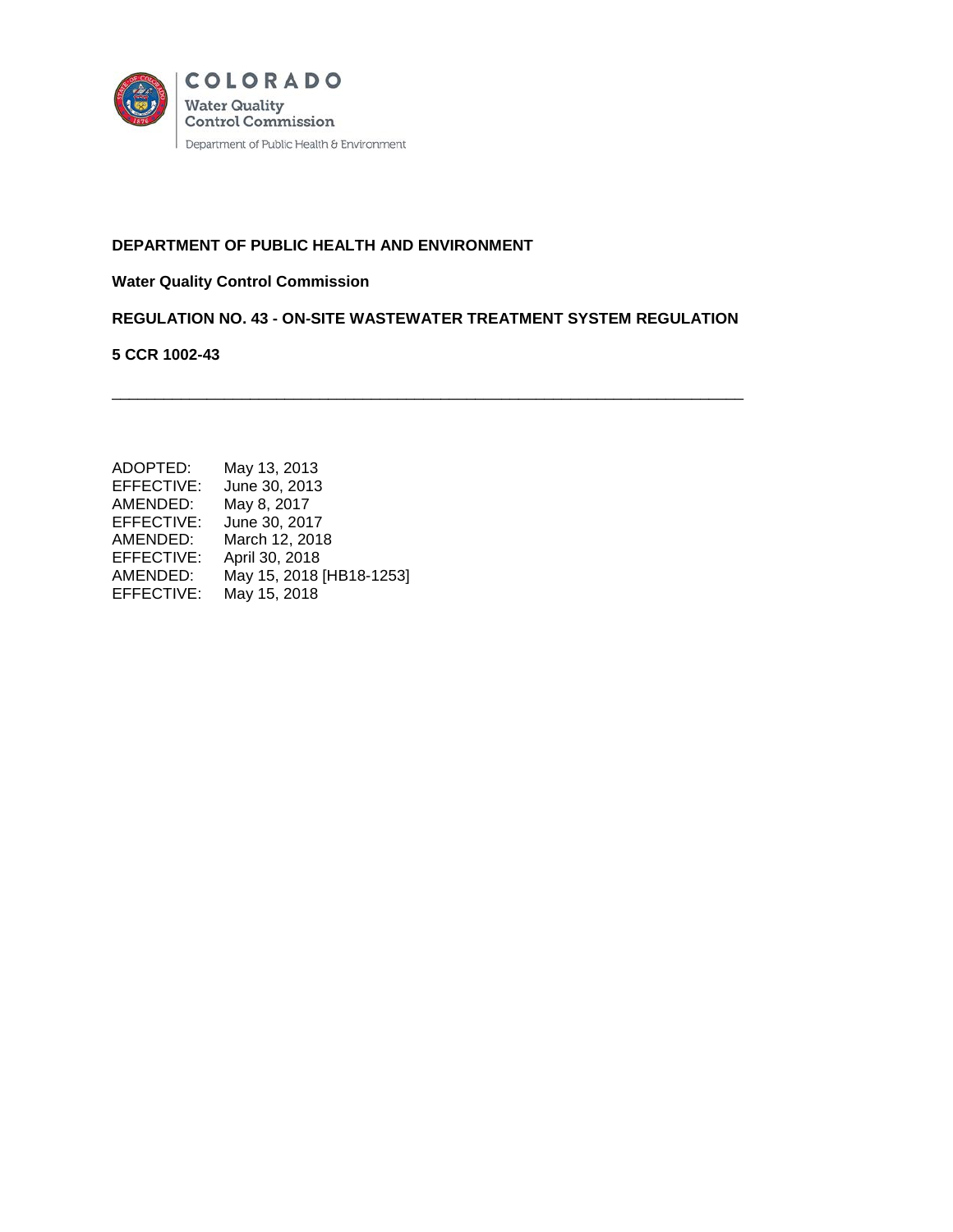

# **DEPARTMENT OF PUBLIC HEALTH AND ENVIRONMENT**

# **Water Quality Control Commission**

**REGULATION NO. 43 - ON-SITE WASTEWATER TREATMENT SYSTEM REGULATION**

\_\_\_\_\_\_\_\_\_\_\_\_\_\_\_\_\_\_\_\_\_\_\_\_\_\_\_\_\_\_\_\_\_\_\_\_\_\_\_\_\_\_\_\_\_\_\_\_\_\_\_\_\_\_\_\_\_\_\_\_\_\_\_\_\_\_\_\_\_\_\_\_\_

## **5 CCR 1002-43**

| ADOPTED:   | May 13, 2013             |
|------------|--------------------------|
| EFFECTIVE: | June 30, 2013            |
| AMENDED:   | May 8, 2017              |
| EFFECTIVE: | June 30, 2017            |
| AMENDED:   | March 12, 2018           |
| EFFECTIVE: | April 30, 2018           |
| AMENDED:   | May 15, 2018 [HB18-1253] |
| EFFECTIVE: | May 15, 2018             |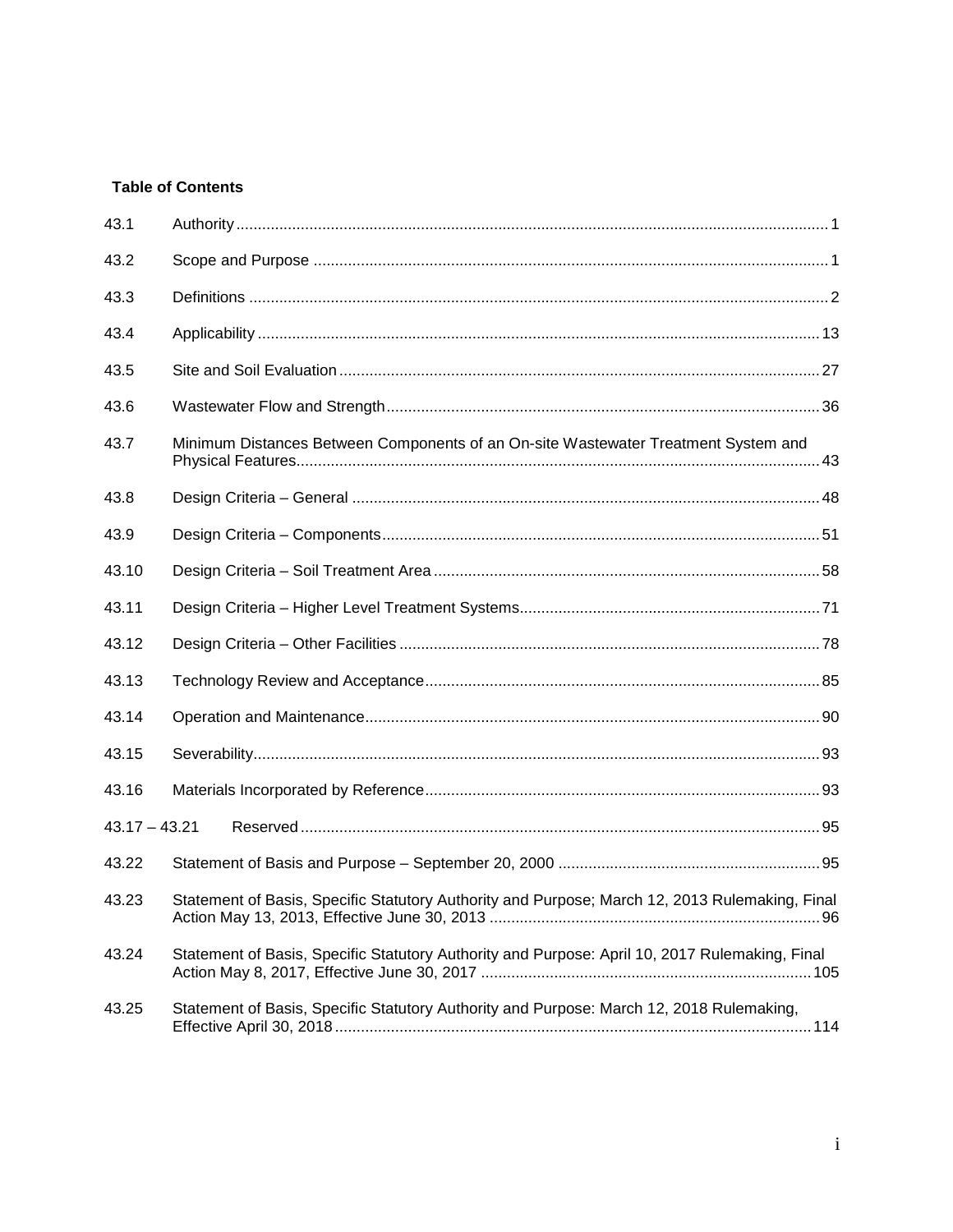# **Table of Contents**

| 43.1            |                                                                                                |  |
|-----------------|------------------------------------------------------------------------------------------------|--|
| 43.2            |                                                                                                |  |
| 43.3            |                                                                                                |  |
| 43.4            |                                                                                                |  |
| 43.5            |                                                                                                |  |
| 43.6            |                                                                                                |  |
| 43.7            | Minimum Distances Between Components of an On-site Wastewater Treatment System and             |  |
| 43.8            |                                                                                                |  |
| 43.9            |                                                                                                |  |
| 43.10           |                                                                                                |  |
| 43.11           |                                                                                                |  |
| 43.12           |                                                                                                |  |
| 43.13           |                                                                                                |  |
| 43.14           |                                                                                                |  |
| 43.15           |                                                                                                |  |
| 43.16           |                                                                                                |  |
| $43.17 - 43.21$ |                                                                                                |  |
| 43.22           |                                                                                                |  |
| 43.23           | Statement of Basis, Specific Statutory Authority and Purpose; March 12, 2013 Rulemaking, Final |  |
| 43.24           | Statement of Basis, Specific Statutory Authority and Purpose: April 10, 2017 Rulemaking, Final |  |
| 43.25           | Statement of Basis, Specific Statutory Authority and Purpose: March 12, 2018 Rulemaking,       |  |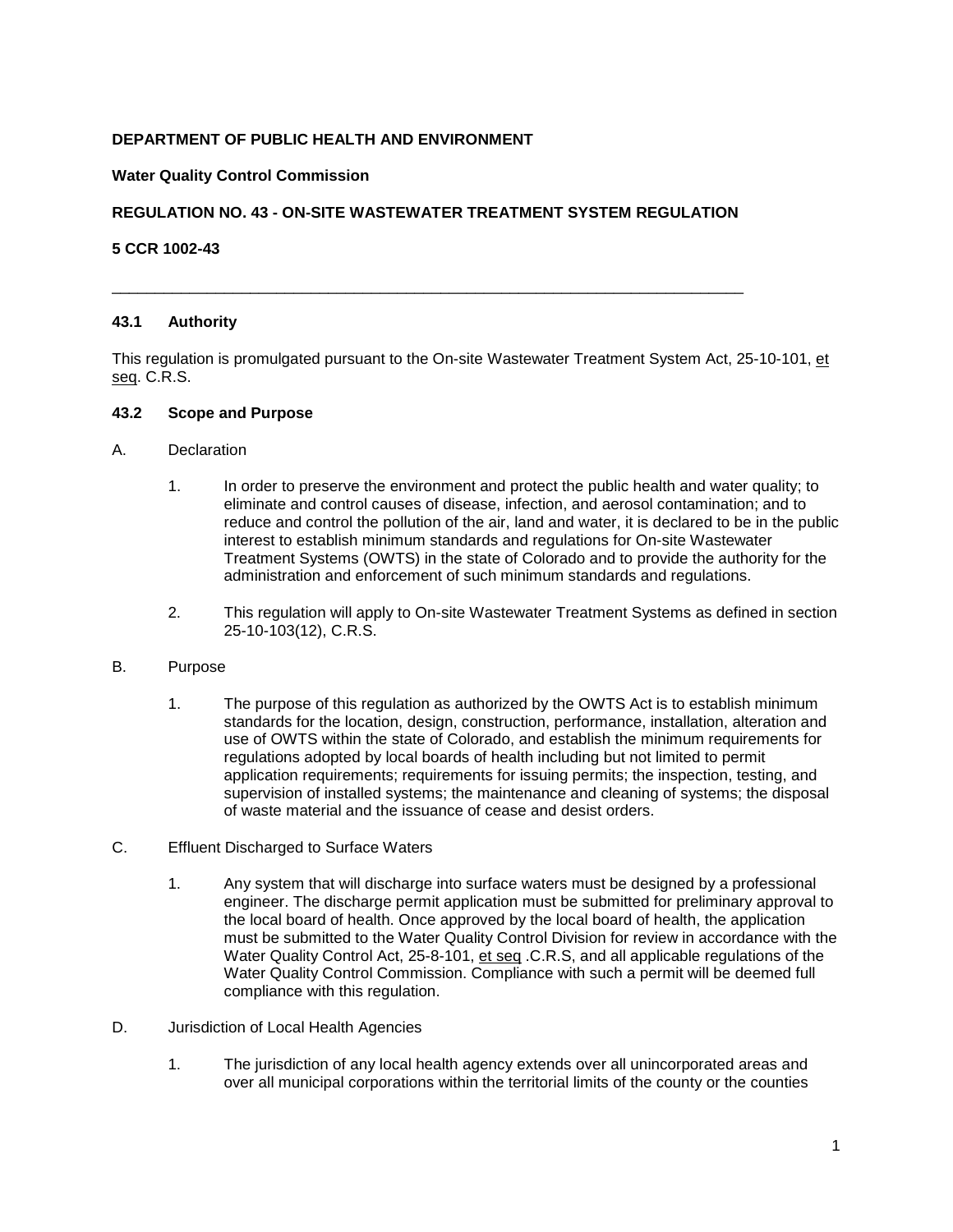# **DEPARTMENT OF PUBLIC HEALTH AND ENVIRONMENT**

## **Water Quality Control Commission**

## **REGULATION NO. 43 - ON-SITE WASTEWATER TREATMENT SYSTEM REGULATION**

<span id="page-2-0"></span>\_\_\_\_\_\_\_\_\_\_\_\_\_\_\_\_\_\_\_\_\_\_\_\_\_\_\_\_\_\_\_\_\_\_\_\_\_\_\_\_\_\_\_\_\_\_\_\_\_\_\_\_\_\_\_\_\_\_\_\_\_\_\_\_\_\_\_\_\_\_\_\_\_

## **5 CCR 1002-43**

## **43.1 Authority**

This regulation is promulgated pursuant to the On-site Wastewater Treatment System Act, 25-10-101, et seq. C.R.S.

#### <span id="page-2-1"></span>**43.2 Scope and Purpose**

#### A. Declaration

- 1. In order to preserve the environment and protect the public health and water quality; to eliminate and control causes of disease, infection, and aerosol contamination; and to reduce and control the pollution of the air, land and water, it is declared to be in the public interest to establish minimum standards and regulations for On-site Wastewater Treatment Systems (OWTS) in the state of Colorado and to provide the authority for the administration and enforcement of such minimum standards and regulations.
- 2. This regulation will apply to On-site Wastewater Treatment Systems as defined in section 25-10-103(12), C.R.S.

## B. Purpose

- 1. The purpose of this regulation as authorized by the OWTS Act is to establish minimum standards for the location, design, construction, performance, installation, alteration and use of OWTS within the state of Colorado, and establish the minimum requirements for regulations adopted by local boards of health including but not limited to permit application requirements; requirements for issuing permits; the inspection, testing, and supervision of installed systems; the maintenance and cleaning of systems; the disposal of waste material and the issuance of cease and desist orders.
- C. Effluent Discharged to Surface Waters
	- 1. Any system that will discharge into surface waters must be designed by a professional engineer. The discharge permit application must be submitted for preliminary approval to the local board of health. Once approved by the local board of health, the application must be submitted to the Water Quality Control Division for review in accordance with the Water Quality Control Act, 25-8-101, et seq .C.R.S, and all applicable regulations of the Water Quality Control Commission. Compliance with such a permit will be deemed full compliance with this regulation.
- D. Jurisdiction of Local Health Agencies
	- 1. The jurisdiction of any local health agency extends over all unincorporated areas and over all municipal corporations within the territorial limits of the county or the counties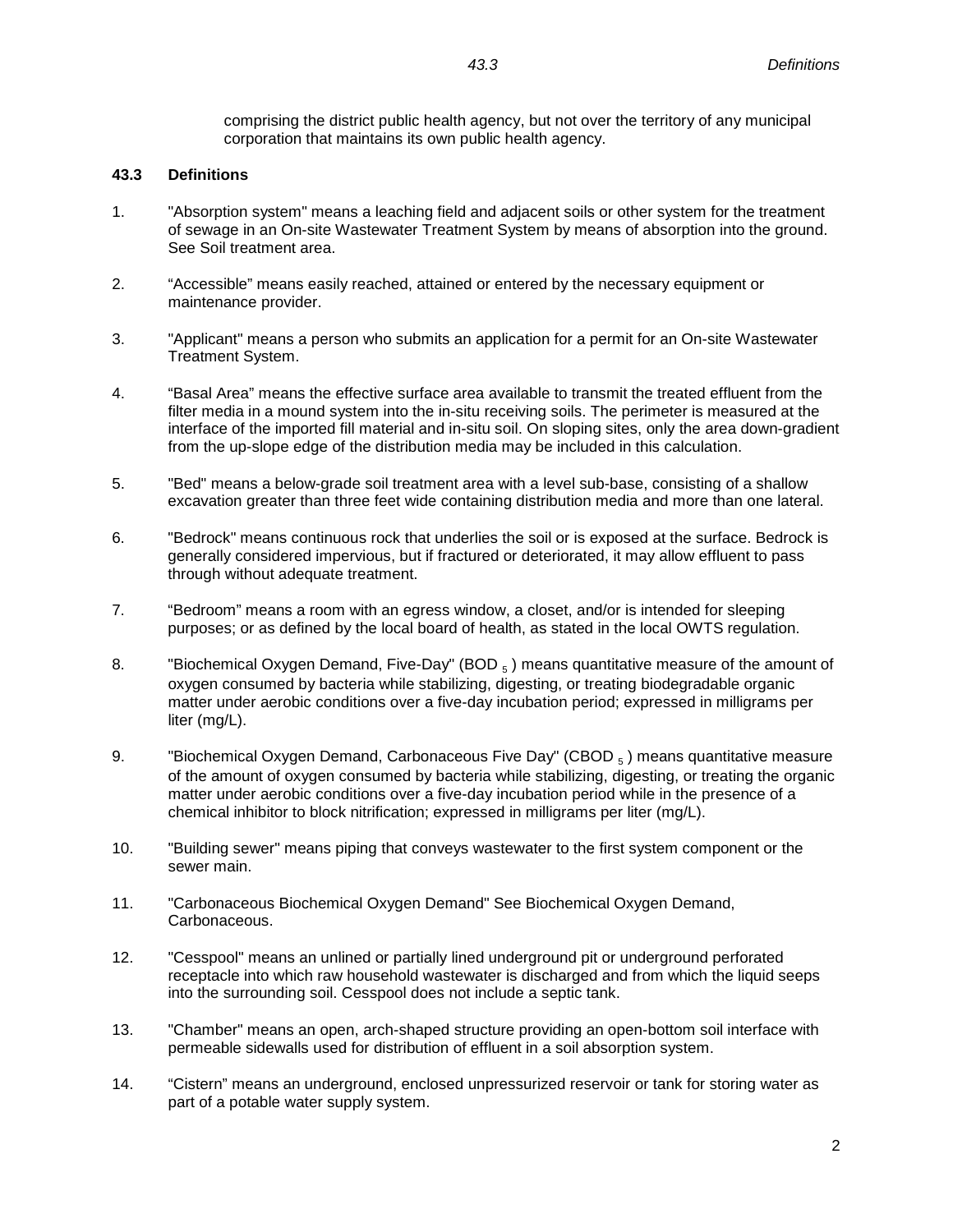comprising the district public health agency, but not over the territory of any municipal corporation that maintains its own public health agency.

# <span id="page-3-0"></span>**43.3 Definitions**

- 1. "Absorption system" means a leaching field and adjacent soils or other system for the treatment of sewage in an On-site Wastewater Treatment System by means of absorption into the ground. See Soil treatment area.
- 2. "Accessible" means easily reached, attained or entered by the necessary equipment or maintenance provider.
- 3. "Applicant" means a person who submits an application for a permit for an On-site Wastewater Treatment System.
- 4. "Basal Area" means the effective surface area available to transmit the treated effluent from the filter media in a mound system into the in-situ receiving soils. The perimeter is measured at the interface of the imported fill material and in-situ soil. On sloping sites, only the area down-gradient from the up-slope edge of the distribution media may be included in this calculation.
- 5. "Bed" means a below-grade soil treatment area with a level sub-base, consisting of a shallow excavation greater than three feet wide containing distribution media and more than one lateral.
- 6. "Bedrock" means continuous rock that underlies the soil or is exposed at the surface. Bedrock is generally considered impervious, but if fractured or deteriorated, it may allow effluent to pass through without adequate treatment.
- 7. "Bedroom" means a room with an egress window, a closet, and/or is intended for sleeping purposes; or as defined by the local board of health, as stated in the local OWTS regulation.
- 8. "Biochemical Oxygen Demand, Five-Day" (BOD  $_5$ ) means quantitative measure of the amount of oxygen consumed by bacteria while stabilizing, digesting, or treating biodegradable organic matter under aerobic conditions over a five-day incubation period; expressed in milligrams per liter (mg/L).
- 9. "Biochemical Oxygen Demand, Carbonaceous Five Day" (CBOD  $_5$ ) means quantitative measure of the amount of oxygen consumed by bacteria while stabilizing, digesting, or treating the organic matter under aerobic conditions over a five-day incubation period while in the presence of a chemical inhibitor to block nitrification; expressed in milligrams per liter (mg/L).
- 10. "Building sewer" means piping that conveys wastewater to the first system component or the sewer main.
- 11. "Carbonaceous Biochemical Oxygen Demand" See Biochemical Oxygen Demand, Carbonaceous.
- 12. "Cesspool" means an unlined or partially lined underground pit or underground perforated receptacle into which raw household wastewater is discharged and from which the liquid seeps into the surrounding soil. Cesspool does not include a septic tank.
- 13. "Chamber" means an open, arch-shaped structure providing an open-bottom soil interface with permeable sidewalls used for distribution of effluent in a soil absorption system.
- 14. "Cistern" means an underground, enclosed unpressurized reservoir or tank for storing water as part of a potable water supply system.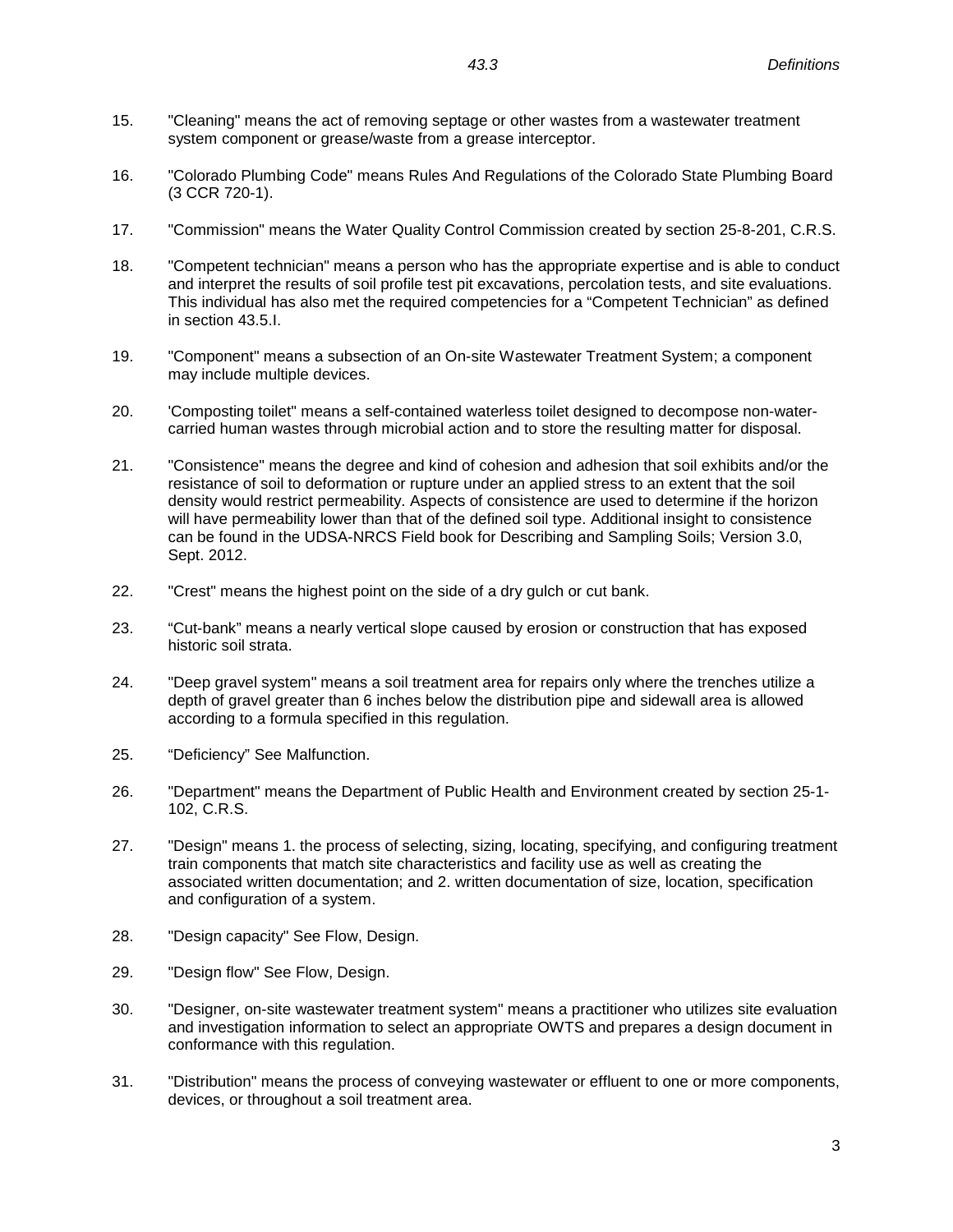- 15. "Cleaning" means the act of removing septage or other wastes from a wastewater treatment system component or grease/waste from a grease interceptor.
- 16. "Colorado Plumbing Code" means Rules And Regulations of the Colorado State Plumbing Board (3 CCR 720-1).
- 17. "Commission" means the Water Quality Control Commission created by section 25-8-201, C.R.S.
- 18. "Competent technician" means a person who has the appropriate expertise and is able to conduct and interpret the results of soil profile test pit excavations, percolation tests, and site evaluations. This individual has also met the required competencies for a "Competent Technician" as defined in section 43.5.I.
- 19. "Component" means a subsection of an On-site Wastewater Treatment System; a component may include multiple devices.
- 20. 'Composting toilet" means a self-contained waterless toilet designed to decompose non-watercarried human wastes through microbial action and to store the resulting matter for disposal.
- 21. "Consistence" means the degree and kind of cohesion and adhesion that soil exhibits and/or the resistance of soil to deformation or rupture under an applied stress to an extent that the soil density would restrict permeability. Aspects of consistence are used to determine if the horizon will have permeability lower than that of the defined soil type. Additional insight to consistence can be found in the UDSA-NRCS Field book for Describing and Sampling Soils; Version 3.0, Sept. 2012.
- 22. "Crest" means the highest point on the side of a dry gulch or cut bank.
- 23. "Cut-bank" means a nearly vertical slope caused by erosion or construction that has exposed historic soil strata.
- 24. "Deep gravel system" means a soil treatment area for repairs only where the trenches utilize a depth of gravel greater than 6 inches below the distribution pipe and sidewall area is allowed according to a formula specified in this regulation.
- 25. "Deficiency" See Malfunction.
- 26. "Department" means the Department of Public Health and Environment created by section 25-1- 102, C.R.S.
- 27. "Design" means 1. the process of selecting, sizing, locating, specifying, and configuring treatment train components that match site characteristics and facility use as well as creating the associated written documentation; and 2. written documentation of size, location, specification and configuration of a system.
- 28. "Design capacity" See Flow, Design.
- 29. "Design flow" See Flow, Design.
- 30. "Designer, on-site wastewater treatment system" means a practitioner who utilizes site evaluation and investigation information to select an appropriate OWTS and prepares a design document in conformance with this regulation.
- 31. "Distribution" means the process of conveying wastewater or effluent to one or more components, devices, or throughout a soil treatment area.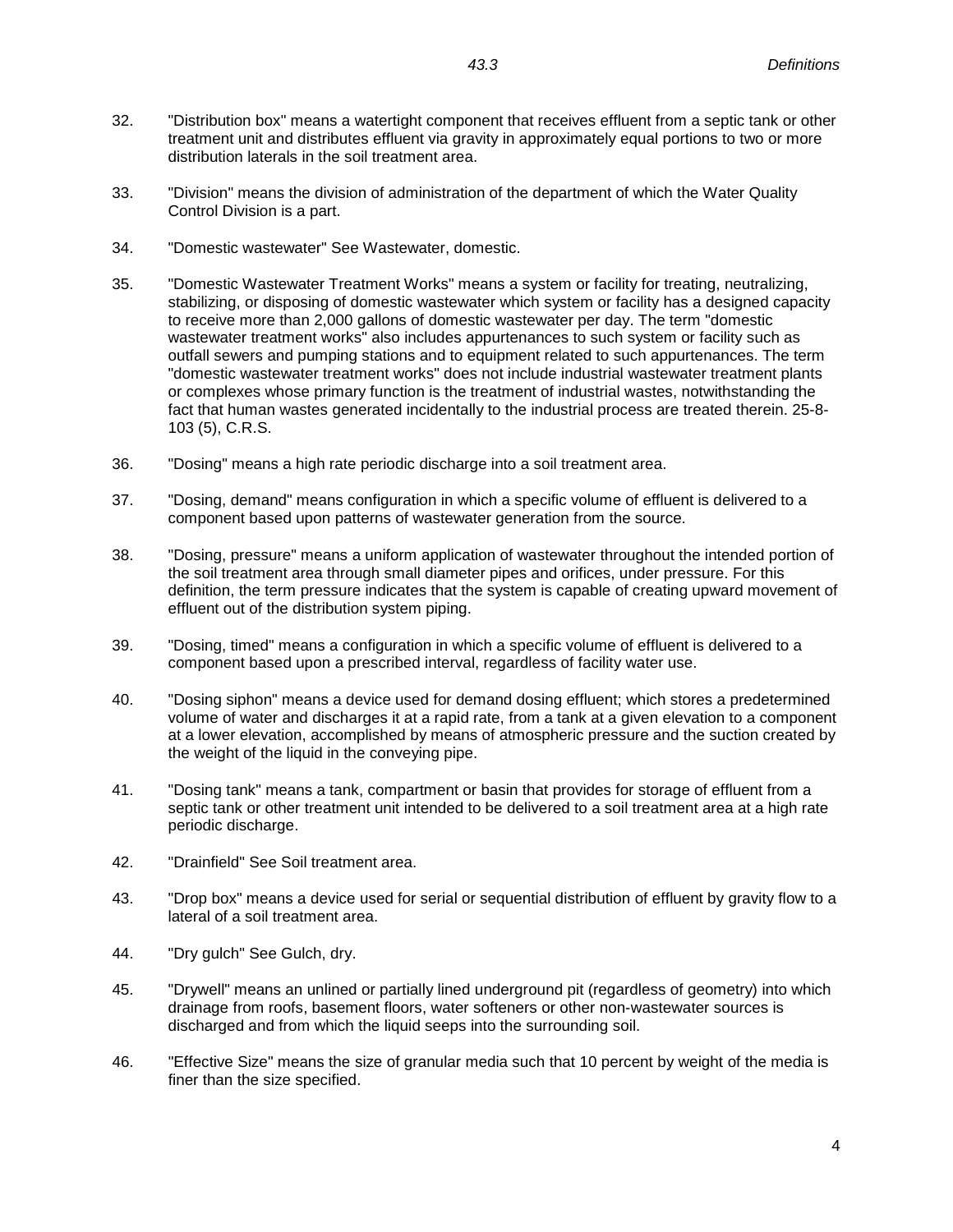- 32. "Distribution box" means a watertight component that receives effluent from a septic tank or other treatment unit and distributes effluent via gravity in approximately equal portions to two or more distribution laterals in the soil treatment area.
- 33. "Division" means the division of administration of the department of which the Water Quality Control Division is a part.
- 34. "Domestic wastewater" See Wastewater, domestic.
- 35. "Domestic Wastewater Treatment Works" means a system or facility for treating, neutralizing, stabilizing, or disposing of domestic wastewater which system or facility has a designed capacity to receive more than 2,000 gallons of domestic wastewater per day. The term "domestic wastewater treatment works" also includes appurtenances to such system or facility such as outfall sewers and pumping stations and to equipment related to such appurtenances. The term "domestic wastewater treatment works" does not include industrial wastewater treatment plants or complexes whose primary function is the treatment of industrial wastes, notwithstanding the fact that human wastes generated incidentally to the industrial process are treated therein. 25-8- 103 (5), C.R.S.
- 36. "Dosing" means a high rate periodic discharge into a soil treatment area.
- 37. "Dosing, demand" means configuration in which a specific volume of effluent is delivered to a component based upon patterns of wastewater generation from the source.
- 38. "Dosing, pressure" means a uniform application of wastewater throughout the intended portion of the soil treatment area through small diameter pipes and orifices, under pressure. For this definition, the term pressure indicates that the system is capable of creating upward movement of effluent out of the distribution system piping.
- 39. "Dosing, timed" means a configuration in which a specific volume of effluent is delivered to a component based upon a prescribed interval, regardless of facility water use.
- 40. "Dosing siphon" means a device used for demand dosing effluent; which stores a predetermined volume of water and discharges it at a rapid rate, from a tank at a given elevation to a component at a lower elevation, accomplished by means of atmospheric pressure and the suction created by the weight of the liquid in the conveying pipe.
- 41. "Dosing tank" means a tank, compartment or basin that provides for storage of effluent from a septic tank or other treatment unit intended to be delivered to a soil treatment area at a high rate periodic discharge.
- 42. "Drainfield" See Soil treatment area.
- 43. "Drop box" means a device used for serial or sequential distribution of effluent by gravity flow to a lateral of a soil treatment area.
- 44. "Dry gulch" See Gulch, dry.
- 45. "Drywell" means an unlined or partially lined underground pit (regardless of geometry) into which drainage from roofs, basement floors, water softeners or other non-wastewater sources is discharged and from which the liquid seeps into the surrounding soil.
- 46. "Effective Size" means the size of granular media such that 10 percent by weight of the media is finer than the size specified.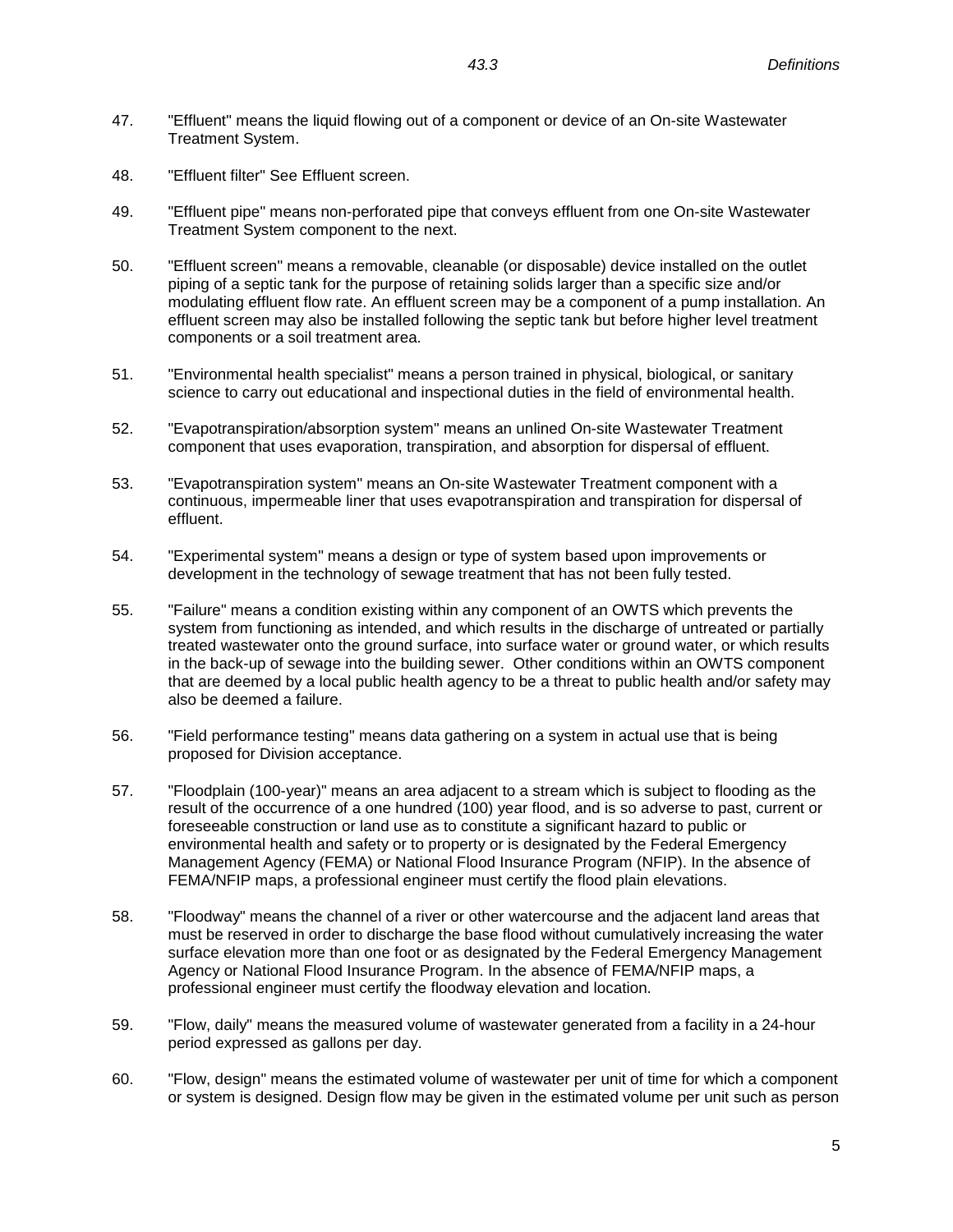- 47. "Effluent" means the liquid flowing out of a component or device of an On-site Wastewater Treatment System.
- 48. "Effluent filter" See Effluent screen.
- 49. "Effluent pipe" means non-perforated pipe that conveys effluent from one On-site Wastewater Treatment System component to the next.
- 50. "Effluent screen" means a removable, cleanable (or disposable) device installed on the outlet piping of a septic tank for the purpose of retaining solids larger than a specific size and/or modulating effluent flow rate. An effluent screen may be a component of a pump installation. An effluent screen may also be installed following the septic tank but before higher level treatment components or a soil treatment area.
- 51. "Environmental health specialist" means a person trained in physical, biological, or sanitary science to carry out educational and inspectional duties in the field of environmental health.
- 52. "Evapotranspiration/absorption system" means an unlined On-site Wastewater Treatment component that uses evaporation, transpiration, and absorption for dispersal of effluent.
- 53. "Evapotranspiration system" means an On-site Wastewater Treatment component with a continuous, impermeable liner that uses evapotranspiration and transpiration for dispersal of effluent.
- 54. "Experimental system" means a design or type of system based upon improvements or development in the technology of sewage treatment that has not been fully tested.
- 55. "Failure" means a condition existing within any component of an OWTS which prevents the system from functioning as intended, and which results in the discharge of untreated or partially treated wastewater onto the ground surface, into surface water or ground water, or which results in the back-up of sewage into the building sewer. Other conditions within an OWTS component that are deemed by a local public health agency to be a threat to public health and/or safety may also be deemed a failure.
- 56. "Field performance testing" means data gathering on a system in actual use that is being proposed for Division acceptance.
- 57. "Floodplain (100-year)" means an area adjacent to a stream which is subject to flooding as the result of the occurrence of a one hundred (100) year flood, and is so adverse to past, current or foreseeable construction or land use as to constitute a significant hazard to public or environmental health and safety or to property or is designated by the Federal Emergency Management Agency (FEMA) or National Flood Insurance Program (NFIP). In the absence of FEMA/NFIP maps, a professional engineer must certify the flood plain elevations.
- 58. "Floodway" means the channel of a river or other watercourse and the adjacent land areas that must be reserved in order to discharge the base flood without cumulatively increasing the water surface elevation more than one foot or as designated by the Federal Emergency Management Agency or National Flood Insurance Program. In the absence of FEMA/NFIP maps, a professional engineer must certify the floodway elevation and location.
- 59. "Flow, daily" means the measured volume of wastewater generated from a facility in a 24-hour period expressed as gallons per day.
- 60. "Flow, design" means the estimated volume of wastewater per unit of time for which a component or system is designed. Design flow may be given in the estimated volume per unit such as person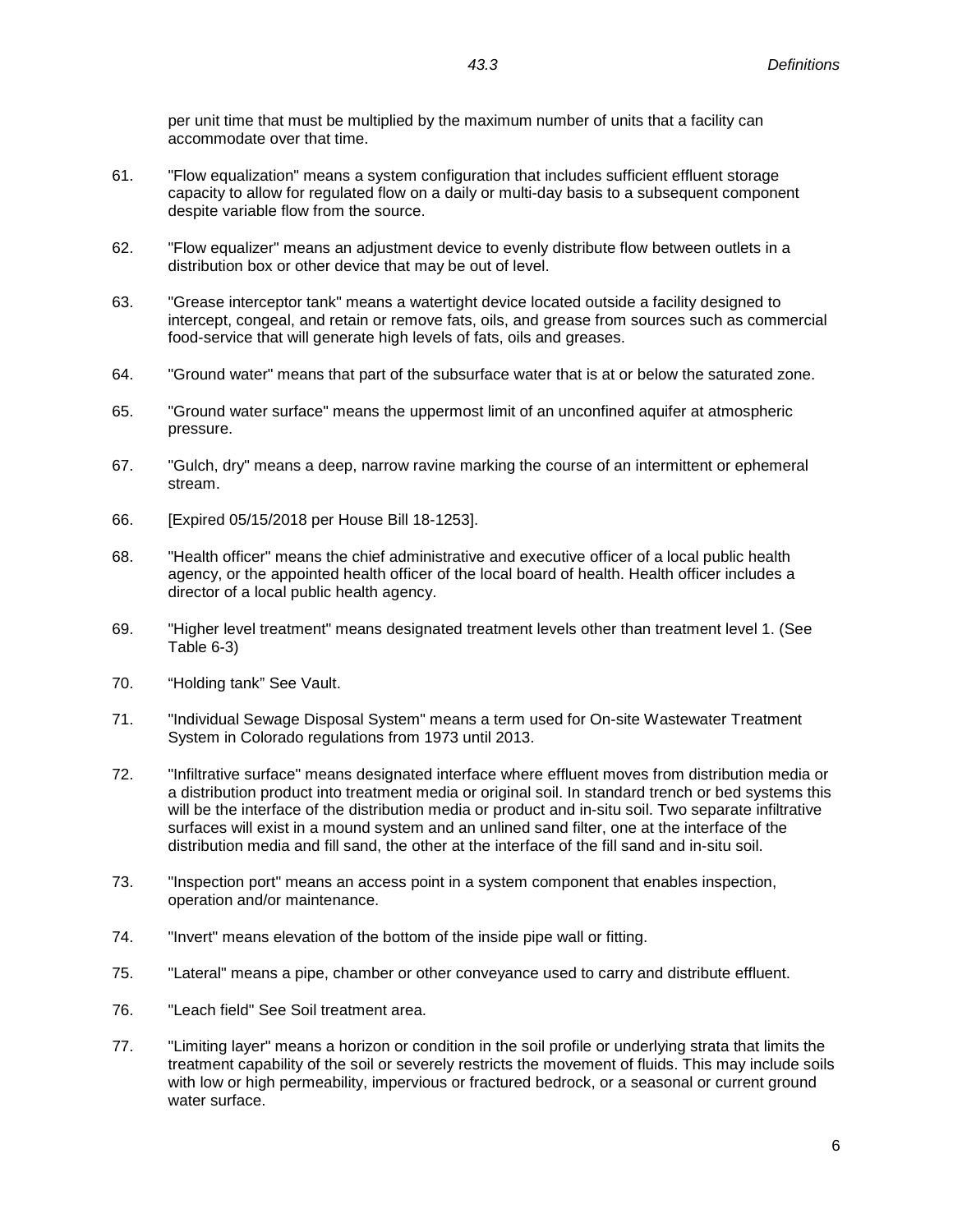per unit time that must be multiplied by the maximum number of units that a facility can accommodate over that time.

- 61. "Flow equalization" means a system configuration that includes sufficient effluent storage capacity to allow for regulated flow on a daily or multi-day basis to a subsequent component despite variable flow from the source.
- 62. "Flow equalizer" means an adjustment device to evenly distribute flow between outlets in a distribution box or other device that may be out of level.
- 63. "Grease interceptor tank" means a watertight device located outside a facility designed to intercept, congeal, and retain or remove fats, oils, and grease from sources such as commercial food-service that will generate high levels of fats, oils and greases.
- 64. "Ground water" means that part of the subsurface water that is at or below the saturated zone.
- 65. "Ground water surface" means the uppermost limit of an unconfined aquifer at atmospheric pressure.
- 67. "Gulch, dry" means a deep, narrow ravine marking the course of an intermittent or ephemeral stream.
- 66. [Expired 05/15/2018 per House Bill 18-1253].
- 68. "Health officer" means the chief administrative and executive officer of a local public health agency, or the appointed health officer of the local board of health. Health officer includes a director of a local public health agency.
- 69. "Higher level treatment" means designated treatment levels other than treatment level 1. (See Table 6-3)
- 70. "Holding tank" See Vault.
- 71. "Individual Sewage Disposal System" means a term used for On-site Wastewater Treatment System in Colorado regulations from 1973 until 2013.
- 72. "Infiltrative surface" means designated interface where effluent moves from distribution media or a distribution product into treatment media or original soil. In standard trench or bed systems this will be the interface of the distribution media or product and in-situ soil. Two separate infiltrative surfaces will exist in a mound system and an unlined sand filter, one at the interface of the distribution media and fill sand, the other at the interface of the fill sand and in-situ soil.
- 73. "Inspection port" means an access point in a system component that enables inspection, operation and/or maintenance.
- 74. "Invert" means elevation of the bottom of the inside pipe wall or fitting.
- 75. "Lateral" means a pipe, chamber or other conveyance used to carry and distribute effluent.
- 76. "Leach field" See Soil treatment area.
- 77. "Limiting layer" means a horizon or condition in the soil profile or underlying strata that limits the treatment capability of the soil or severely restricts the movement of fluids. This may include soils with low or high permeability, impervious or fractured bedrock, or a seasonal or current ground water surface.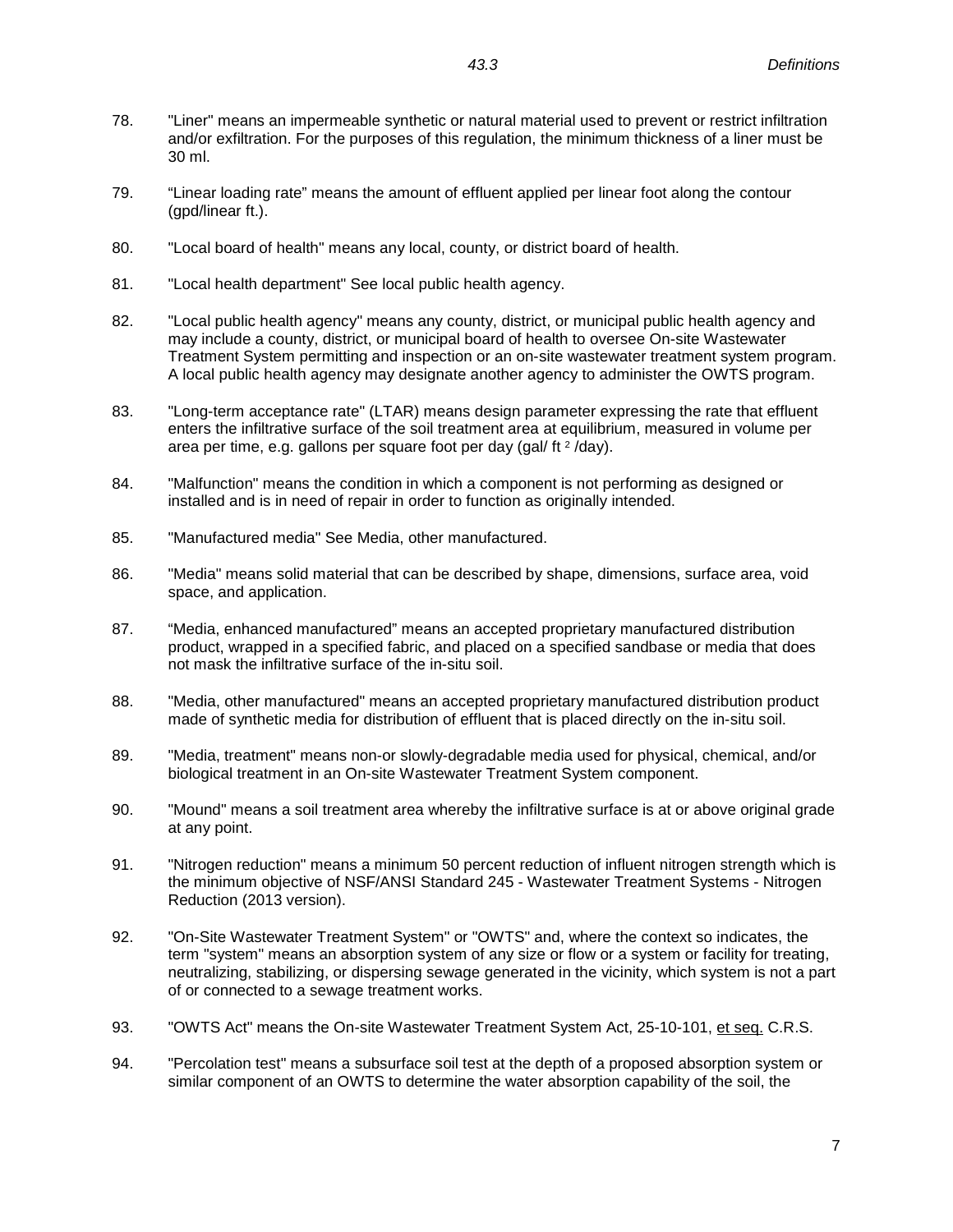- 78. "Liner" means an impermeable synthetic or natural material used to prevent or restrict infiltration and/or exfiltration. For the purposes of this regulation, the minimum thickness of a liner must be 30 ml.
- 79. "Linear loading rate" means the amount of effluent applied per linear foot along the contour (gpd/linear ft.).
- 80. "Local board of health" means any local, county, or district board of health.
- 81. "Local health department" See local public health agency.
- 82. "Local public health agency" means any county, district, or municipal public health agency and may include a county, district, or municipal board of health to oversee On-site Wastewater Treatment System permitting and inspection or an on-site wastewater treatment system program. A local public health agency may designate another agency to administer the OWTS program.
- 83. "Long-term acceptance rate" (LTAR) means design parameter expressing the rate that effluent enters the infiltrative surface of the soil treatment area at equilibrium, measured in volume per area per time, e.g. gallons per square foot per day (gal/  $ft^2$  /day).
- 84. "Malfunction" means the condition in which a component is not performing as designed or installed and is in need of repair in order to function as originally intended.
- 85. "Manufactured media" See Media, other manufactured.
- 86. "Media" means solid material that can be described by shape, dimensions, surface area, void space, and application.
- 87. "Media, enhanced manufactured" means an accepted proprietary manufactured distribution product, wrapped in a specified fabric, and placed on a specified sandbase or media that does not mask the infiltrative surface of the in-situ soil.
- 88. "Media, other manufactured" means an accepted proprietary manufactured distribution product made of synthetic media for distribution of effluent that is placed directly on the in-situ soil.
- 89. "Media, treatment" means non-or slowly-degradable media used for physical, chemical, and/or biological treatment in an On-site Wastewater Treatment System component.
- 90. "Mound" means a soil treatment area whereby the infiltrative surface is at or above original grade at any point.
- 91. "Nitrogen reduction" means a minimum 50 percent reduction of influent nitrogen strength which is the minimum objective of NSF/ANSI Standard 245 - Wastewater Treatment Systems - Nitrogen Reduction (2013 version).
- 92. "On-Site Wastewater Treatment System" or "OWTS" and, where the context so indicates, the term "system" means an absorption system of any size or flow or a system or facility for treating, neutralizing, stabilizing, or dispersing sewage generated in the vicinity, which system is not a part of or connected to a sewage treatment works.
- 93. "OWTS Act" means the On-site Wastewater Treatment System Act, 25-10-101, et seq. C.R.S.
- 94. "Percolation test" means a subsurface soil test at the depth of a proposed absorption system or similar component of an OWTS to determine the water absorption capability of the soil, the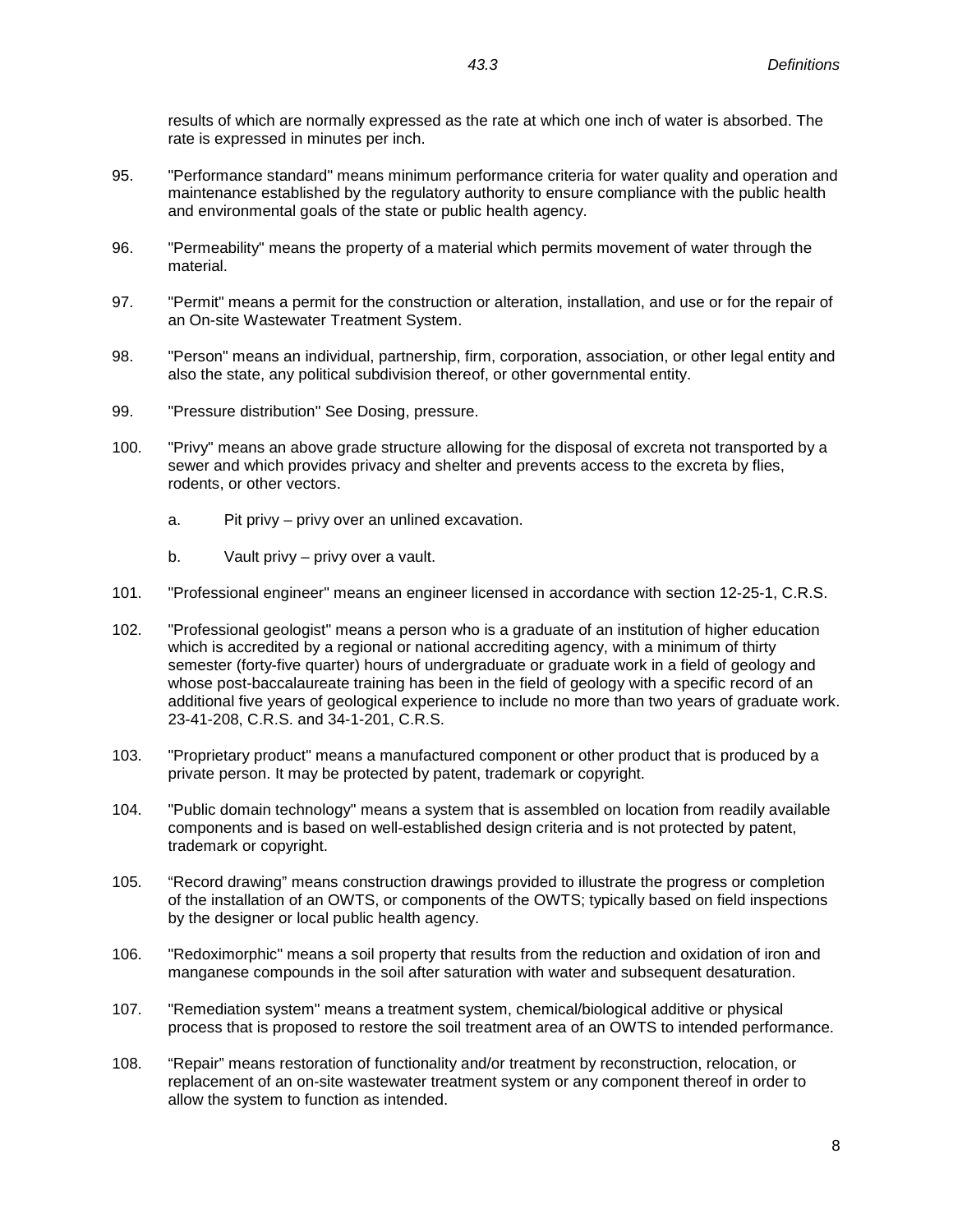results of which are normally expressed as the rate at which one inch of water is absorbed. The rate is expressed in minutes per inch.

- 95. "Performance standard" means minimum performance criteria for water quality and operation and maintenance established by the regulatory authority to ensure compliance with the public health and environmental goals of the state or public health agency.
- 96. "Permeability" means the property of a material which permits movement of water through the material.
- 97. "Permit" means a permit for the construction or alteration, installation, and use or for the repair of an On-site Wastewater Treatment System.
- 98. "Person" means an individual, partnership, firm, corporation, association, or other legal entity and also the state, any political subdivision thereof, or other governmental entity.
- 99. "Pressure distribution" See Dosing, pressure.
- 100. "Privy" means an above grade structure allowing for the disposal of excreta not transported by a sewer and which provides privacy and shelter and prevents access to the excreta by flies, rodents, or other vectors.
	- a. Pit privy privy over an unlined excavation.
	- b. Vault privy privy over a vault.
- 101. "Professional engineer" means an engineer licensed in accordance with section 12-25-1, C.R.S.
- 102. "Professional geologist" means a person who is a graduate of an institution of higher education which is accredited by a regional or national accrediting agency, with a minimum of thirty semester (forty-five quarter) hours of undergraduate or graduate work in a field of geology and whose post-baccalaureate training has been in the field of geology with a specific record of an additional five years of geological experience to include no more than two years of graduate work. 23-41-208, C.R.S. and 34-1-201, C.R.S.
- 103. "Proprietary product" means a manufactured component or other product that is produced by a private person. It may be protected by patent, trademark or copyright.
- 104. "Public domain technology" means a system that is assembled on location from readily available components and is based on well-established design criteria and is not protected by patent, trademark or copyright.
- 105. "Record drawing" means construction drawings provided to illustrate the progress or completion of the installation of an OWTS, or components of the OWTS; typically based on field inspections by the designer or local public health agency.
- 106. "Redoximorphic" means a soil property that results from the reduction and oxidation of iron and manganese compounds in the soil after saturation with water and subsequent desaturation.
- 107. "Remediation system" means a treatment system, chemical/biological additive or physical process that is proposed to restore the soil treatment area of an OWTS to intended performance.
- 108. "Repair" means restoration of functionality and/or treatment by reconstruction, relocation, or replacement of an on-site wastewater treatment system or any component thereof in order to allow the system to function as intended.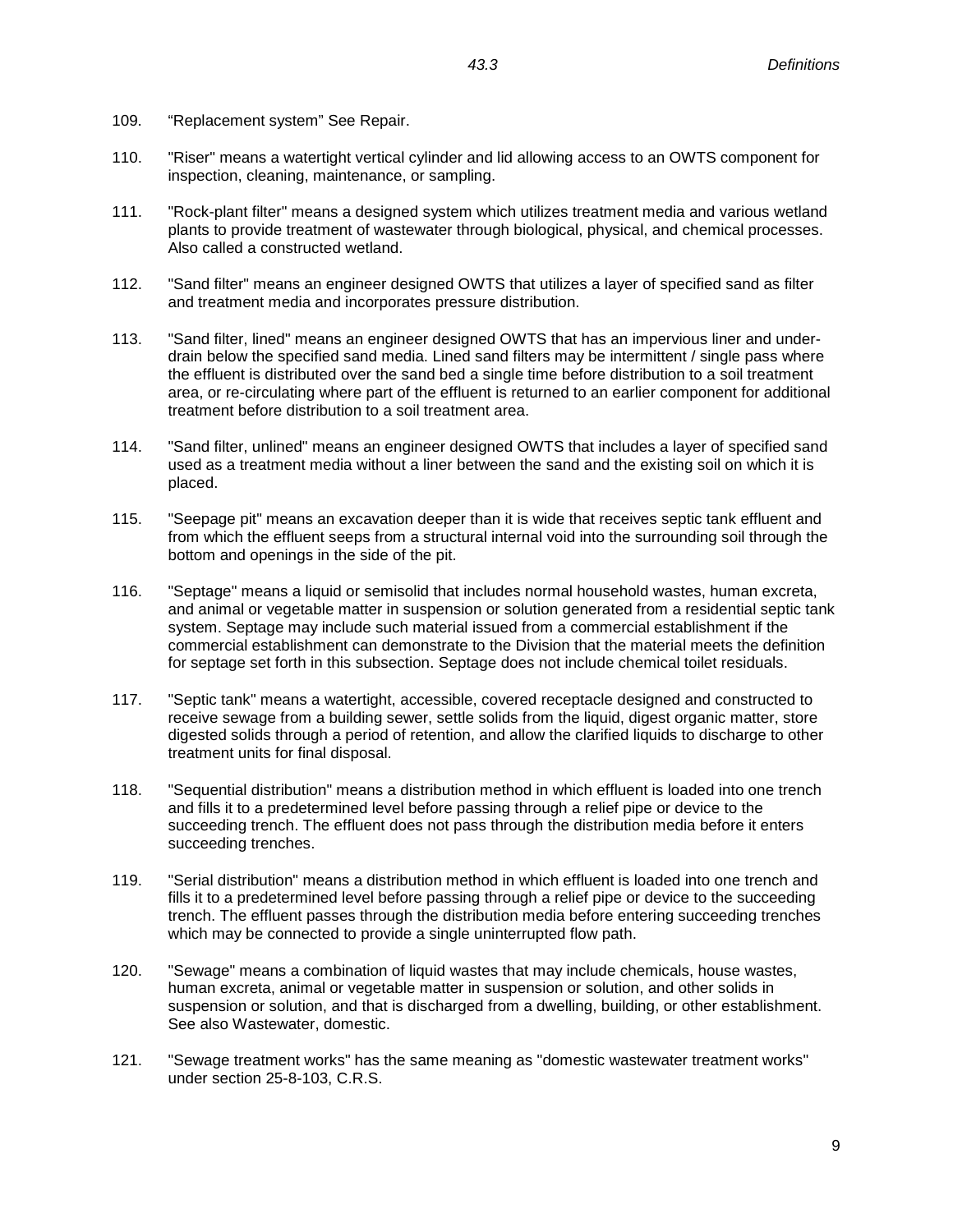- 109. "Replacement system" See Repair.
- 110. "Riser" means a watertight vertical cylinder and lid allowing access to an OWTS component for inspection, cleaning, maintenance, or sampling.
- 111. "Rock-plant filter" means a designed system which utilizes treatment media and various wetland plants to provide treatment of wastewater through biological, physical, and chemical processes. Also called a constructed wetland.
- 112. "Sand filter" means an engineer designed OWTS that utilizes a layer of specified sand as filter and treatment media and incorporates pressure distribution.
- 113. "Sand filter, lined" means an engineer designed OWTS that has an impervious liner and underdrain below the specified sand media. Lined sand filters may be intermittent / single pass where the effluent is distributed over the sand bed a single time before distribution to a soil treatment area, or re-circulating where part of the effluent is returned to an earlier component for additional treatment before distribution to a soil treatment area.
- 114. "Sand filter, unlined" means an engineer designed OWTS that includes a layer of specified sand used as a treatment media without a liner between the sand and the existing soil on which it is placed.
- 115. "Seepage pit" means an excavation deeper than it is wide that receives septic tank effluent and from which the effluent seeps from a structural internal void into the surrounding soil through the bottom and openings in the side of the pit.
- 116. "Septage" means a liquid or semisolid that includes normal household wastes, human excreta, and animal or vegetable matter in suspension or solution generated from a residential septic tank system. Septage may include such material issued from a commercial establishment if the commercial establishment can demonstrate to the Division that the material meets the definition for septage set forth in this subsection. Septage does not include chemical toilet residuals.
- 117. "Septic tank" means a watertight, accessible, covered receptacle designed and constructed to receive sewage from a building sewer, settle solids from the liquid, digest organic matter, store digested solids through a period of retention, and allow the clarified liquids to discharge to other treatment units for final disposal.
- 118. "Sequential distribution" means a distribution method in which effluent is loaded into one trench and fills it to a predetermined level before passing through a relief pipe or device to the succeeding trench. The effluent does not pass through the distribution media before it enters succeeding trenches.
- 119. "Serial distribution" means a distribution method in which effluent is loaded into one trench and fills it to a predetermined level before passing through a relief pipe or device to the succeeding trench. The effluent passes through the distribution media before entering succeeding trenches which may be connected to provide a single uninterrupted flow path.
- 120. "Sewage" means a combination of liquid wastes that may include chemicals, house wastes, human excreta, animal or vegetable matter in suspension or solution, and other solids in suspension or solution, and that is discharged from a dwelling, building, or other establishment. See also Wastewater, domestic.
- 121. "Sewage treatment works" has the same meaning as "domestic wastewater treatment works" under section 25-8-103, C.R.S.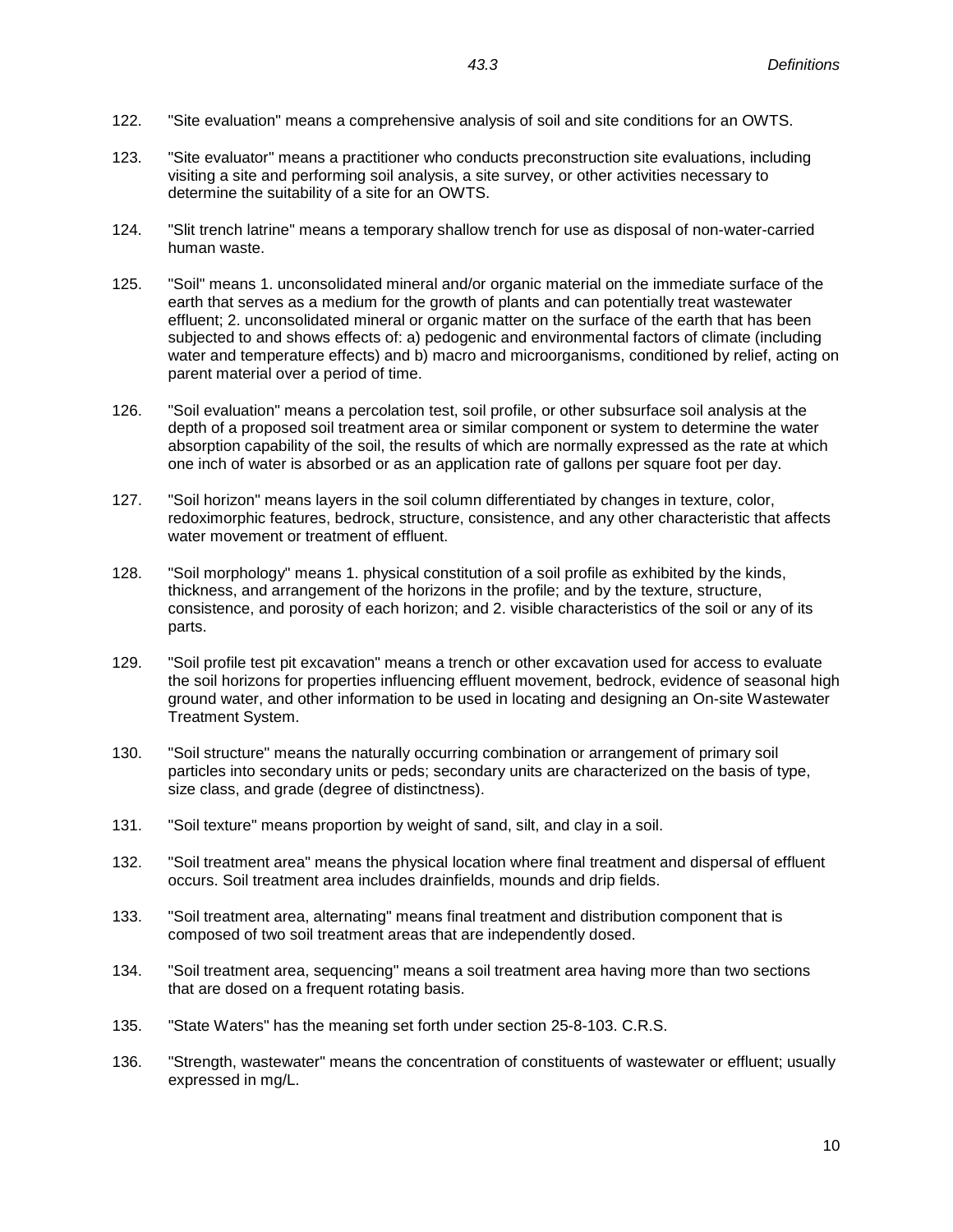- 122. "Site evaluation" means a comprehensive analysis of soil and site conditions for an OWTS.
- 123. "Site evaluator" means a practitioner who conducts preconstruction site evaluations, including visiting a site and performing soil analysis, a site survey, or other activities necessary to determine the suitability of a site for an OWTS.
- 124. "Slit trench latrine" means a temporary shallow trench for use as disposal of non-water-carried human waste.
- 125. "Soil" means 1. unconsolidated mineral and/or organic material on the immediate surface of the earth that serves as a medium for the growth of plants and can potentially treat wastewater effluent; 2. unconsolidated mineral or organic matter on the surface of the earth that has been subjected to and shows effects of: a) pedogenic and environmental factors of climate (including water and temperature effects) and b) macro and microorganisms, conditioned by relief, acting on parent material over a period of time.
- 126. "Soil evaluation" means a percolation test, soil profile, or other subsurface soil analysis at the depth of a proposed soil treatment area or similar component or system to determine the water absorption capability of the soil, the results of which are normally expressed as the rate at which one inch of water is absorbed or as an application rate of gallons per square foot per day.
- 127. "Soil horizon" means layers in the soil column differentiated by changes in texture, color, redoximorphic features, bedrock, structure, consistence, and any other characteristic that affects water movement or treatment of effluent.
- 128. "Soil morphology" means 1. physical constitution of a soil profile as exhibited by the kinds, thickness, and arrangement of the horizons in the profile; and by the texture, structure, consistence, and porosity of each horizon; and 2. visible characteristics of the soil or any of its parts.
- 129. "Soil profile test pit excavation" means a trench or other excavation used for access to evaluate the soil horizons for properties influencing effluent movement, bedrock, evidence of seasonal high ground water, and other information to be used in locating and designing an On-site Wastewater Treatment System.
- 130. "Soil structure" means the naturally occurring combination or arrangement of primary soil particles into secondary units or peds; secondary units are characterized on the basis of type, size class, and grade (degree of distinctness).
- 131. "Soil texture" means proportion by weight of sand, silt, and clay in a soil.
- 132. "Soil treatment area" means the physical location where final treatment and dispersal of effluent occurs. Soil treatment area includes drainfields, mounds and drip fields.
- 133. "Soil treatment area, alternating" means final treatment and distribution component that is composed of two soil treatment areas that are independently dosed.
- 134. "Soil treatment area, sequencing" means a soil treatment area having more than two sections that are dosed on a frequent rotating basis.
- 135. "State Waters" has the meaning set forth under section 25-8-103. C.R.S.
- 136. "Strength, wastewater" means the concentration of constituents of wastewater or effluent; usually expressed in mg/L.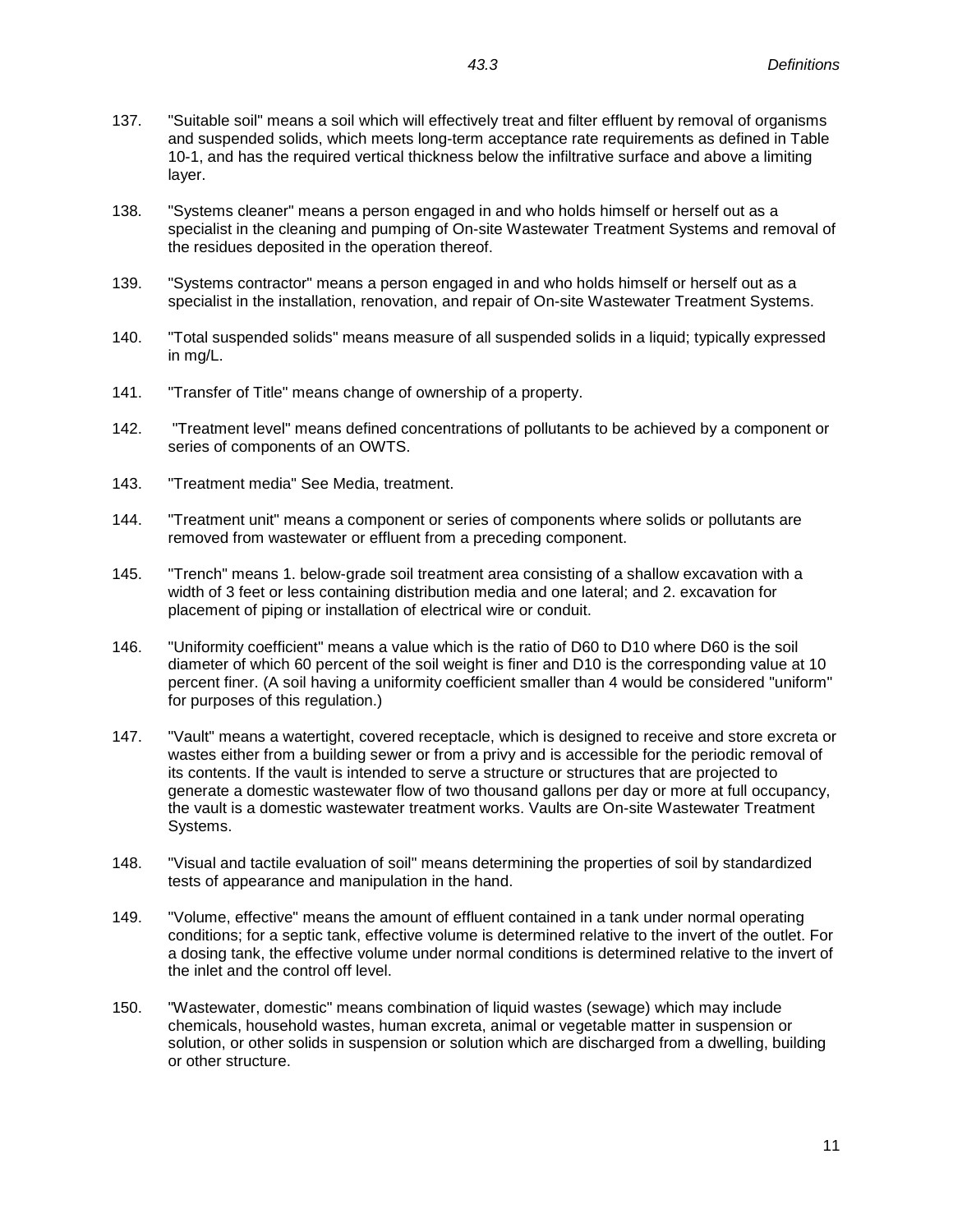- 137. "Suitable soil" means a soil which will effectively treat and filter effluent by removal of organisms and suspended solids, which meets long-term acceptance rate requirements as defined in Table 10-1, and has the required vertical thickness below the infiltrative surface and above a limiting layer.
- 138. "Systems cleaner" means a person engaged in and who holds himself or herself out as a specialist in the cleaning and pumping of On-site Wastewater Treatment Systems and removal of the residues deposited in the operation thereof.
- 139. "Systems contractor" means a person engaged in and who holds himself or herself out as a specialist in the installation, renovation, and repair of On-site Wastewater Treatment Systems.
- 140. "Total suspended solids" means measure of all suspended solids in a liquid; typically expressed in mg/L.
- 141. "Transfer of Title" means change of ownership of a property.
- 142. "Treatment level" means defined concentrations of pollutants to be achieved by a component or series of components of an OWTS.
- 143. "Treatment media" See Media, treatment.
- 144. "Treatment unit" means a component or series of components where solids or pollutants are removed from wastewater or effluent from a preceding component.
- 145. "Trench" means 1. below-grade soil treatment area consisting of a shallow excavation with a width of 3 feet or less containing distribution media and one lateral; and 2. excavation for placement of piping or installation of electrical wire or conduit.
- 146. "Uniformity coefficient" means a value which is the ratio of D60 to D10 where D60 is the soil diameter of which 60 percent of the soil weight is finer and D10 is the corresponding value at 10 percent finer. (A soil having a uniformity coefficient smaller than 4 would be considered "uniform" for purposes of this regulation.)
- 147. "Vault" means a watertight, covered receptacle, which is designed to receive and store excreta or wastes either from a building sewer or from a privy and is accessible for the periodic removal of its contents. If the vault is intended to serve a structure or structures that are projected to generate a domestic wastewater flow of two thousand gallons per day or more at full occupancy, the vault is a domestic wastewater treatment works. Vaults are On-site Wastewater Treatment Systems.
- 148. "Visual and tactile evaluation of soil" means determining the properties of soil by standardized tests of appearance and manipulation in the hand.
- 149. "Volume, effective" means the amount of effluent contained in a tank under normal operating conditions; for a septic tank, effective volume is determined relative to the invert of the outlet. For a dosing tank, the effective volume under normal conditions is determined relative to the invert of the inlet and the control off level.
- 150. "Wastewater, domestic" means combination of liquid wastes (sewage) which may include chemicals, household wastes, human excreta, animal or vegetable matter in suspension or solution, or other solids in suspension or solution which are discharged from a dwelling, building or other structure.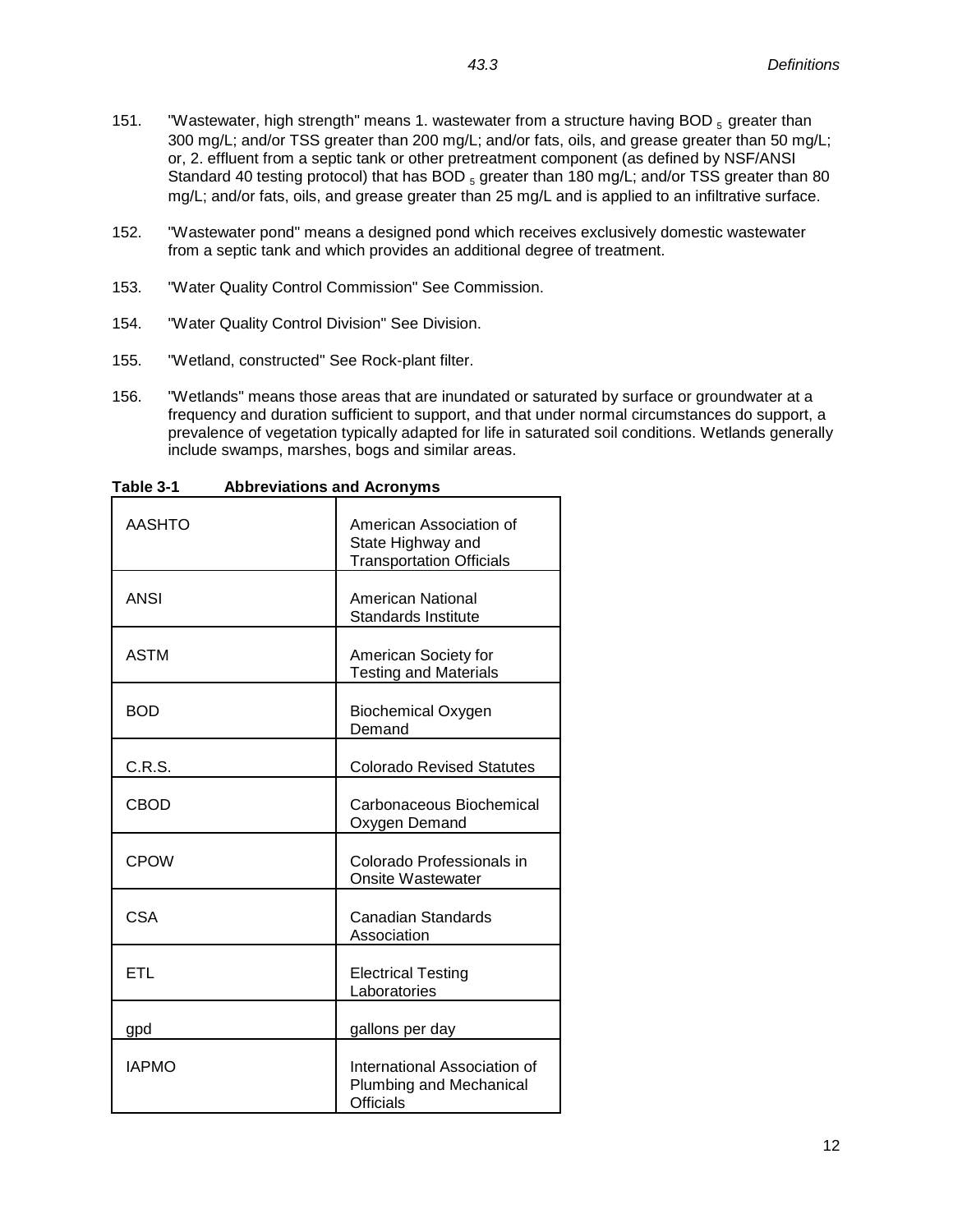- 151. "Wastewater, high strength" means 1. wastewater from a structure having BOD  $_5$  greater than 300 mg/L; and/or TSS greater than 200 mg/L; and/or fats, oils, and grease greater than 50 mg/L; or, 2. effluent from a septic tank or other pretreatment component (as defined by NSF/ANSI Standard 40 testing protocol) that has BOD  $_5$  greater than 180 mg/L; and/or TSS greater than 80 mg/L; and/or fats, oils, and grease greater than 25 mg/L and is applied to an infiltrative surface.
- 152. "Wastewater pond" means a designed pond which receives exclusively domestic wastewater from a septic tank and which provides an additional degree of treatment.
- 153. "Water Quality Control Commission" See Commission.
- 154. "Water Quality Control Division" See Division.
- 155. "Wetland, constructed" See Rock-plant filter.
- 156. "Wetlands" means those areas that are inundated or saturated by surface or groundwater at a frequency and duration sufficient to support, and that under normal circumstances do support, a prevalence of vegetation typically adapted for life in saturated soil conditions. Wetlands generally include swamps, marshes, bogs and similar areas.

| AASHTO       | American Association of<br>State Highway and<br><b>Transportation Officials</b> |
|--------------|---------------------------------------------------------------------------------|
| <b>ANSI</b>  | American National<br><b>Standards Institute</b>                                 |
| <b>ASTM</b>  | American Society for<br><b>Testing and Materials</b>                            |
| <b>BOD</b>   | <b>Biochemical Oxygen</b><br>Demand                                             |
| C.R.S.       | <b>Colorado Revised Statutes</b>                                                |
| <b>CBOD</b>  | Carbonaceous Biochemical<br>Oxygen Demand                                       |
| <b>CPOW</b>  | Colorado Professionals in<br><b>Onsite Wastewater</b>                           |
| CSA          | <b>Canadian Standards</b><br>Association                                        |
| ETL          | <b>Electrical Testing</b><br>Laboratories                                       |
| gpd          | gallons per day                                                                 |
| <b>IAPMO</b> | International Association of<br>Plumbing and Mechanical<br>Officials            |

**Table 3-1 Abbreviations and Acronyms**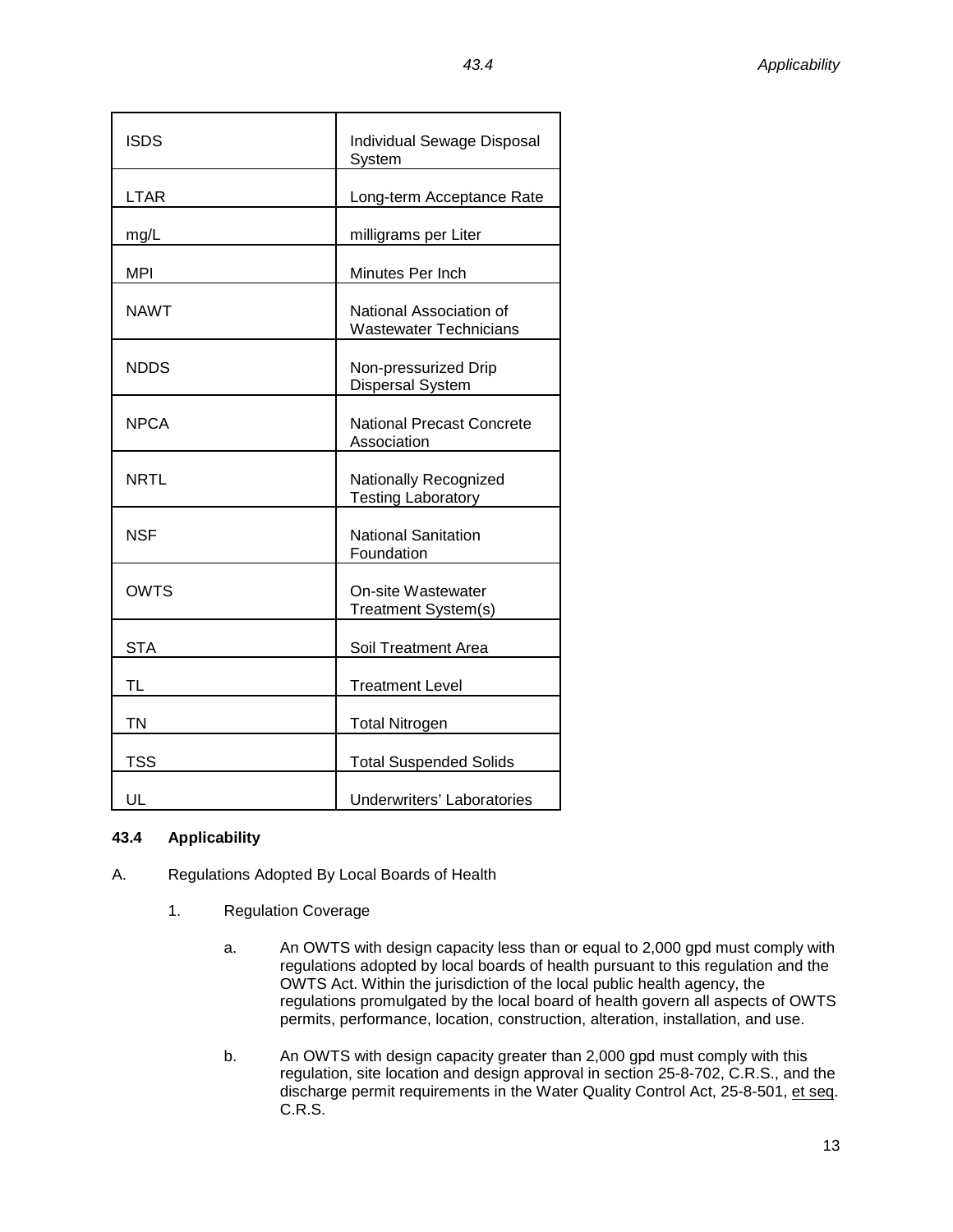| ×<br>v |
|--------|
|--------|

| <b>ISDS</b> | Individual Sewage Disposal<br>System                     |
|-------------|----------------------------------------------------------|
| <b>LTAR</b> | Long-term Acceptance Rate                                |
| mg/L        | milligrams per Liter                                     |
| MPI         | Minutes Per Inch                                         |
| <b>NAWT</b> | National Association of<br><b>Wastewater Technicians</b> |
| <b>NDDS</b> | Non-pressurized Drip<br>Dispersal System                 |
| <b>NPCA</b> | National Precast Concrete<br>Association                 |
| <b>NRTL</b> | Nationally Recognized<br><b>Testing Laboratory</b>       |
| NSF         | <b>National Sanitation</b><br>Foundation                 |
| <b>OWTS</b> | <b>On-site Wastewater</b><br>Treatment System(s)         |
| <b>STA</b>  | Soil Treatment Area                                      |
| TL          | <b>Treatment Level</b>                                   |
| <b>TN</b>   | <b>Total Nitrogen</b>                                    |
| <b>TSS</b>  | <b>Total Suspended Solids</b>                            |
| UL          | <b>Underwriters' Laboratories</b>                        |

# <span id="page-14-0"></span>**43.4 Applicability**

- A. Regulations Adopted By Local Boards of Health
	- 1. Regulation Coverage
		- a. An OWTS with design capacity less than or equal to 2,000 gpd must comply with regulations adopted by local boards of health pursuant to this regulation and the OWTS Act. Within the jurisdiction of the local public health agency, the regulations promulgated by the local board of health govern all aspects of OWTS permits, performance, location, construction, alteration, installation, and use.
		- b. An OWTS with design capacity greater than 2,000 gpd must comply with this regulation, site location and design approval in section 25-8-702, C.R.S., and the discharge permit requirements in the Water Quality Control Act, 25-8-501, et seq. C.R.S.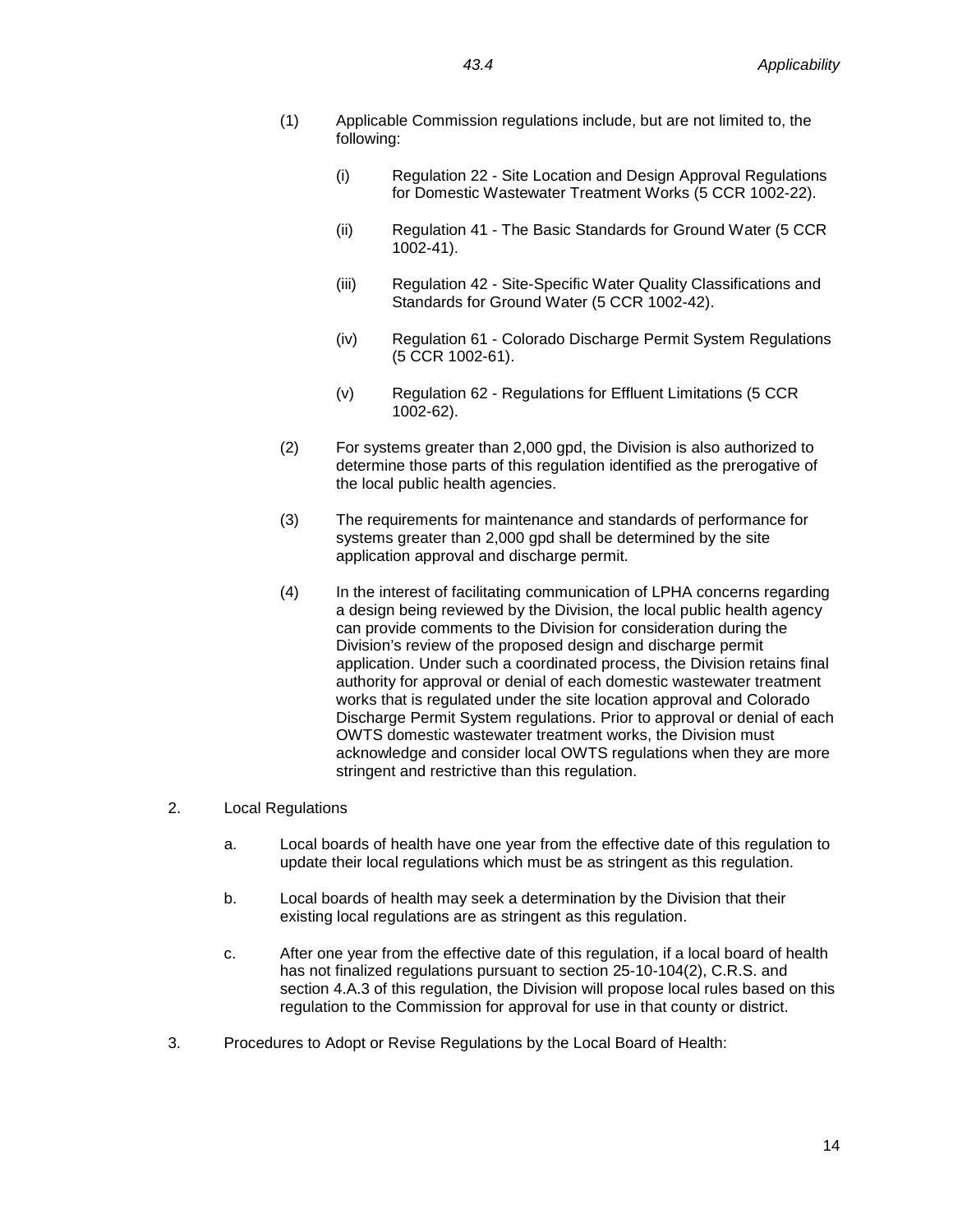- (1) Applicable Commission regulations include, but are not limited to, the following:
	- (i) Regulation 22 Site Location and Design Approval Regulations for Domestic Wastewater Treatment Works (5 CCR 1002-22).
	- (ii) Regulation 41 The Basic Standards for Ground Water (5 CCR 1002-41).
	- (iii) Regulation 42 Site-Specific Water Quality Classifications and Standards for Ground Water (5 CCR 1002-42).
	- (iv) Regulation 61 Colorado Discharge Permit System Regulations (5 CCR 1002-61).
	- (v) Regulation 62 Regulations for Effluent Limitations (5 CCR 1002-62).
- (2) For systems greater than 2,000 gpd, the Division is also authorized to determine those parts of this regulation identified as the prerogative of the local public health agencies.
- (3) The requirements for maintenance and standards of performance for systems greater than 2,000 gpd shall be determined by the site application approval and discharge permit.
- (4) In the interest of facilitating communication of LPHA concerns regarding a design being reviewed by the Division, the local public health agency can provide comments to the Division for consideration during the Division's review of the proposed design and discharge permit application. Under such a coordinated process, the Division retains final authority for approval or denial of each domestic wastewater treatment works that is regulated under the site location approval and Colorado Discharge Permit System regulations. Prior to approval or denial of each OWTS domestic wastewater treatment works, the Division must acknowledge and consider local OWTS regulations when they are more stringent and restrictive than this regulation.
- 2. Local Regulations
	- a. Local boards of health have one year from the effective date of this regulation to update their local regulations which must be as stringent as this regulation.
	- b. Local boards of health may seek a determination by the Division that their existing local regulations are as stringent as this regulation.
	- c. After one year from the effective date of this regulation, if a local board of health has not finalized regulations pursuant to section 25-10-104(2), C.R.S. and section 4.A.3 of this regulation, the Division will propose local rules based on this regulation to the Commission for approval for use in that county or district.
- 3. Procedures to Adopt or Revise Regulations by the Local Board of Health: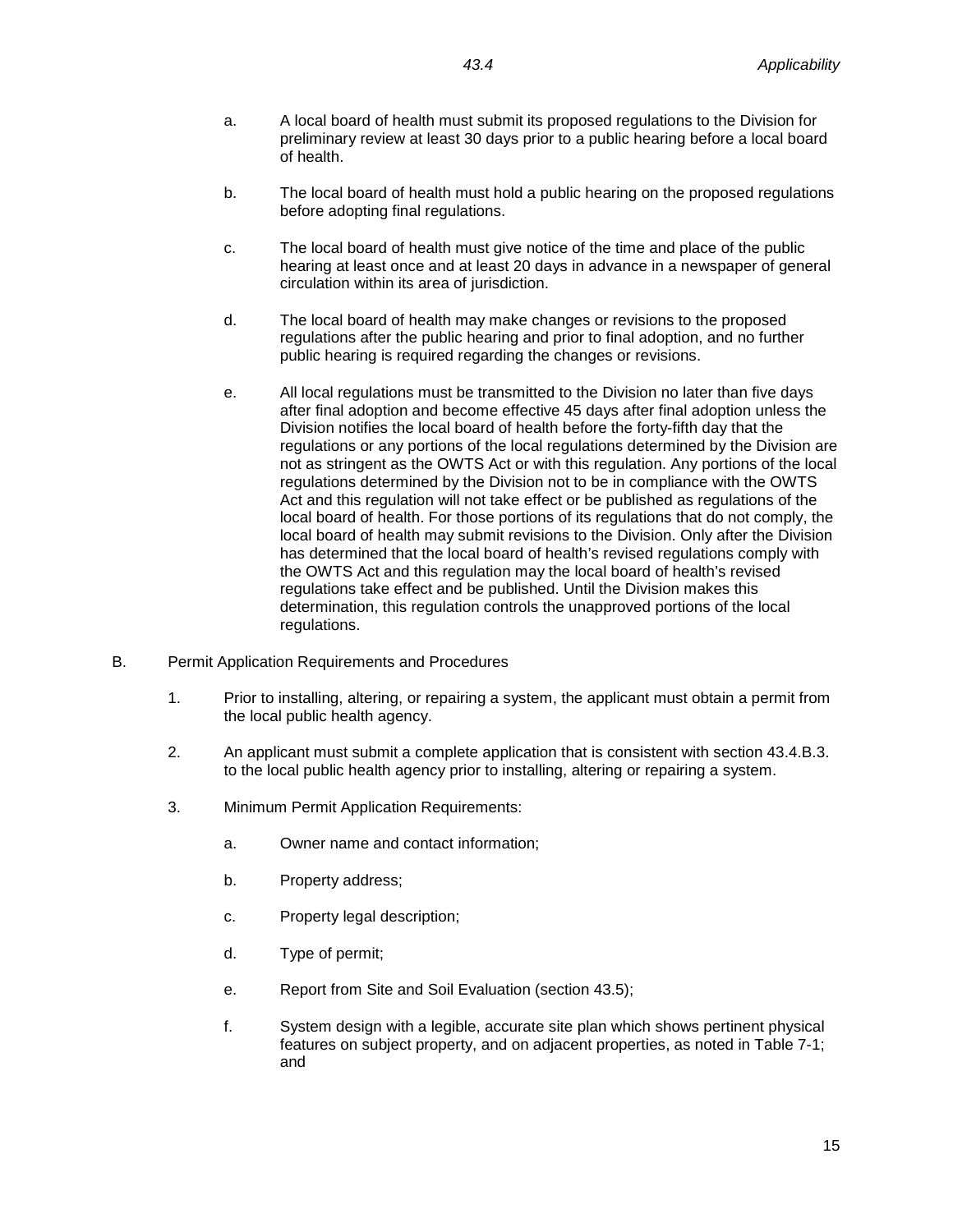- a. A local board of health must submit its proposed regulations to the Division for preliminary review at least 30 days prior to a public hearing before a local board of health.
- b. The local board of health must hold a public hearing on the proposed regulations before adopting final regulations.
- c. The local board of health must give notice of the time and place of the public hearing at least once and at least 20 days in advance in a newspaper of general circulation within its area of jurisdiction.
- d. The local board of health may make changes or revisions to the proposed regulations after the public hearing and prior to final adoption, and no further public hearing is required regarding the changes or revisions.
- e. All local regulations must be transmitted to the Division no later than five days after final adoption and become effective 45 days after final adoption unless the Division notifies the local board of health before the forty-fifth day that the regulations or any portions of the local regulations determined by the Division are not as stringent as the OWTS Act or with this regulation. Any portions of the local regulations determined by the Division not to be in compliance with the OWTS Act and this regulation will not take effect or be published as regulations of the local board of health. For those portions of its regulations that do not comply, the local board of health may submit revisions to the Division. Only after the Division has determined that the local board of health's revised regulations comply with the OWTS Act and this regulation may the local board of health's revised regulations take effect and be published. Until the Division makes this determination, this regulation controls the unapproved portions of the local regulations.
- B. Permit Application Requirements and Procedures
	- 1. Prior to installing, altering, or repairing a system, the applicant must obtain a permit from the local public health agency.
	- 2. An applicant must submit a complete application that is consistent with section 43.4.B.3. to the local public health agency prior to installing, altering or repairing a system.
	- 3. Minimum Permit Application Requirements:
		- a. Owner name and contact information;
		- b. Property address;
		- c. Property legal description;
		- d. Type of permit;
		- e. Report from Site and Soil Evaluation (section 43.5);
		- f. System design with a legible, accurate site plan which shows pertinent physical features on subject property, and on adjacent properties, as noted in Table 7-1; and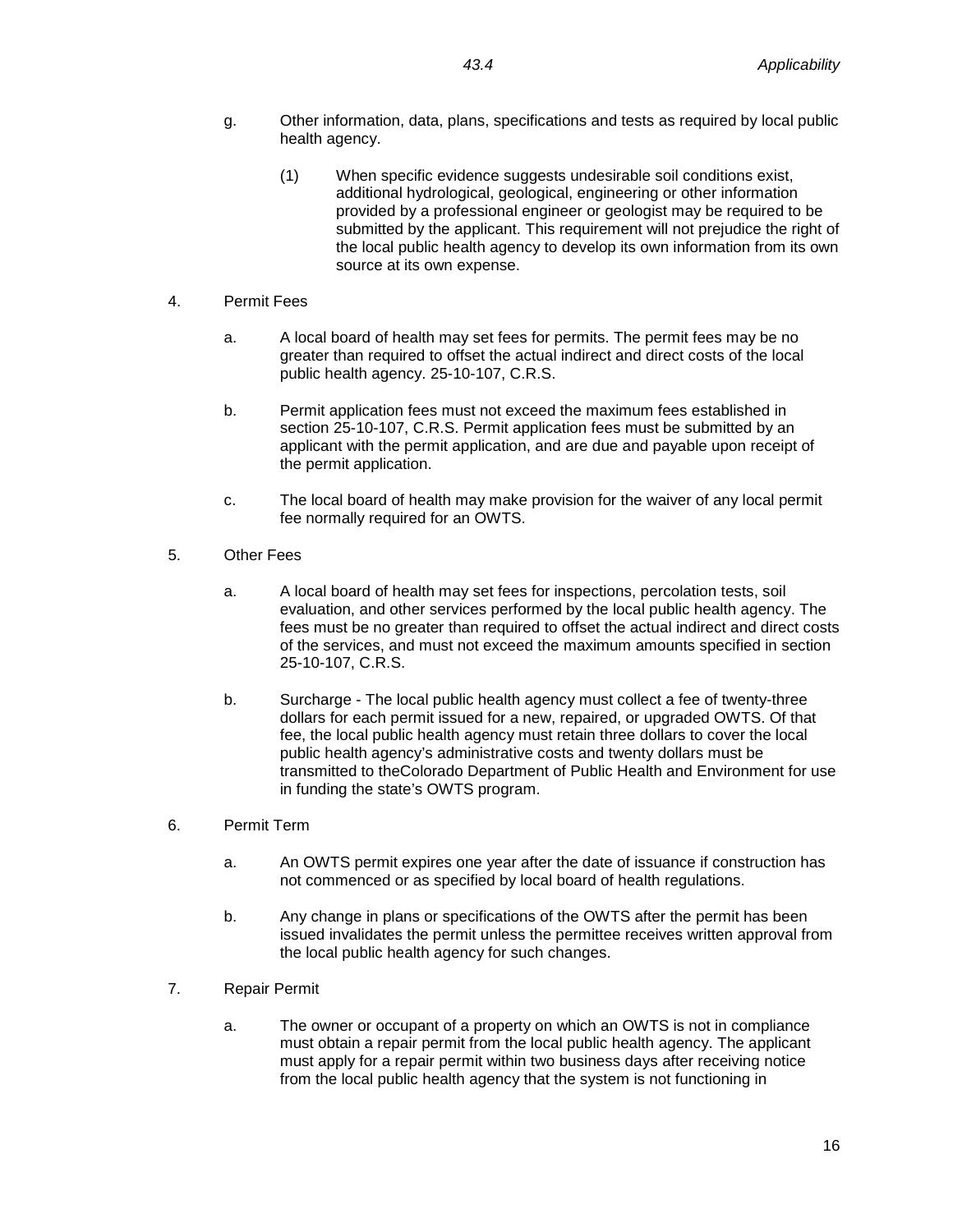- g. Other information, data, plans, specifications and tests as required by local public health agency.
	- (1) When specific evidence suggests undesirable soil conditions exist, additional hydrological, geological, engineering or other information provided by a professional engineer or geologist may be required to be submitted by the applicant. This requirement will not prejudice the right of the local public health agency to develop its own information from its own source at its own expense.
- 4. Permit Fees
	- a. A local board of health may set fees for permits. The permit fees may be no greater than required to offset the actual indirect and direct costs of the local public health agency. 25-10-107, C.R.S.
	- b. Permit application fees must not exceed the maximum fees established in section 25-10-107, C.R.S. Permit application fees must be submitted by an applicant with the permit application, and are due and payable upon receipt of the permit application.
	- c. The local board of health may make provision for the waiver of any local permit fee normally required for an OWTS.
- 5. Other Fees
	- a. A local board of health may set fees for inspections, percolation tests, soil evaluation, and other services performed by the local public health agency. The fees must be no greater than required to offset the actual indirect and direct costs of the services, and must not exceed the maximum amounts specified in section 25-10-107, C.R.S.
	- b. Surcharge The local public health agency must collect a fee of twenty-three dollars for each permit issued for a new, repaired, or upgraded OWTS. Of that fee, the local public health agency must retain three dollars to cover the local public health agency's administrative costs and twenty dollars must be transmitted to theColorado Department of Public Health and Environment for use in funding the state's OWTS program.
- 6. Permit Term
	- a. An OWTS permit expires one year after the date of issuance if construction has not commenced or as specified by local board of health regulations.
	- b. Any change in plans or specifications of the OWTS after the permit has been issued invalidates the permit unless the permittee receives written approval from the local public health agency for such changes.
- 7. Repair Permit
	- a. The owner or occupant of a property on which an OWTS is not in compliance must obtain a repair permit from the local public health agency. The applicant must apply for a repair permit within two business days after receiving notice from the local public health agency that the system is not functioning in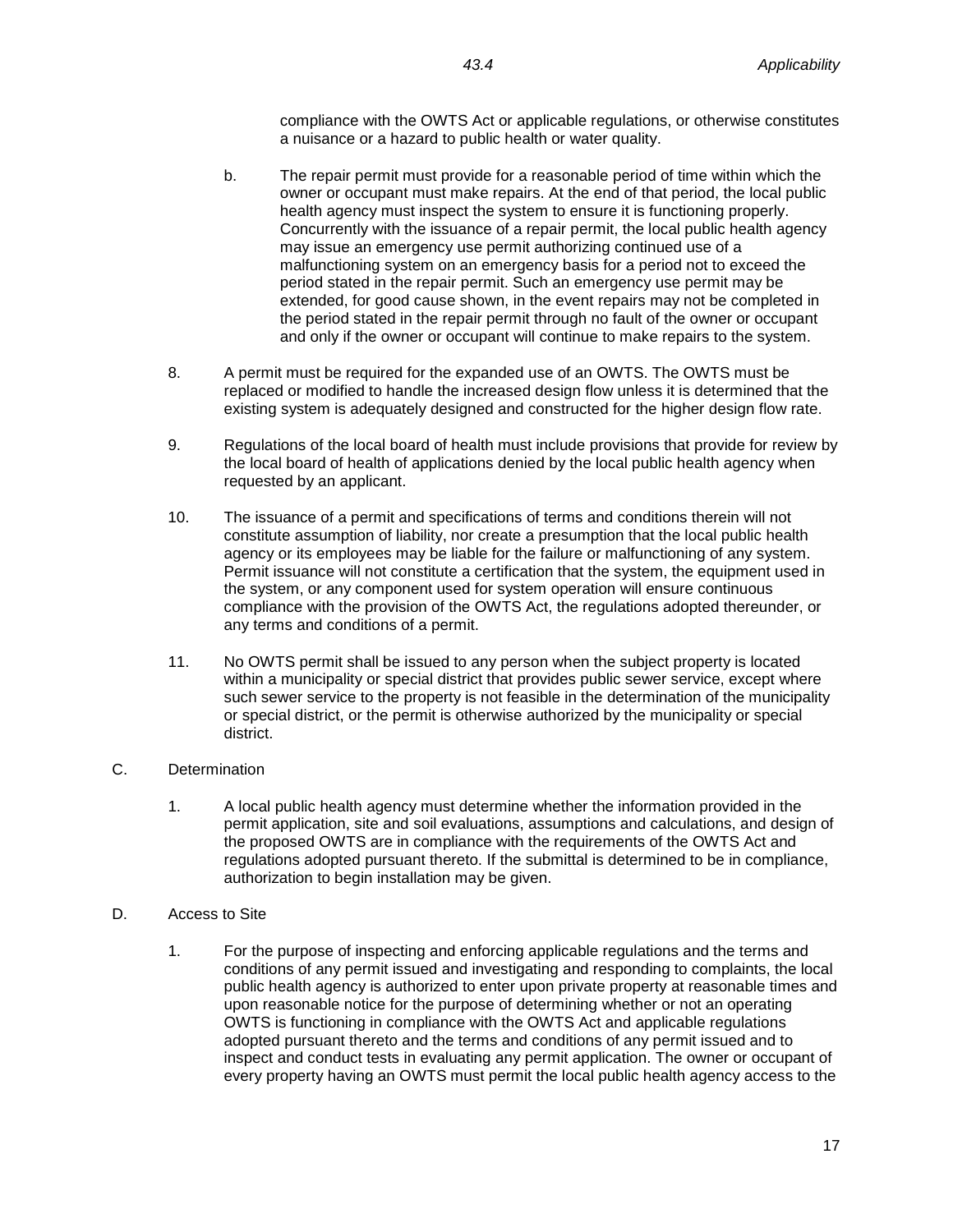compliance with the OWTS Act or applicable regulations, or otherwise constitutes a nuisance or a hazard to public health or water quality.

- b. The repair permit must provide for a reasonable period of time within which the owner or occupant must make repairs. At the end of that period, the local public health agency must inspect the system to ensure it is functioning properly. Concurrently with the issuance of a repair permit, the local public health agency may issue an emergency use permit authorizing continued use of a malfunctioning system on an emergency basis for a period not to exceed the period stated in the repair permit. Such an emergency use permit may be extended, for good cause shown, in the event repairs may not be completed in the period stated in the repair permit through no fault of the owner or occupant and only if the owner or occupant will continue to make repairs to the system.
- 8. A permit must be required for the expanded use of an OWTS. The OWTS must be replaced or modified to handle the increased design flow unless it is determined that the existing system is adequately designed and constructed for the higher design flow rate.
- 9. Regulations of the local board of health must include provisions that provide for review by the local board of health of applications denied by the local public health agency when requested by an applicant.
- 10. The issuance of a permit and specifications of terms and conditions therein will not constitute assumption of liability, nor create a presumption that the local public health agency or its employees may be liable for the failure or malfunctioning of any system. Permit issuance will not constitute a certification that the system, the equipment used in the system, or any component used for system operation will ensure continuous compliance with the provision of the OWTS Act, the regulations adopted thereunder, or any terms and conditions of a permit.
- 11. No OWTS permit shall be issued to any person when the subject property is located within a municipality or special district that provides public sewer service, except where such sewer service to the property is not feasible in the determination of the municipality or special district, or the permit is otherwise authorized by the municipality or special district.
- C. Determination
	- 1. A local public health agency must determine whether the information provided in the permit application, site and soil evaluations, assumptions and calculations, and design of the proposed OWTS are in compliance with the requirements of the OWTS Act and regulations adopted pursuant thereto. If the submittal is determined to be in compliance, authorization to begin installation may be given.
- D. Access to Site
	- 1. For the purpose of inspecting and enforcing applicable regulations and the terms and conditions of any permit issued and investigating and responding to complaints, the local public health agency is authorized to enter upon private property at reasonable times and upon reasonable notice for the purpose of determining whether or not an operating OWTS is functioning in compliance with the OWTS Act and applicable regulations adopted pursuant thereto and the terms and conditions of any permit issued and to inspect and conduct tests in evaluating any permit application. The owner or occupant of every property having an OWTS must permit the local public health agency access to the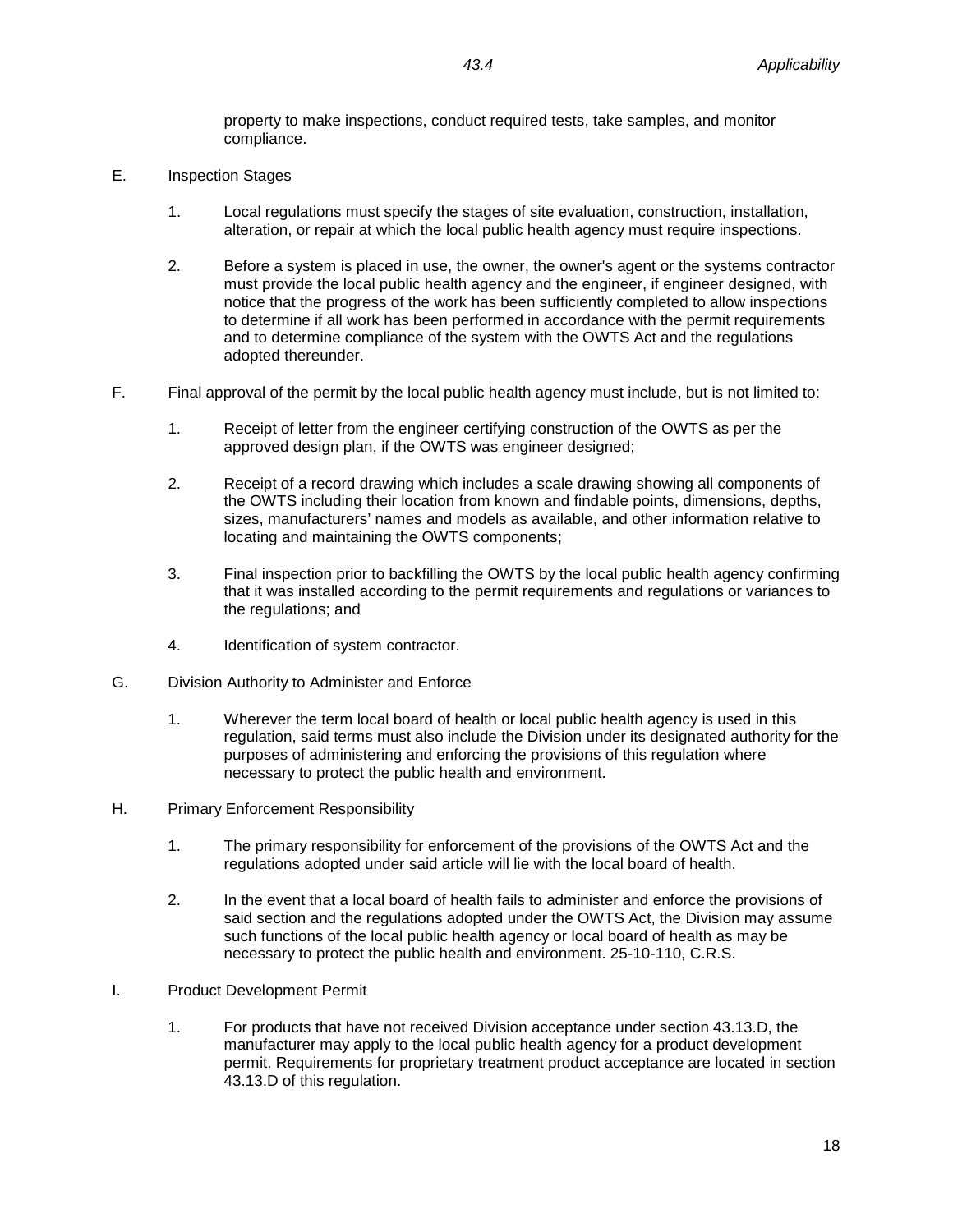property to make inspections, conduct required tests, take samples, and monitor compliance.

- E. Inspection Stages
	- 1. Local regulations must specify the stages of site evaluation, construction, installation, alteration, or repair at which the local public health agency must require inspections.
	- 2. Before a system is placed in use, the owner, the owner's agent or the systems contractor must provide the local public health agency and the engineer, if engineer designed, with notice that the progress of the work has been sufficiently completed to allow inspections to determine if all work has been performed in accordance with the permit requirements and to determine compliance of the system with the OWTS Act and the regulations adopted thereunder.
- F. Final approval of the permit by the local public health agency must include, but is not limited to:
	- 1. Receipt of letter from the engineer certifying construction of the OWTS as per the approved design plan, if the OWTS was engineer designed;
	- 2. Receipt of a record drawing which includes a scale drawing showing all components of the OWTS including their location from known and findable points, dimensions, depths, sizes, manufacturers' names and models as available, and other information relative to locating and maintaining the OWTS components;
	- 3. Final inspection prior to backfilling the OWTS by the local public health agency confirming that it was installed according to the permit requirements and regulations or variances to the regulations; and
	- 4. Identification of system contractor.
- G. Division Authority to Administer and Enforce
	- 1. Wherever the term local board of health or local public health agency is used in this regulation, said terms must also include the Division under its designated authority for the purposes of administering and enforcing the provisions of this regulation where necessary to protect the public health and environment.
- H. Primary Enforcement Responsibility
	- 1. The primary responsibility for enforcement of the provisions of the OWTS Act and the regulations adopted under said article will lie with the local board of health.
	- 2. In the event that a local board of health fails to administer and enforce the provisions of said section and the regulations adopted under the OWTS Act, the Division may assume such functions of the local public health agency or local board of health as may be necessary to protect the public health and environment. 25-10-110, C.R.S.
- I. Product Development Permit
	- 1. For products that have not received Division acceptance under section 43.13.D, the manufacturer may apply to the local public health agency for a product development permit. Requirements for proprietary treatment product acceptance are located in section 43.13.D of this regulation.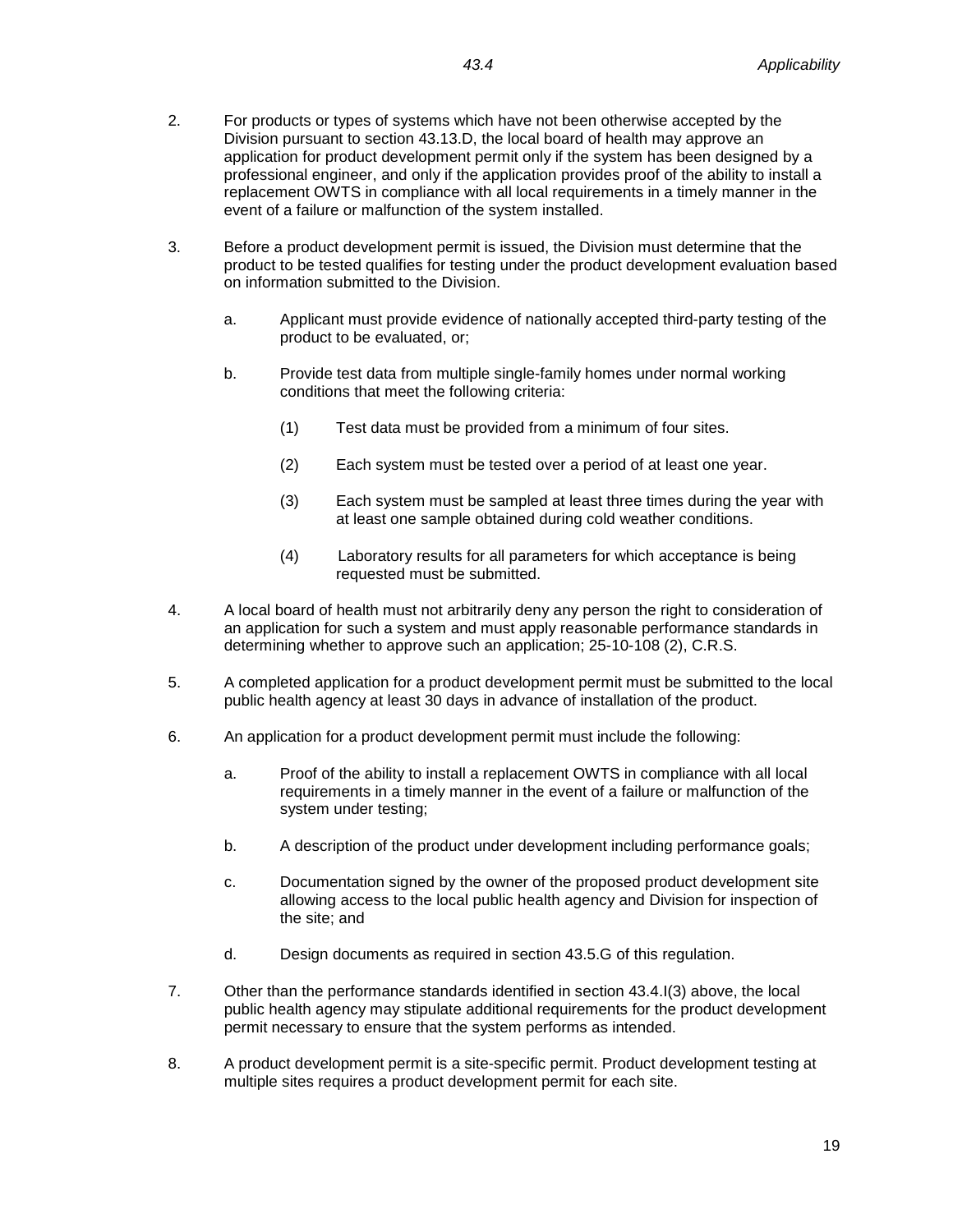- 3. Before a product development permit is issued, the Division must determine that the product to be tested qualifies for testing under the product development evaluation based on information submitted to the Division.
	- a. Applicant must provide evidence of nationally accepted third-party testing of the product to be evaluated, or;
	- b. Provide test data from multiple single-family homes under normal working conditions that meet the following criteria:
		- (1) Test data must be provided from a minimum of four sites.
		- (2) Each system must be tested over a period of at least one year.
		- (3) Each system must be sampled at least three times during the year with at least one sample obtained during cold weather conditions.
		- (4) Laboratory results for all parameters for which acceptance is being requested must be submitted.
- 4. A local board of health must not arbitrarily deny any person the right to consideration of an application for such a system and must apply reasonable performance standards in determining whether to approve such an application; 25-10-108 (2), C.R.S.
- 5. A completed application for a product development permit must be submitted to the local public health agency at least 30 days in advance of installation of the product.
- 6. An application for a product development permit must include the following:
	- a. Proof of the ability to install a replacement OWTS in compliance with all local requirements in a timely manner in the event of a failure or malfunction of the system under testing;
	- b. A description of the product under development including performance goals;
	- c. Documentation signed by the owner of the proposed product development site allowing access to the local public health agency and Division for inspection of the site; and
	- d. Design documents as required in section 43.5.G of this regulation.
- 7. Other than the performance standards identified in section 43.4.I(3) above, the local public health agency may stipulate additional requirements for the product development permit necessary to ensure that the system performs as intended.
- 8. A product development permit is a site-specific permit. Product development testing at multiple sites requires a product development permit for each site.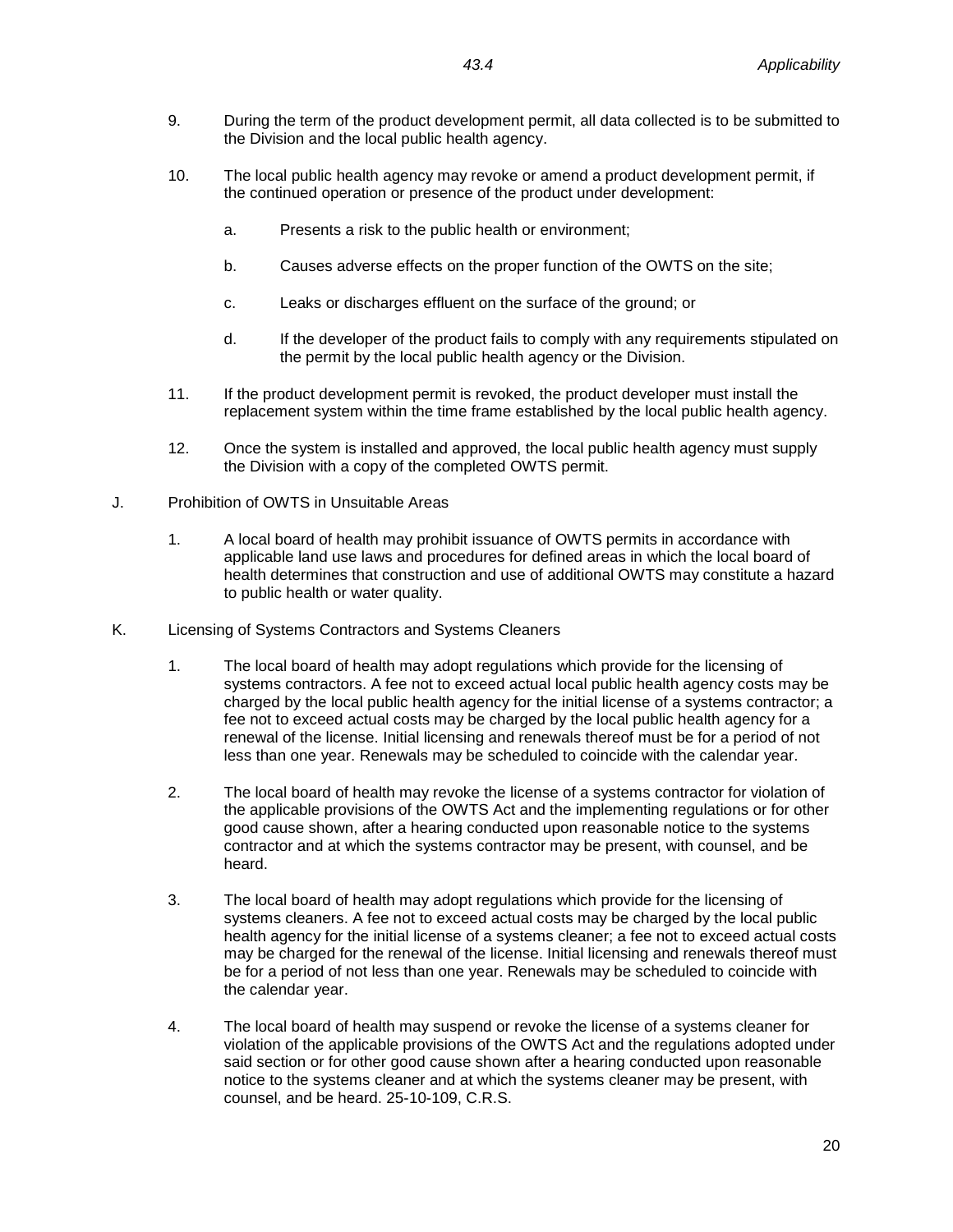- 9. During the term of the product development permit, all data collected is to be submitted to the Division and the local public health agency.
- 10. The local public health agency may revoke or amend a product development permit, if the continued operation or presence of the product under development:
	- a. Presents a risk to the public health or environment;
	- b. Causes adverse effects on the proper function of the OWTS on the site;
	- c. Leaks or discharges effluent on the surface of the ground; or
	- d. If the developer of the product fails to comply with any requirements stipulated on the permit by the local public health agency or the Division.
- 11. If the product development permit is revoked, the product developer must install the replacement system within the time frame established by the local public health agency.
- 12. Once the system is installed and approved, the local public health agency must supply the Division with a copy of the completed OWTS permit.
- J. Prohibition of OWTS in Unsuitable Areas
	- 1. A local board of health may prohibit issuance of OWTS permits in accordance with applicable land use laws and procedures for defined areas in which the local board of health determines that construction and use of additional OWTS may constitute a hazard to public health or water quality.
- K. Licensing of Systems Contractors and Systems Cleaners
	- 1. The local board of health may adopt regulations which provide for the licensing of systems contractors. A fee not to exceed actual local public health agency costs may be charged by the local public health agency for the initial license of a systems contractor; a fee not to exceed actual costs may be charged by the local public health agency for a renewal of the license. Initial licensing and renewals thereof must be for a period of not less than one year. Renewals may be scheduled to coincide with the calendar year.
	- 2. The local board of health may revoke the license of a systems contractor for violation of the applicable provisions of the OWTS Act and the implementing regulations or for other good cause shown, after a hearing conducted upon reasonable notice to the systems contractor and at which the systems contractor may be present, with counsel, and be heard.
	- 3. The local board of health may adopt regulations which provide for the licensing of systems cleaners. A fee not to exceed actual costs may be charged by the local public health agency for the initial license of a systems cleaner; a fee not to exceed actual costs may be charged for the renewal of the license. Initial licensing and renewals thereof must be for a period of not less than one year. Renewals may be scheduled to coincide with the calendar year.
	- 4. The local board of health may suspend or revoke the license of a systems cleaner for violation of the applicable provisions of the OWTS Act and the regulations adopted under said section or for other good cause shown after a hearing conducted upon reasonable notice to the systems cleaner and at which the systems cleaner may be present, with counsel, and be heard. 25-10-109, C.R.S.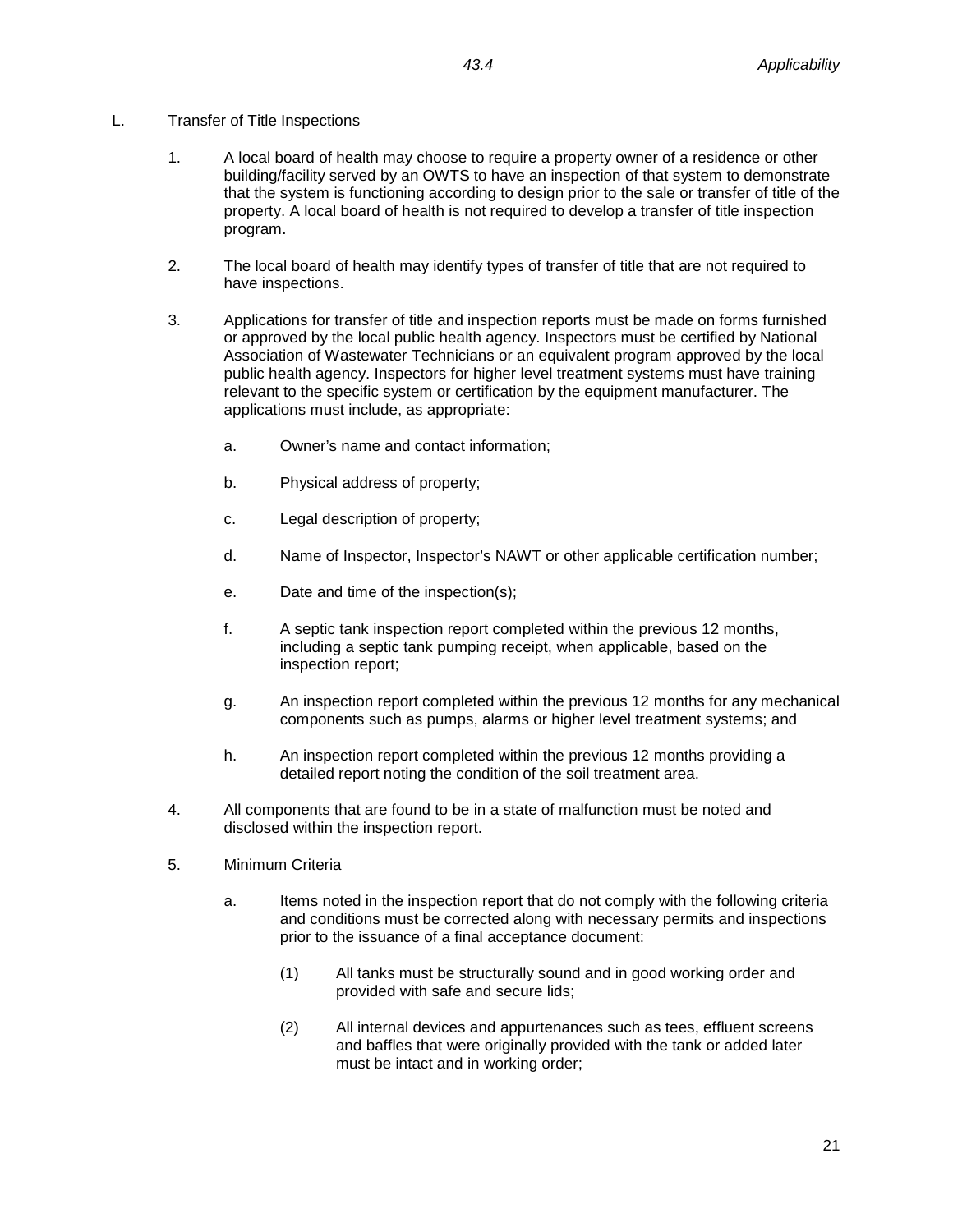# L. Transfer of Title Inspections

- 1. A local board of health may choose to require a property owner of a residence or other building/facility served by an OWTS to have an inspection of that system to demonstrate that the system is functioning according to design prior to the sale or transfer of title of the property. A local board of health is not required to develop a transfer of title inspection program.
- 2. The local board of health may identify types of transfer of title that are not required to have inspections.
- 3. Applications for transfer of title and inspection reports must be made on forms furnished or approved by the local public health agency. Inspectors must be certified by National Association of Wastewater Technicians or an equivalent program approved by the local public health agency. Inspectors for higher level treatment systems must have training relevant to the specific system or certification by the equipment manufacturer. The applications must include, as appropriate:
	- a. Owner's name and contact information;
	- b. Physical address of property;
	- c. Legal description of property;
	- d. Name of Inspector, Inspector's NAWT or other applicable certification number;
	- e. Date and time of the inspection(s);
	- f. A septic tank inspection report completed within the previous 12 months, including a septic tank pumping receipt, when applicable, based on the inspection report;
	- g. An inspection report completed within the previous 12 months for any mechanical components such as pumps, alarms or higher level treatment systems; and
	- h. An inspection report completed within the previous 12 months providing a detailed report noting the condition of the soil treatment area.
- 4. All components that are found to be in a state of malfunction must be noted and disclosed within the inspection report.
- 5. Minimum Criteria
	- a. Items noted in the inspection report that do not comply with the following criteria and conditions must be corrected along with necessary permits and inspections prior to the issuance of a final acceptance document:
		- (1) All tanks must be structurally sound and in good working order and provided with safe and secure lids;
		- (2) All internal devices and appurtenances such as tees, effluent screens and baffles that were originally provided with the tank or added later must be intact and in working order;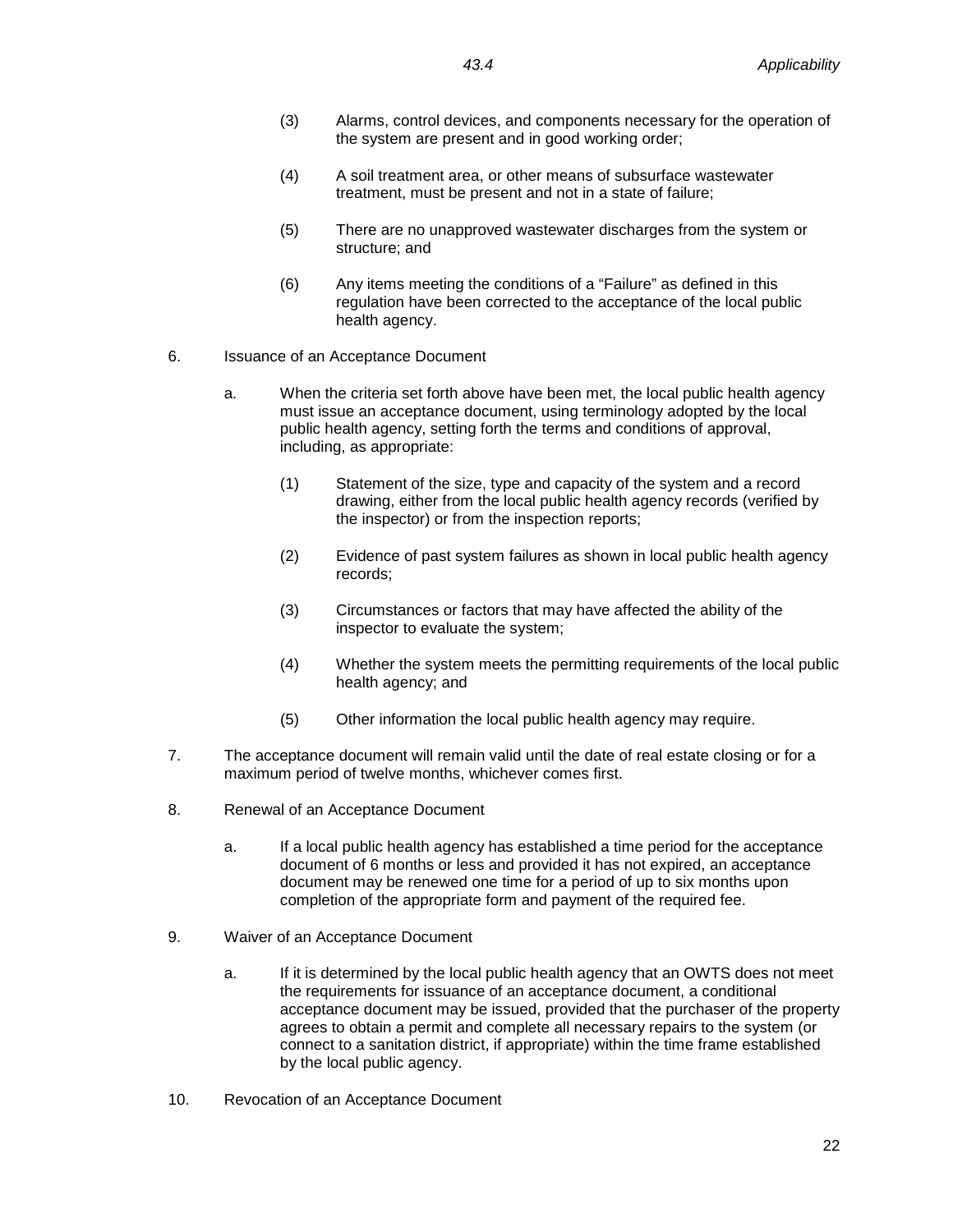- (3) Alarms, control devices, and components necessary for the operation of the system are present and in good working order;
- (4) A soil treatment area, or other means of subsurface wastewater treatment, must be present and not in a state of failure;
- (5) There are no unapproved wastewater discharges from the system or structure; and
- (6) Any items meeting the conditions of a "Failure" as defined in this regulation have been corrected to the acceptance of the local public health agency.
- 6. Issuance of an Acceptance Document
	- a. When the criteria set forth above have been met, the local public health agency must issue an acceptance document, using terminology adopted by the local public health agency, setting forth the terms and conditions of approval, including, as appropriate:
		- (1) Statement of the size, type and capacity of the system and a record drawing, either from the local public health agency records (verified by the inspector) or from the inspection reports;
		- (2) Evidence of past system failures as shown in local public health agency records;
		- (3) Circumstances or factors that may have affected the ability of the inspector to evaluate the system;
		- (4) Whether the system meets the permitting requirements of the local public health agency; and
		- (5) Other information the local public health agency may require.
- 7. The acceptance document will remain valid until the date of real estate closing or for a maximum period of twelve months, whichever comes first.
- 8. Renewal of an Acceptance Document
	- a. If a local public health agency has established a time period for the acceptance document of 6 months or less and provided it has not expired, an acceptance document may be renewed one time for a period of up to six months upon completion of the appropriate form and payment of the required fee.
- 9. Waiver of an Acceptance Document
	- a. If it is determined by the local public health agency that an OWTS does not meet the requirements for issuance of an acceptance document, a conditional acceptance document may be issued, provided that the purchaser of the property agrees to obtain a permit and complete all necessary repairs to the system (or connect to a sanitation district, if appropriate) within the time frame established by the local public agency.
- 10. Revocation of an Acceptance Document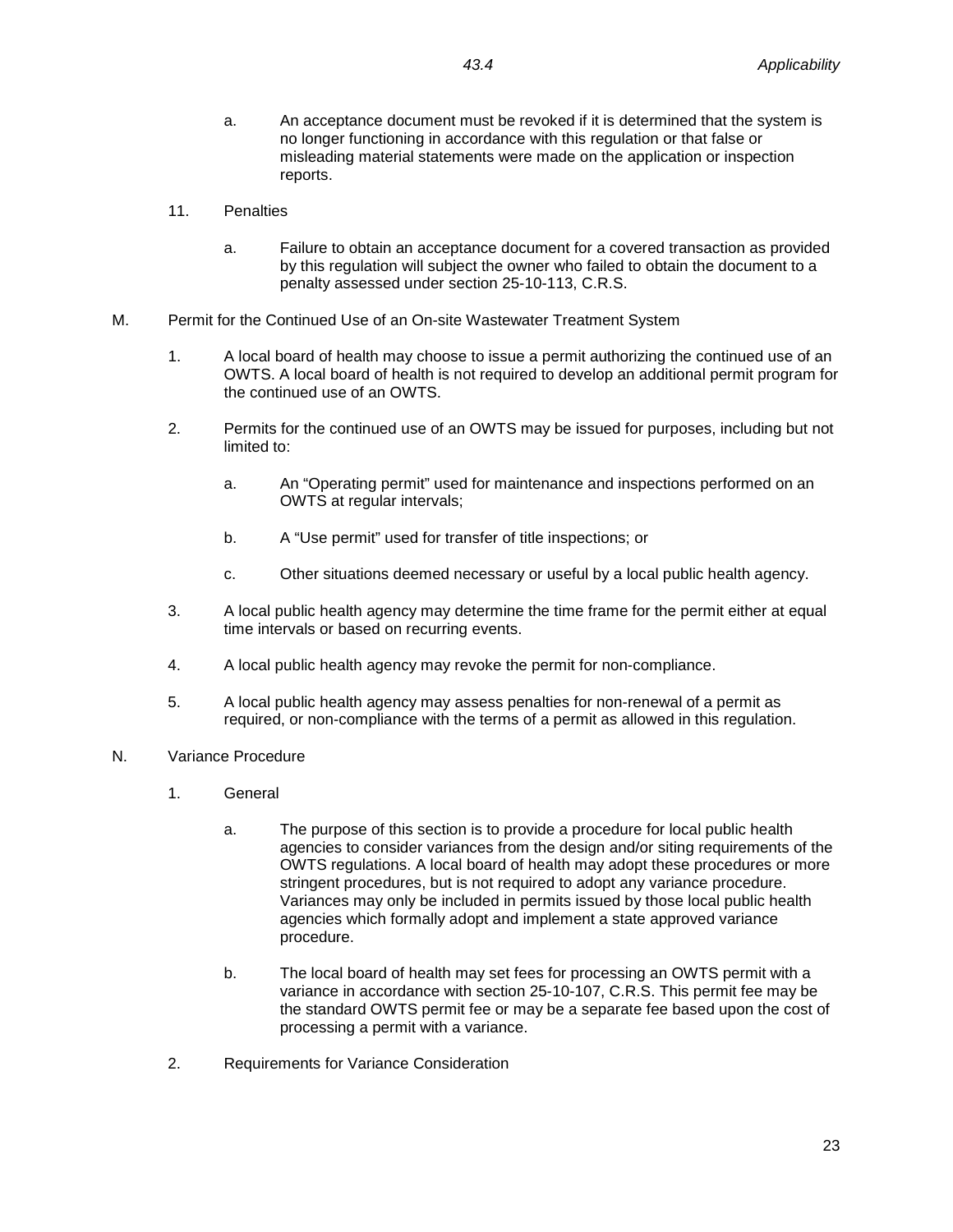- a. An acceptance document must be revoked if it is determined that the system is no longer functioning in accordance with this regulation or that false or misleading material statements were made on the application or inspection reports.
- 11. Penalties
	- a. Failure to obtain an acceptance document for a covered transaction as provided by this regulation will subject the owner who failed to obtain the document to a penalty assessed under section 25-10-113, C.R.S.
- M. Permit for the Continued Use of an On-site Wastewater Treatment System
	- 1. A local board of health may choose to issue a permit authorizing the continued use of an OWTS. A local board of health is not required to develop an additional permit program for the continued use of an OWTS.
	- 2. Permits for the continued use of an OWTS may be issued for purposes, including but not limited to:
		- a. An "Operating permit" used for maintenance and inspections performed on an OWTS at regular intervals;
		- b. A "Use permit" used for transfer of title inspections; or
		- c. Other situations deemed necessary or useful by a local public health agency.
	- 3. A local public health agency may determine the time frame for the permit either at equal time intervals or based on recurring events.
	- 4. A local public health agency may revoke the permit for non-compliance.
	- 5. A local public health agency may assess penalties for non-renewal of a permit as required, or non-compliance with the terms of a permit as allowed in this regulation.
- N. Variance Procedure
	- 1. General
		- a. The purpose of this section is to provide a procedure for local public health agencies to consider variances from the design and/or siting requirements of the OWTS regulations. A local board of health may adopt these procedures or more stringent procedures, but is not required to adopt any variance procedure. Variances may only be included in permits issued by those local public health agencies which formally adopt and implement a state approved variance procedure.
		- b. The local board of health may set fees for processing an OWTS permit with a variance in accordance with section 25-10-107, C.R.S. This permit fee may be the standard OWTS permit fee or may be a separate fee based upon the cost of processing a permit with a variance.
	- 2. Requirements for Variance Consideration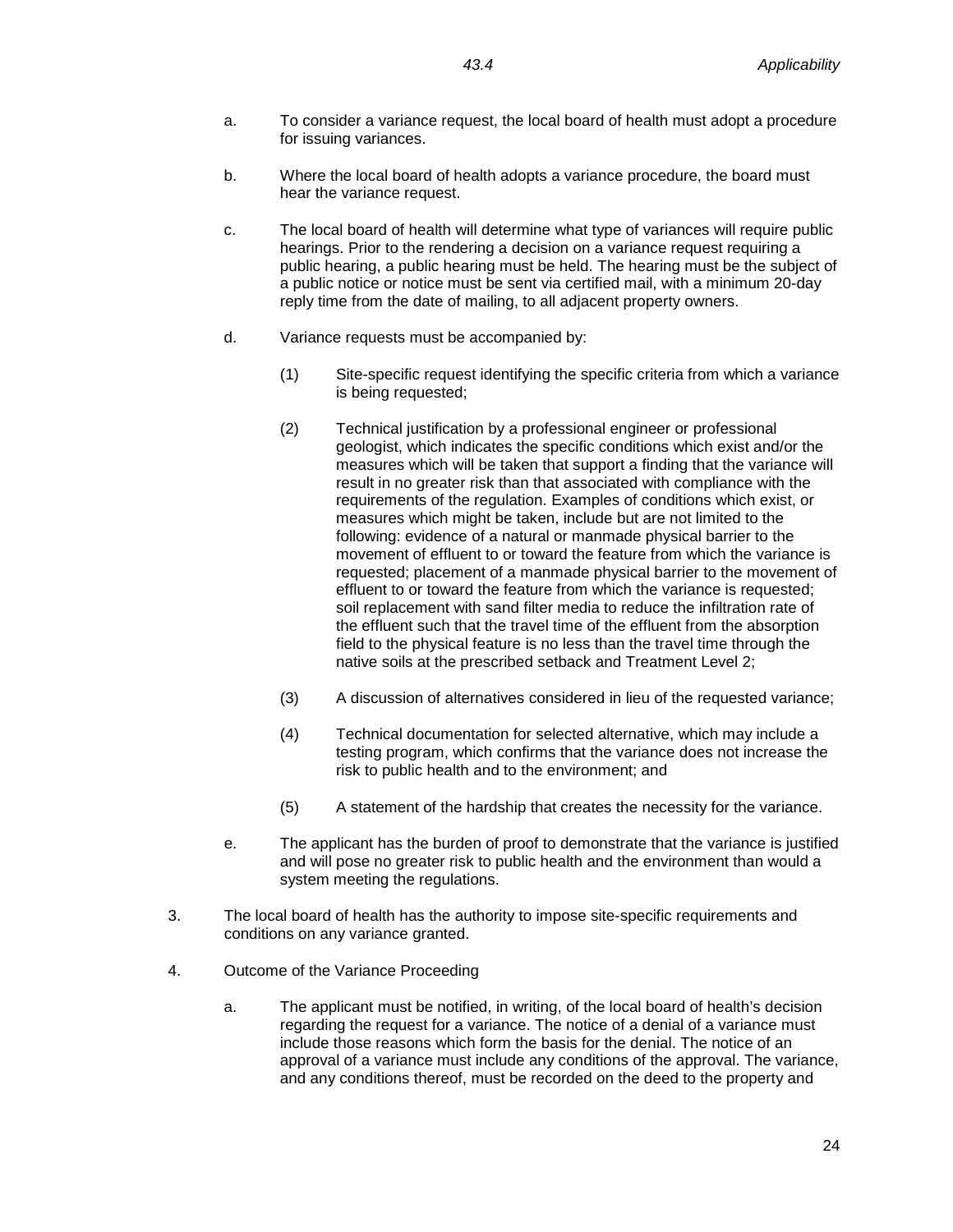- a. To consider a variance request, the local board of health must adopt a procedure for issuing variances.
- b. Where the local board of health adopts a variance procedure, the board must hear the variance request.
- c. The local board of health will determine what type of variances will require public hearings. Prior to the rendering a decision on a variance request requiring a public hearing, a public hearing must be held. The hearing must be the subject of a public notice or notice must be sent via certified mail, with a minimum 20-day reply time from the date of mailing, to all adjacent property owners.
- d. Variance requests must be accompanied by:
	- (1) Site-specific request identifying the specific criteria from which a variance is being requested;
	- (2) Technical justification by a professional engineer or professional geologist, which indicates the specific conditions which exist and/or the measures which will be taken that support a finding that the variance will result in no greater risk than that associated with compliance with the requirements of the regulation. Examples of conditions which exist, or measures which might be taken, include but are not limited to the following: evidence of a natural or manmade physical barrier to the movement of effluent to or toward the feature from which the variance is requested; placement of a manmade physical barrier to the movement of effluent to or toward the feature from which the variance is requested; soil replacement with sand filter media to reduce the infiltration rate of the effluent such that the travel time of the effluent from the absorption field to the physical feature is no less than the travel time through the native soils at the prescribed setback and Treatment Level 2;
	- (3) A discussion of alternatives considered in lieu of the requested variance;
	- (4) Technical documentation for selected alternative, which may include a testing program, which confirms that the variance does not increase the risk to public health and to the environment; and
	- (5) A statement of the hardship that creates the necessity for the variance.
- e. The applicant has the burden of proof to demonstrate that the variance is justified and will pose no greater risk to public health and the environment than would a system meeting the regulations.
- 3. The local board of health has the authority to impose site-specific requirements and conditions on any variance granted.
- 4. Outcome of the Variance Proceeding
	- a. The applicant must be notified, in writing, of the local board of health's decision regarding the request for a variance. The notice of a denial of a variance must include those reasons which form the basis for the denial. The notice of an approval of a variance must include any conditions of the approval. The variance, and any conditions thereof, must be recorded on the deed to the property and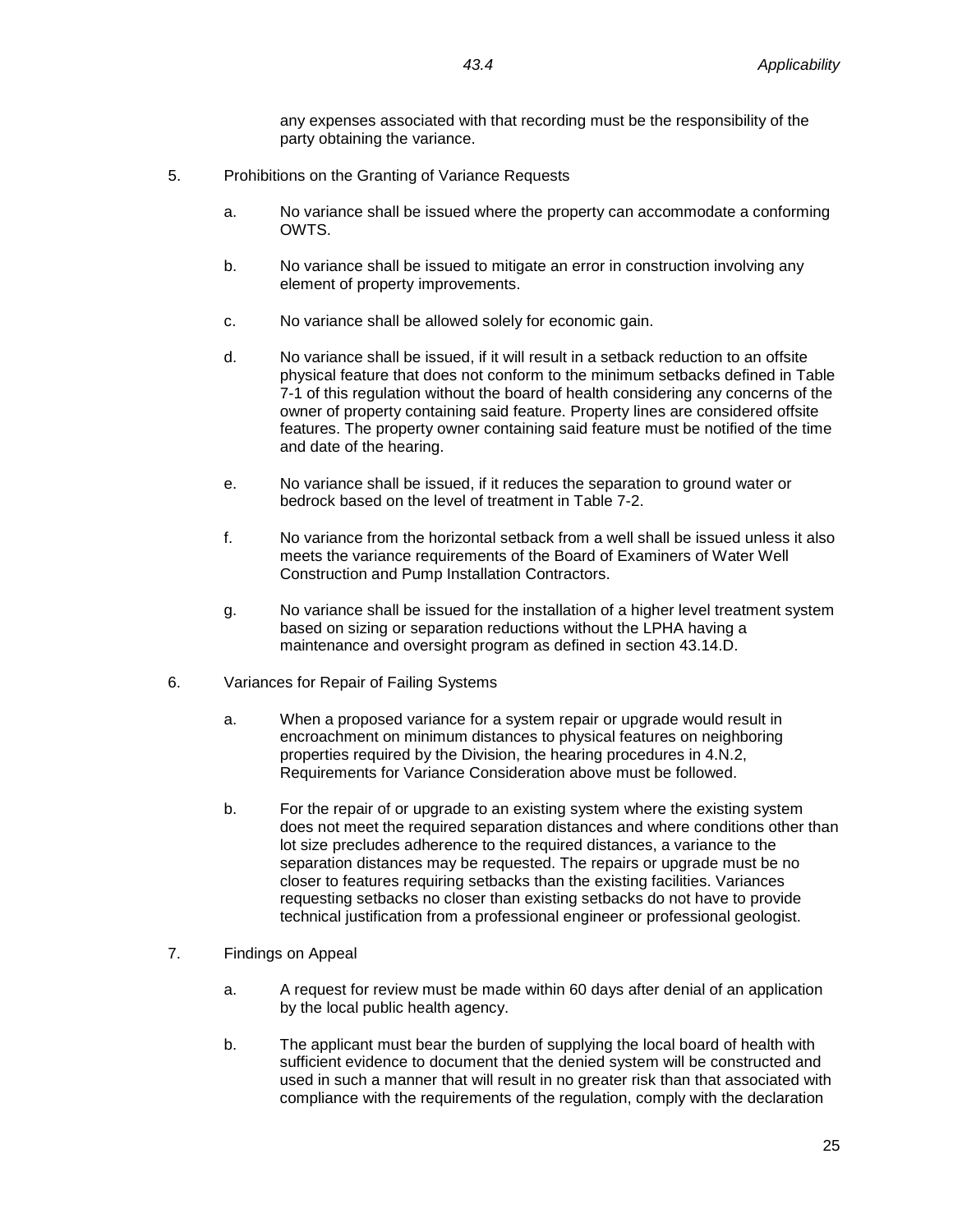any expenses associated with that recording must be the responsibility of the party obtaining the variance.

- 5. Prohibitions on the Granting of Variance Requests
	- a. No variance shall be issued where the property can accommodate a conforming OWTS.
	- b. No variance shall be issued to mitigate an error in construction involving any element of property improvements.
	- c. No variance shall be allowed solely for economic gain.
	- d. No variance shall be issued, if it will result in a setback reduction to an offsite physical feature that does not conform to the minimum setbacks defined in Table 7-1 of this regulation without the board of health considering any concerns of the owner of property containing said feature. Property lines are considered offsite features. The property owner containing said feature must be notified of the time and date of the hearing.
	- e. No variance shall be issued, if it reduces the separation to ground water or bedrock based on the level of treatment in Table 7-2.
	- f. No variance from the horizontal setback from a well shall be issued unless it also meets the variance requirements of the Board of Examiners of Water Well Construction and Pump Installation Contractors.
	- g. No variance shall be issued for the installation of a higher level treatment system based on sizing or separation reductions without the LPHA having a maintenance and oversight program as defined in section 43.14.D.
- 6. Variances for Repair of Failing Systems
	- a. When a proposed variance for a system repair or upgrade would result in encroachment on minimum distances to physical features on neighboring properties required by the Division, the hearing procedures in 4.N.2, Requirements for Variance Consideration above must be followed.
	- b. For the repair of or upgrade to an existing system where the existing system does not meet the required separation distances and where conditions other than lot size precludes adherence to the required distances, a variance to the separation distances may be requested. The repairs or upgrade must be no closer to features requiring setbacks than the existing facilities. Variances requesting setbacks no closer than existing setbacks do not have to provide technical justification from a professional engineer or professional geologist.
- 7. Findings on Appeal
	- a. A request for review must be made within 60 days after denial of an application by the local public health agency.
	- b. The applicant must bear the burden of supplying the local board of health with sufficient evidence to document that the denied system will be constructed and used in such a manner that will result in no greater risk than that associated with compliance with the requirements of the regulation, comply with the declaration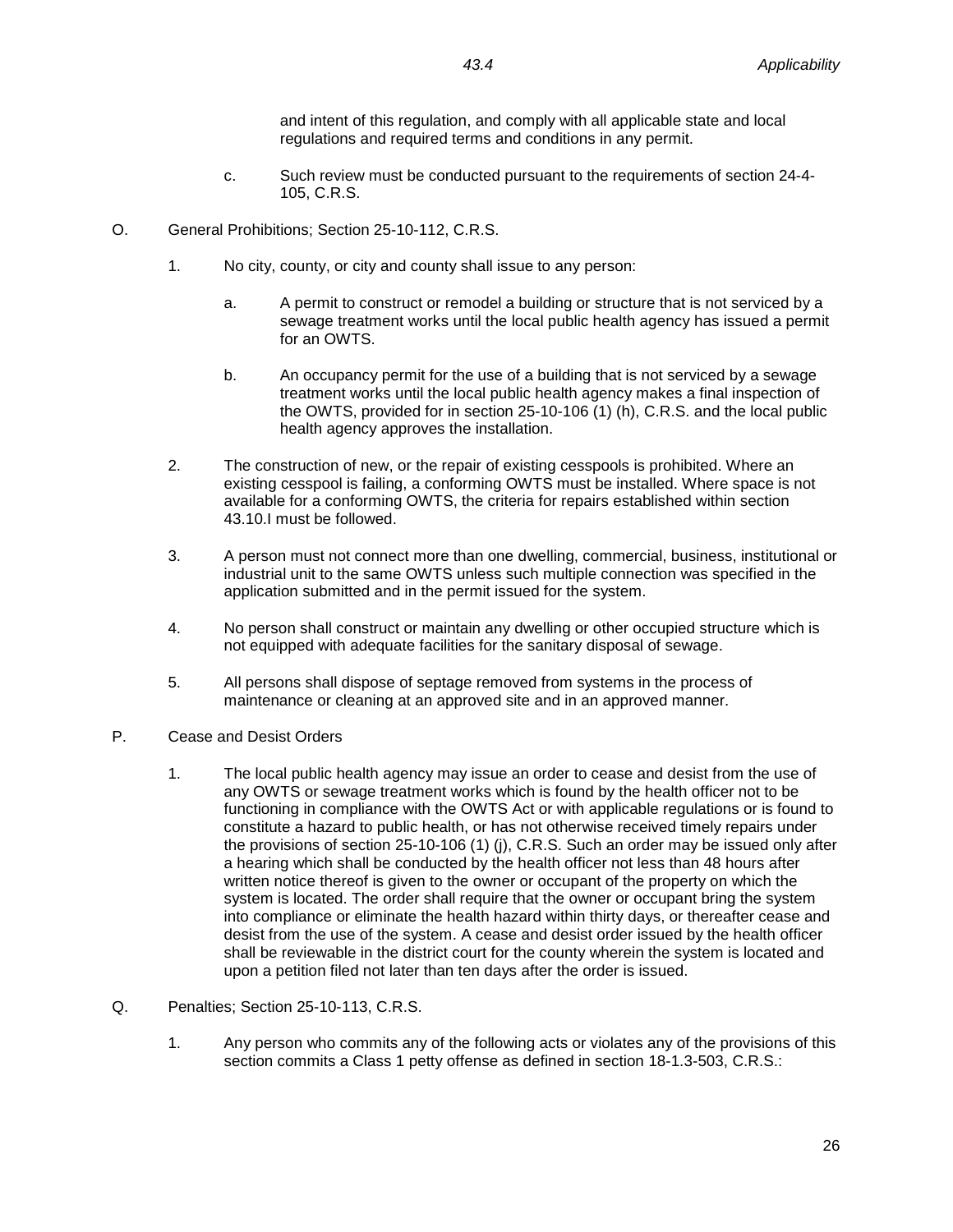and intent of this regulation, and comply with all applicable state and local regulations and required terms and conditions in any permit.

- c. Such review must be conducted pursuant to the requirements of section 24-4- 105, C.R.S.
- O. General Prohibitions; Section 25-10-112, C.R.S.
	- 1. No city, county, or city and county shall issue to any person:
		- a. A permit to construct or remodel a building or structure that is not serviced by a sewage treatment works until the local public health agency has issued a permit for an OWTS.
		- b. An occupancy permit for the use of a building that is not serviced by a sewage treatment works until the local public health agency makes a final inspection of the OWTS, provided for in section 25-10-106 (1) (h), C.R.S. and the local public health agency approves the installation.
	- 2. The construction of new, or the repair of existing cesspools is prohibited. Where an existing cesspool is failing, a conforming OWTS must be installed. Where space is not available for a conforming OWTS, the criteria for repairs established within section 43.10.I must be followed.
	- 3. A person must not connect more than one dwelling, commercial, business, institutional or industrial unit to the same OWTS unless such multiple connection was specified in the application submitted and in the permit issued for the system.
	- 4. No person shall construct or maintain any dwelling or other occupied structure which is not equipped with adequate facilities for the sanitary disposal of sewage.
	- 5. All persons shall dispose of septage removed from systems in the process of maintenance or cleaning at an approved site and in an approved manner.
- P. Cease and Desist Orders
	- 1. The local public health agency may issue an order to cease and desist from the use of any OWTS or sewage treatment works which is found by the health officer not to be functioning in compliance with the OWTS Act or with applicable regulations or is found to constitute a hazard to public health, or has not otherwise received timely repairs under the provisions of section 25-10-106 (1) (j), C.R.S. Such an order may be issued only after a hearing which shall be conducted by the health officer not less than 48 hours after written notice thereof is given to the owner or occupant of the property on which the system is located. The order shall require that the owner or occupant bring the system into compliance or eliminate the health hazard within thirty days, or thereafter cease and desist from the use of the system. A cease and desist order issued by the health officer shall be reviewable in the district court for the county wherein the system is located and upon a petition filed not later than ten days after the order is issued.
- Q. Penalties; Section 25-10-113, C.R.S.
	- 1. Any person who commits any of the following acts or violates any of the provisions of this section commits a Class 1 petty offense as defined in section 18-1.3-503, C.R.S.: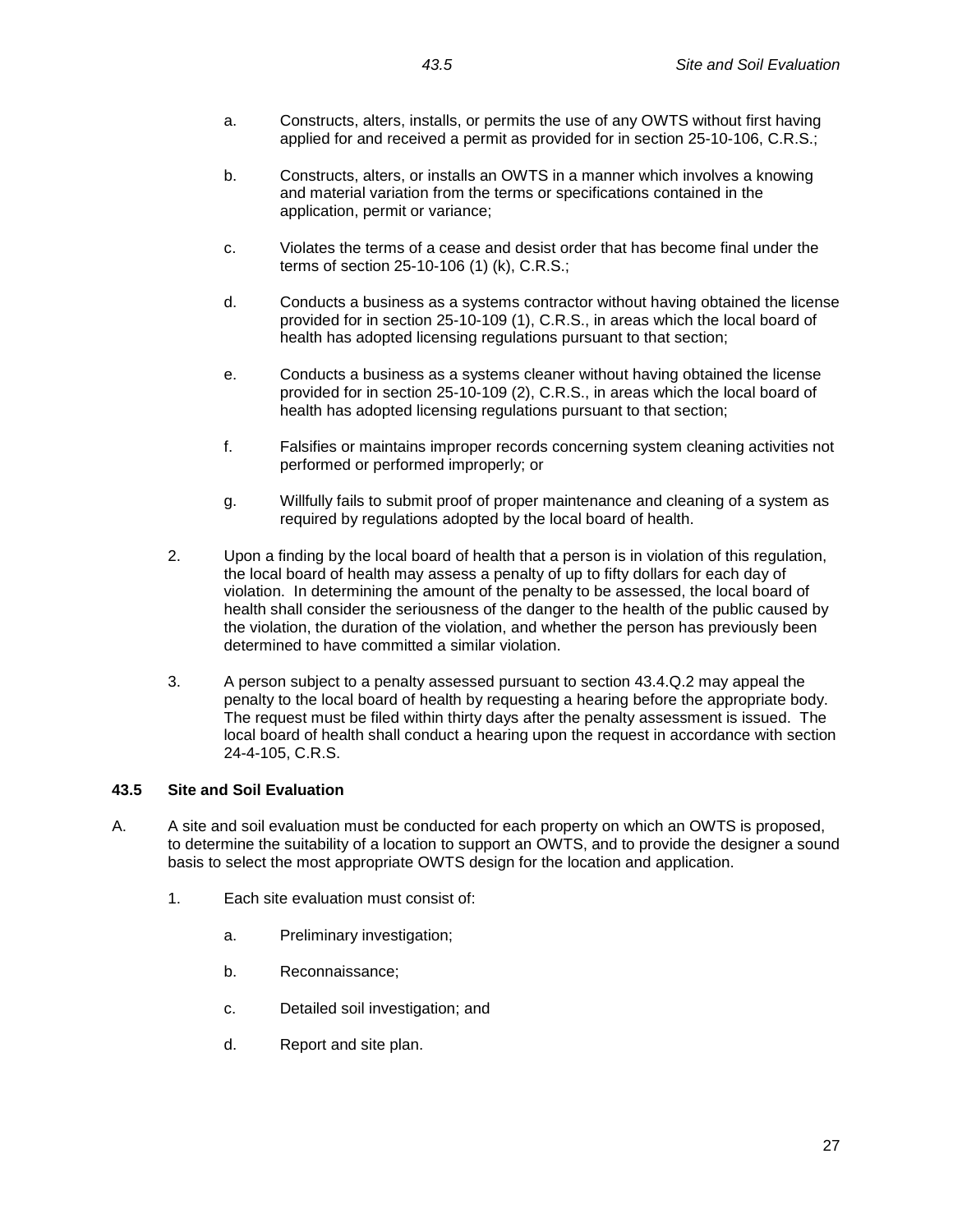- a. Constructs, alters, installs, or permits the use of any OWTS without first having applied for and received a permit as provided for in section 25-10-106, C.R.S.;
- b. Constructs, alters, or installs an OWTS in a manner which involves a knowing and material variation from the terms or specifications contained in the application, permit or variance;
- c. Violates the terms of a cease and desist order that has become final under the terms of section 25-10-106 (1) (k), C.R.S.;
- d. Conducts a business as a systems contractor without having obtained the license provided for in section 25-10-109 (1), C.R.S., in areas which the local board of health has adopted licensing regulations pursuant to that section;
- e. Conducts a business as a systems cleaner without having obtained the license provided for in section 25-10-109 (2), C.R.S., in areas which the local board of health has adopted licensing regulations pursuant to that section;
- f. Falsifies or maintains improper records concerning system cleaning activities not performed or performed improperly; or
- g. Willfully fails to submit proof of proper maintenance and cleaning of a system as required by regulations adopted by the local board of health.
- 2. Upon a finding by the local board of health that a person is in violation of this regulation, the local board of health may assess a penalty of up to fifty dollars for each day of violation. In determining the amount of the penalty to be assessed, the local board of health shall consider the seriousness of the danger to the health of the public caused by the violation, the duration of the violation, and whether the person has previously been determined to have committed a similar violation.
- 3. A person subject to a penalty assessed pursuant to section 43.4.Q.2 may appeal the penalty to the local board of health by requesting a hearing before the appropriate body. The request must be filed within thirty days after the penalty assessment is issued. The local board of health shall conduct a hearing upon the request in accordance with section 24-4-105, C.R.S.

# <span id="page-28-0"></span>**43.5 Site and Soil Evaluation**

- A. A site and soil evaluation must be conducted for each property on which an OWTS is proposed, to determine the suitability of a location to support an OWTS, and to provide the designer a sound basis to select the most appropriate OWTS design for the location and application.
	- 1. Each site evaluation must consist of:
		- a. Preliminary investigation;
		- b. Reconnaissance;
		- c. Detailed soil investigation; and
		- d. Report and site plan.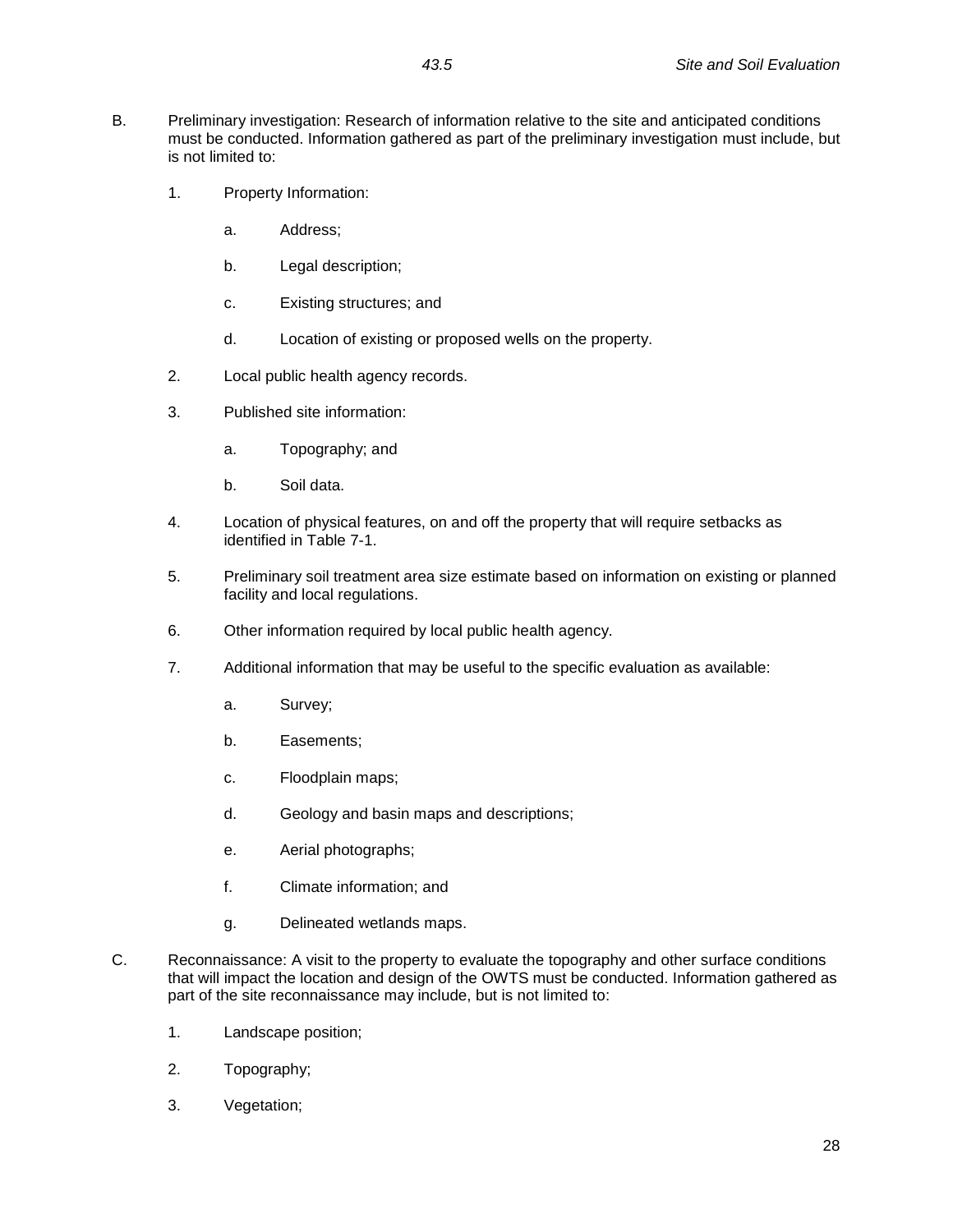- B. Preliminary investigation: Research of information relative to the site and anticipated conditions must be conducted. Information gathered as part of the preliminary investigation must include, but is not limited to:
	- 1. Property Information:
		- a. Address;
		- b. Legal description;
		- c. Existing structures; and
		- d. Location of existing or proposed wells on the property.
	- 2. Local public health agency records.
	- 3. Published site information:
		- a. Topography; and
		- b. Soil data.
	- 4. Location of physical features, on and off the property that will require setbacks as identified in Table 7-1.
	- 5. Preliminary soil treatment area size estimate based on information on existing or planned facility and local regulations.
	- 6. Other information required by local public health agency.
	- 7. Additional information that may be useful to the specific evaluation as available:
		- a. Survey;
		- b. Easements;
		- c. Floodplain maps;
		- d. Geology and basin maps and descriptions;
		- e. Aerial photographs;
		- f. Climate information; and
		- g. Delineated wetlands maps.
- C. Reconnaissance: A visit to the property to evaluate the topography and other surface conditions that will impact the location and design of the OWTS must be conducted. Information gathered as part of the site reconnaissance may include, but is not limited to:
	- 1. Landscape position;
	- 2. Topography;
	- 3. Vegetation;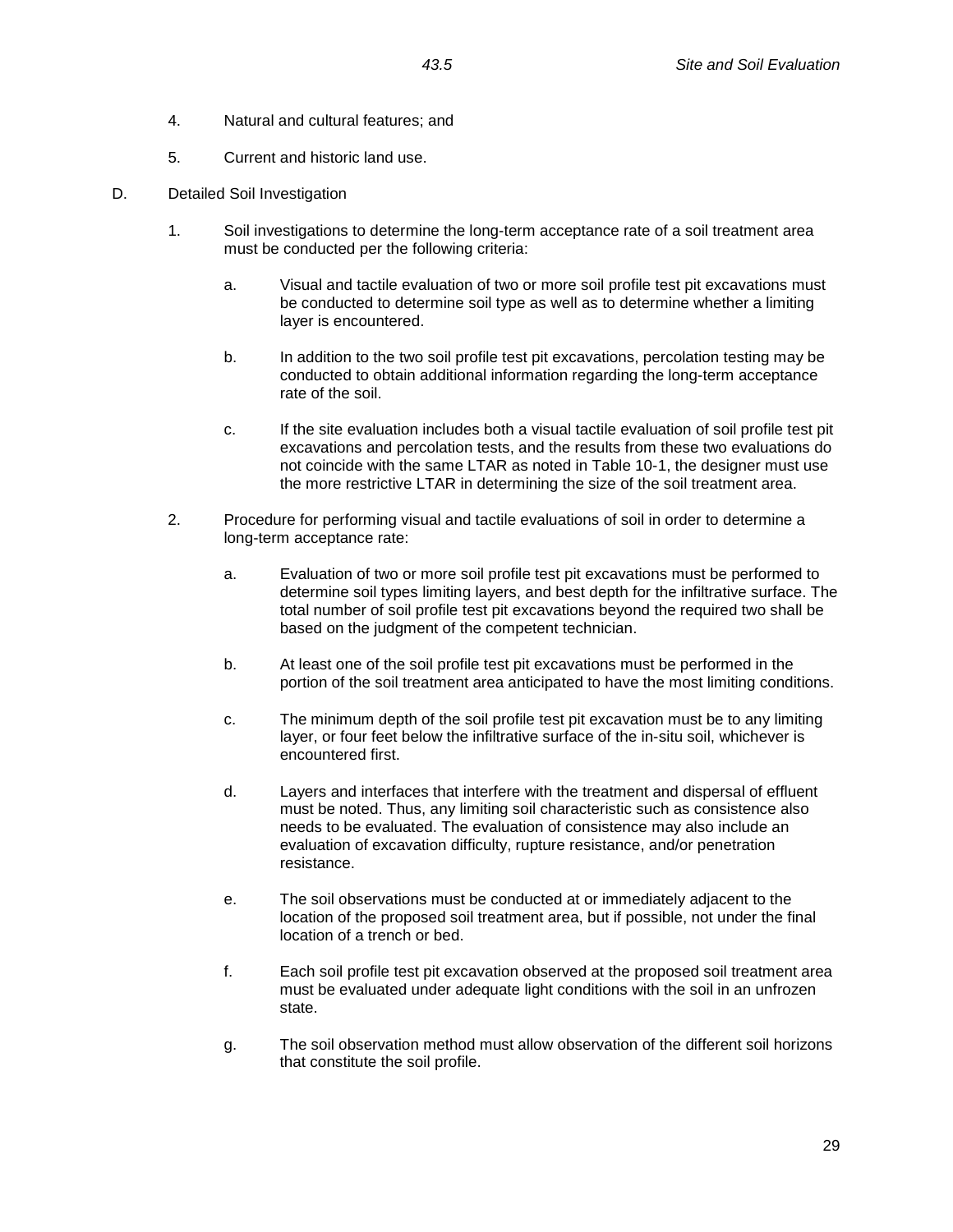- 4. Natural and cultural features; and
- 5. Current and historic land use.
- D. Detailed Soil Investigation
	- 1. Soil investigations to determine the long-term acceptance rate of a soil treatment area must be conducted per the following criteria:
		- a. Visual and tactile evaluation of two or more soil profile test pit excavations must be conducted to determine soil type as well as to determine whether a limiting layer is encountered.
		- b. In addition to the two soil profile test pit excavations, percolation testing may be conducted to obtain additional information regarding the long-term acceptance rate of the soil.
		- c. If the site evaluation includes both a visual tactile evaluation of soil profile test pit excavations and percolation tests, and the results from these two evaluations do not coincide with the same LTAR as noted in Table 10-1, the designer must use the more restrictive LTAR in determining the size of the soil treatment area.
	- 2. Procedure for performing visual and tactile evaluations of soil in order to determine a long-term acceptance rate:
		- a. Evaluation of two or more soil profile test pit excavations must be performed to determine soil types limiting layers, and best depth for the infiltrative surface. The total number of soil profile test pit excavations beyond the required two shall be based on the judgment of the competent technician.
		- b. At least one of the soil profile test pit excavations must be performed in the portion of the soil treatment area anticipated to have the most limiting conditions.
		- c. The minimum depth of the soil profile test pit excavation must be to any limiting layer, or four feet below the infiltrative surface of the in-situ soil, whichever is encountered first.
		- d. Layers and interfaces that interfere with the treatment and dispersal of effluent must be noted. Thus, any limiting soil characteristic such as consistence also needs to be evaluated. The evaluation of consistence may also include an evaluation of excavation difficulty, rupture resistance, and/or penetration resistance.
		- e. The soil observations must be conducted at or immediately adjacent to the location of the proposed soil treatment area, but if possible, not under the final location of a trench or bed.
		- f. Each soil profile test pit excavation observed at the proposed soil treatment area must be evaluated under adequate light conditions with the soil in an unfrozen state.
		- g. The soil observation method must allow observation of the different soil horizons that constitute the soil profile.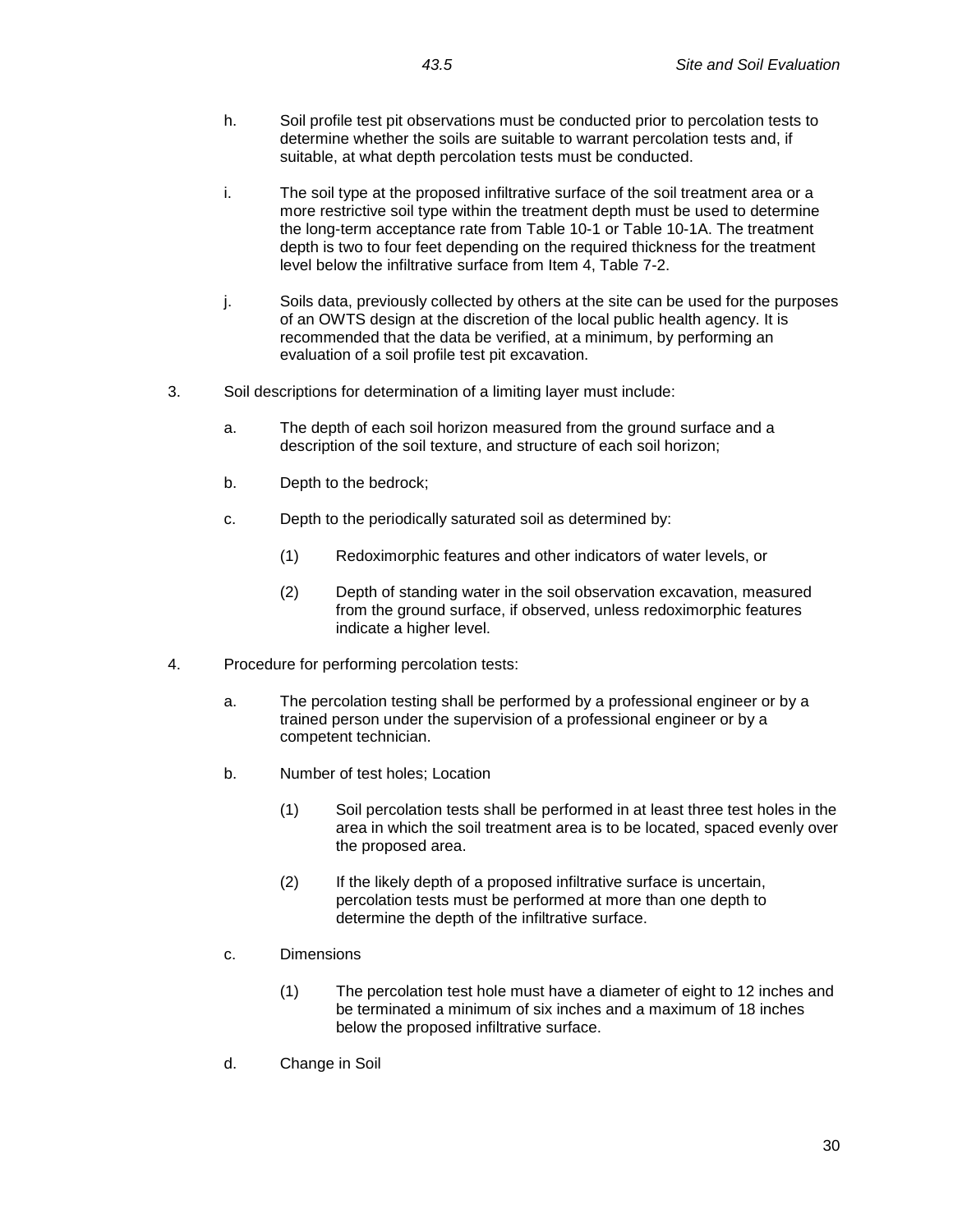- h. Soil profile test pit observations must be conducted prior to percolation tests to determine whether the soils are suitable to warrant percolation tests and, if suitable, at what depth percolation tests must be conducted.
- i. The soil type at the proposed infiltrative surface of the soil treatment area or a more restrictive soil type within the treatment depth must be used to determine the long-term acceptance rate from Table 10-1 or Table 10-1A. The treatment depth is two to four feet depending on the required thickness for the treatment level below the infiltrative surface from Item 4, Table 7-2.
- j. Soils data, previously collected by others at the site can be used for the purposes of an OWTS design at the discretion of the local public health agency. It is recommended that the data be verified, at a minimum, by performing an evaluation of a soil profile test pit excavation.
- 3. Soil descriptions for determination of a limiting layer must include:
	- a. The depth of each soil horizon measured from the ground surface and a description of the soil texture, and structure of each soil horizon;
	- b. Depth to the bedrock;
	- c. Depth to the periodically saturated soil as determined by:
		- (1) Redoximorphic features and other indicators of water levels, or
		- (2) Depth of standing water in the soil observation excavation, measured from the ground surface, if observed, unless redoximorphic features indicate a higher level.
- 4. Procedure for performing percolation tests:
	- a. The percolation testing shall be performed by a professional engineer or by a trained person under the supervision of a professional engineer or by a competent technician.
	- b. Number of test holes; Location
		- (1) Soil percolation tests shall be performed in at least three test holes in the area in which the soil treatment area is to be located, spaced evenly over the proposed area.
		- (2) If the likely depth of a proposed infiltrative surface is uncertain, percolation tests must be performed at more than one depth to determine the depth of the infiltrative surface.
	- c. Dimensions
		- (1) The percolation test hole must have a diameter of eight to 12 inches and be terminated a minimum of six inches and a maximum of 18 inches below the proposed infiltrative surface.
	- d. Change in Soil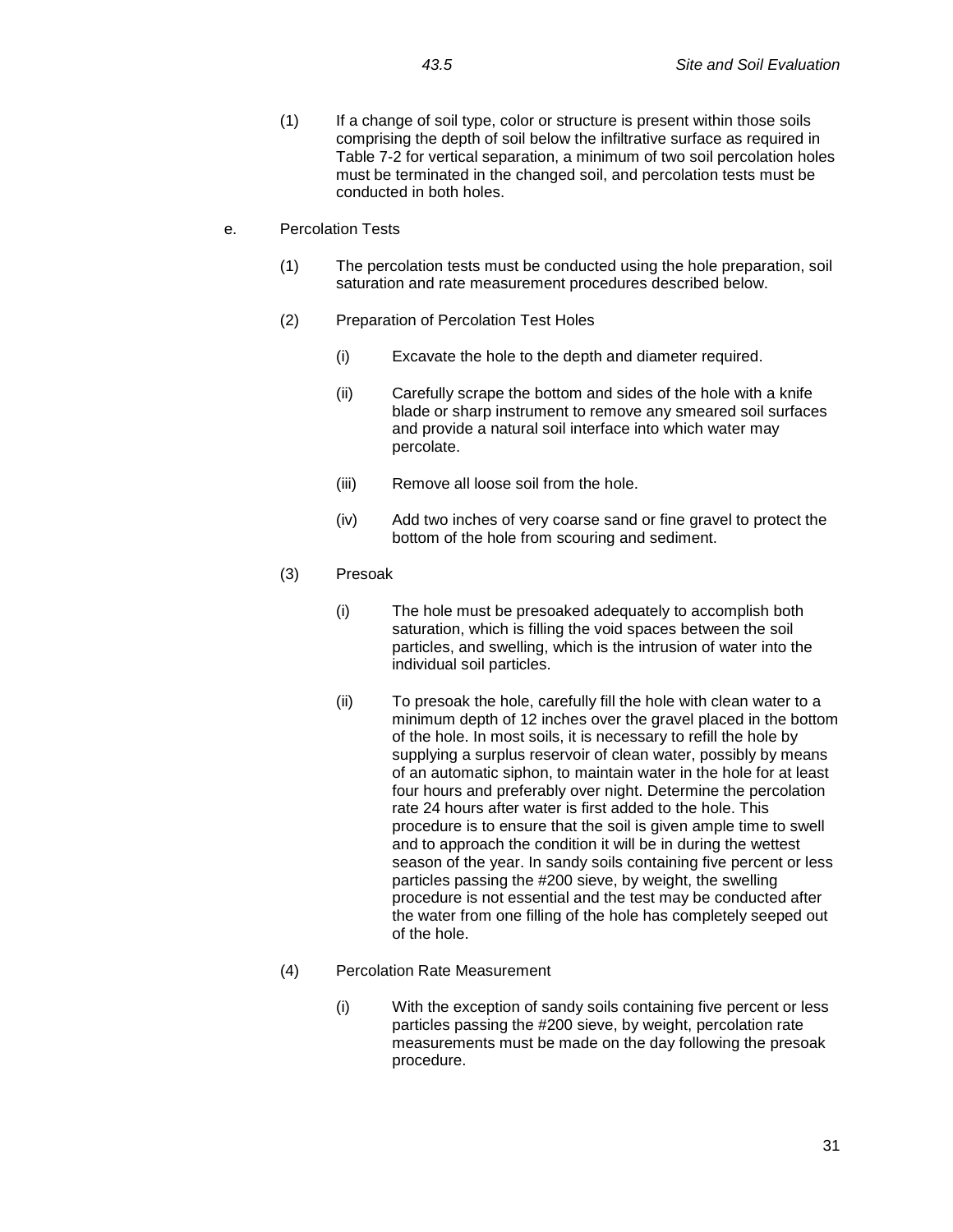- (1) If a change of soil type, color or structure is present within those soils comprising the depth of soil below the infiltrative surface as required in Table 7-2 for vertical separation, a minimum of two soil percolation holes must be terminated in the changed soil, and percolation tests must be conducted in both holes.
- e. Percolation Tests
	- (1) The percolation tests must be conducted using the hole preparation, soil saturation and rate measurement procedures described below.
	- (2) Preparation of Percolation Test Holes
		- (i) Excavate the hole to the depth and diameter required.
		- (ii) Carefully scrape the bottom and sides of the hole with a knife blade or sharp instrument to remove any smeared soil surfaces and provide a natural soil interface into which water may percolate.
		- (iii) Remove all loose soil from the hole.
		- (iv) Add two inches of very coarse sand or fine gravel to protect the bottom of the hole from scouring and sediment.
	- (3) Presoak
		- (i) The hole must be presoaked adequately to accomplish both saturation, which is filling the void spaces between the soil particles, and swelling, which is the intrusion of water into the individual soil particles.
		- (ii) To presoak the hole, carefully fill the hole with clean water to a minimum depth of 12 inches over the gravel placed in the bottom of the hole. In most soils, it is necessary to refill the hole by supplying a surplus reservoir of clean water, possibly by means of an automatic siphon, to maintain water in the hole for at least four hours and preferably over night. Determine the percolation rate 24 hours after water is first added to the hole. This procedure is to ensure that the soil is given ample time to swell and to approach the condition it will be in during the wettest season of the year. In sandy soils containing five percent or less particles passing the #200 sieve, by weight, the swelling procedure is not essential and the test may be conducted after the water from one filling of the hole has completely seeped out of the hole.
	- (4) Percolation Rate Measurement
		- (i) With the exception of sandy soils containing five percent or less particles passing the #200 sieve, by weight, percolation rate measurements must be made on the day following the presoak procedure.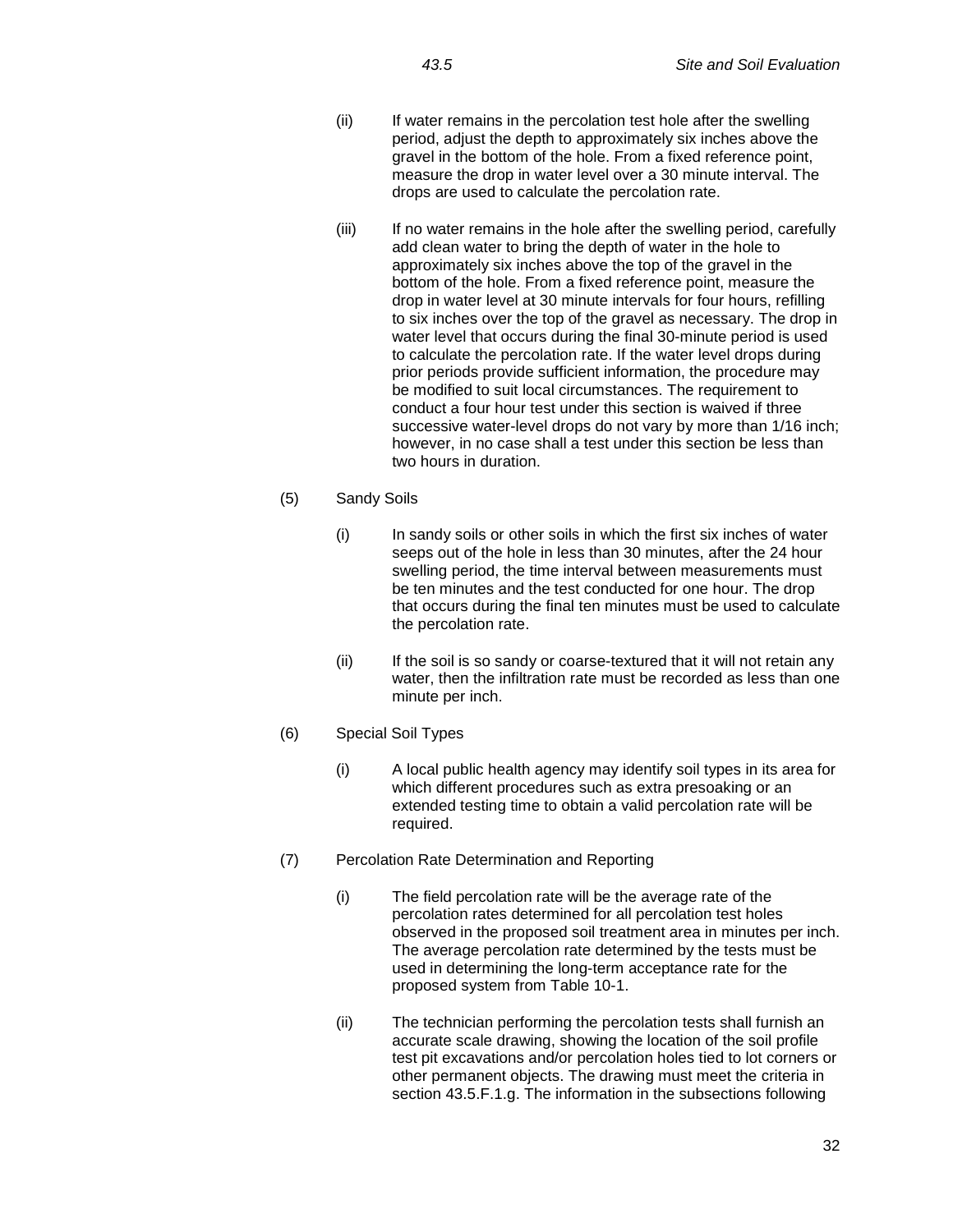- (ii) If water remains in the percolation test hole after the swelling period, adjust the depth to approximately six inches above the gravel in the bottom of the hole. From a fixed reference point, measure the drop in water level over a 30 minute interval. The drops are used to calculate the percolation rate.
- (iii) If no water remains in the hole after the swelling period, carefully add clean water to bring the depth of water in the hole to approximately six inches above the top of the gravel in the bottom of the hole. From a fixed reference point, measure the drop in water level at 30 minute intervals for four hours, refilling to six inches over the top of the gravel as necessary. The drop in water level that occurs during the final 30-minute period is used to calculate the percolation rate. If the water level drops during prior periods provide sufficient information, the procedure may be modified to suit local circumstances. The requirement to conduct a four hour test under this section is waived if three successive water-level drops do not vary by more than 1/16 inch; however, in no case shall a test under this section be less than two hours in duration.

## (5) Sandy Soils

- (i) In sandy soils or other soils in which the first six inches of water seeps out of the hole in less than 30 minutes, after the 24 hour swelling period, the time interval between measurements must be ten minutes and the test conducted for one hour. The drop that occurs during the final ten minutes must be used to calculate the percolation rate.
- (ii) If the soil is so sandy or coarse-textured that it will not retain any water, then the infiltration rate must be recorded as less than one minute per inch.
- (6) Special Soil Types
	- (i) A local public health agency may identify soil types in its area for which different procedures such as extra presoaking or an extended testing time to obtain a valid percolation rate will be required.
- (7) Percolation Rate Determination and Reporting
	- (i) The field percolation rate will be the average rate of the percolation rates determined for all percolation test holes observed in the proposed soil treatment area in minutes per inch. The average percolation rate determined by the tests must be used in determining the long-term acceptance rate for the proposed system from Table 10-1.
	- (ii) The technician performing the percolation tests shall furnish an accurate scale drawing, showing the location of the soil profile test pit excavations and/or percolation holes tied to lot corners or other permanent objects. The drawing must meet the criteria in section 43.5.F.1.g. The information in the subsections following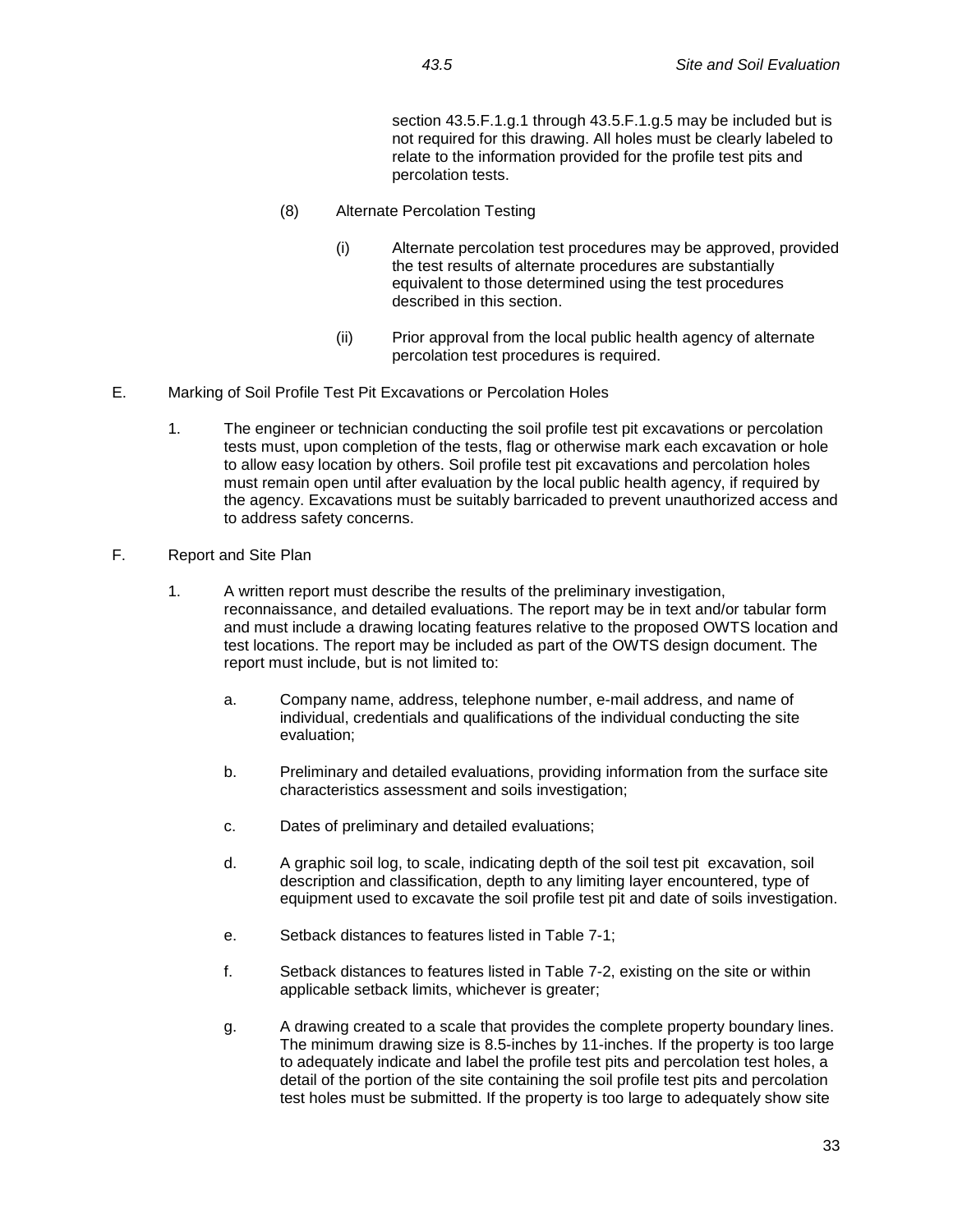section 43.5.F.1.g.1 through 43.5.F.1.g.5 may be included but is not required for this drawing. All holes must be clearly labeled to relate to the information provided for the profile test pits and percolation tests.

- (8) Alternate Percolation Testing
	- (i) Alternate percolation test procedures may be approved, provided the test results of alternate procedures are substantially equivalent to those determined using the test procedures described in this section.
	- (ii) Prior approval from the local public health agency of alternate percolation test procedures is required.
- E. Marking of Soil Profile Test Pit Excavations or Percolation Holes
	- 1. The engineer or technician conducting the soil profile test pit excavations or percolation tests must, upon completion of the tests, flag or otherwise mark each excavation or hole to allow easy location by others. Soil profile test pit excavations and percolation holes must remain open until after evaluation by the local public health agency, if required by the agency. Excavations must be suitably barricaded to prevent unauthorized access and to address safety concerns.
- F. Report and Site Plan
	- 1. A written report must describe the results of the preliminary investigation, reconnaissance, and detailed evaluations. The report may be in text and/or tabular form and must include a drawing locating features relative to the proposed OWTS location and test locations. The report may be included as part of the OWTS design document. The report must include, but is not limited to:
		- a. Company name, address, telephone number, e-mail address, and name of individual, credentials and qualifications of the individual conducting the site evaluation;
		- b. Preliminary and detailed evaluations, providing information from the surface site characteristics assessment and soils investigation;
		- c. Dates of preliminary and detailed evaluations;
		- d. A graphic soil log, to scale, indicating depth of the soil test pit excavation, soil description and classification, depth to any limiting layer encountered, type of equipment used to excavate the soil profile test pit and date of soils investigation.
		- e. Setback distances to features listed in Table 7-1;
		- f. Setback distances to features listed in Table 7-2, existing on the site or within applicable setback limits, whichever is greater;
		- g. A drawing created to a scale that provides the complete property boundary lines. The minimum drawing size is 8.5-inches by 11-inches. If the property is too large to adequately indicate and label the profile test pits and percolation test holes, a detail of the portion of the site containing the soil profile test pits and percolation test holes must be submitted. If the property is too large to adequately show site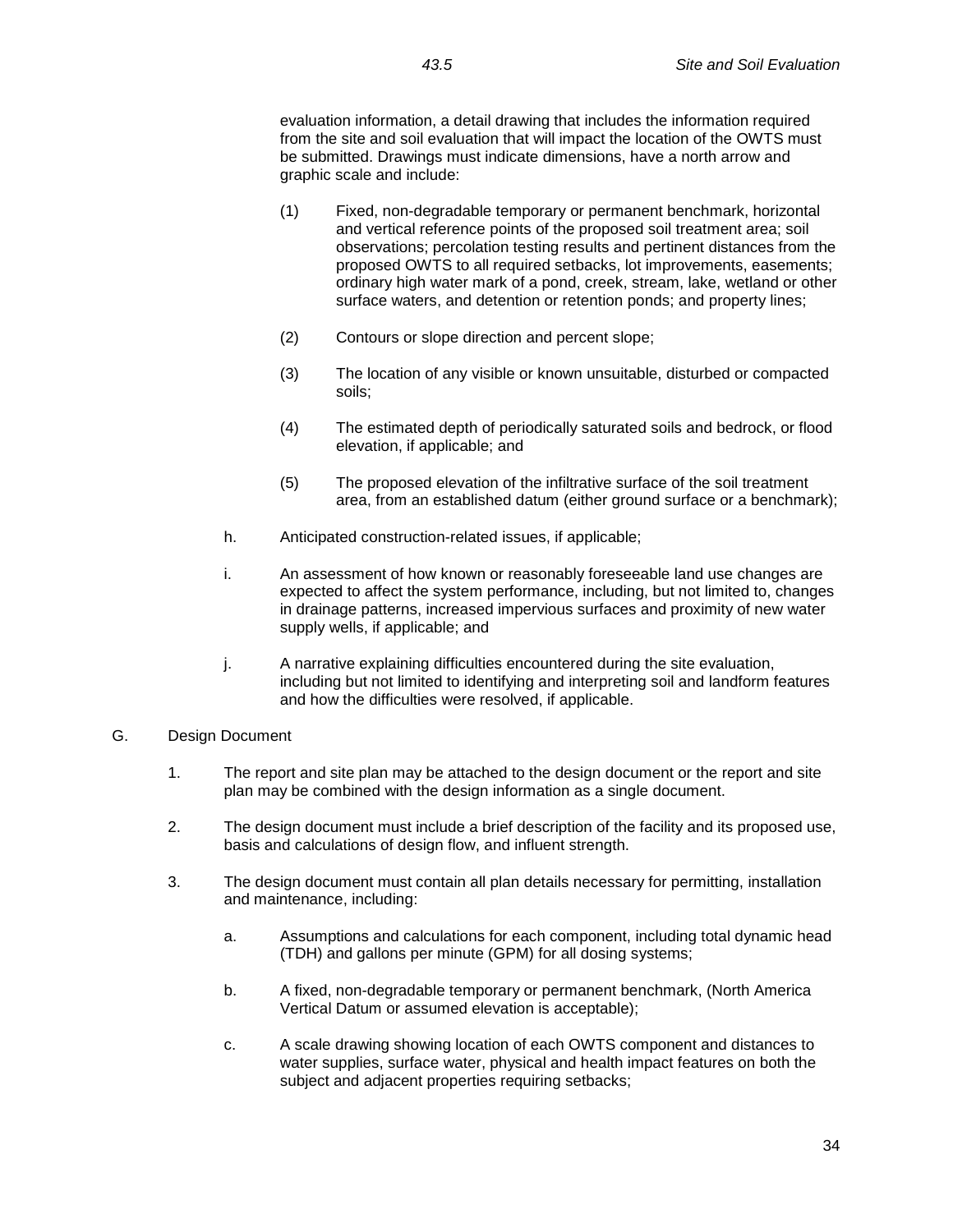evaluation information, a detail drawing that includes the information required from the site and soil evaluation that will impact the location of the OWTS must be submitted. Drawings must indicate dimensions, have a north arrow and graphic scale and include:

- (1) Fixed, non-degradable temporary or permanent benchmark, horizontal and vertical reference points of the proposed soil treatment area; soil observations; percolation testing results and pertinent distances from the proposed OWTS to all required setbacks, lot improvements, easements; ordinary high water mark of a pond, creek, stream, lake, wetland or other surface waters, and detention or retention ponds; and property lines;
- (2) Contours or slope direction and percent slope;
- (3) The location of any visible or known unsuitable, disturbed or compacted soils;
- (4) The estimated depth of periodically saturated soils and bedrock, or flood elevation, if applicable; and
- (5) The proposed elevation of the infiltrative surface of the soil treatment area, from an established datum (either ground surface or a benchmark);
- h. Anticipated construction-related issues, if applicable;
- i. An assessment of how known or reasonably foreseeable land use changes are expected to affect the system performance, including, but not limited to, changes in drainage patterns, increased impervious surfaces and proximity of new water supply wells, if applicable; and
- j. A narrative explaining difficulties encountered during the site evaluation, including but not limited to identifying and interpreting soil and landform features and how the difficulties were resolved, if applicable.
- G. Design Document
	- 1. The report and site plan may be attached to the design document or the report and site plan may be combined with the design information as a single document.
	- 2. The design document must include a brief description of the facility and its proposed use, basis and calculations of design flow, and influent strength.
	- 3. The design document must contain all plan details necessary for permitting, installation and maintenance, including:
		- a. Assumptions and calculations for each component, including total dynamic head (TDH) and gallons per minute (GPM) for all dosing systems;
		- b. A fixed, non-degradable temporary or permanent benchmark, (North America Vertical Datum or assumed elevation is acceptable);
		- c. A scale drawing showing location of each OWTS component and distances to water supplies, surface water, physical and health impact features on both the subject and adjacent properties requiring setbacks;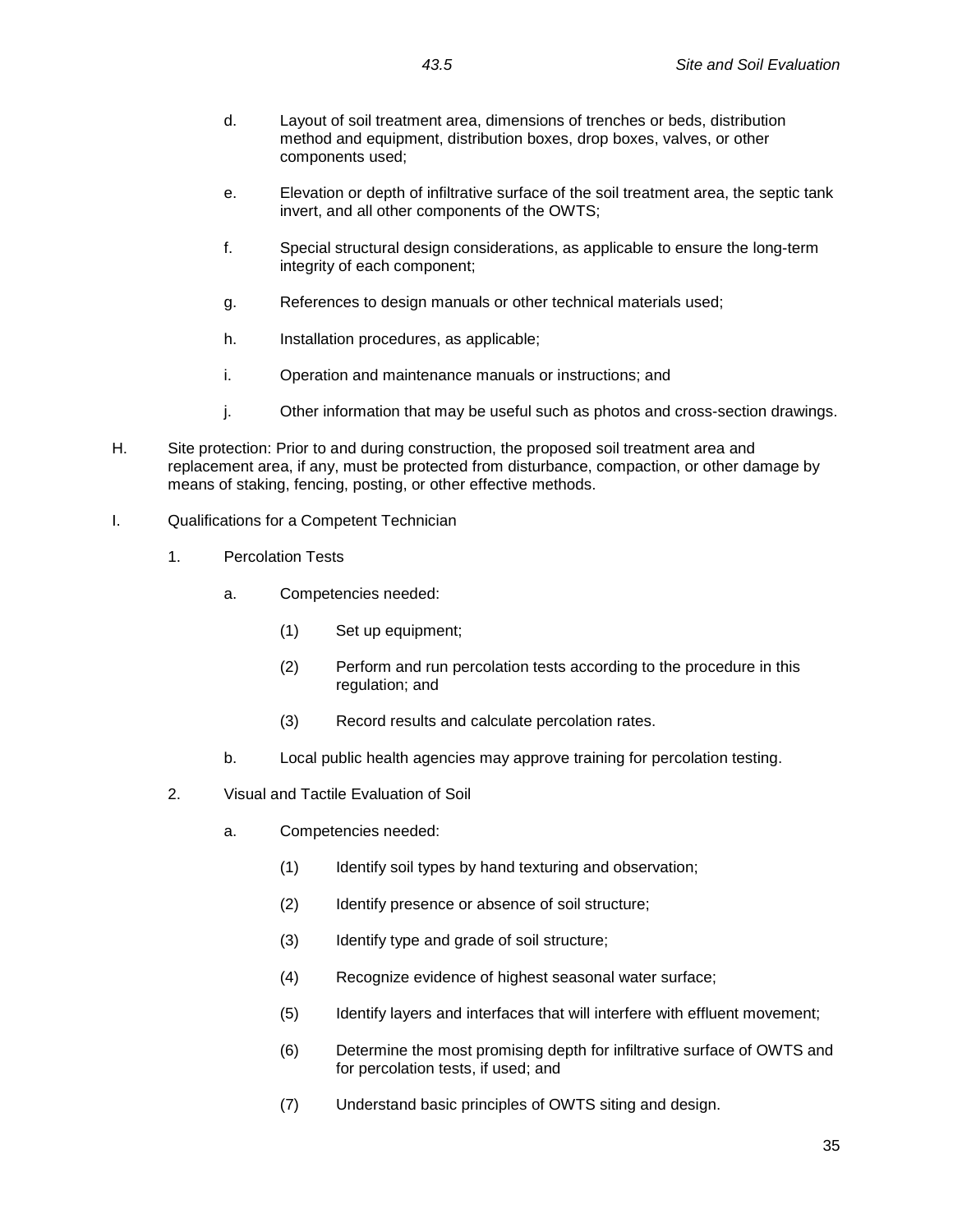- d. Layout of soil treatment area, dimensions of trenches or beds, distribution method and equipment, distribution boxes, drop boxes, valves, or other components used;
- e. Elevation or depth of infiltrative surface of the soil treatment area, the septic tank invert, and all other components of the OWTS;
- f. Special structural design considerations, as applicable to ensure the long-term integrity of each component;
- g. References to design manuals or other technical materials used;
- h. Installation procedures, as applicable;
- i. Operation and maintenance manuals or instructions; and
- j. Other information that may be useful such as photos and cross-section drawings.
- H. Site protection: Prior to and during construction, the proposed soil treatment area and replacement area, if any, must be protected from disturbance, compaction, or other damage by means of staking, fencing, posting, or other effective methods.
- I. Qualifications for a Competent Technician
	- 1. Percolation Tests
		- a. Competencies needed:
			- (1) Set up equipment;
			- (2) Perform and run percolation tests according to the procedure in this regulation; and
			- (3) Record results and calculate percolation rates.
		- b. Local public health agencies may approve training for percolation testing.
	- 2. Visual and Tactile Evaluation of Soil
		- a. Competencies needed:
			- (1) Identify soil types by hand texturing and observation;
			- (2) Identify presence or absence of soil structure;
			- (3) Identify type and grade of soil structure;
			- (4) Recognize evidence of highest seasonal water surface;
			- (5) Identify layers and interfaces that will interfere with effluent movement;
			- (6) Determine the most promising depth for infiltrative surface of OWTS and for percolation tests, if used; and
			- (7) Understand basic principles of OWTS siting and design.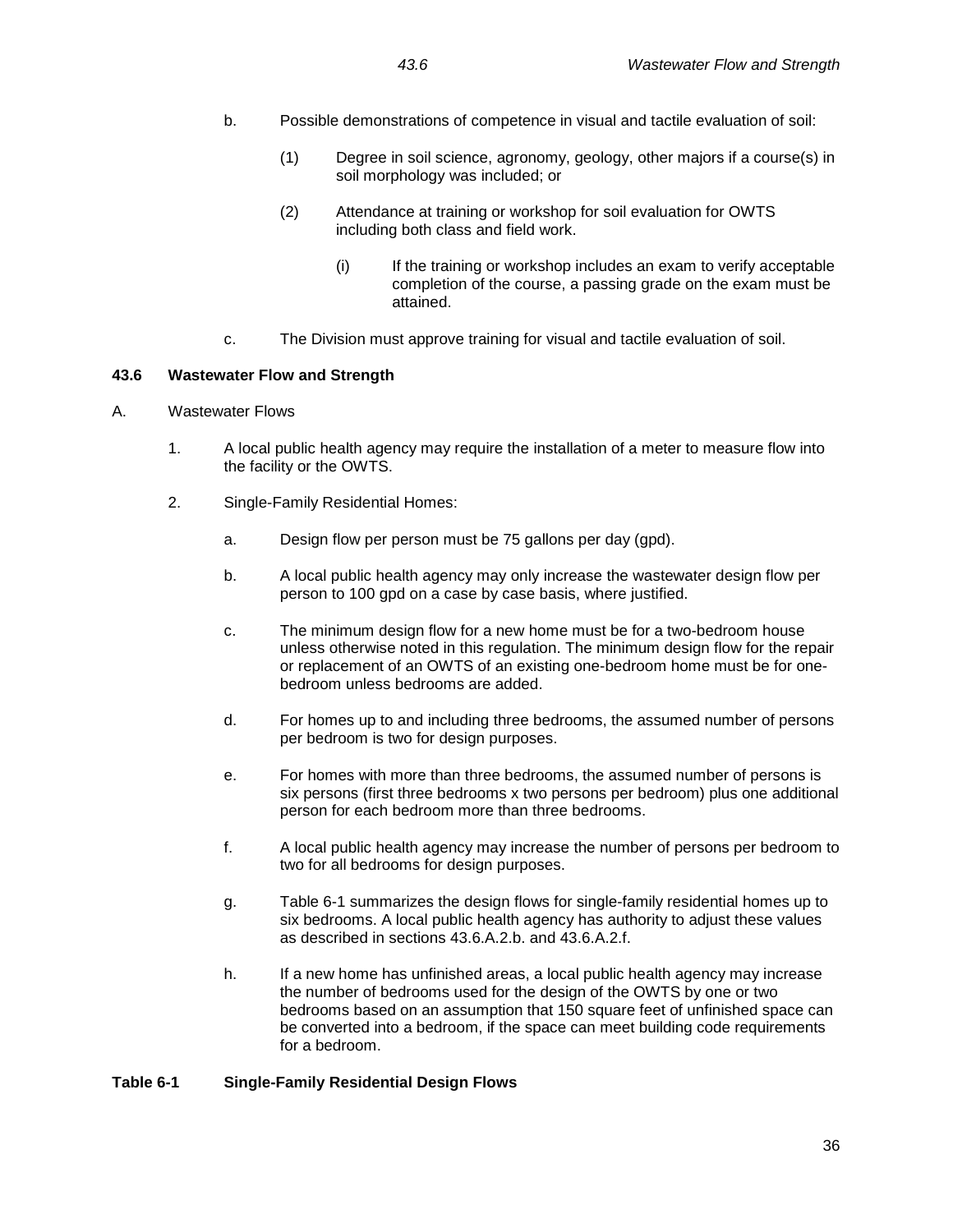- b. Possible demonstrations of competence in visual and tactile evaluation of soil:
	- (1) Degree in soil science, agronomy, geology, other majors if a course(s) in soil morphology was included; or
	- (2) Attendance at training or workshop for soil evaluation for OWTS including both class and field work.
		- (i) If the training or workshop includes an exam to verify acceptable completion of the course, a passing grade on the exam must be attained.
- c. The Division must approve training for visual and tactile evaluation of soil.

### **43.6 Wastewater Flow and Strength**

# A. Wastewater Flows

- 1. A local public health agency may require the installation of a meter to measure flow into the facility or the OWTS.
- 2. Single-Family Residential Homes:
	- a. Design flow per person must be 75 gallons per day (gpd).
	- b. A local public health agency may only increase the wastewater design flow per person to 100 gpd on a case by case basis, where justified.
	- c. The minimum design flow for a new home must be for a two-bedroom house unless otherwise noted in this regulation. The minimum design flow for the repair or replacement of an OWTS of an existing one-bedroom home must be for onebedroom unless bedrooms are added.
	- d. For homes up to and including three bedrooms, the assumed number of persons per bedroom is two for design purposes.
	- e. For homes with more than three bedrooms, the assumed number of persons is six persons (first three bedrooms x two persons per bedroom) plus one additional person for each bedroom more than three bedrooms.
	- f. A local public health agency may increase the number of persons per bedroom to two for all bedrooms for design purposes.
	- g. Table 6-1 summarizes the design flows for single-family residential homes up to six bedrooms. A local public health agency has authority to adjust these values as described in sections 43.6.A.2.b. and 43.6.A.2.f.
	- h. If a new home has unfinished areas, a local public health agency may increase the number of bedrooms used for the design of the OWTS by one or two bedrooms based on an assumption that 150 square feet of unfinished space can be converted into a bedroom, if the space can meet building code requirements for a bedroom.

### **Table 6-1 Single-Family Residential Design Flows**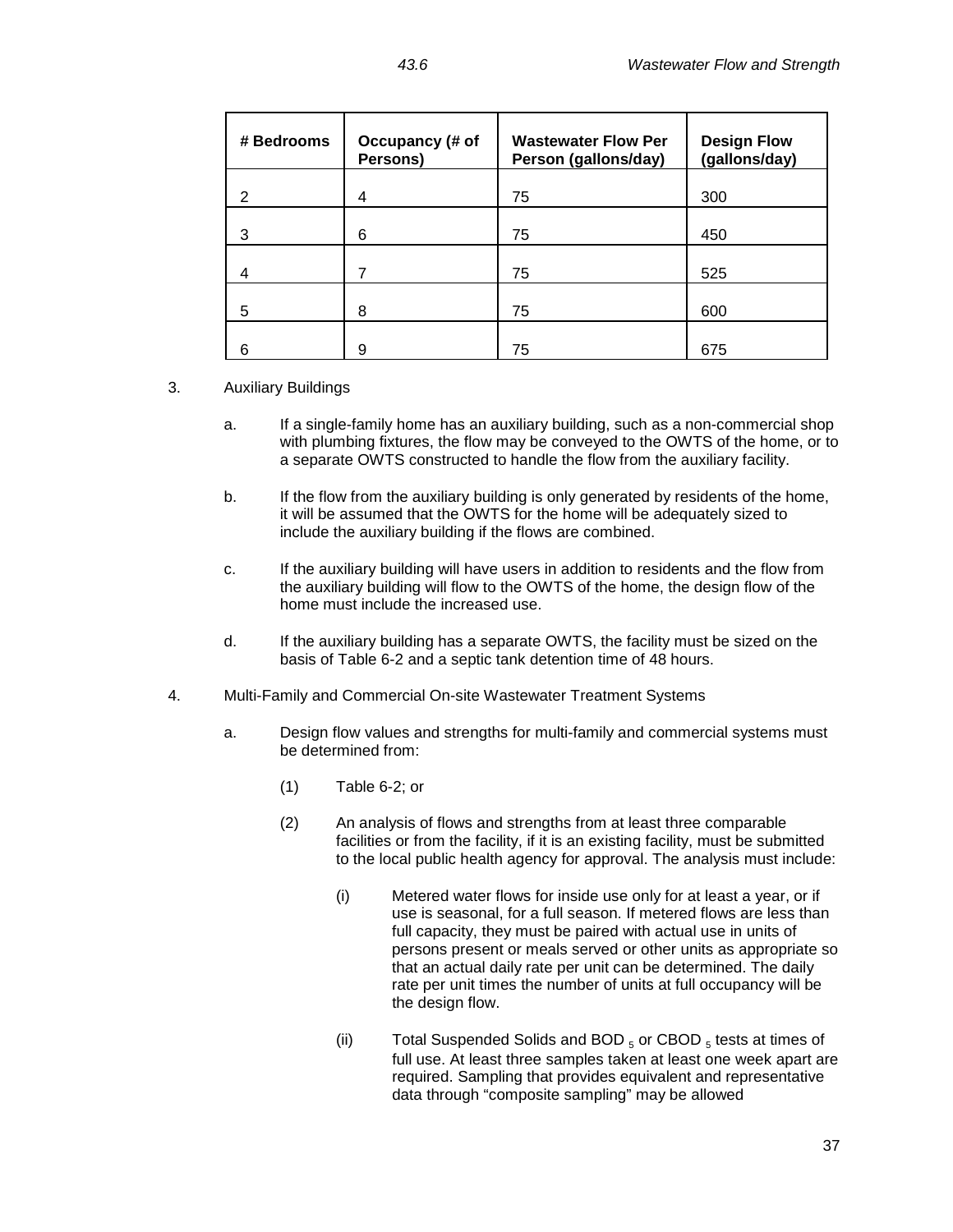| # Bedrooms | Occupancy (# of<br>Persons) | <b>Wastewater Flow Per</b><br>Person (gallons/day) | <b>Design Flow</b><br>(gallons/day) |
|------------|-----------------------------|----------------------------------------------------|-------------------------------------|
| 2          | 4                           | 75                                                 | 300                                 |
| 3          | 6                           | 75                                                 | 450                                 |
| 4          |                             | 75                                                 | 525                                 |
| 5          | 8                           | 75                                                 | 600                                 |
| 6          | 9                           | 75                                                 | 675                                 |

## 3. Auxiliary Buildings

- a. If a single-family home has an auxiliary building, such as a non-commercial shop with plumbing fixtures, the flow may be conveyed to the OWTS of the home, or to a separate OWTS constructed to handle the flow from the auxiliary facility.
- b. If the flow from the auxiliary building is only generated by residents of the home, it will be assumed that the OWTS for the home will be adequately sized to include the auxiliary building if the flows are combined.
- c. If the auxiliary building will have users in addition to residents and the flow from the auxiliary building will flow to the OWTS of the home, the design flow of the home must include the increased use.
- d. If the auxiliary building has a separate OWTS, the facility must be sized on the basis of Table 6-2 and a septic tank detention time of 48 hours.
- 4. Multi-Family and Commercial On-site Wastewater Treatment Systems
	- a. Design flow values and strengths for multi-family and commercial systems must be determined from:
		- (1) Table 6-2; or
		- (2) An analysis of flows and strengths from at least three comparable facilities or from the facility, if it is an existing facility, must be submitted to the local public health agency for approval. The analysis must include:
			- (i) Metered water flows for inside use only for at least a year, or if use is seasonal, for a full season. If metered flows are less than full capacity, they must be paired with actual use in units of persons present or meals served or other units as appropriate so that an actual daily rate per unit can be determined. The daily rate per unit times the number of units at full occupancy will be the design flow.
			- (ii) Total Suspended Solids and BOD  $_5$  or CBOD  $_5$  tests at times of full use. At least three samples taken at least one week apart are required. Sampling that provides equivalent and representative data through "composite sampling" may be allowed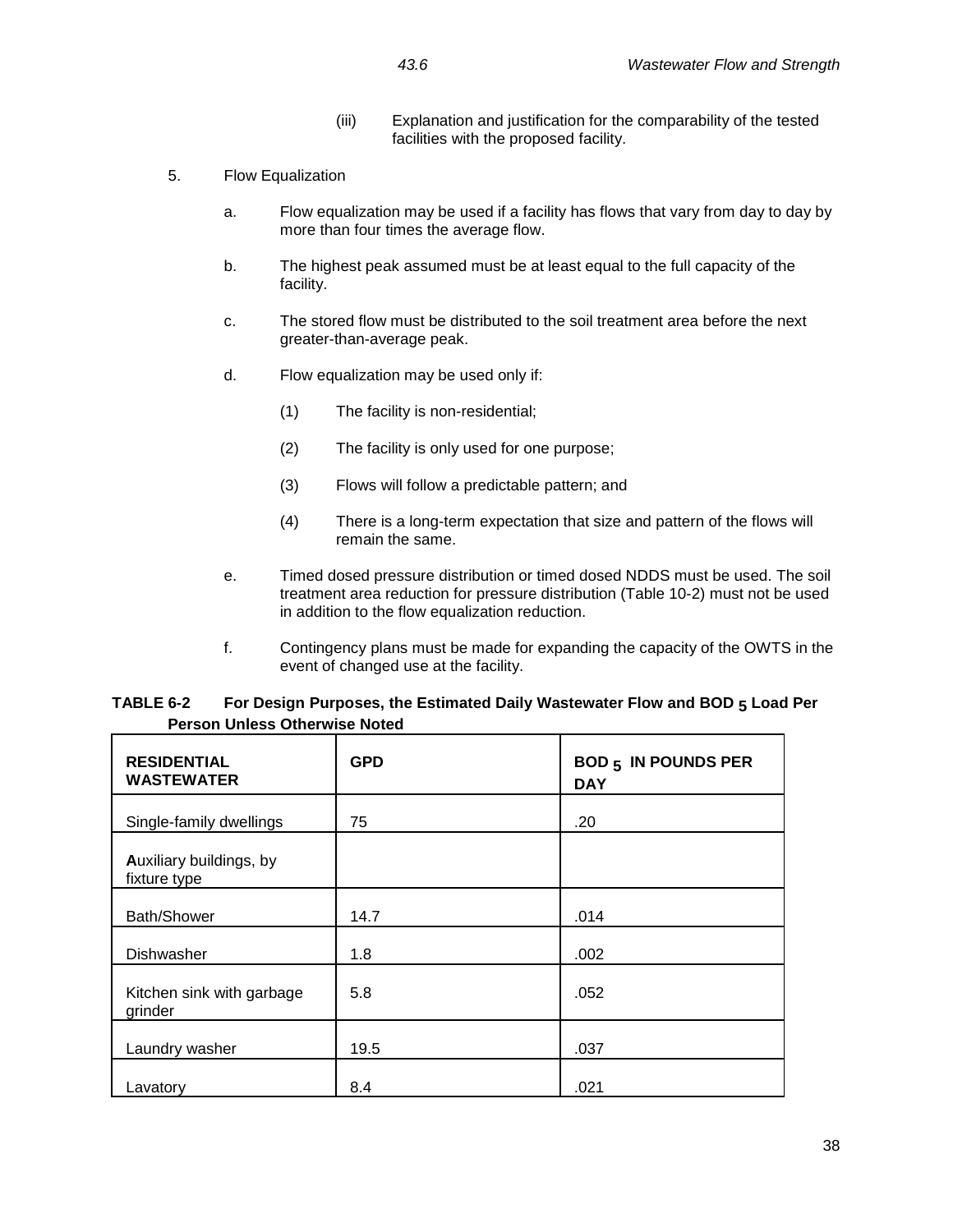- (iii) Explanation and justification for the comparability of the tested facilities with the proposed facility.
- 5. Flow Equalization
	- a. Flow equalization may be used if a facility has flows that vary from day to day by more than four times the average flow.
	- b. The highest peak assumed must be at least equal to the full capacity of the facility.
	- c. The stored flow must be distributed to the soil treatment area before the next greater-than-average peak.
	- d. Flow equalization may be used only if:
		- (1) The facility is non-residential;
		- (2) The facility is only used for one purpose;
		- (3) Flows will follow a predictable pattern; and
		- (4) There is a long-term expectation that size and pattern of the flows will remain the same.
	- e. Timed dosed pressure distribution or timed dosed NDDS must be used. The soil treatment area reduction for pressure distribution (Table 10-2) must not be used in addition to the flow equalization reduction.
	- f. Contingency plans must be made for expanding the capacity of the OWTS in the event of changed use at the facility.

| TABLE 6-2 | For Design Purposes, the Estimated Daily Wastewater Flow and BOD 5 Load Per |
|-----------|-----------------------------------------------------------------------------|
|           | <b>Person Unless Otherwise Noted</b>                                        |

| <b>RESIDENTIAL</b><br><b>WASTEWATER</b> | <b>GPD</b> | <b>BOD 5 IN POUNDS PER</b><br><b>DAY</b> |
|-----------------------------------------|------------|------------------------------------------|
| Single-family dwellings                 | 75         | .20                                      |
| Auxiliary buildings, by<br>fixture type |            |                                          |
| Bath/Shower                             | 14.7       | .014                                     |
| Dishwasher                              | 1.8        | .002                                     |
| Kitchen sink with garbage<br>grinder    | 5.8        | .052                                     |
| Laundry washer                          | 19.5       | .037                                     |
| Lavatory                                | 8.4        | .021                                     |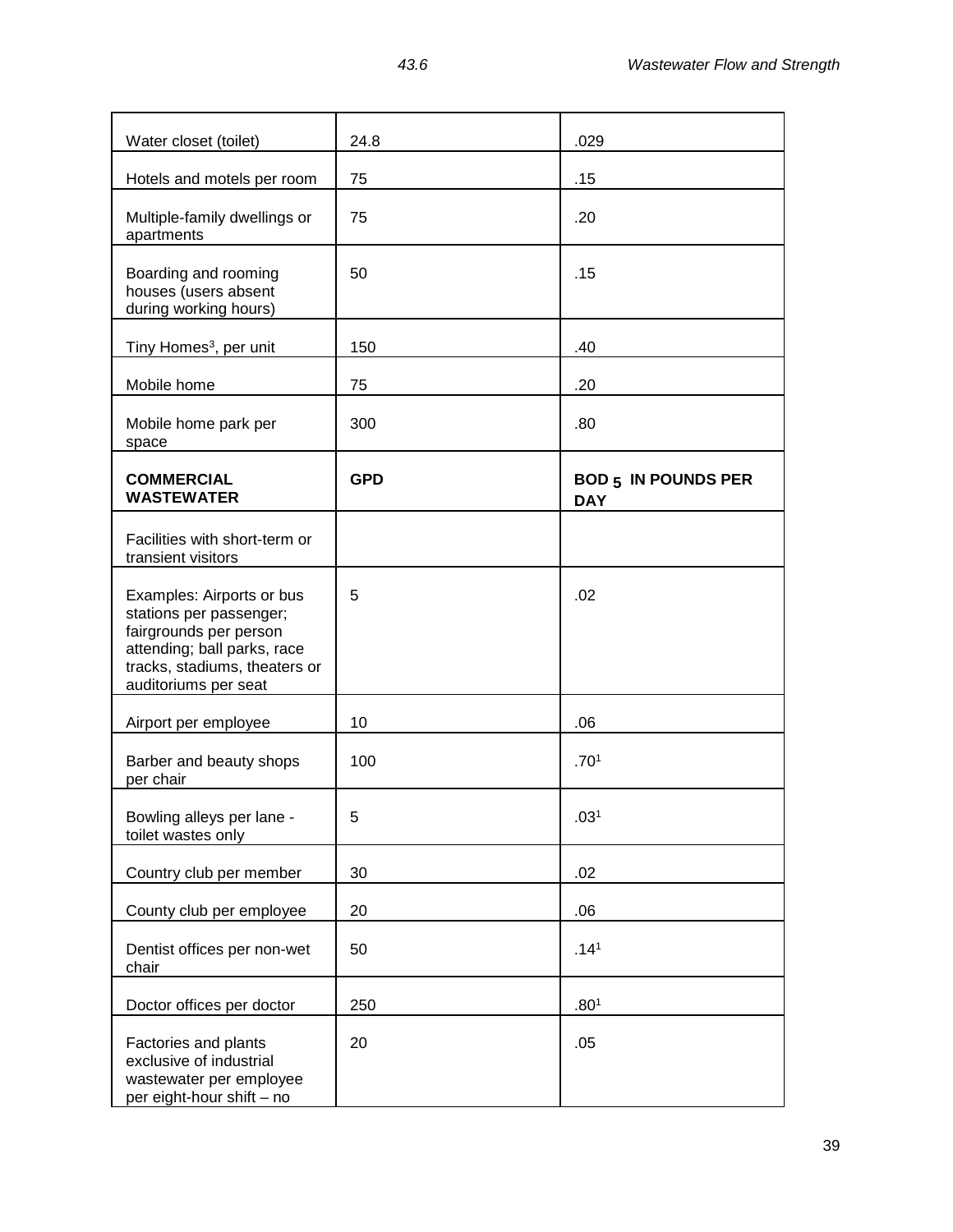| Water closet (toilet)                                                                                                                                                  | 24.8       | .029                                     |
|------------------------------------------------------------------------------------------------------------------------------------------------------------------------|------------|------------------------------------------|
| Hotels and motels per room                                                                                                                                             | 75         | .15                                      |
| Multiple-family dwellings or<br>apartments                                                                                                                             | 75         | .20                                      |
| Boarding and rooming<br>houses (users absent<br>during working hours)                                                                                                  | 50         | .15                                      |
| Tiny Homes <sup>3</sup> , per unit                                                                                                                                     | 150        | .40                                      |
| Mobile home                                                                                                                                                            | 75         | .20                                      |
| Mobile home park per<br>space                                                                                                                                          | 300        | .80                                      |
| <b>COMMERCIAL</b><br><b>WASTEWATER</b>                                                                                                                                 | <b>GPD</b> | <b>BOD 5 IN POUNDS PER</b><br><b>DAY</b> |
| Facilities with short-term or<br>transient visitors                                                                                                                    |            |                                          |
| Examples: Airports or bus<br>stations per passenger;<br>fairgrounds per person<br>attending; ball parks, race<br>tracks, stadiums, theaters or<br>auditoriums per seat | 5          | .02                                      |
| Airport per employee                                                                                                                                                   | 10         | .06                                      |
| Barber and beauty shops<br>per chair                                                                                                                                   | 100        | .70 <sup>1</sup>                         |
| Bowling alleys per lane -<br>toilet wastes only                                                                                                                        | 5          | .03 <sup>1</sup>                         |
| Country club per member                                                                                                                                                | 30         | .02                                      |
| County club per employee                                                                                                                                               | 20         | .06                                      |
| Dentist offices per non-wet<br>chair                                                                                                                                   | 50         | .14 <sup>1</sup>                         |
| Doctor offices per doctor                                                                                                                                              | 250        | .80 <sup>1</sup>                         |
| Factories and plants<br>exclusive of industrial<br>wastewater per employee<br>per eight-hour shift - no                                                                | 20         | .05                                      |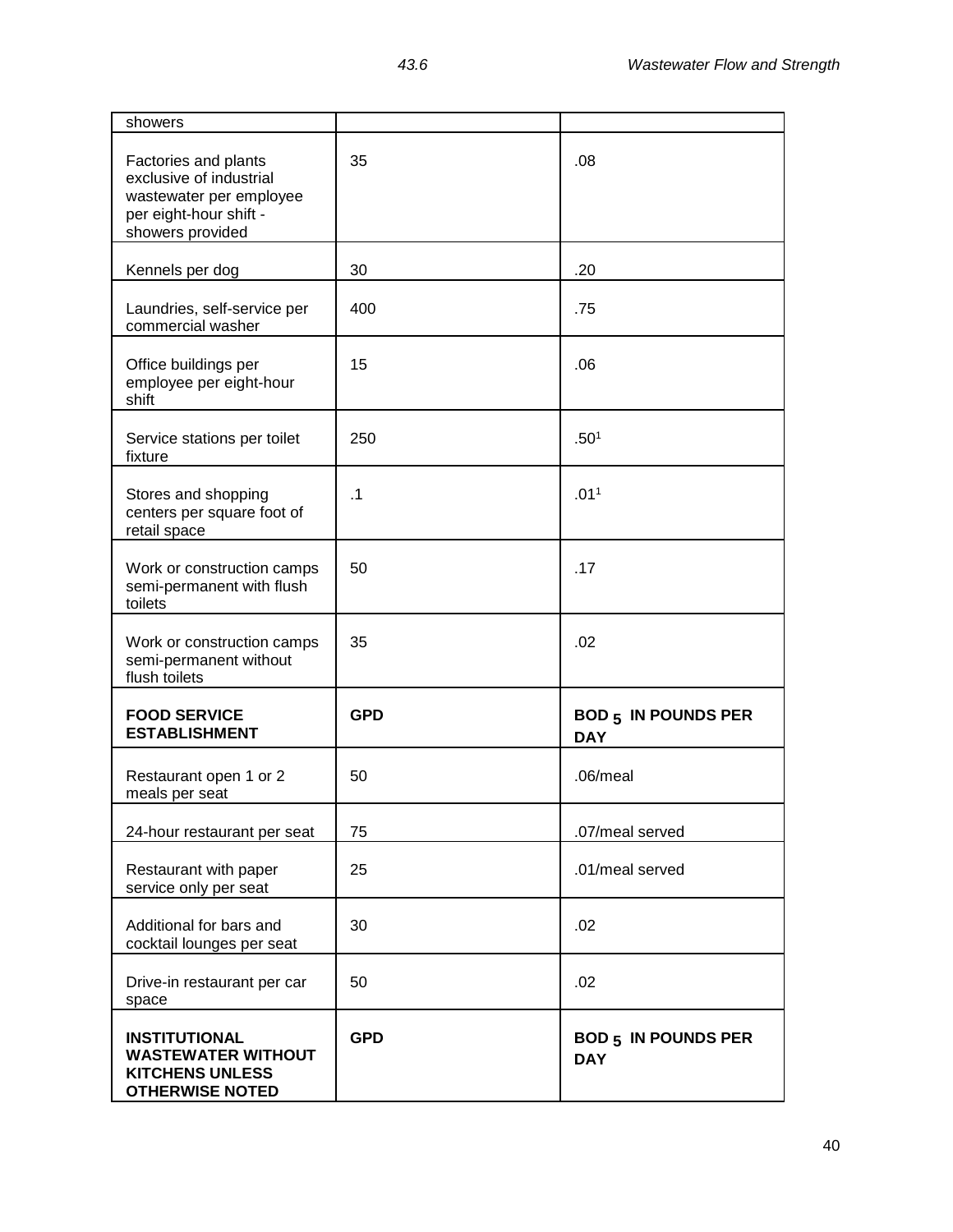| showers                                                                                                                  |            |                                          |
|--------------------------------------------------------------------------------------------------------------------------|------------|------------------------------------------|
| Factories and plants<br>exclusive of industrial<br>wastewater per employee<br>per eight-hour shift -<br>showers provided | 35         | .08                                      |
| Kennels per dog                                                                                                          | 30         | .20                                      |
| Laundries, self-service per<br>commercial washer                                                                         | 400        | .75                                      |
| Office buildings per<br>employee per eight-hour<br>shift                                                                 | 15         | .06                                      |
| Service stations per toilet<br>fixture                                                                                   | 250        | .50 <sup>1</sup>                         |
| Stores and shopping<br>centers per square foot of<br>retail space                                                        | .1         | .011                                     |
| Work or construction camps<br>semi-permanent with flush<br>toilets                                                       | 50         | .17                                      |
| Work or construction camps<br>semi-permanent without<br>flush toilets                                                    | 35         | .02                                      |
| <b>FOOD SERVICE</b><br><b>ESTABLISHMENT</b>                                                                              | <b>GPD</b> | <b>BOD 5 IN POUNDS PER</b><br><b>DAY</b> |
| Restaurant open 1 or 2<br>meals per seat                                                                                 | 50         | .06/meal                                 |
| 24-hour restaurant per seat                                                                                              | 75         | .07/meal served                          |
| Restaurant with paper<br>service only per seat                                                                           | 25         | .01/meal served                          |
| Additional for bars and<br>cocktail lounges per seat                                                                     | 30         | .02                                      |
| Drive-in restaurant per car<br>space                                                                                     | 50         | .02                                      |
| <b>INSTITUTIONAL</b><br><b>WASTEWATER WITHOUT</b><br><b>KITCHENS UNLESS</b><br><b>OTHERWISE NOTED</b>                    | <b>GPD</b> | <b>BOD 5 IN POUNDS PER</b><br><b>DAY</b> |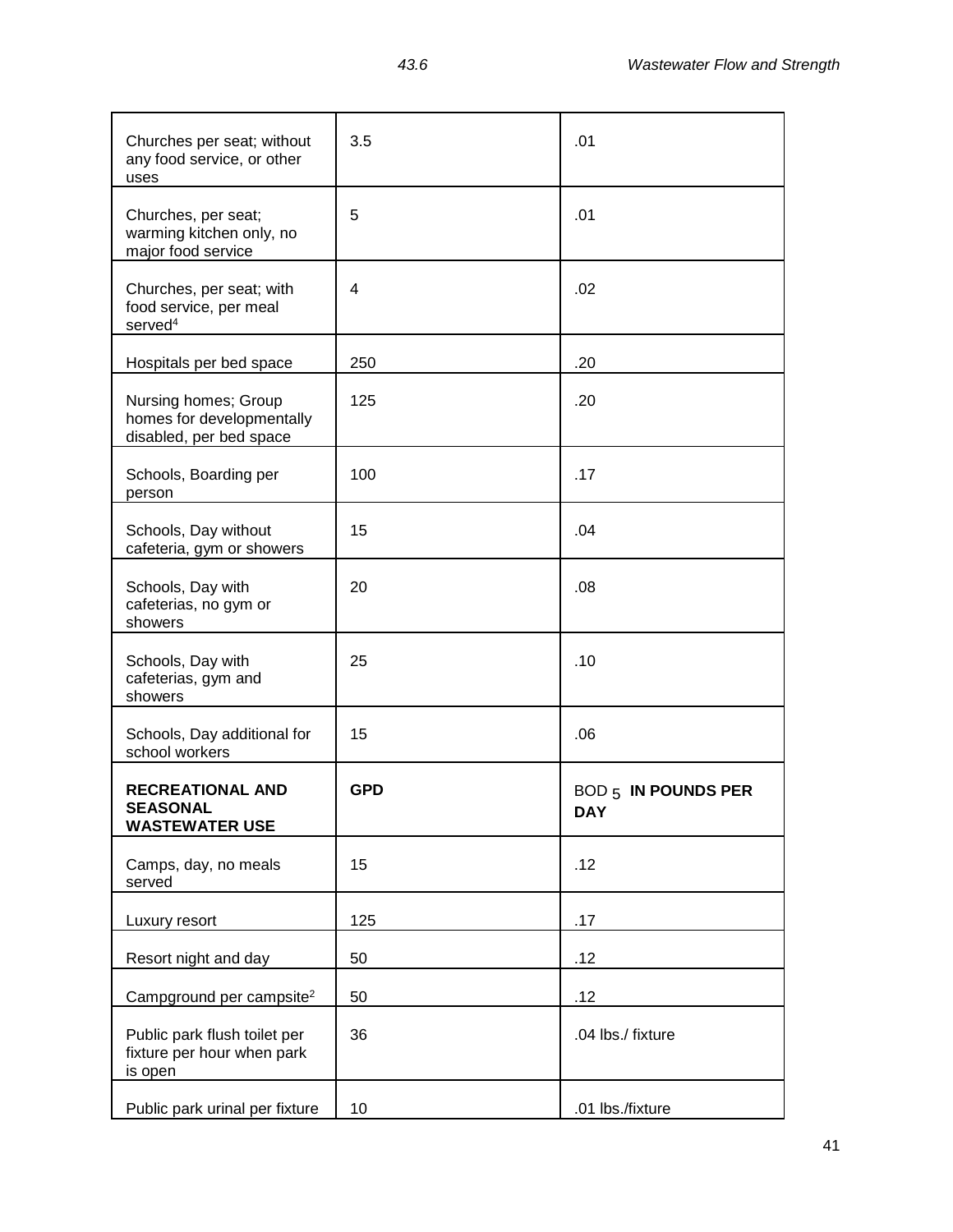| Churches per seat; without<br>any food service, or other<br>uses             | 3.5        | .01                               |
|------------------------------------------------------------------------------|------------|-----------------------------------|
| Churches, per seat;<br>warming kitchen only, no<br>major food service        | 5          | .01                               |
| Churches, per seat; with<br>food service, per meal<br>served <sup>4</sup>    | 4          | .02                               |
| Hospitals per bed space                                                      | 250        | .20                               |
| Nursing homes; Group<br>homes for developmentally<br>disabled, per bed space | 125        | .20                               |
| Schools, Boarding per<br>person                                              | 100        | .17                               |
| Schools, Day without<br>cafeteria, gym or showers                            | 15         | .04                               |
| Schools, Day with<br>cafeterias, no gym or<br>showers                        | 20         | .08                               |
| Schools, Day with<br>cafeterias, gym and<br>showers                          | 25         | .10                               |
| Schools, Day additional for<br>school workers                                | 15         | .06                               |
| <b>RECREATIONAL AND</b><br><b>SEASONAL</b><br><b>WASTEWATER USE</b>          | <b>GPD</b> | BOD 5 IN POUNDS PER<br><b>DAY</b> |
| Camps, day, no meals<br>served                                               | 15         | .12                               |
| Luxury resort                                                                | 125        | .17                               |
| Resort night and day                                                         | 50         | .12                               |
| Campground per campsite <sup>2</sup>                                         | 50         | .12                               |
| Public park flush toilet per<br>fixture per hour when park<br>is open        | 36         | .04 lbs./ fixture                 |
| Public park urinal per fixture                                               | 10         | .01 lbs./fixture                  |

 $\mathbf{r}$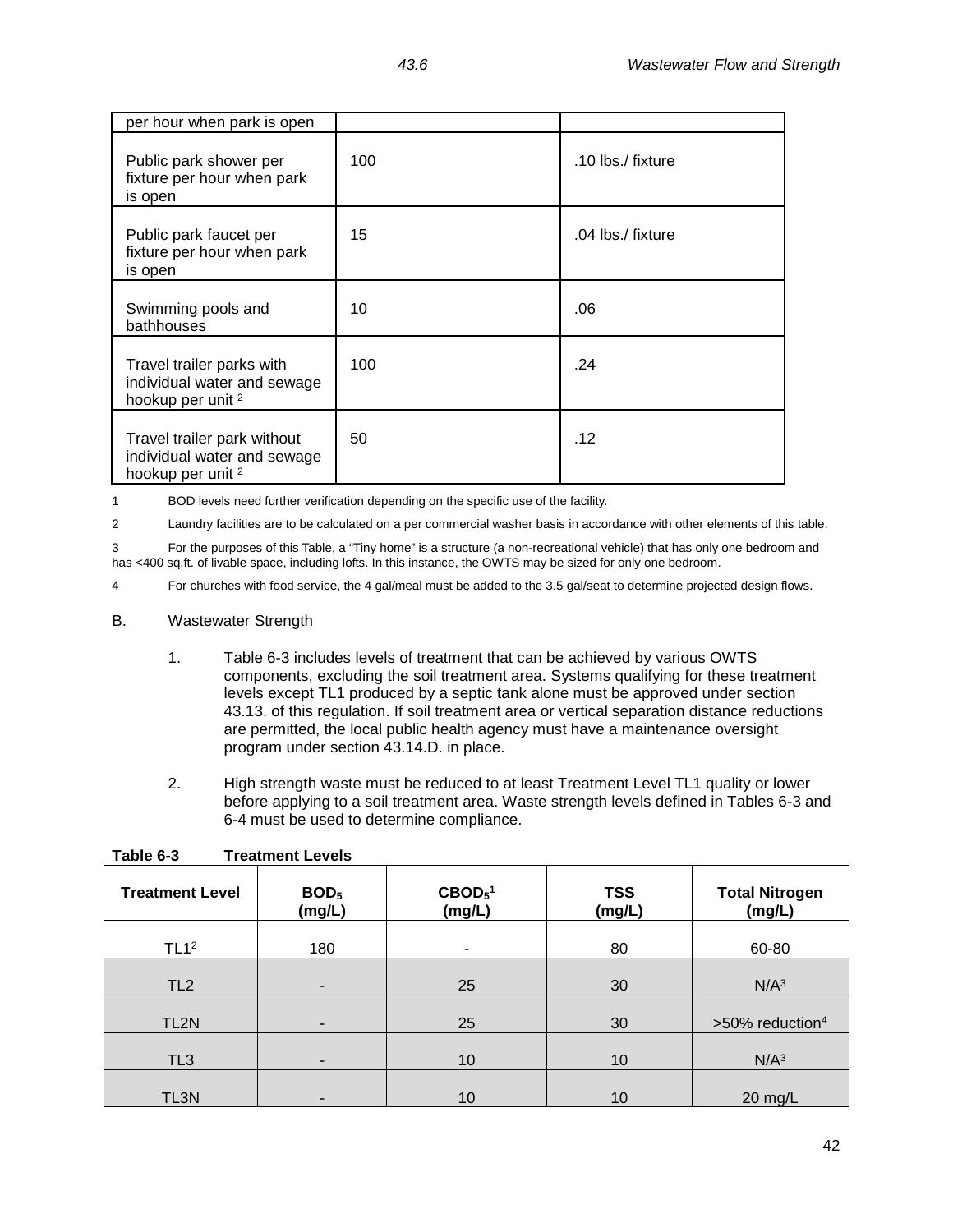| per hour when park is open                                                                 |     |                   |
|--------------------------------------------------------------------------------------------|-----|-------------------|
| Public park shower per<br>fixture per hour when park<br>is open                            | 100 | .10 lbs./ fixture |
| Public park faucet per<br>fixture per hour when park<br>is open                            | 15  | .04 lbs./ fixture |
| Swimming pools and<br>bathhouses                                                           | 10  | .06               |
| Travel trailer parks with<br>individual water and sewage<br>hookup per unit <sup>2</sup>   | 100 | .24               |
| Travel trailer park without<br>individual water and sewage<br>hookup per unit <sup>2</sup> | 50  | .12               |

1 BOD levels need further verification depending on the specific use of the facility.

2 Laundry facilities are to be calculated on a per commercial washer basis in accordance with other elements of this table.

3 For the purposes of this Table, a "Tiny home" is a structure (a non-recreational vehicle) that has only one bedroom and has <400 sq.ft. of livable space, including lofts. In this instance, the OWTS may be sized for only one bedroom.

4 For churches with food service, the 4 gal/meal must be added to the 3.5 gal/seat to determine projected design flows.

- B. Wastewater Strength
	- 1. Table 6-3 includes levels of treatment that can be achieved by various OWTS components, excluding the soil treatment area. Systems qualifying for these treatment levels except TL1 produced by a septic tank alone must be approved under section 43.13. of this regulation. If soil treatment area or vertical separation distance reductions are permitted, the local public health agency must have a maintenance oversight program under section 43.14.D. in place.
	- 2. High strength waste must be reduced to at least Treatment Level TL1 quality or lower before applying to a soil treatment area. Waste strength levels defined in Tables 6-3 and 6-4 must be used to determine compliance.

| <b>Treatment Level</b> | BOD <sub>5</sub><br>(mg/L) | $\text{CBOD}_5^1$<br>(mg/L) | <b>TSS</b><br>(mg/L) | <b>Total Nitrogen</b><br>(mg/L) |
|------------------------|----------------------------|-----------------------------|----------------------|---------------------------------|
| TL1 <sup>2</sup>       | 180                        | ٠                           | 80                   | 60-80                           |
| TL <sub>2</sub>        |                            |                             | 30                   | N/A <sup>3</sup>                |
| TL2N                   |                            | 25                          | 30                   | >50% reduction <sup>4</sup>     |
| TL <sub>3</sub>        |                            | 10                          | 10                   | N/A <sup>3</sup>                |
| TL3N                   |                            | 10                          | 10                   | $20$ mg/L                       |

**Table 6-3 Treatment Levels**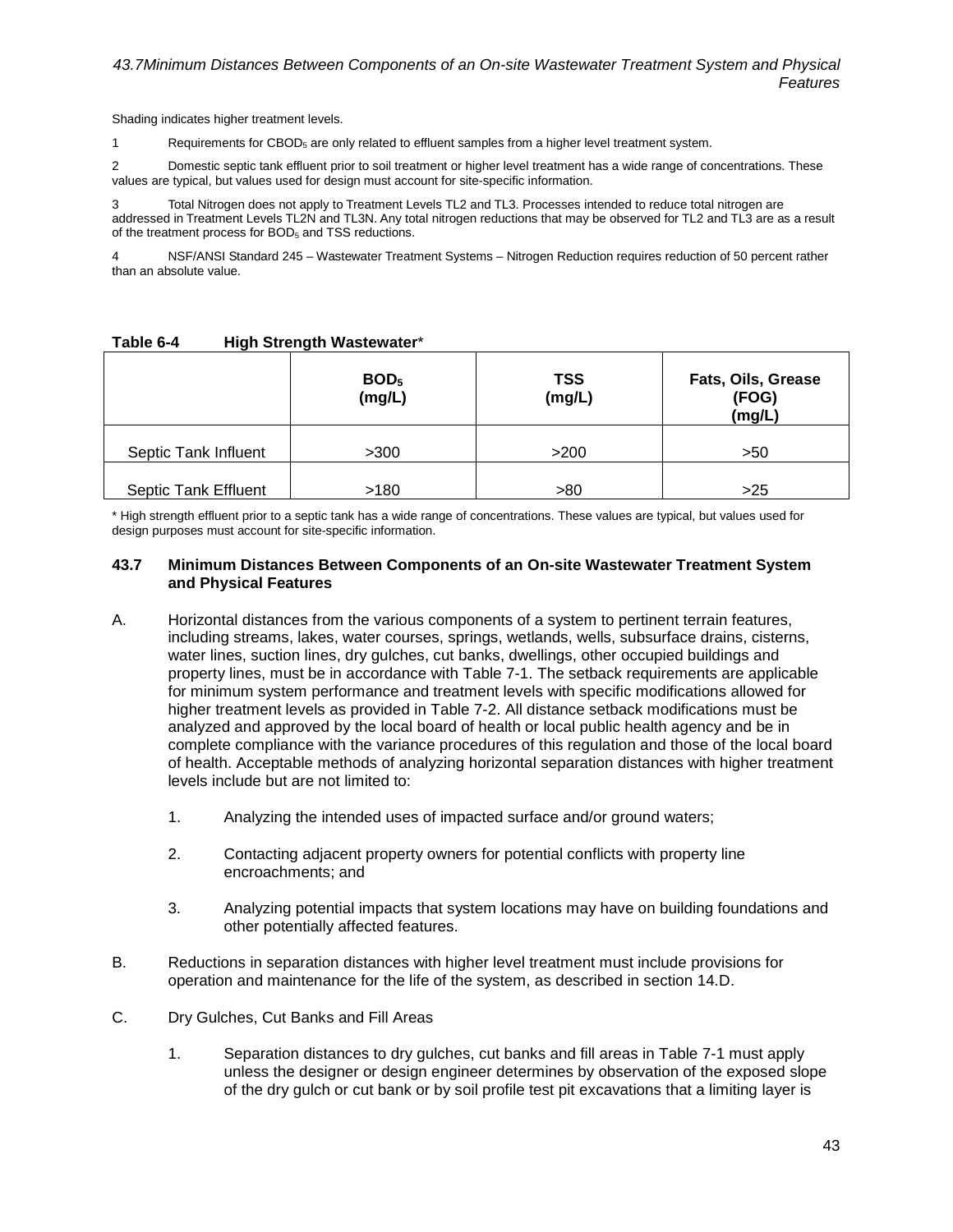Shading indicates higher treatment levels.

1 Requirements for  $CBOD<sub>5</sub>$  are only related to effluent samples from a higher level treatment system.

2 Domestic septic tank effluent prior to soil treatment or higher level treatment has a wide range of concentrations. These values are typical, but values used for design must account for site-specific information.

3 Total Nitrogen does not apply to Treatment Levels TL2 and TL3. Processes intended to reduce total nitrogen are addressed in Treatment Levels TL2N and TL3N. Any total nitrogen reductions that may be observed for TL2 and TL3 are as a result of the treatment process for BOD<sub>5</sub> and TSS reductions.

NSF/ANSI Standard 245 – Wastewater Treatment Systems – Nitrogen Reduction requires reduction of 50 percent rather than an absolute value.

|                             | BOD <sub>5</sub><br>(mg/L) | <b>TSS</b><br>(mg/L) | Fats, Oils, Grease<br>(FOG)<br>(mg/L) |
|-----------------------------|----------------------------|----------------------|---------------------------------------|
| Septic Tank Influent        | >300                       | >200                 | >50                                   |
| <b>Septic Tank Effluent</b> | >180                       | >80                  | >25                                   |

## **Table 6-4 High Strength Wastewater**\*

\* High strength effluent prior to a septic tank has a wide range of concentrations. These values are typical, but values used for design purposes must account for site-specific information.

### **43.7 Minimum Distances Between Components of an On-site Wastewater Treatment System and Physical Features**

- A. Horizontal distances from the various components of a system to pertinent terrain features, including streams, lakes, water courses, springs, wetlands, wells, subsurface drains, cisterns, water lines, suction lines, dry gulches, cut banks, dwellings, other occupied buildings and property lines, must be in accordance with Table 7-1. The setback requirements are applicable for minimum system performance and treatment levels with specific modifications allowed for higher treatment levels as provided in Table 7-2. All distance setback modifications must be analyzed and approved by the local board of health or local public health agency and be in complete compliance with the variance procedures of this regulation and those of the local board of health. Acceptable methods of analyzing horizontal separation distances with higher treatment levels include but are not limited to:
	- 1. Analyzing the intended uses of impacted surface and/or ground waters;
	- 2. Contacting adjacent property owners for potential conflicts with property line encroachments; and
	- 3. Analyzing potential impacts that system locations may have on building foundations and other potentially affected features.
- B. Reductions in separation distances with higher level treatment must include provisions for operation and maintenance for the life of the system, as described in section 14.D.
- C. Dry Gulches, Cut Banks and Fill Areas
	- 1. Separation distances to dry gulches, cut banks and fill areas in Table 7-1 must apply unless the designer or design engineer determines by observation of the exposed slope of the dry gulch or cut bank or by soil profile test pit excavations that a limiting layer is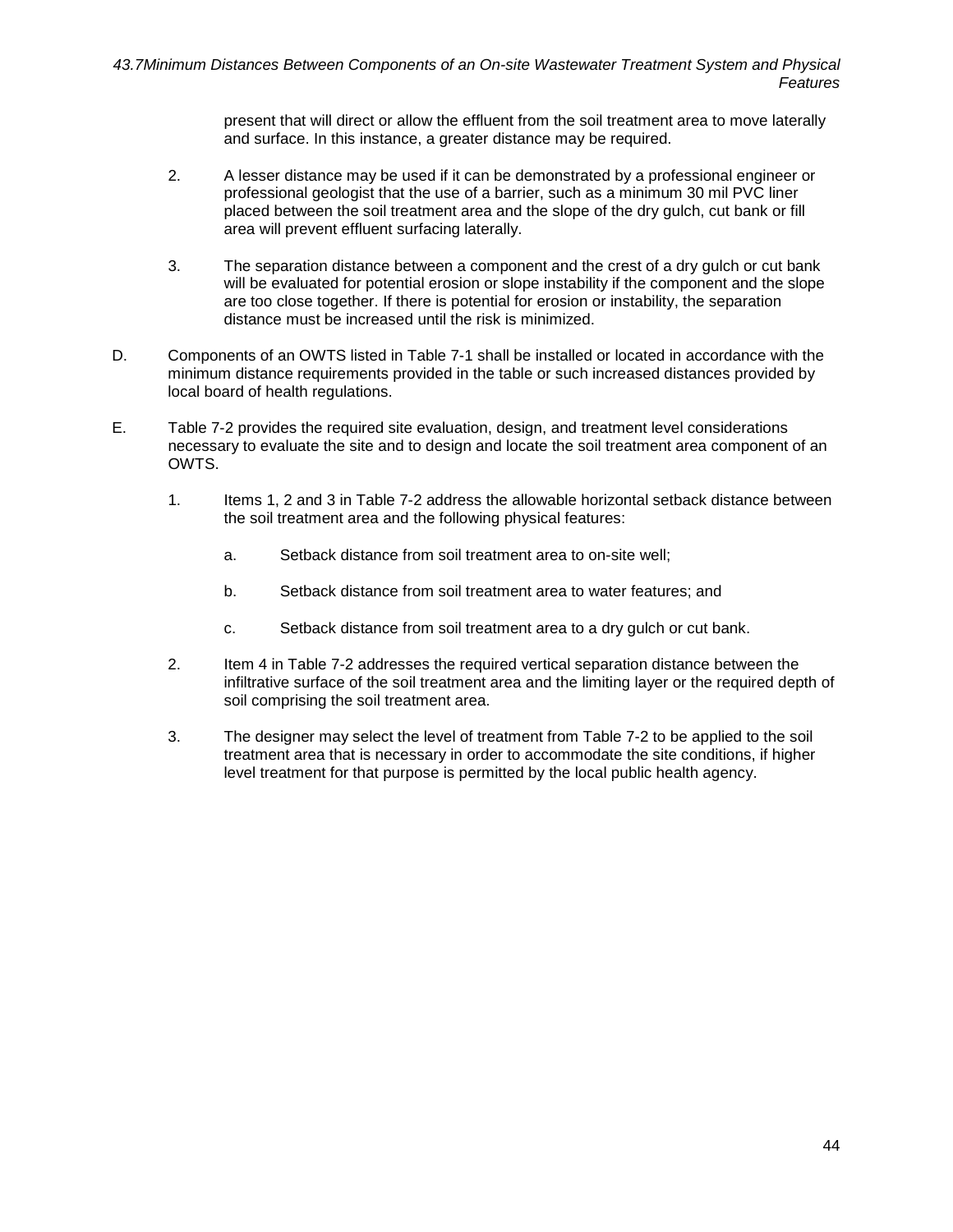present that will direct or allow the effluent from the soil treatment area to move laterally and surface. In this instance, a greater distance may be required.

- 2. A lesser distance may be used if it can be demonstrated by a professional engineer or professional geologist that the use of a barrier, such as a minimum 30 mil PVC liner placed between the soil treatment area and the slope of the dry gulch, cut bank or fill area will prevent effluent surfacing laterally.
- 3. The separation distance between a component and the crest of a dry gulch or cut bank will be evaluated for potential erosion or slope instability if the component and the slope are too close together. If there is potential for erosion or instability, the separation distance must be increased until the risk is minimized.
- D. Components of an OWTS listed in Table 7-1 shall be installed or located in accordance with the minimum distance requirements provided in the table or such increased distances provided by local board of health regulations.
- E. Table 7-2 provides the required site evaluation, design, and treatment level considerations necessary to evaluate the site and to design and locate the soil treatment area component of an OWTS.
	- 1. Items 1, 2 and 3 in Table 7-2 address the allowable horizontal setback distance between the soil treatment area and the following physical features:
		- a. Setback distance from soil treatment area to on-site well;
		- b. Setback distance from soil treatment area to water features; and
		- c. Setback distance from soil treatment area to a dry gulch or cut bank.
	- 2. Item 4 in Table 7-2 addresses the required vertical separation distance between the infiltrative surface of the soil treatment area and the limiting layer or the required depth of soil comprising the soil treatment area.
	- 3. The designer may select the level of treatment from Table 7-2 to be applied to the soil treatment area that is necessary in order to accommodate the site conditions, if higher level treatment for that purpose is permitted by the local public health agency.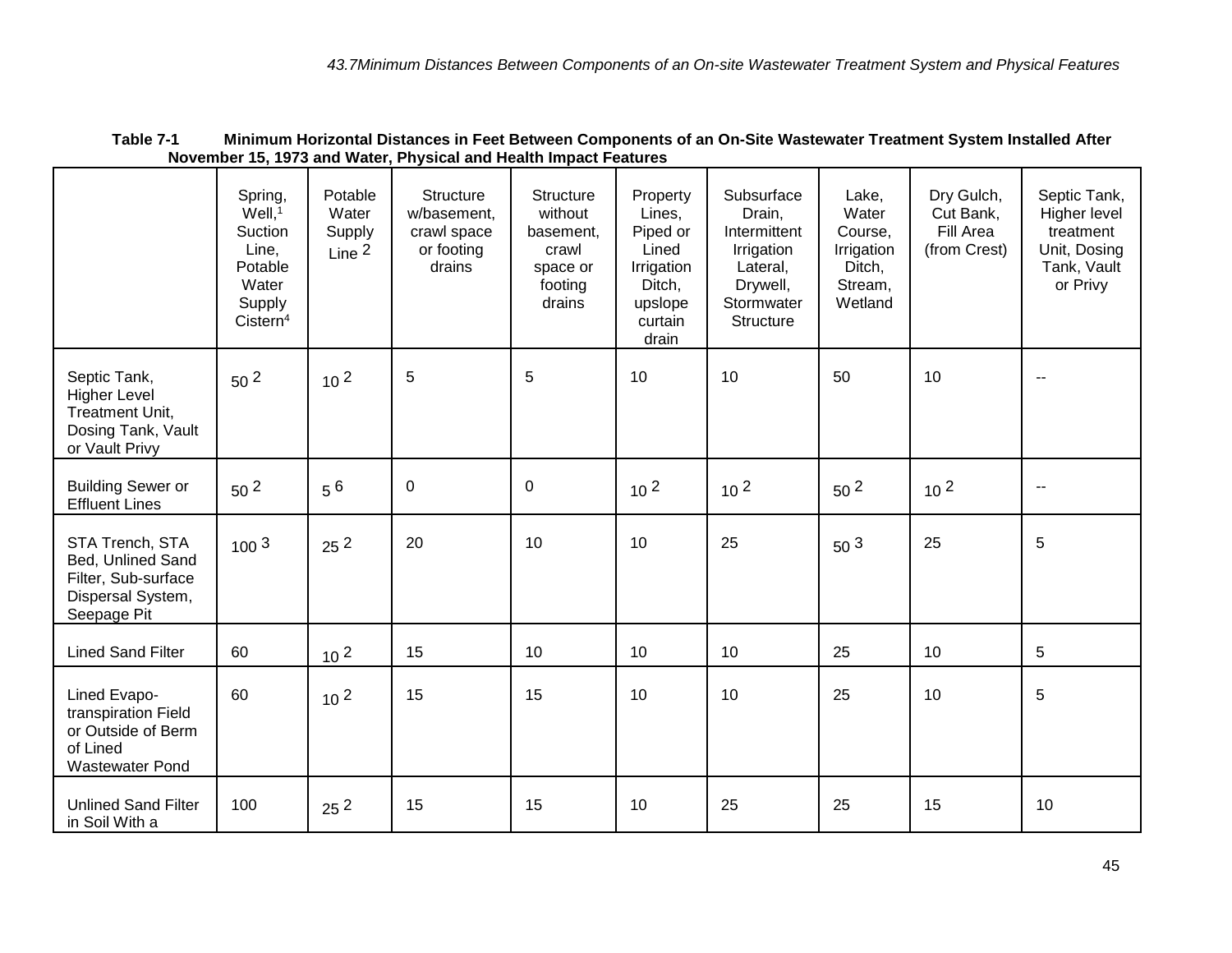|                                                                                                 | Spring,<br>$Well,$ <sup>1</sup><br>Suction<br>Line,<br>Potable<br>Water<br>Supply<br>Cistern <sup>4</sup> | Potable<br>Water<br>Supply<br>Line $2$ | <b>Structure</b><br>w/basement,<br>crawl space<br>or footing<br>drains | <b>Structure</b><br>without<br>basement,<br>crawl<br>space or<br>footing<br>drains | Property<br>Lines,<br>Piped or<br>Lined<br>Irrigation<br>Ditch,<br>upslope<br>curtain<br>drain | Subsurface<br>Drain,<br>Intermittent<br>Irrigation<br>Lateral,<br>Drywell,<br>Stormwater<br>Structure | Lake,<br>Water<br>Course,<br>Irrigation<br>Ditch,<br>Stream,<br>Wetland | Dry Gulch,<br>Cut Bank,<br>Fill Area<br>(from Crest) | Septic Tank,<br>Higher level<br>treatment<br>Unit, Dosing<br>Tank, Vault<br>or Privy |
|-------------------------------------------------------------------------------------------------|-----------------------------------------------------------------------------------------------------------|----------------------------------------|------------------------------------------------------------------------|------------------------------------------------------------------------------------|------------------------------------------------------------------------------------------------|-------------------------------------------------------------------------------------------------------|-------------------------------------------------------------------------|------------------------------------------------------|--------------------------------------------------------------------------------------|
| Septic Tank,<br><b>Higher Level</b><br>Treatment Unit,<br>Dosing Tank, Vault<br>or Vault Privy  | 50 <sup>2</sup>                                                                                           | 10 <sup>2</sup>                        | $\sqrt{5}$                                                             | 5                                                                                  | 10                                                                                             | 10                                                                                                    | 50                                                                      | 10                                                   |                                                                                      |
| <b>Building Sewer or</b><br><b>Effluent Lines</b>                                               | 50 <sup>2</sup>                                                                                           | $5^6$                                  | $\pmb{0}$                                                              | $\boldsymbol{0}$                                                                   | 10 <sup>2</sup>                                                                                | $10^{2}$                                                                                              | 50 <sup>2</sup>                                                         | 10 <sup>2</sup>                                      | $\sim$ $\sim$                                                                        |
| STA Trench, STA<br>Bed, Unlined Sand<br>Filter, Sub-surface<br>Dispersal System,<br>Seepage Pit | 100 <sup>3</sup>                                                                                          | 25 <sup>2</sup>                        | 20                                                                     | 10                                                                                 | 10                                                                                             | 25                                                                                                    | 50 <sup>3</sup>                                                         | 25                                                   | 5                                                                                    |
| <b>Lined Sand Filter</b>                                                                        | 60                                                                                                        | 10 <sup>2</sup>                        | 15                                                                     | 10                                                                                 | 10                                                                                             | 10                                                                                                    | 25                                                                      | 10                                                   | 5                                                                                    |
| Lined Evapo-<br>transpiration Field<br>or Outside of Berm<br>of Lined<br>Wastewater Pond        | 60                                                                                                        | 10 <sup>2</sup>                        | 15                                                                     | 15                                                                                 | 10                                                                                             | 10                                                                                                    | 25                                                                      | 10                                                   | 5                                                                                    |
| <b>Unlined Sand Filter</b><br>in Soil With a                                                    | 100                                                                                                       | 25 <sup>2</sup>                        | 15                                                                     | 15                                                                                 | 10                                                                                             | 25                                                                                                    | 25                                                                      | 15                                                   | 10                                                                                   |

## **Table 7-1 Minimum Horizontal Distances in Feet Between Components of an On-Site Wastewater Treatment System Installed After November 15, 1973 and Water, Physical and Health Impact Features**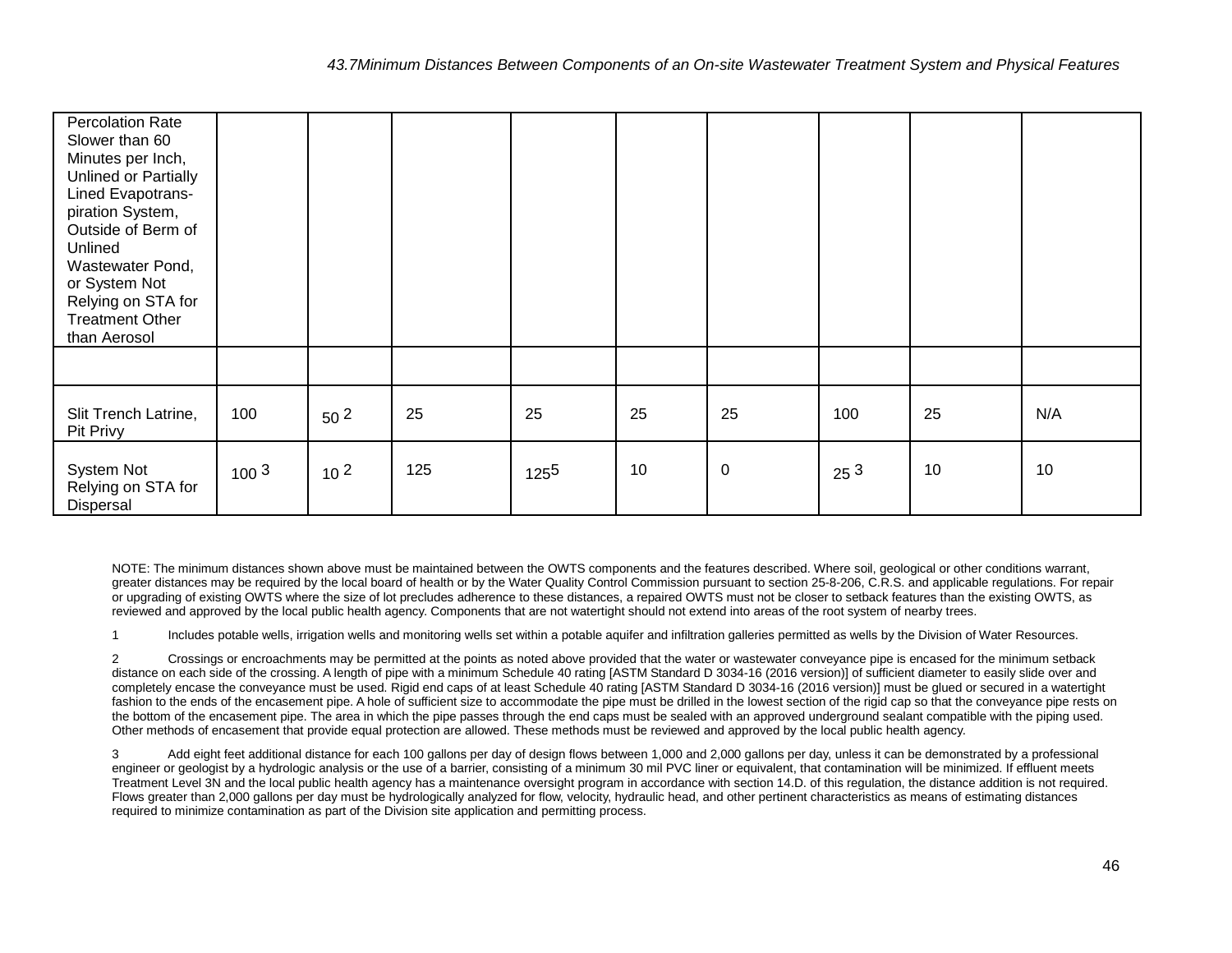| <b>Percolation Rate</b><br>Slower than 60<br>Minutes per Inch,<br>Unlined or Partially<br>Lined Evapotrans-<br>piration System,<br>Outside of Berm of<br>Unlined<br>Wastewater Pond,<br>or System Not<br>Relying on STA for<br><b>Treatment Other</b><br>than Aerosol |                  |                 |     |           |    |           |                 |    |     |
|-----------------------------------------------------------------------------------------------------------------------------------------------------------------------------------------------------------------------------------------------------------------------|------------------|-----------------|-----|-----------|----|-----------|-----------------|----|-----|
|                                                                                                                                                                                                                                                                       |                  |                 |     |           |    |           |                 |    |     |
| Slit Trench Latrine,<br>Pit Privy                                                                                                                                                                                                                                     | 100              | 50 <sup>2</sup> | 25  | 25        | 25 | 25        | 100             | 25 | N/A |
| System Not<br>Relying on STA for<br>Dispersal                                                                                                                                                                                                                         | 100 <sup>3</sup> | 10 <sup>2</sup> | 125 | $125^{5}$ | 10 | $\pmb{0}$ | 25 <sup>3</sup> | 10 | 10  |

NOTE: The minimum distances shown above must be maintained between the OWTS components and the features described. Where soil, geological or other conditions warrant, greater distances may be required by the local board of health or by the Water Quality Control Commission pursuant to section 25-8-206, C.R.S. and applicable regulations. For repair or upgrading of existing OWTS where the size of lot precludes adherence to these distances, a repaired OWTS must not be closer to setback features than the existing OWTS, as reviewed and approved by the local public health agency. Components that are not watertight should not extend into areas of the root system of nearby trees.

1 Includes potable wells, irrigation wells and monitoring wells set within a potable aquifer and infiltration galleries permitted as wells by the Division of Water Resources.

2 Crossings or encroachments may be permitted at the points as noted above provided that the water or wastewater conveyance pipe is encased for the minimum setback distance on each side of the crossing. A length of pipe with a minimum Schedule 40 rating [ASTM Standard D 3034-16 (2016 version)] of sufficient diameter to easily slide over and completely encase the conveyance must be used. Rigid end caps of at least Schedule 40 rating [ASTM Standard D 3034-16 (2016 version)] must be glued or secured in a watertight fashion to the ends of the encasement pipe. A hole of sufficient size to accommodate the pipe must be drilled in the lowest section of the rigid cap so that the conveyance pipe rests on the bottom of the encasement pipe. The area in which the pipe passes through the end caps must be sealed with an approved underground sealant compatible with the piping used. Other methods of encasement that provide equal protection are allowed. These methods must be reviewed and approved by the local public health agency.

3 Add eight feet additional distance for each 100 gallons per day of design flows between 1,000 and 2,000 gallons per day, unless it can be demonstrated by a professional engineer or geologist by a hydrologic analysis or the use of a barrier, consisting of a minimum 30 mil PVC liner or equivalent, that contamination will be minimized. If effluent meets Treatment Level 3N and the local public health agency has a maintenance oversight program in accordance with section 14.D. of this regulation, the distance addition is not required. Flows greater than 2,000 gallons per day must be hydrologically analyzed for flow, velocity, hydraulic head, and other pertinent characteristics as means of estimating distances required to minimize contamination as part of the Division site application and permitting process.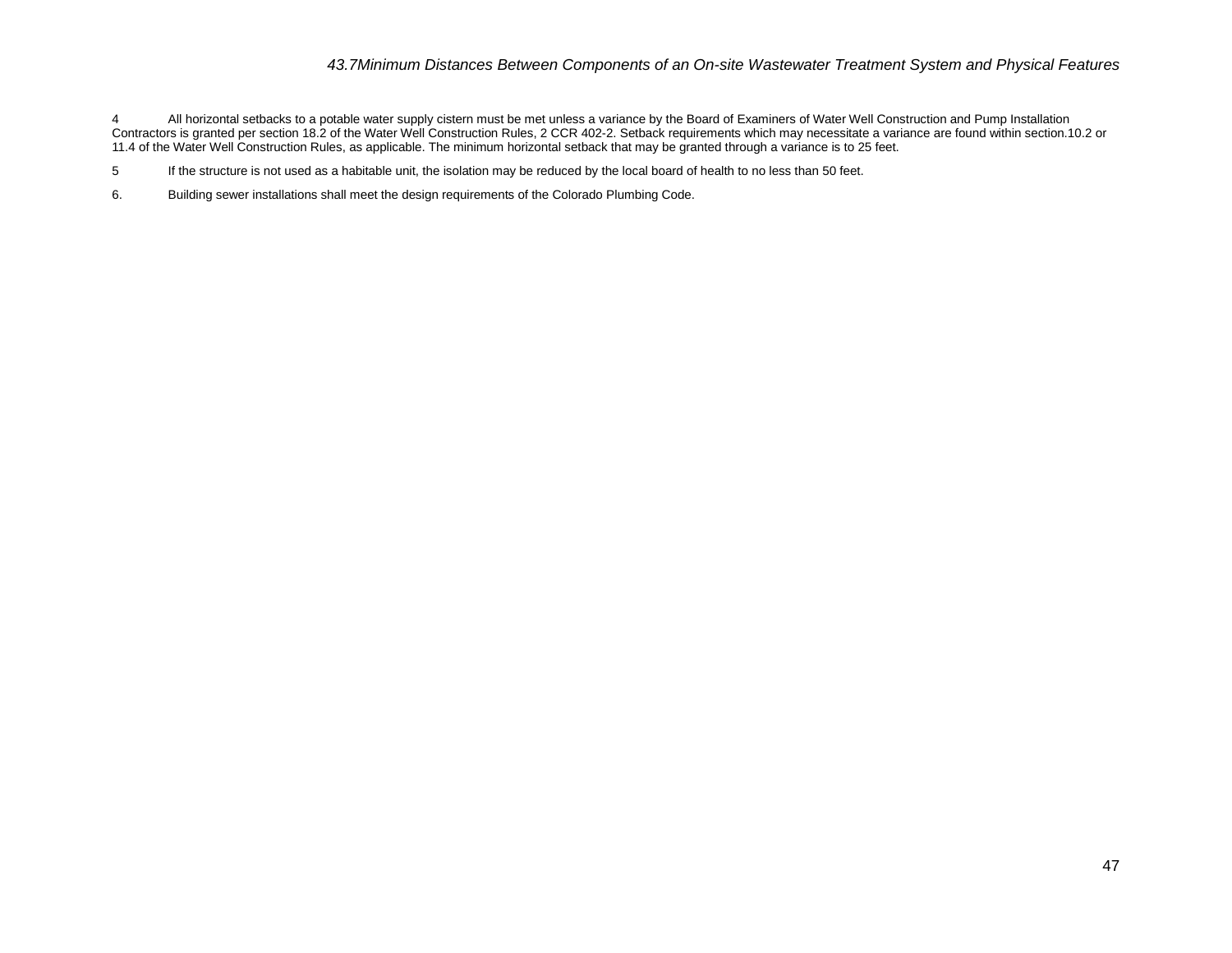### *43.7Minimum Distances Between Components of an On-site Wastewater Treatment System and Physical Features*

4 All horizontal setbacks to a potable water supply cistern must be met unless a variance by the Board of Examiners of Water Well Construction and Pump Installation Contractors is granted per section 18.2 of the Water Well Construction Rules, 2 CCR 402-2. Setback requirements which may necessitate a variance are found within section.10.2 or 11.4 of the Water Well Construction Rules, as applicable. The minimum horizontal setback that may be granted through a variance is to 25 feet.

5 If the structure is not used as a habitable unit, the isolation may be reduced by the local board of health to no less than 50 feet.

6. Building sewer installations shall meet the design requirements of the Colorado Plumbing Code.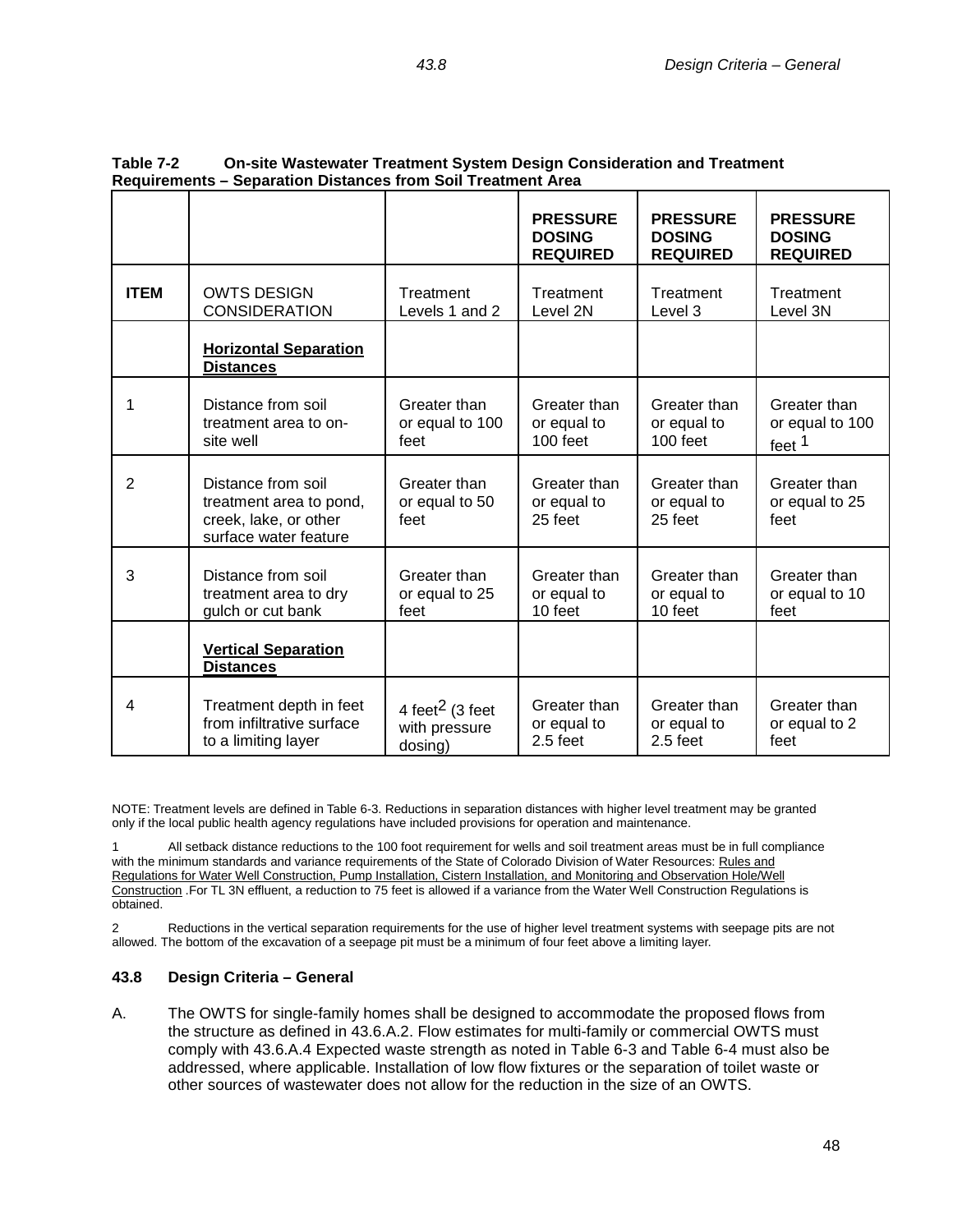|                |                                                                                                 |                                                         | <b>PRESSURE</b><br><b>DOSING</b><br><b>REQUIRED</b> | <b>PRESSURE</b><br><b>DOSING</b><br><b>REQUIRED</b> | <b>PRESSURE</b><br><b>DOSING</b><br><b>REQUIRED</b>  |
|----------------|-------------------------------------------------------------------------------------------------|---------------------------------------------------------|-----------------------------------------------------|-----------------------------------------------------|------------------------------------------------------|
| <b>ITEM</b>    | <b>OWTS DESIGN</b><br>Treatment<br><b>CONSIDERATION</b><br>Levels 1 and 2                       |                                                         | Treatment<br>Level 2N                               | Treatment<br>Level 3                                | Treatment<br>Level 3N                                |
|                | <b>Horizontal Separation</b><br><b>Distances</b>                                                |                                                         |                                                     |                                                     |                                                      |
| 1              | Distance from soil<br>treatment area to on-<br>site well                                        | Greater than<br>or equal to 100<br>feet                 | Greater than<br>or equal to<br>100 feet             | Greater than<br>or equal to<br>100 feet             | Greater than<br>or equal to 100<br>feet <sup>1</sup> |
| $\overline{2}$ | Distance from soil<br>treatment area to pond,<br>creek, lake, or other<br>surface water feature | Greater than<br>or equal to 50<br>feet                  | Greater than<br>or equal to<br>25 feet              | Greater than<br>or equal to<br>25 feet              | Greater than<br>or equal to 25<br>feet               |
| 3              | Distance from soil<br>treatment area to dry<br>gulch or cut bank                                | Greater than<br>or equal to 25<br>feet                  | Greater than<br>or equal to<br>10 feet              | Greater than<br>or equal to<br>10 feet              | Greater than<br>or equal to 10<br>feet               |
|                | <b>Vertical Separation</b><br><b>Distances</b>                                                  |                                                         |                                                     |                                                     |                                                      |
| 4              | Treatment depth in feet<br>from infiltrative surface<br>to a limiting layer                     | 4 feet <sup>2</sup> (3 feet<br>with pressure<br>dosing) | Greater than<br>or equal to<br>$2.5$ feet           | Greater than<br>or equal to<br>$2.5$ feet           | Greater than<br>or equal to 2<br>feet                |

## **Table 7-2 On-site Wastewater Treatment System Design Consideration and Treatment Requirements – Separation Distances from Soil Treatment Area**

NOTE: Treatment levels are defined in Table 6-3. Reductions in separation distances with higher level treatment may be granted only if the local public health agency regulations have included provisions for operation and maintenance.

1 All setback distance reductions to the 100 foot requirement for wells and soil treatment areas must be in full compliance with the minimum standards and variance requirements of the State of Colorado Division of Water Resources: Rules and Regulations for Water Well Construction, Pump Installation, Cistern Installation, and Monitoring and Observation Hole/Well Construction .For TL 3N effluent, a reduction to 75 feet is allowed if a variance from the Water Well Construction Regulations is obtained.

2 Reductions in the vertical separation requirements for the use of higher level treatment systems with seepage pits are not allowed. The bottom of the excavation of a seepage pit must be a minimum of four feet above a limiting layer.

## **43.8 Design Criteria – General**

A. The OWTS for single-family homes shall be designed to accommodate the proposed flows from the structure as defined in 43.6.A.2. Flow estimates for multi-family or commercial OWTS must comply with 43.6.A.4 Expected waste strength as noted in Table 6-3 and Table 6-4 must also be addressed, where applicable. Installation of low flow fixtures or the separation of toilet waste or other sources of wastewater does not allow for the reduction in the size of an OWTS.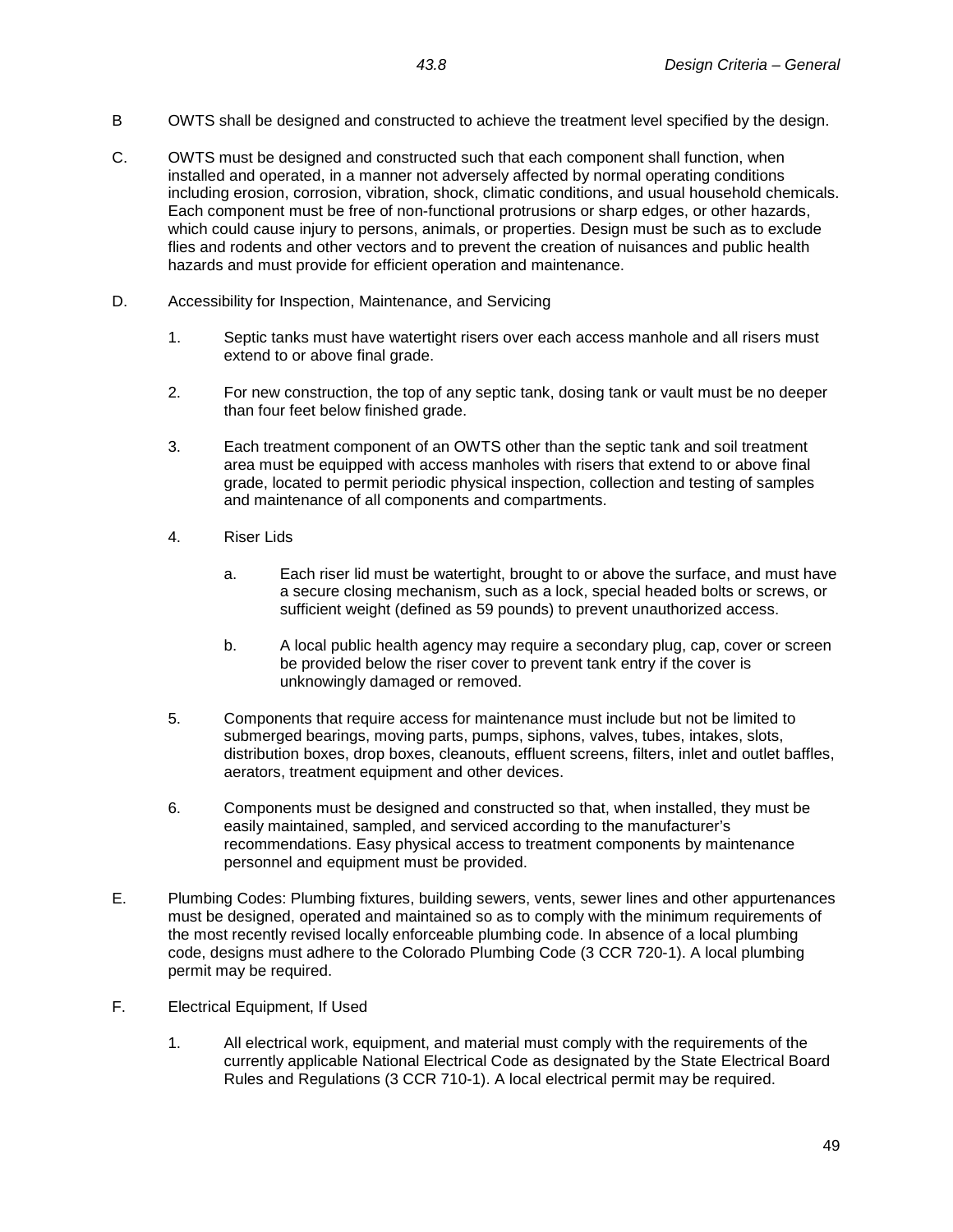- B OWTS shall be designed and constructed to achieve the treatment level specified by the design.
- C. OWTS must be designed and constructed such that each component shall function, when installed and operated, in a manner not adversely affected by normal operating conditions including erosion, corrosion, vibration, shock, climatic conditions, and usual household chemicals. Each component must be free of non-functional protrusions or sharp edges, or other hazards, which could cause injury to persons, animals, or properties. Design must be such as to exclude flies and rodents and other vectors and to prevent the creation of nuisances and public health hazards and must provide for efficient operation and maintenance.
- D. Accessibility for Inspection, Maintenance, and Servicing
	- 1. Septic tanks must have watertight risers over each access manhole and all risers must extend to or above final grade.
	- 2. For new construction, the top of any septic tank, dosing tank or vault must be no deeper than four feet below finished grade.
	- 3. Each treatment component of an OWTS other than the septic tank and soil treatment area must be equipped with access manholes with risers that extend to or above final grade, located to permit periodic physical inspection, collection and testing of samples and maintenance of all components and compartments.
	- 4. Riser Lids
		- a. Each riser lid must be watertight, brought to or above the surface, and must have a secure closing mechanism, such as a lock, special headed bolts or screws, or sufficient weight (defined as 59 pounds) to prevent unauthorized access.
		- b. A local public health agency may require a secondary plug, cap, cover or screen be provided below the riser cover to prevent tank entry if the cover is unknowingly damaged or removed.
	- 5. Components that require access for maintenance must include but not be limited to submerged bearings, moving parts, pumps, siphons, valves, tubes, intakes, slots, distribution boxes, drop boxes, cleanouts, effluent screens, filters, inlet and outlet baffles, aerators, treatment equipment and other devices.
	- 6. Components must be designed and constructed so that, when installed, they must be easily maintained, sampled, and serviced according to the manufacturer's recommendations. Easy physical access to treatment components by maintenance personnel and equipment must be provided.
- E. Plumbing Codes: Plumbing fixtures, building sewers, vents, sewer lines and other appurtenances must be designed, operated and maintained so as to comply with the minimum requirements of the most recently revised locally enforceable plumbing code. In absence of a local plumbing code, designs must adhere to the Colorado Plumbing Code (3 CCR 720-1). A local plumbing permit may be required.
- F. Electrical Equipment, If Used
	- 1. All electrical work, equipment, and material must comply with the requirements of the currently applicable National Electrical Code as designated by the State Electrical Board Rules and Regulations (3 CCR 710-1). A local electrical permit may be required.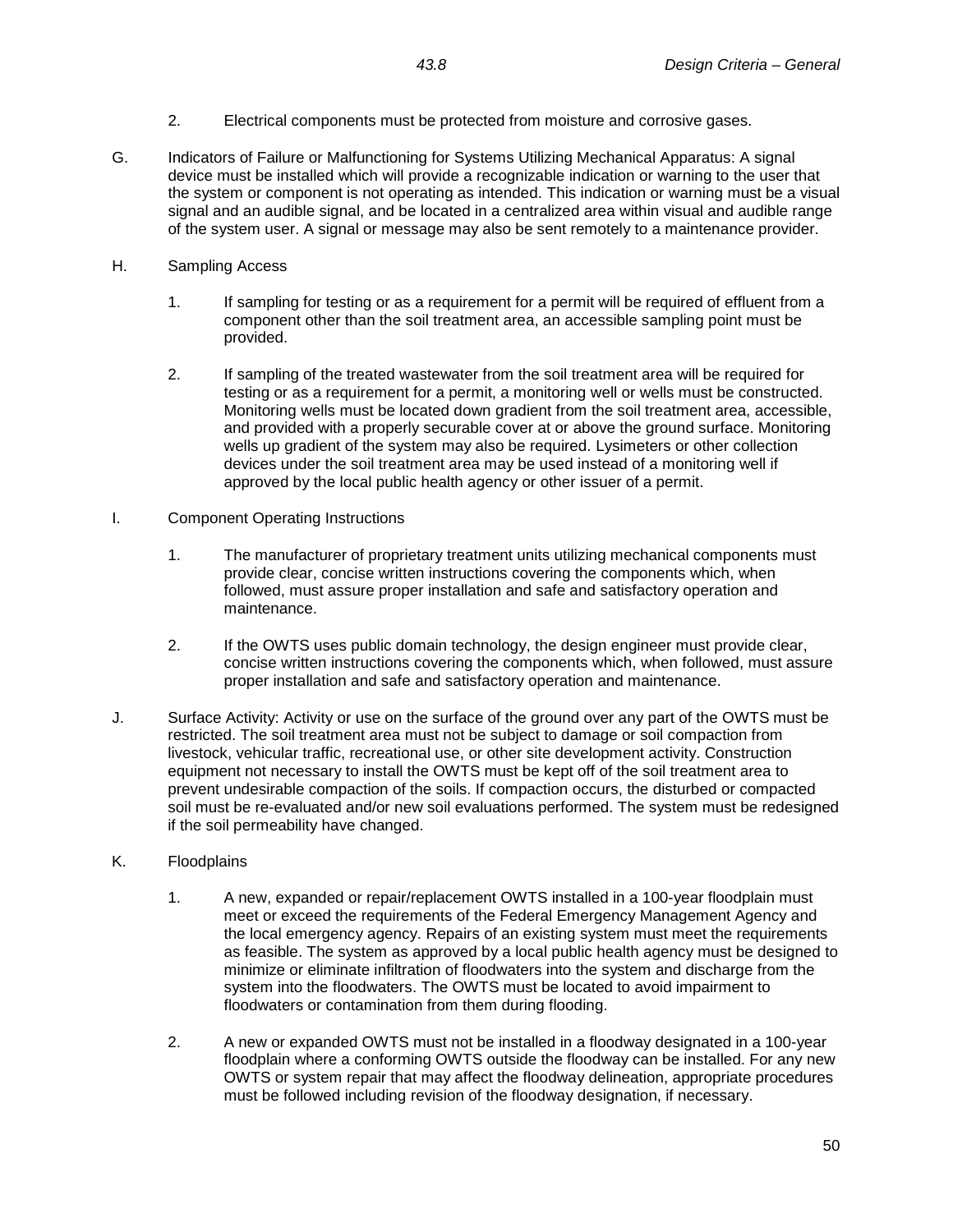- 2. Electrical components must be protected from moisture and corrosive gases.
- G. Indicators of Failure or Malfunctioning for Systems Utilizing Mechanical Apparatus: A signal device must be installed which will provide a recognizable indication or warning to the user that the system or component is not operating as intended. This indication or warning must be a visual signal and an audible signal, and be located in a centralized area within visual and audible range of the system user. A signal or message may also be sent remotely to a maintenance provider.
- H. Sampling Access
	- 1. If sampling for testing or as a requirement for a permit will be required of effluent from a component other than the soil treatment area, an accessible sampling point must be provided.
	- 2. If sampling of the treated wastewater from the soil treatment area will be required for testing or as a requirement for a permit, a monitoring well or wells must be constructed. Monitoring wells must be located down gradient from the soil treatment area, accessible, and provided with a properly securable cover at or above the ground surface. Monitoring wells up gradient of the system may also be required. Lysimeters or other collection devices under the soil treatment area may be used instead of a monitoring well if approved by the local public health agency or other issuer of a permit.
- I. Component Operating Instructions
	- 1. The manufacturer of proprietary treatment units utilizing mechanical components must provide clear, concise written instructions covering the components which, when followed, must assure proper installation and safe and satisfactory operation and maintenance.
	- 2. If the OWTS uses public domain technology, the design engineer must provide clear, concise written instructions covering the components which, when followed, must assure proper installation and safe and satisfactory operation and maintenance.
- J. Surface Activity: Activity or use on the surface of the ground over any part of the OWTS must be restricted. The soil treatment area must not be subject to damage or soil compaction from livestock, vehicular traffic, recreational use, or other site development activity. Construction equipment not necessary to install the OWTS must be kept off of the soil treatment area to prevent undesirable compaction of the soils. If compaction occurs, the disturbed or compacted soil must be re-evaluated and/or new soil evaluations performed. The system must be redesigned if the soil permeability have changed.
- K. Floodplains
	- 1. A new, expanded or repair/replacement OWTS installed in a 100-year floodplain must meet or exceed the requirements of the Federal Emergency Management Agency and the local emergency agency. Repairs of an existing system must meet the requirements as feasible. The system as approved by a local public health agency must be designed to minimize or eliminate infiltration of floodwaters into the system and discharge from the system into the floodwaters. The OWTS must be located to avoid impairment to floodwaters or contamination from them during flooding.
	- 2. A new or expanded OWTS must not be installed in a floodway designated in a 100-year floodplain where a conforming OWTS outside the floodway can be installed. For any new OWTS or system repair that may affect the floodway delineation, appropriate procedures must be followed including revision of the floodway designation, if necessary.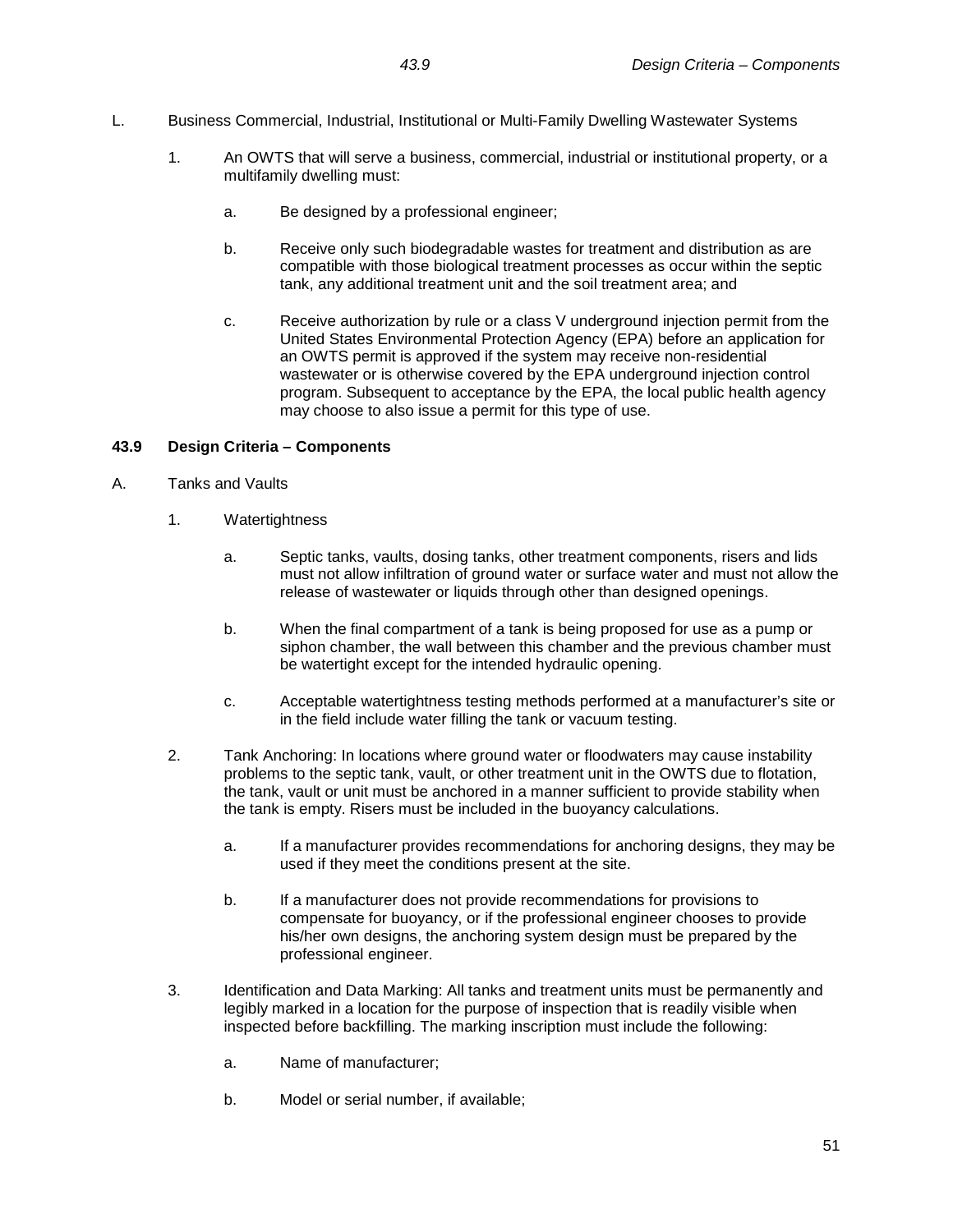- L. Business Commercial, Industrial, Institutional or Multi-Family Dwelling Wastewater Systems
	- 1. An OWTS that will serve a business, commercial, industrial or institutional property, or a multifamily dwelling must:
		- a. Be designed by a professional engineer;
		- b. Receive only such biodegradable wastes for treatment and distribution as are compatible with those biological treatment processes as occur within the septic tank, any additional treatment unit and the soil treatment area; and
		- c. Receive authorization by rule or a class V underground injection permit from the United States Environmental Protection Agency (EPA) before an application for an OWTS permit is approved if the system may receive non-residential wastewater or is otherwise covered by the EPA underground injection control program. Subsequent to acceptance by the EPA, the local public health agency may choose to also issue a permit for this type of use.

## **43.9 Design Criteria – Components**

- A. Tanks and Vaults
	- 1. Watertightness
		- a. Septic tanks, vaults, dosing tanks, other treatment components, risers and lids must not allow infiltration of ground water or surface water and must not allow the release of wastewater or liquids through other than designed openings.
		- b. When the final compartment of a tank is being proposed for use as a pump or siphon chamber, the wall between this chamber and the previous chamber must be watertight except for the intended hydraulic opening.
		- c. Acceptable watertightness testing methods performed at a manufacturer's site or in the field include water filling the tank or vacuum testing.
	- 2. Tank Anchoring: In locations where ground water or floodwaters may cause instability problems to the septic tank, vault, or other treatment unit in the OWTS due to flotation, the tank, vault or unit must be anchored in a manner sufficient to provide stability when the tank is empty. Risers must be included in the buoyancy calculations.
		- a. If a manufacturer provides recommendations for anchoring designs, they may be used if they meet the conditions present at the site.
		- b. If a manufacturer does not provide recommendations for provisions to compensate for buoyancy, or if the professional engineer chooses to provide his/her own designs, the anchoring system design must be prepared by the professional engineer.
	- 3. Identification and Data Marking: All tanks and treatment units must be permanently and legibly marked in a location for the purpose of inspection that is readily visible when inspected before backfilling. The marking inscription must include the following:
		- a. Name of manufacturer;
		- b. Model or serial number, if available;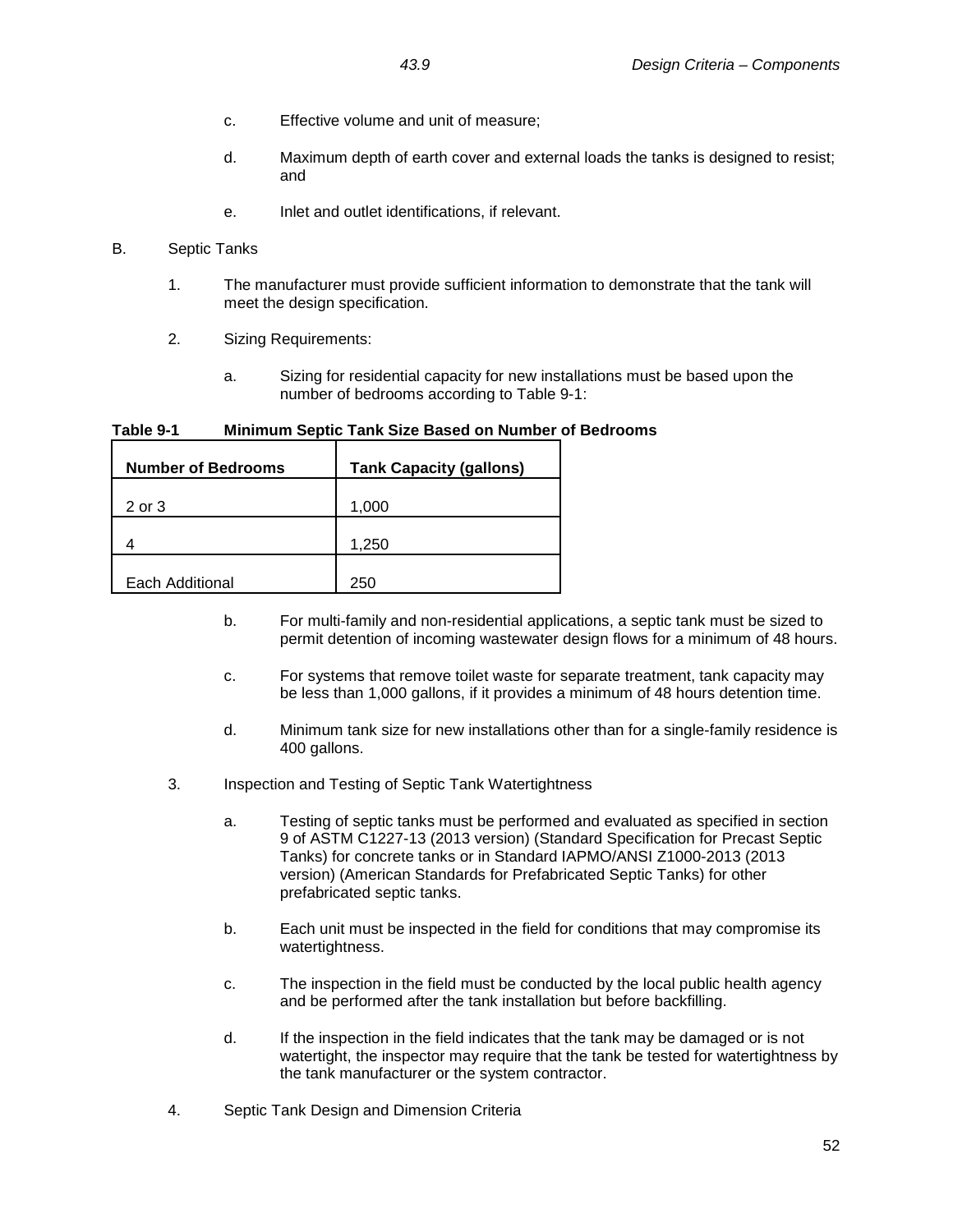- c. Effective volume and unit of measure;
- d. Maximum depth of earth cover and external loads the tanks is designed to resist; and
- e. Inlet and outlet identifications, if relevant.
- B. Septic Tanks
	- 1. The manufacturer must provide sufficient information to demonstrate that the tank will meet the design specification.
	- 2. Sizing Requirements:
		- a. Sizing for residential capacity for new installations must be based upon the number of bedrooms according to Table 9-1:

**Table 9-1 Minimum Septic Tank Size Based on Number of Bedrooms**

| <b>Number of Bedrooms</b> | <b>Tank Capacity (gallons)</b> |
|---------------------------|--------------------------------|
| 2 or 3                    | 1,000                          |
|                           | 1,250                          |
| Each Additional           | 250                            |

- b. For multi-family and non-residential applications, a septic tank must be sized to permit detention of incoming wastewater design flows for a minimum of 48 hours.
- c. For systems that remove toilet waste for separate treatment, tank capacity may be less than 1,000 gallons, if it provides a minimum of 48 hours detention time.
- d. Minimum tank size for new installations other than for a single-family residence is 400 gallons.
- 3. Inspection and Testing of Septic Tank Watertightness
	- a. Testing of septic tanks must be performed and evaluated as specified in section 9 of ASTM C1227-13 (2013 version) (Standard Specification for Precast Septic Tanks) for concrete tanks or in Standard IAPMO/ANSI Z1000-2013 (2013 version) (American Standards for Prefabricated Septic Tanks) for other prefabricated septic tanks.
	- b. Each unit must be inspected in the field for conditions that may compromise its watertightness.
	- c. The inspection in the field must be conducted by the local public health agency and be performed after the tank installation but before backfilling.
	- d. If the inspection in the field indicates that the tank may be damaged or is not watertight, the inspector may require that the tank be tested for watertightness by the tank manufacturer or the system contractor.
- 4. Septic Tank Design and Dimension Criteria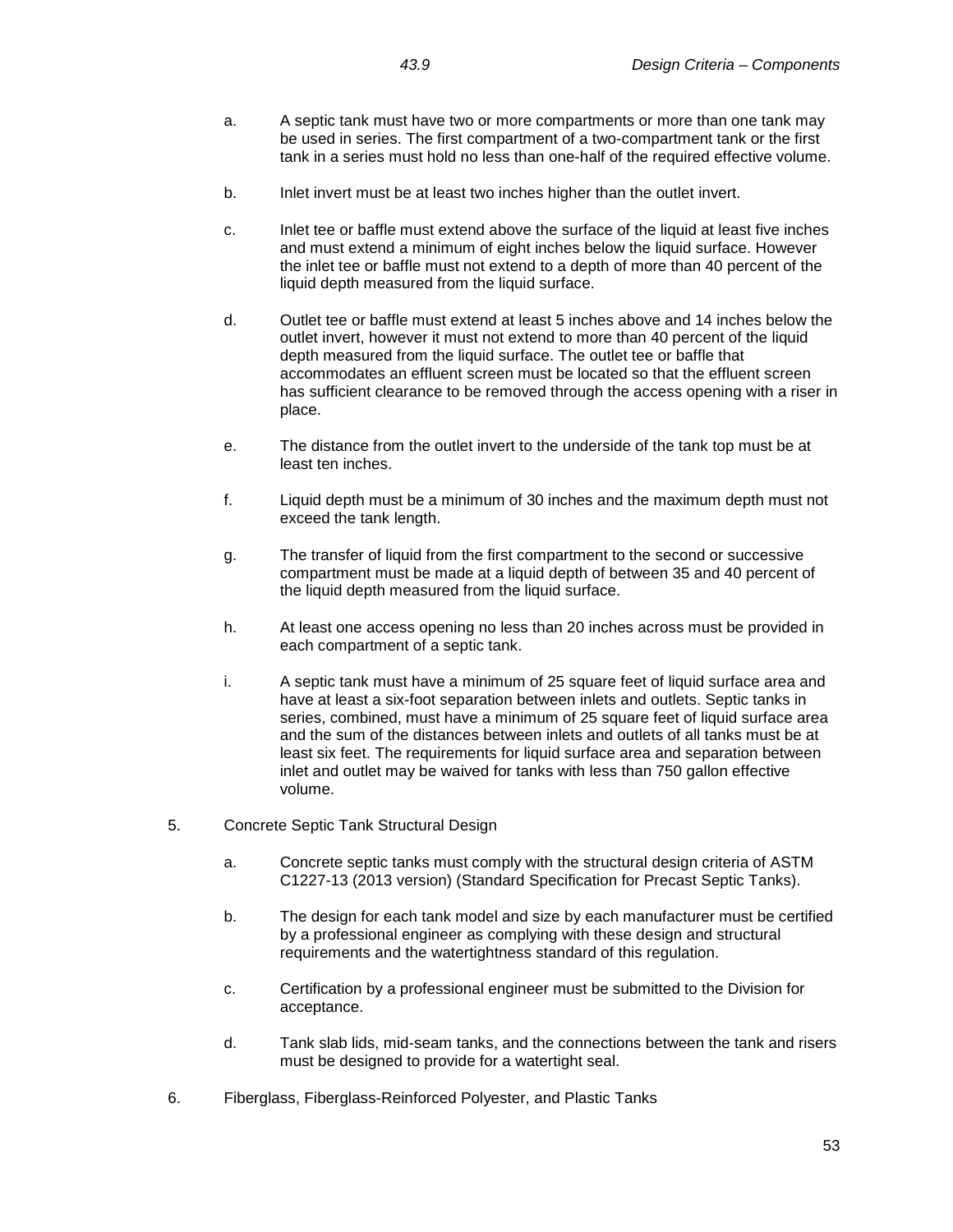- a. A septic tank must have two or more compartments or more than one tank may be used in series. The first compartment of a two-compartment tank or the first tank in a series must hold no less than one-half of the required effective volume.
- b. Inlet invert must be at least two inches higher than the outlet invert.
- c. Inlet tee or baffle must extend above the surface of the liquid at least five inches and must extend a minimum of eight inches below the liquid surface. However the inlet tee or baffle must not extend to a depth of more than 40 percent of the liquid depth measured from the liquid surface.
- d. Outlet tee or baffle must extend at least 5 inches above and 14 inches below the outlet invert, however it must not extend to more than 40 percent of the liquid depth measured from the liquid surface. The outlet tee or baffle that accommodates an effluent screen must be located so that the effluent screen has sufficient clearance to be removed through the access opening with a riser in place.
- e. The distance from the outlet invert to the underside of the tank top must be at least ten inches.
- f. Liquid depth must be a minimum of 30 inches and the maximum depth must not exceed the tank length.
- g. The transfer of liquid from the first compartment to the second or successive compartment must be made at a liquid depth of between 35 and 40 percent of the liquid depth measured from the liquid surface.
- h. At least one access opening no less than 20 inches across must be provided in each compartment of a septic tank.
- i. A septic tank must have a minimum of 25 square feet of liquid surface area and have at least a six-foot separation between inlets and outlets. Septic tanks in series, combined, must have a minimum of 25 square feet of liquid surface area and the sum of the distances between inlets and outlets of all tanks must be at least six feet. The requirements for liquid surface area and separation between inlet and outlet may be waived for tanks with less than 750 gallon effective volume.
- 5. Concrete Septic Tank Structural Design
	- a. Concrete septic tanks must comply with the structural design criteria of ASTM C1227-13 (2013 version) (Standard Specification for Precast Septic Tanks).
	- b. The design for each tank model and size by each manufacturer must be certified by a professional engineer as complying with these design and structural requirements and the watertightness standard of this regulation.
	- c. Certification by a professional engineer must be submitted to the Division for acceptance.
	- d. Tank slab lids, mid-seam tanks, and the connections between the tank and risers must be designed to provide for a watertight seal.
- 6. Fiberglass, Fiberglass-Reinforced Polyester, and Plastic Tanks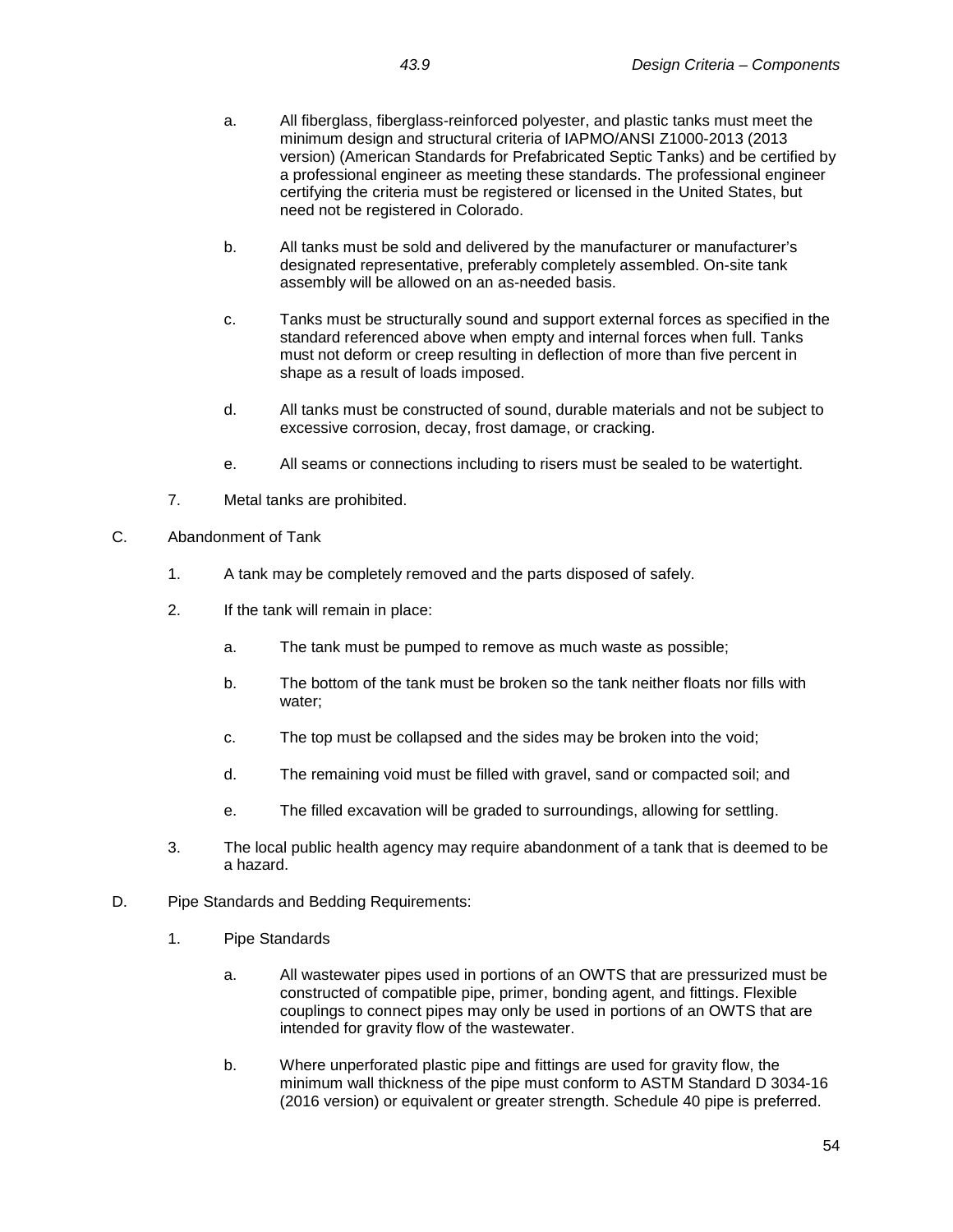- a. All fiberglass, fiberglass-reinforced polyester, and plastic tanks must meet the minimum design and structural criteria of IAPMO/ANSI Z1000-2013 (2013 version) (American Standards for Prefabricated Septic Tanks) and be certified by a professional engineer as meeting these standards. The professional engineer certifying the criteria must be registered or licensed in the United States, but need not be registered in Colorado.
- b. All tanks must be sold and delivered by the manufacturer or manufacturer's designated representative, preferably completely assembled. On-site tank assembly will be allowed on an as-needed basis.
- c. Tanks must be structurally sound and support external forces as specified in the standard referenced above when empty and internal forces when full. Tanks must not deform or creep resulting in deflection of more than five percent in shape as a result of loads imposed.
- d. All tanks must be constructed of sound, durable materials and not be subject to excessive corrosion, decay, frost damage, or cracking.
- e. All seams or connections including to risers must be sealed to be watertight.
- 7. Metal tanks are prohibited.
- C. Abandonment of Tank
	- 1. A tank may be completely removed and the parts disposed of safely.
	- 2. If the tank will remain in place:
		- a. The tank must be pumped to remove as much waste as possible;
		- b. The bottom of the tank must be broken so the tank neither floats nor fills with water;
		- c. The top must be collapsed and the sides may be broken into the void;
		- d. The remaining void must be filled with gravel, sand or compacted soil; and
		- e. The filled excavation will be graded to surroundings, allowing for settling.
	- 3. The local public health agency may require abandonment of a tank that is deemed to be a hazard.
- D. Pipe Standards and Bedding Requirements:
	- 1. Pipe Standards
		- a. All wastewater pipes used in portions of an OWTS that are pressurized must be constructed of compatible pipe, primer, bonding agent, and fittings. Flexible couplings to connect pipes may only be used in portions of an OWTS that are intended for gravity flow of the wastewater.
		- b. Where unperforated plastic pipe and fittings are used for gravity flow, the minimum wall thickness of the pipe must conform to ASTM Standard D 3034-16 (2016 version) or equivalent or greater strength. Schedule 40 pipe is preferred.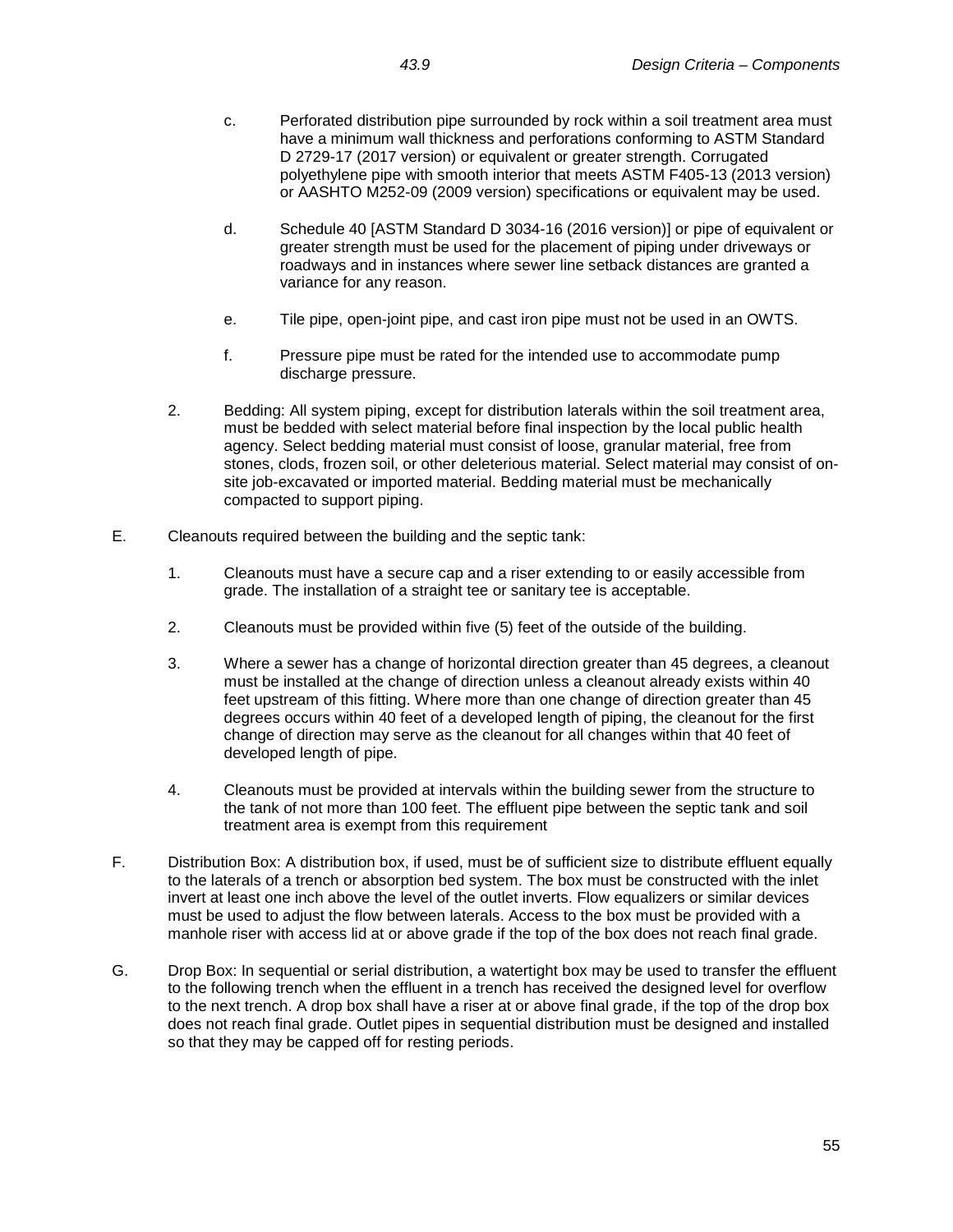- c. Perforated distribution pipe surrounded by rock within a soil treatment area must have a minimum wall thickness and perforations conforming to ASTM Standard D 2729-17 (2017 version) or equivalent or greater strength. Corrugated polyethylene pipe with smooth interior that meets ASTM F405-13 (2013 version) or AASHTO M252-09 (2009 version) specifications or equivalent may be used.
- d. Schedule 40 [ASTM Standard D 3034-16 (2016 version)] or pipe of equivalent or greater strength must be used for the placement of piping under driveways or roadways and in instances where sewer line setback distances are granted a variance for any reason.
- e. Tile pipe, open-joint pipe, and cast iron pipe must not be used in an OWTS.
- f. Pressure pipe must be rated for the intended use to accommodate pump discharge pressure.
- 2. Bedding: All system piping, except for distribution laterals within the soil treatment area, must be bedded with select material before final inspection by the local public health agency. Select bedding material must consist of loose, granular material, free from stones, clods, frozen soil, or other deleterious material. Select material may consist of onsite job-excavated or imported material. Bedding material must be mechanically compacted to support piping.
- E. Cleanouts required between the building and the septic tank:
	- 1. Cleanouts must have a secure cap and a riser extending to or easily accessible from grade. The installation of a straight tee or sanitary tee is acceptable.
	- 2. Cleanouts must be provided within five (5) feet of the outside of the building.
	- 3. Where a sewer has a change of horizontal direction greater than 45 degrees, a cleanout must be installed at the change of direction unless a cleanout already exists within 40 feet upstream of this fitting. Where more than one change of direction greater than 45 degrees occurs within 40 feet of a developed length of piping, the cleanout for the first change of direction may serve as the cleanout for all changes within that 40 feet of developed length of pipe.
	- 4. Cleanouts must be provided at intervals within the building sewer from the structure to the tank of not more than 100 feet. The effluent pipe between the septic tank and soil treatment area is exempt from this requirement
- F. Distribution Box: A distribution box, if used, must be of sufficient size to distribute effluent equally to the laterals of a trench or absorption bed system. The box must be constructed with the inlet invert at least one inch above the level of the outlet inverts. Flow equalizers or similar devices must be used to adjust the flow between laterals. Access to the box must be provided with a manhole riser with access lid at or above grade if the top of the box does not reach final grade.
- G. Drop Box: In sequential or serial distribution, a watertight box may be used to transfer the effluent to the following trench when the effluent in a trench has received the designed level for overflow to the next trench. A drop box shall have a riser at or above final grade, if the top of the drop box does not reach final grade. Outlet pipes in sequential distribution must be designed and installed so that they may be capped off for resting periods.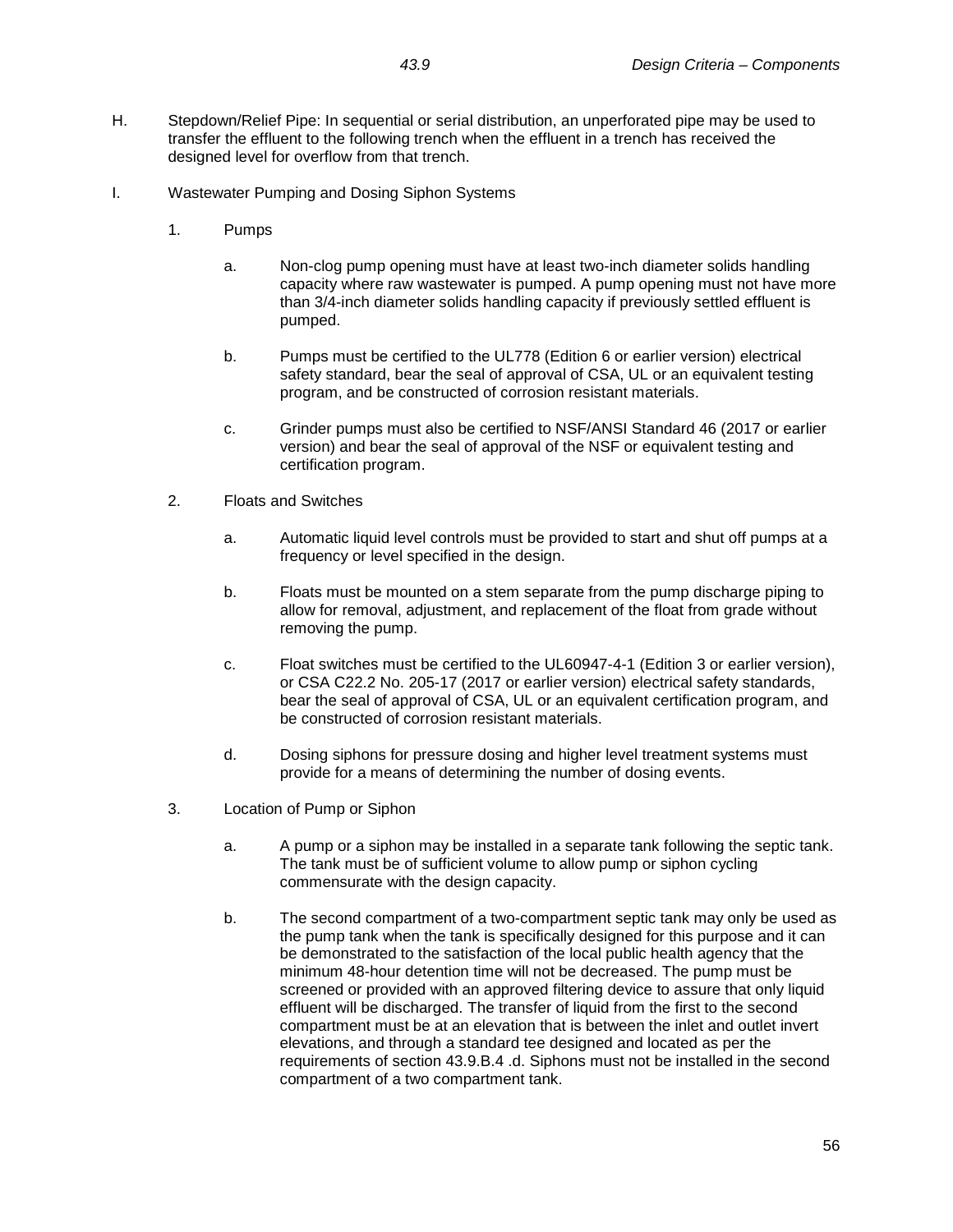- H. Stepdown/Relief Pipe: In sequential or serial distribution, an unperforated pipe may be used to transfer the effluent to the following trench when the effluent in a trench has received the designed level for overflow from that trench.
- I. Wastewater Pumping and Dosing Siphon Systems
	- 1. Pumps
		- a. Non-clog pump opening must have at least two-inch diameter solids handling capacity where raw wastewater is pumped. A pump opening must not have more than 3/4-inch diameter solids handling capacity if previously settled effluent is pumped.
		- b. Pumps must be certified to the UL778 (Edition 6 or earlier version) electrical safety standard, bear the seal of approval of CSA, UL or an equivalent testing program, and be constructed of corrosion resistant materials.
		- c. Grinder pumps must also be certified to NSF/ANSI Standard 46 (2017 or earlier version) and bear the seal of approval of the NSF or equivalent testing and certification program.
	- 2. Floats and Switches
		- a. Automatic liquid level controls must be provided to start and shut off pumps at a frequency or level specified in the design.
		- b. Floats must be mounted on a stem separate from the pump discharge piping to allow for removal, adjustment, and replacement of the float from grade without removing the pump.
		- c. Float switches must be certified to the UL60947-4-1 (Edition 3 or earlier version), or CSA C22.2 No. 205-17 (2017 or earlier version) electrical safety standards, bear the seal of approval of CSA, UL or an equivalent certification program, and be constructed of corrosion resistant materials.
		- d. Dosing siphons for pressure dosing and higher level treatment systems must provide for a means of determining the number of dosing events.
	- 3. Location of Pump or Siphon
		- a. A pump or a siphon may be installed in a separate tank following the septic tank. The tank must be of sufficient volume to allow pump or siphon cycling commensurate with the design capacity.
		- b. The second compartment of a two-compartment septic tank may only be used as the pump tank when the tank is specifically designed for this purpose and it can be demonstrated to the satisfaction of the local public health agency that the minimum 48-hour detention time will not be decreased. The pump must be screened or provided with an approved filtering device to assure that only liquid effluent will be discharged. The transfer of liquid from the first to the second compartment must be at an elevation that is between the inlet and outlet invert elevations, and through a standard tee designed and located as per the requirements of section 43.9.B.4 .d. Siphons must not be installed in the second compartment of a two compartment tank.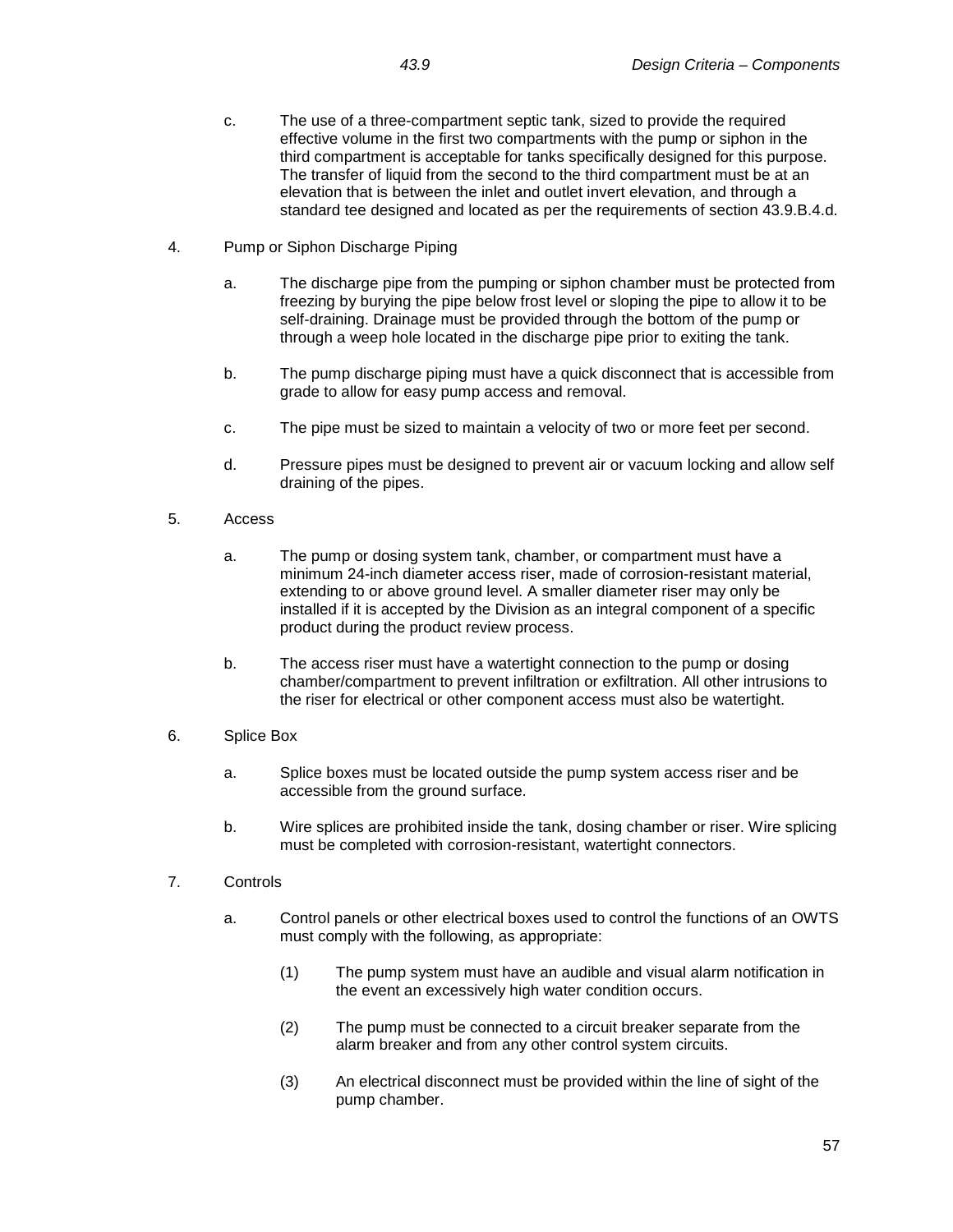- c. The use of a three-compartment septic tank, sized to provide the required effective volume in the first two compartments with the pump or siphon in the third compartment is acceptable for tanks specifically designed for this purpose. The transfer of liquid from the second to the third compartment must be at an elevation that is between the inlet and outlet invert elevation, and through a standard tee designed and located as per the requirements of section 43.9.B.4.d.
- 4. Pump or Siphon Discharge Piping
	- a. The discharge pipe from the pumping or siphon chamber must be protected from freezing by burying the pipe below frost level or sloping the pipe to allow it to be self-draining. Drainage must be provided through the bottom of the pump or through a weep hole located in the discharge pipe prior to exiting the tank.
	- b. The pump discharge piping must have a quick disconnect that is accessible from grade to allow for easy pump access and removal.
	- c. The pipe must be sized to maintain a velocity of two or more feet per second.
	- d. Pressure pipes must be designed to prevent air or vacuum locking and allow self draining of the pipes.
- 5. Access
	- a. The pump or dosing system tank, chamber, or compartment must have a minimum 24-inch diameter access riser, made of corrosion-resistant material, extending to or above ground level. A smaller diameter riser may only be installed if it is accepted by the Division as an integral component of a specific product during the product review process.
	- b. The access riser must have a watertight connection to the pump or dosing chamber/compartment to prevent infiltration or exfiltration. All other intrusions to the riser for electrical or other component access must also be watertight.
- 6. Splice Box
	- a. Splice boxes must be located outside the pump system access riser and be accessible from the ground surface.
	- b. Wire splices are prohibited inside the tank, dosing chamber or riser. Wire splicing must be completed with corrosion-resistant, watertight connectors.
- 7. Controls
	- a. Control panels or other electrical boxes used to control the functions of an OWTS must comply with the following, as appropriate:
		- (1) The pump system must have an audible and visual alarm notification in the event an excessively high water condition occurs.
		- (2) The pump must be connected to a circuit breaker separate from the alarm breaker and from any other control system circuits.
		- (3) An electrical disconnect must be provided within the line of sight of the pump chamber.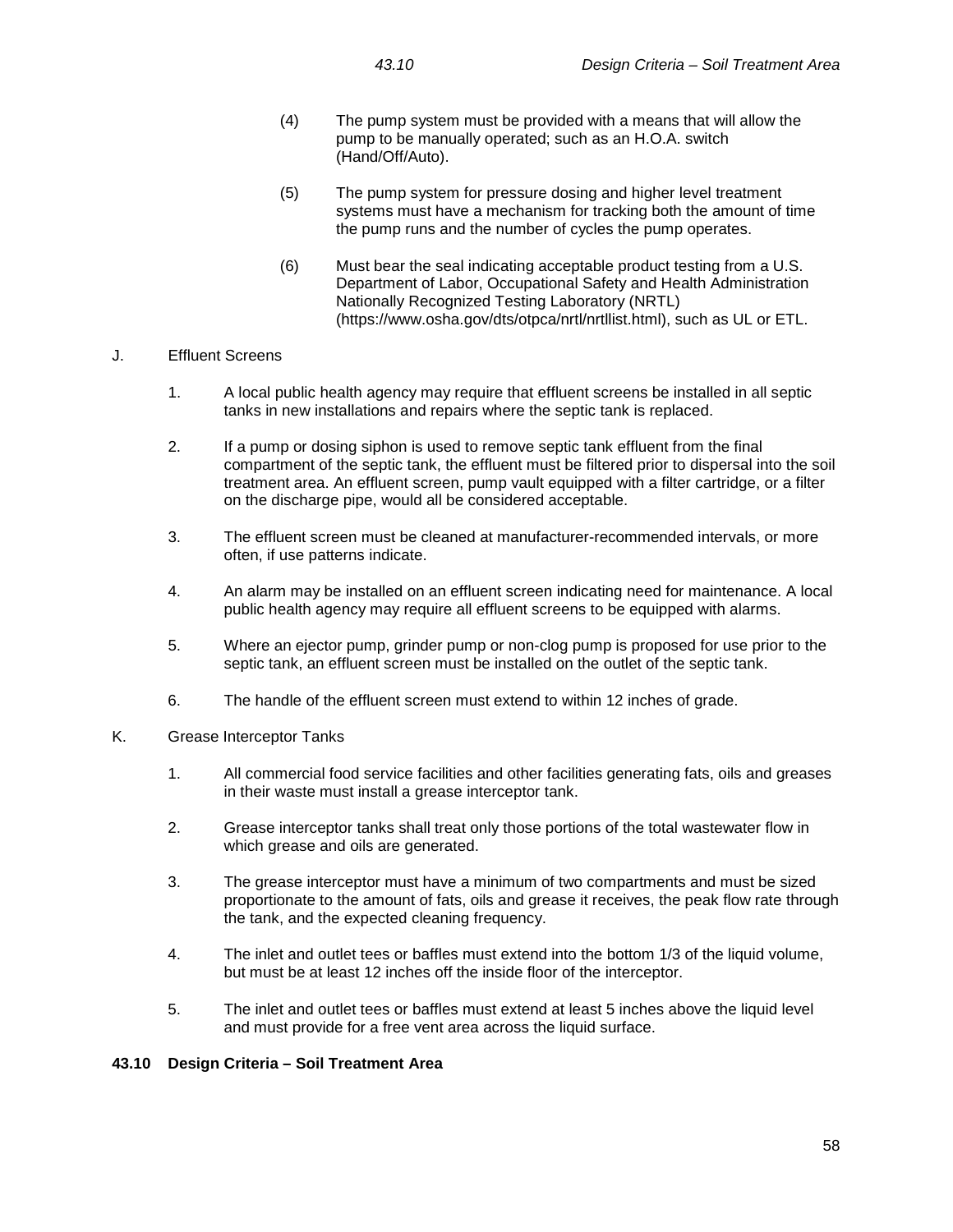- (4) The pump system must be provided with a means that will allow the pump to be manually operated; such as an H.O.A. switch (Hand/Off/Auto).
- (5) The pump system for pressure dosing and higher level treatment systems must have a mechanism for tracking both the amount of time the pump runs and the number of cycles the pump operates.
- (6) Must bear the seal indicating acceptable product testing from a U.S. Department of Labor, Occupational Safety and Health Administration Nationally Recognized Testing Laboratory (NRTL) (https://www.osha.gov/dts/otpca/nrtl/nrtllist.html), such as UL or ETL.

### J. Effluent Screens

- 1. A local public health agency may require that effluent screens be installed in all septic tanks in new installations and repairs where the septic tank is replaced.
- 2. If a pump or dosing siphon is used to remove septic tank effluent from the final compartment of the septic tank, the effluent must be filtered prior to dispersal into the soil treatment area. An effluent screen, pump vault equipped with a filter cartridge, or a filter on the discharge pipe, would all be considered acceptable.
- 3. The effluent screen must be cleaned at manufacturer-recommended intervals, or more often, if use patterns indicate.
- 4. An alarm may be installed on an effluent screen indicating need for maintenance. A local public health agency may require all effluent screens to be equipped with alarms.
- 5. Where an ejector pump, grinder pump or non-clog pump is proposed for use prior to the septic tank, an effluent screen must be installed on the outlet of the septic tank.
- 6. The handle of the effluent screen must extend to within 12 inches of grade.
- K. Grease Interceptor Tanks
	- 1. All commercial food service facilities and other facilities generating fats, oils and greases in their waste must install a grease interceptor tank.
	- 2. Grease interceptor tanks shall treat only those portions of the total wastewater flow in which grease and oils are generated.
	- 3. The grease interceptor must have a minimum of two compartments and must be sized proportionate to the amount of fats, oils and grease it receives, the peak flow rate through the tank, and the expected cleaning frequency.
	- 4. The inlet and outlet tees or baffles must extend into the bottom 1/3 of the liquid volume, but must be at least 12 inches off the inside floor of the interceptor.
	- 5. The inlet and outlet tees or baffles must extend at least 5 inches above the liquid level and must provide for a free vent area across the liquid surface.

### **43.10 Design Criteria – Soil Treatment Area**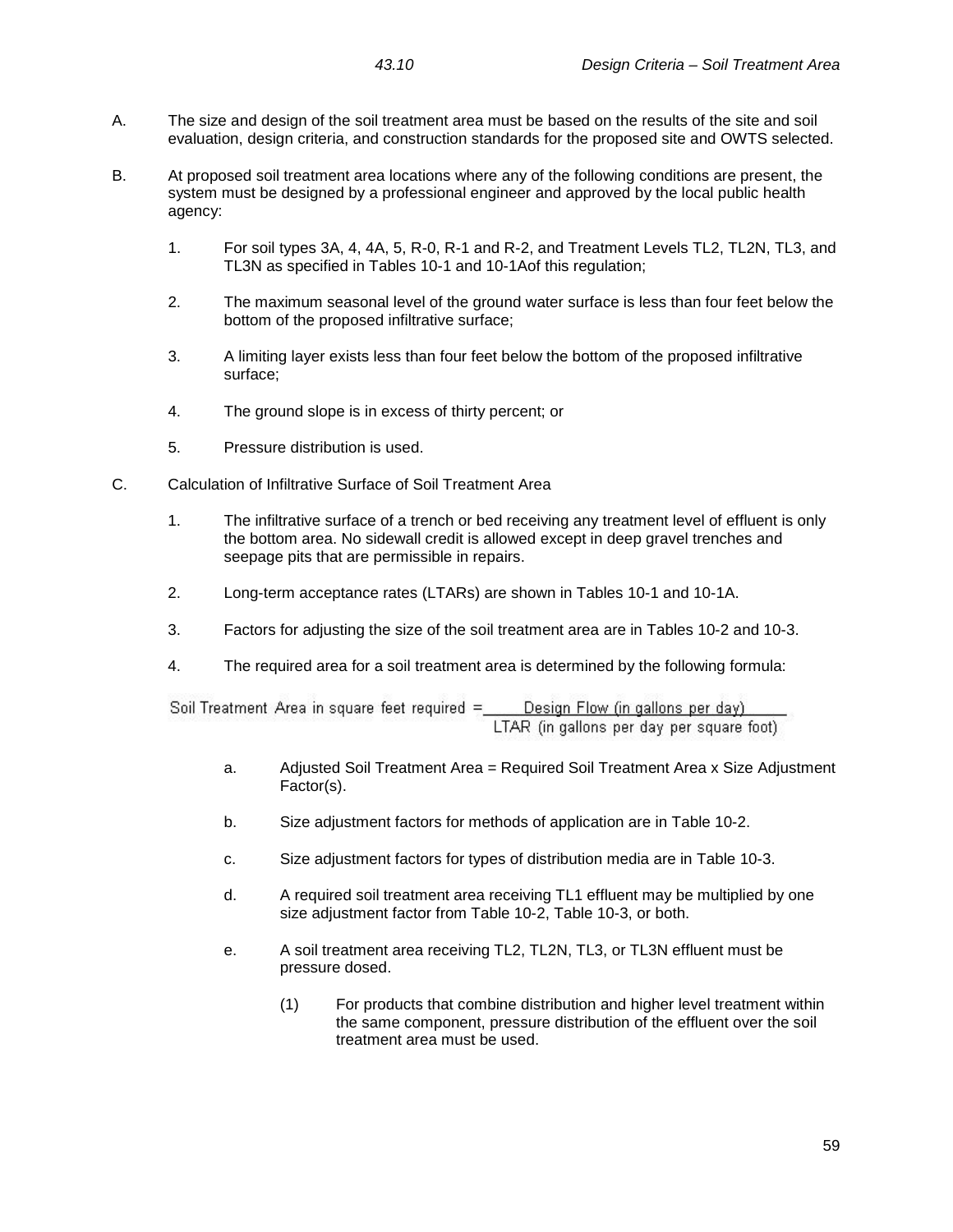- A. The size and design of the soil treatment area must be based on the results of the site and soil evaluation, design criteria, and construction standards for the proposed site and OWTS selected.
- B. At proposed soil treatment area locations where any of the following conditions are present, the system must be designed by a professional engineer and approved by the local public health agency:
	- 1. For soil types 3A, 4, 4A, 5, R-0, R-1 and R-2, and Treatment Levels TL2, TL2N, TL3, and TL3N as specified in Tables 10-1 and 10-1Aof this regulation;
	- 2. The maximum seasonal level of the ground water surface is less than four feet below the bottom of the proposed infiltrative surface;
	- 3. A limiting layer exists less than four feet below the bottom of the proposed infiltrative surface;
	- 4. The ground slope is in excess of thirty percent; or
	- 5. Pressure distribution is used.
- C. Calculation of Infiltrative Surface of Soil Treatment Area
	- 1. The infiltrative surface of a trench or bed receiving any treatment level of effluent is only the bottom area. No sidewall credit is allowed except in deep gravel trenches and seepage pits that are permissible in repairs.
	- 2. Long-term acceptance rates (LTARs) are shown in Tables 10-1 and 10-1A.
	- 3. Factors for adjusting the size of the soil treatment area are in Tables 10-2 and 10-3.
	- 4. The required area for a soil treatment area is determined by the following formula:

Soil Treatment Area in square feet required = Design Flow (in gallons per day) LTAR (in gallons per day per square foot)

- a. Adjusted Soil Treatment Area = Required Soil Treatment Area x Size Adjustment Factor(s).
- b. Size adjustment factors for methods of application are in Table 10-2.
- c. Size adjustment factors for types of distribution media are in Table 10-3.
- d. A required soil treatment area receiving TL1 effluent may be multiplied by one size adjustment factor from Table 10-2, Table 10-3, or both.
- e. A soil treatment area receiving TL2, TL2N, TL3, or TL3N effluent must be pressure dosed.
	- (1) For products that combine distribution and higher level treatment within the same component, pressure distribution of the effluent over the soil treatment area must be used.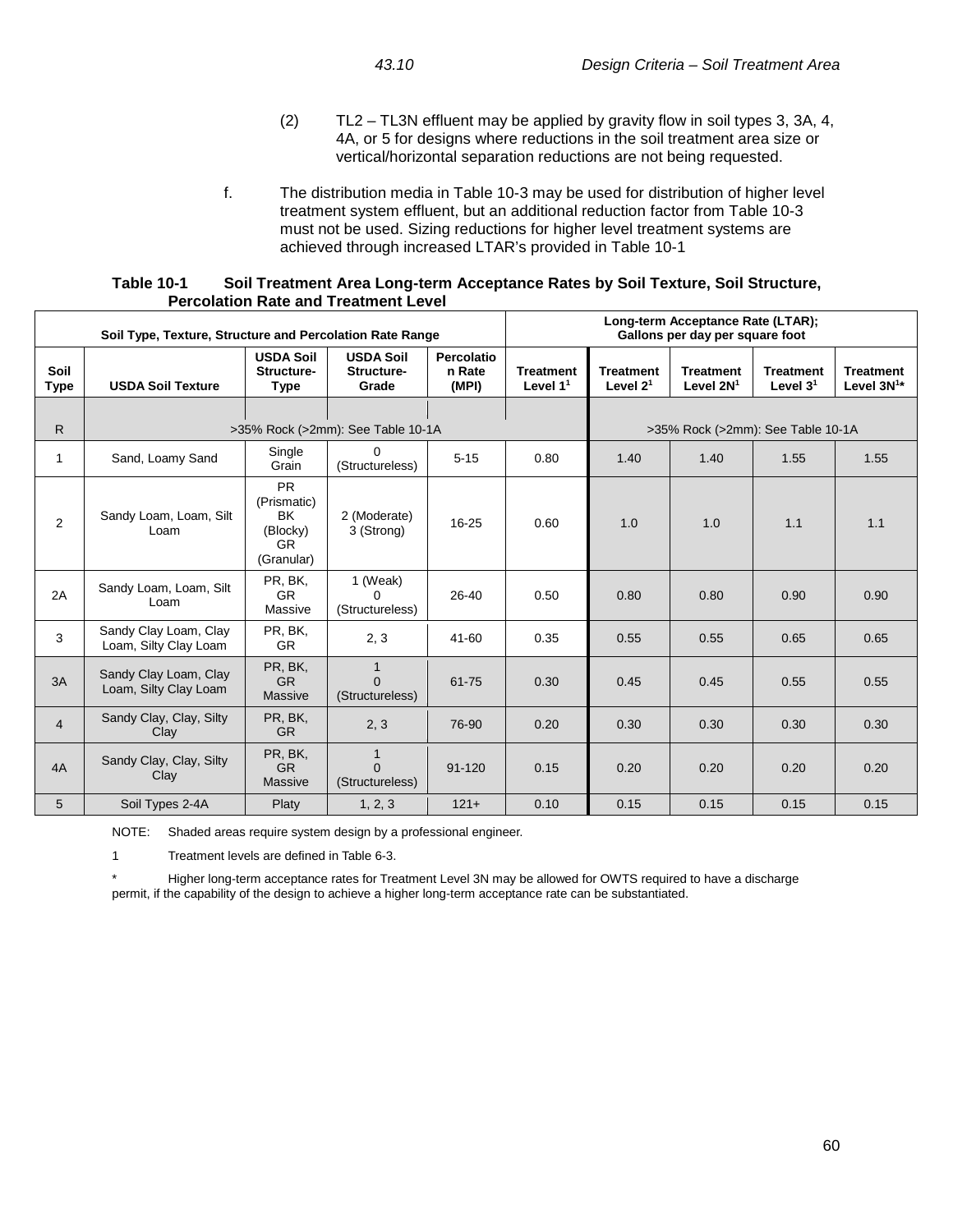- (2) TL2 TL3N effluent may be applied by gravity flow in soil types 3, 3A, 4, 4A, or 5 for designs where reductions in the soil treatment area size or vertical/horizontal separation reductions are not being requested.
- f. The distribution media in Table 10-3 may be used for distribution of higher level treatment system effluent, but an additional reduction factor from Table 10-3 must not be used. Sizing reductions for higher level treatment systems are achieved through increased LTAR's provided in Table 10-1

| Table 10-1 | Soil Treatment Area Long-term Acceptance Rates by Soil Texture, Soil Structure, |
|------------|---------------------------------------------------------------------------------|
|            | <b>Percolation Rate and Treatment Level</b>                                     |

| Soil Type, Texture, Structure and Percolation Rate Range |                                                |                                                                        |                                             | Long-term Acceptance Rate (LTAR);<br>Gallons per day per square foot |                                |                                   |                                 |                                |                                     |
|----------------------------------------------------------|------------------------------------------------|------------------------------------------------------------------------|---------------------------------------------|----------------------------------------------------------------------|--------------------------------|-----------------------------------|---------------------------------|--------------------------------|-------------------------------------|
| Soil<br><b>Type</b>                                      | <b>USDA Soil Texture</b>                       | <b>USDA Soil</b><br>Structure-<br><b>Type</b>                          | <b>USDA Soil</b><br>Structure-<br>Grade     | Percolatio<br>n Rate<br>(MPI)                                        | <b>Treatment</b><br>Level $11$ | <b>Treatment</b><br>Level $21$    | <b>Treatment</b><br>Level $2N1$ | <b>Treatment</b><br>Level $31$ | <b>Treatment</b><br>Level $3N^{1*}$ |
|                                                          |                                                |                                                                        |                                             |                                                                      |                                |                                   |                                 |                                |                                     |
| R.                                                       |                                                |                                                                        | >35% Rock (>2mm): See Table 10-1A           |                                                                      |                                | >35% Rock (>2mm): See Table 10-1A |                                 |                                |                                     |
| 1                                                        | Sand, Loamy Sand                               | Single<br>Grain                                                        | $\Omega$<br>(Structureless)                 | $5 - 15$                                                             | 0.80                           | 1.40                              | 1.40                            | 1.55                           | 1.55                                |
| $\overline{2}$                                           | Sandy Loam, Loam, Silt<br>Loam                 | <b>PR</b><br>(Prismatic)<br><b>BK</b><br>(Blocky)<br>GR.<br>(Granular) | 2 (Moderate)<br>3 (Strong)                  | $16 - 25$                                                            | 0.60                           | 1.0                               | 1.0                             | 1.1                            | 1.1                                 |
| 2A                                                       | Sandy Loam, Loam, Silt<br>Loam                 | PR, BK,<br><b>GR</b><br>Massive                                        | 1 (Weak)<br><sup>0</sup><br>(Structureless) | 26-40                                                                | 0.50                           | 0.80                              | 0.80                            | 0.90                           | 0.90                                |
| 3                                                        | Sandy Clay Loam, Clay<br>Loam, Silty Clay Loam | PR, BK,<br><b>GR</b>                                                   | 2, 3                                        | 41-60                                                                | 0.35                           | 0.55                              | 0.55                            | 0.65                           | 0.65                                |
| 3A                                                       | Sandy Clay Loam, Clay<br>Loam, Silty Clay Loam | PR, BK,<br><b>GR</b><br><b>Massive</b>                                 | $\Omega$<br>(Structureless)                 | 61-75                                                                | 0.30                           | 0.45                              | 0.45                            | 0.55                           | 0.55                                |
| $\overline{4}$                                           | Sandy Clay, Clay, Silty<br>Clay                | PR, BK,<br><b>GR</b>                                                   | 2, 3                                        | 76-90                                                                | 0.20                           | 0.30                              | 0.30                            | 0.30                           | 0.30                                |
| 4A                                                       | Sandy Clay, Clay, Silty<br>Clay                | PR, BK,<br><b>GR</b><br><b>Massive</b>                                 | $\mathbf{1}$<br>$\Omega$<br>(Structureless) | $91 - 120$                                                           | 0.15                           | 0.20                              | 0.20                            | 0.20                           | 0.20                                |
| 5                                                        | Soil Types 2-4A                                | Platy                                                                  | 1, 2, 3                                     | $121+$                                                               | 0.10                           | 0.15                              | 0.15                            | 0.15                           | 0.15                                |

NOTE: Shaded areas require system design by a professional engineer.

1 Treatment levels are defined in Table 6-3.

Higher long-term acceptance rates for Treatment Level 3N may be allowed for OWTS required to have a discharge permit, if the capability of the design to achieve a higher long-term acceptance rate can be substantiated.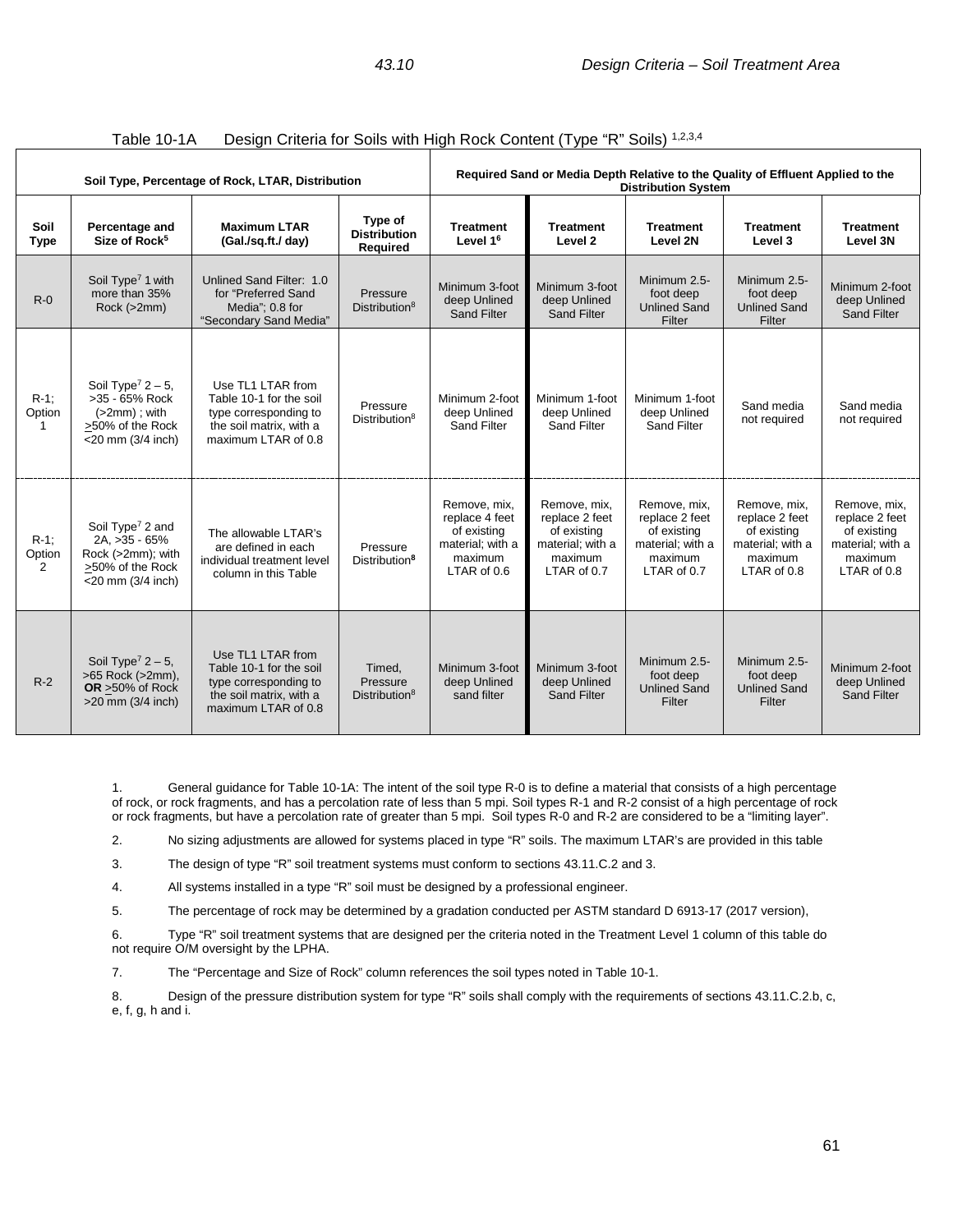| Soil Type, Percentage of Rock, LTAR, Distribution |                                                                                                                   |                                                                                                                         | Required Sand or Media Depth Relative to the Quality of Effluent Applied to the<br><b>Distribution System</b> |                                                                                             |                                                                                             |                                                                                             |                                                                                             |                                                                                             |
|---------------------------------------------------|-------------------------------------------------------------------------------------------------------------------|-------------------------------------------------------------------------------------------------------------------------|---------------------------------------------------------------------------------------------------------------|---------------------------------------------------------------------------------------------|---------------------------------------------------------------------------------------------|---------------------------------------------------------------------------------------------|---------------------------------------------------------------------------------------------|---------------------------------------------------------------------------------------------|
| Soil<br><b>Type</b>                               | Percentage and<br>Size of Rock <sup>5</sup>                                                                       | <b>Maximum LTAR</b><br>(Gal./sq.ft./ day)                                                                               | Type of<br><b>Distribution</b><br>Required                                                                    | <b>Treatment</b><br>Level 1 <sup>6</sup>                                                    | <b>Treatment</b><br>Level 2                                                                 | <b>Treatment</b><br>Level 2N                                                                | <b>Treatment</b><br>Level 3                                                                 | <b>Treatment</b><br>Level 3N                                                                |
| $R-0$                                             | Soil Type <sup>7</sup> 1 with<br>more than 35%<br>Rock (>2mm)                                                     | Unlined Sand Filter: 1.0<br>for "Preferred Sand<br>Media": 0.8 for<br>"Secondary Sand Media"                            | Pressure<br>Distribution <sup>8</sup>                                                                         | Minimum 3-foot<br>deep Unlined<br><b>Sand Filter</b>                                        | Minimum 3-foot<br>deep Unlined<br><b>Sand Filter</b>                                        | Minimum 2.5-<br>foot deep<br><b>Unlined Sand</b><br>Filter                                  | Minimum 2.5-<br>foot deep<br><b>Unlined Sand</b><br>Filter                                  | Minimum 2-foot<br>deep Unlined<br><b>Sand Filter</b>                                        |
| $R-1$ :<br>Option                                 | Soil Type <sup>7</sup> $2 - 5$ ,<br>>35 - 65% Rock<br>$(>2mm)$ ; with<br>>50% of the Rock<br>$<$ 20 mm (3/4 inch) | Use TL1 LTAR from<br>Table 10-1 for the soil<br>type corresponding to<br>the soil matrix, with a<br>maximum LTAR of 0.8 | Pressure<br>Distribution <sup>8</sup>                                                                         | Minimum 2-foot<br>deep Unlined<br>Sand Filter                                               | Minimum 1-foot<br>deep Unlined<br>Sand Filter                                               | Minimum 1-foot<br>deep Unlined<br><b>Sand Filter</b>                                        | Sand media<br>not required                                                                  | Sand media<br>not required                                                                  |
| $R-1$ ;<br>Option<br>$\overline{2}$               | Soil Type <sup>7</sup> 2 and<br>2A, >35 - 65%<br>Rock (>2mm); with<br>>50% of the Rock<br>$<$ 20 mm (3/4 inch)    | The allowable LTAR's<br>are defined in each<br>individual treatment level<br>column in this Table                       | Pressure<br>Distribution <sup>8</sup>                                                                         | Remove, mix.<br>replace 4 feet<br>of existing<br>material; with a<br>maximum<br>LTAR of 0.6 | Remove, mix,<br>replace 2 feet<br>of existing<br>material; with a<br>maximum<br>LTAR of 0.7 | Remove, mix.<br>replace 2 feet<br>of existing<br>material; with a<br>maximum<br>LTAR of 0.7 | Remove, mix.<br>replace 2 feet<br>of existing<br>material; with a<br>maximum<br>LTAR of 0.8 | Remove, mix.<br>replace 2 feet<br>of existing<br>material; with a<br>maximum<br>LTAR of 0.8 |
| $R-2$                                             | Soil Type <sup>7</sup> $2 - 5$ ,<br>>65 Rock (>2mm),<br>OR >50% of Rock<br>$>20$ mm (3/4 inch)                    | Use TL1 LTAR from<br>Table 10-1 for the soil<br>type corresponding to<br>the soil matrix, with a<br>maximum LTAR of 0.8 | Timed,<br>Pressure<br>Distribution <sup>8</sup>                                                               | Minimum 3-foot<br>deep Unlined<br>sand filter                                               | Minimum 3-foot<br>deep Unlined<br>Sand Filter                                               | Minimum 2.5-<br>foot deep<br><b>Unlined Sand</b><br>Filter                                  | Minimum 2.5-<br>foot deep<br><b>Unlined Sand</b><br>Filter                                  | Minimum 2-foot<br>deep Unlined<br><b>Sand Filter</b>                                        |

| Table 10-1A |  | Design Criteria for Soils with High Rock Content (Type "R" Soils) 1,2,3,4 |  |  |  |
|-------------|--|---------------------------------------------------------------------------|--|--|--|
|-------------|--|---------------------------------------------------------------------------|--|--|--|

1. General guidance for Table 10-1A: The intent of the soil type R-0 is to define a material that consists of a high percentage of rock, or rock fragments, and has a percolation rate of less than 5 mpi. Soil types R-1 and R-2 consist of a high percentage of rock or rock fragments, but have a percolation rate of greater than 5 mpi. Soil types R-0 and R-2 are considered to be a "limiting layer".

2. No sizing adjustments are allowed for systems placed in type "R" soils. The maximum LTAR's are provided in this table

3. The design of type "R" soil treatment systems must conform to sections 43.11.C.2 and 3.

4. All systems installed in a type "R" soil must be designed by a professional engineer.

5. The percentage of rock may be determined by a gradation conducted per ASTM standard D 6913-17 (2017 version),

6. Type "R" soil treatment systems that are designed per the criteria noted in the Treatment Level 1 column of this table do not require O/M oversight by the LPHA.

7. The "Percentage and Size of Rock" column references the soil types noted in Table 10-1.

8. Design of the pressure distribution system for type "R" soils shall comply with the requirements of sections 43.11.C.2.b, c, e, f, g, h and i.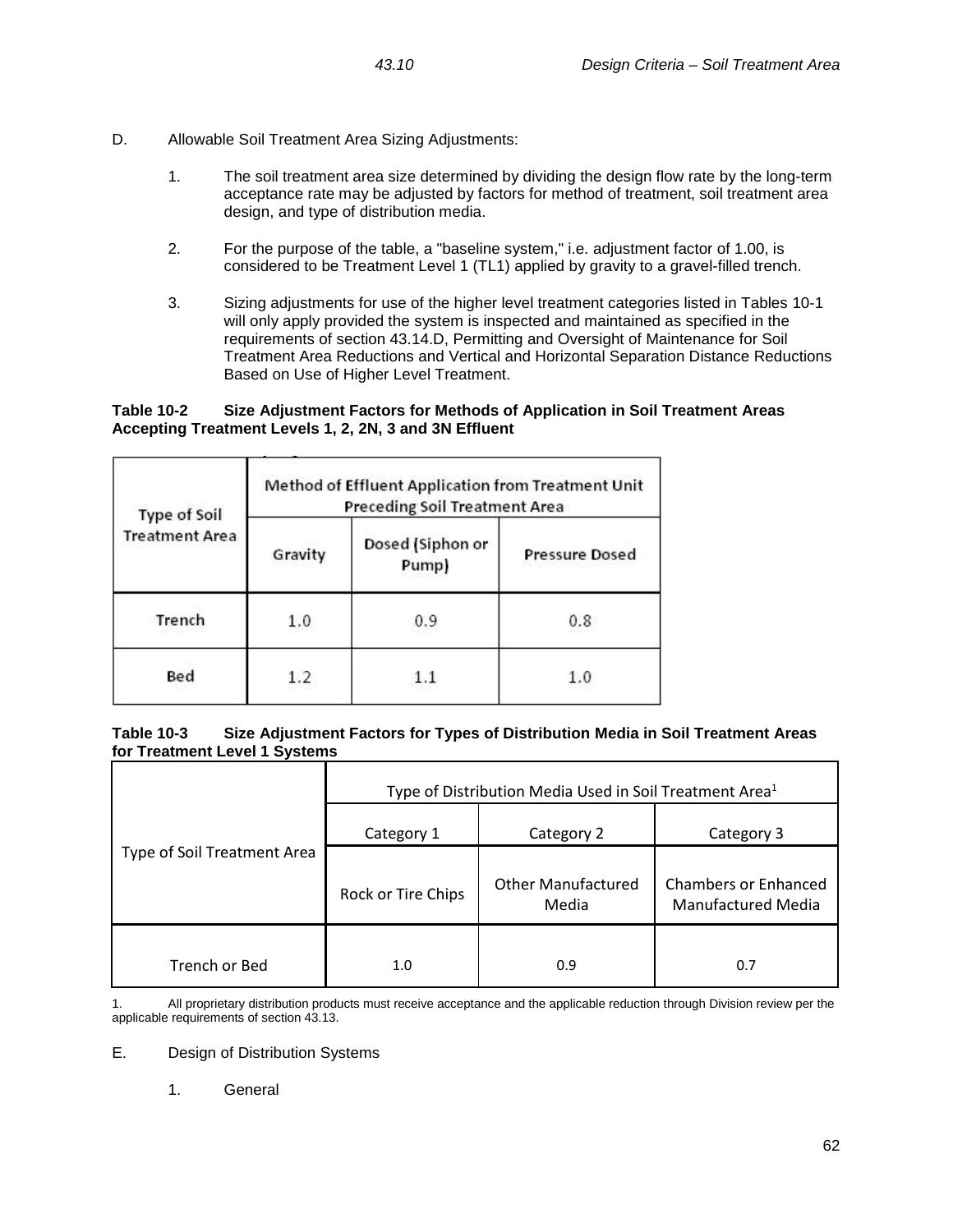- D. Allowable Soil Treatment Area Sizing Adjustments:
	- 1. The soil treatment area size determined by dividing the design flow rate by the long-term acceptance rate may be adjusted by factors for method of treatment, soil treatment area design, and type of distribution media.
	- 2. For the purpose of the table, a "baseline system," i.e. adjustment factor of 1.00, is considered to be Treatment Level 1 (TL1) applied by gravity to a gravel-filled trench.
	- 3. Sizing adjustments for use of the higher level treatment categories listed in Tables 10-1 will only apply provided the system is inspected and maintained as specified in the requirements of section 43.14.D, Permitting and Oversight of Maintenance for Soil Treatment Area Reductions and Vertical and Horizontal Separation Distance Reductions Based on Use of Higher Level Treatment.

## **Table 10-2 Size Adjustment Factors for Methods of Application in Soil Treatment Areas Accepting Treatment Levels 1, 2, 2N, 3 and 3N Effluent**

| Type of Soil          | Method of Effluent Application from Treatment Unit<br>Preceding Soil Treatment Area |                           |                       |  |  |
|-----------------------|-------------------------------------------------------------------------------------|---------------------------|-----------------------|--|--|
| <b>Treatment Area</b> | Gravity                                                                             | Dosed (Siphon or<br>Pump) | <b>Pressure Dosed</b> |  |  |
| Trench                | 1.0                                                                                 | 0.9                       | 0.8                   |  |  |
| Bed                   | 1.2                                                                                 |                           | 1.0                   |  |  |

## **Table 10-3 Size Adjustment Factors for Types of Distribution Media in Soil Treatment Areas for Treatment Level 1 Systems**

|                             | Type of Distribution Media Used in Soil Treatment Area <sup>1</sup> |                                    |                                                          |  |  |
|-----------------------------|---------------------------------------------------------------------|------------------------------------|----------------------------------------------------------|--|--|
|                             | Category 1                                                          | Category 2                         | Category 3                                               |  |  |
| Type of Soil Treatment Area | Rock or Tire Chips                                                  | <b>Other Manufactured</b><br>Media | <b>Chambers or Enhanced</b><br><b>Manufactured Media</b> |  |  |
| Trench or Bed               | 1.0                                                                 | 0.9                                | 0.7                                                      |  |  |

1. All proprietary distribution products must receive acceptance and the applicable reduction through Division review per the applicable requirements of section 43.13.

E. Design of Distribution Systems

1. General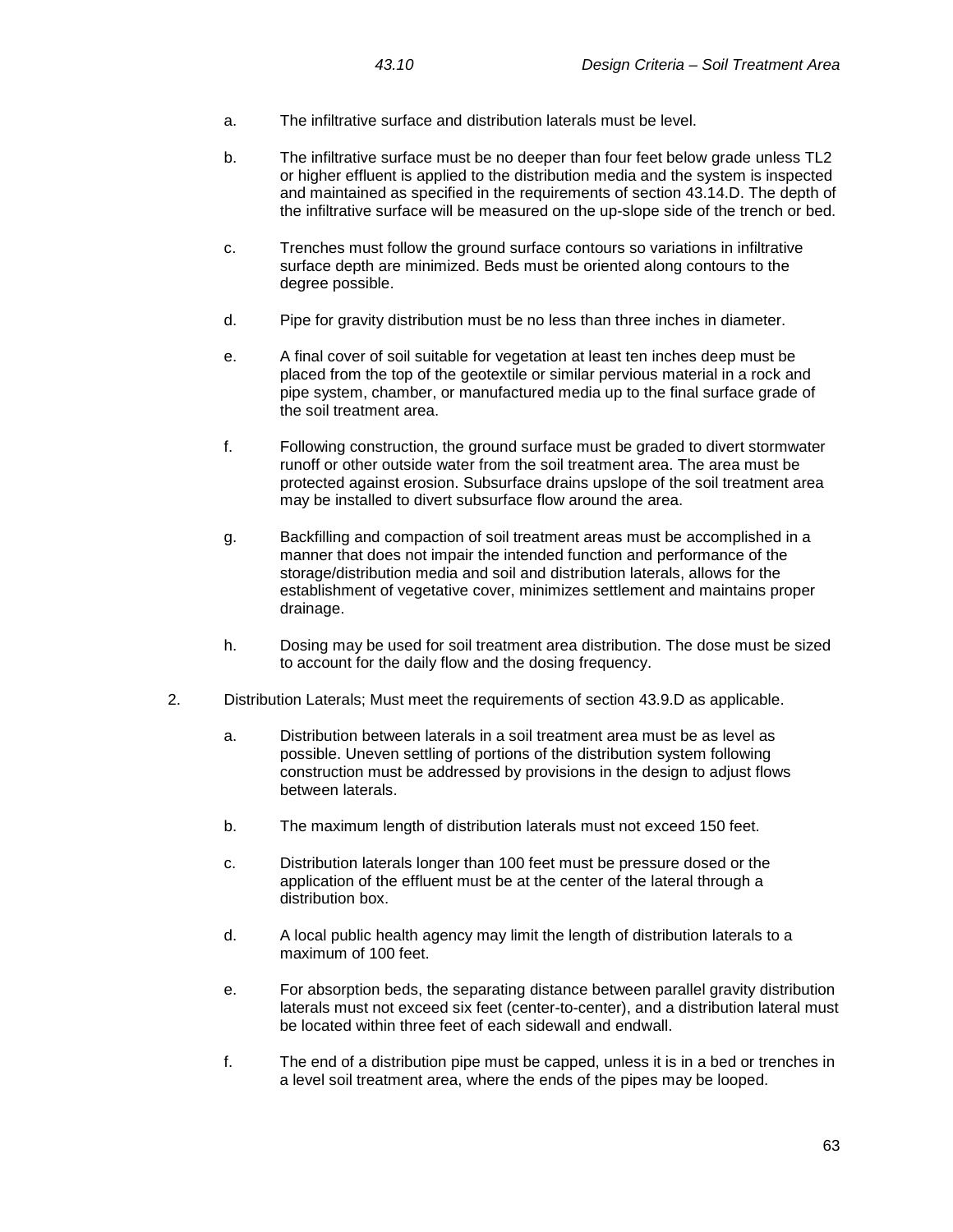- a. The infiltrative surface and distribution laterals must be level.
- b. The infiltrative surface must be no deeper than four feet below grade unless TL2 or higher effluent is applied to the distribution media and the system is inspected and maintained as specified in the requirements of section 43.14.D. The depth of the infiltrative surface will be measured on the up-slope side of the trench or bed.
- c. Trenches must follow the ground surface contours so variations in infiltrative surface depth are minimized. Beds must be oriented along contours to the degree possible.
- d. Pipe for gravity distribution must be no less than three inches in diameter.
- e. A final cover of soil suitable for vegetation at least ten inches deep must be placed from the top of the geotextile or similar pervious material in a rock and pipe system, chamber, or manufactured media up to the final surface grade of the soil treatment area.
- f. Following construction, the ground surface must be graded to divert stormwater runoff or other outside water from the soil treatment area. The area must be protected against erosion. Subsurface drains upslope of the soil treatment area may be installed to divert subsurface flow around the area.
- g. Backfilling and compaction of soil treatment areas must be accomplished in a manner that does not impair the intended function and performance of the storage/distribution media and soil and distribution laterals, allows for the establishment of vegetative cover, minimizes settlement and maintains proper drainage.
- h. Dosing may be used for soil treatment area distribution. The dose must be sized to account for the daily flow and the dosing frequency.
- 2. Distribution Laterals; Must meet the requirements of section 43.9.D as applicable.
	- a. Distribution between laterals in a soil treatment area must be as level as possible. Uneven settling of portions of the distribution system following construction must be addressed by provisions in the design to adjust flows between laterals.
	- b. The maximum length of distribution laterals must not exceed 150 feet.
	- c. Distribution laterals longer than 100 feet must be pressure dosed or the application of the effluent must be at the center of the lateral through a distribution box.
	- d. A local public health agency may limit the length of distribution laterals to a maximum of 100 feet.
	- e. For absorption beds, the separating distance between parallel gravity distribution laterals must not exceed six feet (center-to-center), and a distribution lateral must be located within three feet of each sidewall and endwall.
	- f. The end of a distribution pipe must be capped, unless it is in a bed or trenches in a level soil treatment area, where the ends of the pipes may be looped.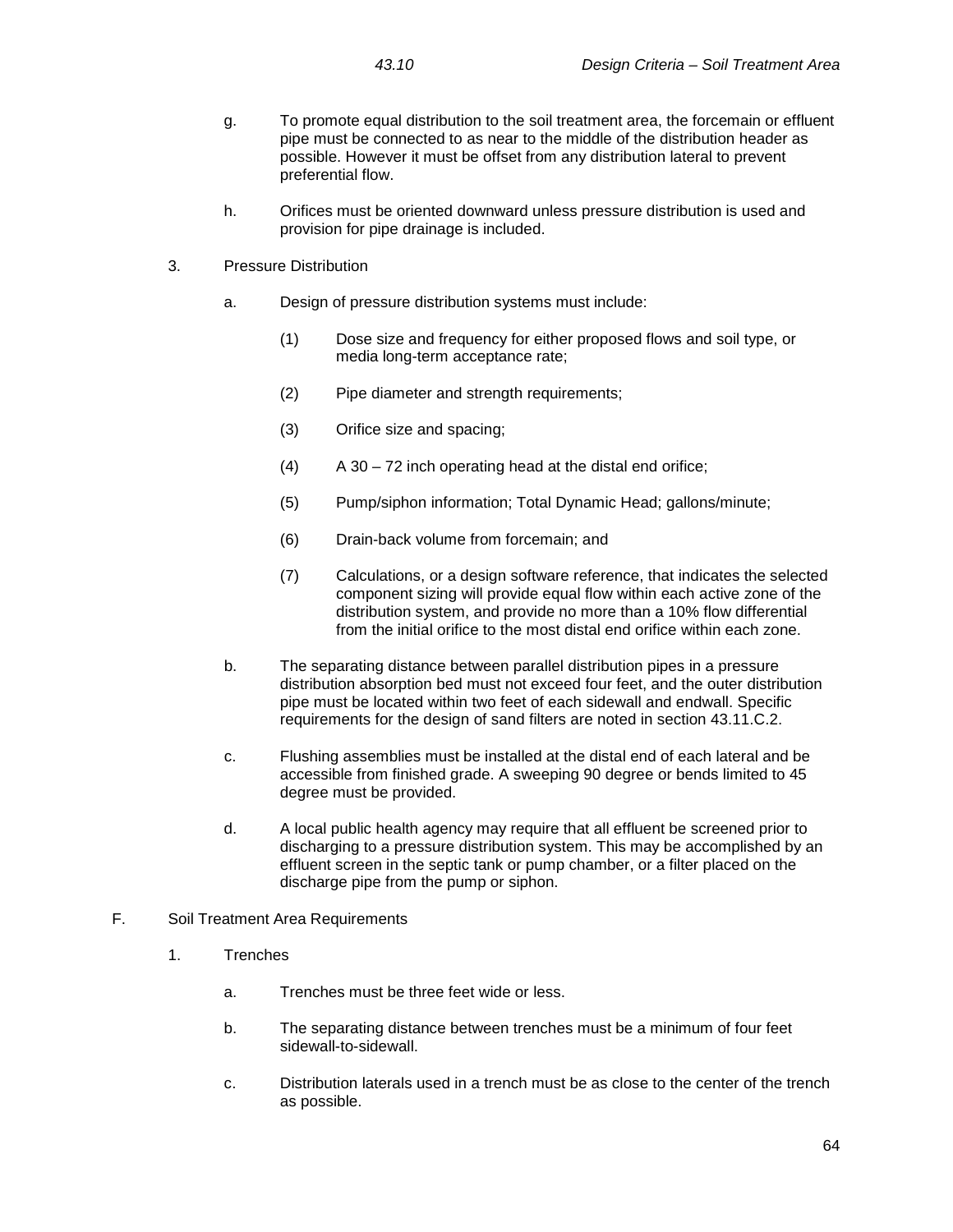- g. To promote equal distribution to the soil treatment area, the forcemain or effluent pipe must be connected to as near to the middle of the distribution header as possible. However it must be offset from any distribution lateral to prevent preferential flow.
- h. Orifices must be oriented downward unless pressure distribution is used and provision for pipe drainage is included.
- 3. Pressure Distribution
	- a. Design of pressure distribution systems must include:
		- (1) Dose size and frequency for either proposed flows and soil type, or media long-term acceptance rate;
		- (2) Pipe diameter and strength requirements;
		- (3) Orifice size and spacing;
		- $(A)$  A 30 72 inch operating head at the distal end orifice;
		- (5) Pump/siphon information; Total Dynamic Head; gallons/minute;
		- (6) Drain-back volume from forcemain; and
		- (7) Calculations, or a design software reference, that indicates the selected component sizing will provide equal flow within each active zone of the distribution system, and provide no more than a 10% flow differential from the initial orifice to the most distal end orifice within each zone.
	- b. The separating distance between parallel distribution pipes in a pressure distribution absorption bed must not exceed four feet, and the outer distribution pipe must be located within two feet of each sidewall and endwall. Specific requirements for the design of sand filters are noted in section 43.11.C.2.
	- c. Flushing assemblies must be installed at the distal end of each lateral and be accessible from finished grade. A sweeping 90 degree or bends limited to 45 degree must be provided.
	- d. A local public health agency may require that all effluent be screened prior to discharging to a pressure distribution system. This may be accomplished by an effluent screen in the septic tank or pump chamber, or a filter placed on the discharge pipe from the pump or siphon.
- F. Soil Treatment Area Requirements
	- 1. Trenches
		- a. Trenches must be three feet wide or less.
		- b. The separating distance between trenches must be a minimum of four feet sidewall-to-sidewall.
		- c. Distribution laterals used in a trench must be as close to the center of the trench as possible.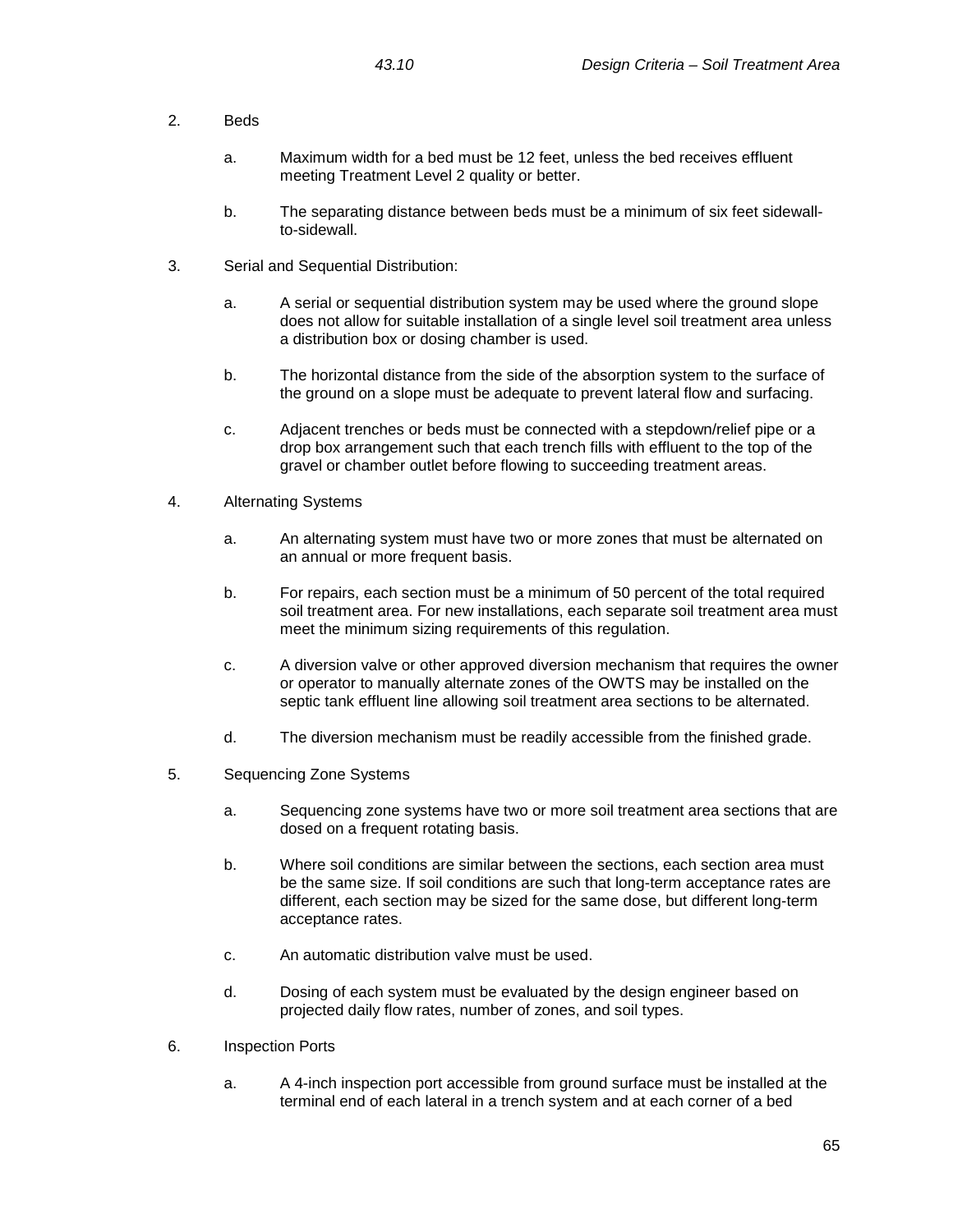- 2. Beds
	- a. Maximum width for a bed must be 12 feet, unless the bed receives effluent meeting Treatment Level 2 quality or better.
	- b. The separating distance between beds must be a minimum of six feet sidewallto-sidewall.
- 3. Serial and Sequential Distribution:
	- a. A serial or sequential distribution system may be used where the ground slope does not allow for suitable installation of a single level soil treatment area unless a distribution box or dosing chamber is used.
	- b. The horizontal distance from the side of the absorption system to the surface of the ground on a slope must be adequate to prevent lateral flow and surfacing.
	- c. Adjacent trenches or beds must be connected with a stepdown/relief pipe or a drop box arrangement such that each trench fills with effluent to the top of the gravel or chamber outlet before flowing to succeeding treatment areas.
- 4. Alternating Systems
	- a. An alternating system must have two or more zones that must be alternated on an annual or more frequent basis.
	- b. For repairs, each section must be a minimum of 50 percent of the total required soil treatment area. For new installations, each separate soil treatment area must meet the minimum sizing requirements of this regulation.
	- c. A diversion valve or other approved diversion mechanism that requires the owner or operator to manually alternate zones of the OWTS may be installed on the septic tank effluent line allowing soil treatment area sections to be alternated.
	- d. The diversion mechanism must be readily accessible from the finished grade.
- 5. Sequencing Zone Systems
	- a. Sequencing zone systems have two or more soil treatment area sections that are dosed on a frequent rotating basis.
	- b. Where soil conditions are similar between the sections, each section area must be the same size. If soil conditions are such that long-term acceptance rates are different, each section may be sized for the same dose, but different long-term acceptance rates.
	- c. An automatic distribution valve must be used.
	- d. Dosing of each system must be evaluated by the design engineer based on projected daily flow rates, number of zones, and soil types.
- 6. Inspection Ports
	- a. A 4-inch inspection port accessible from ground surface must be installed at the terminal end of each lateral in a trench system and at each corner of a bed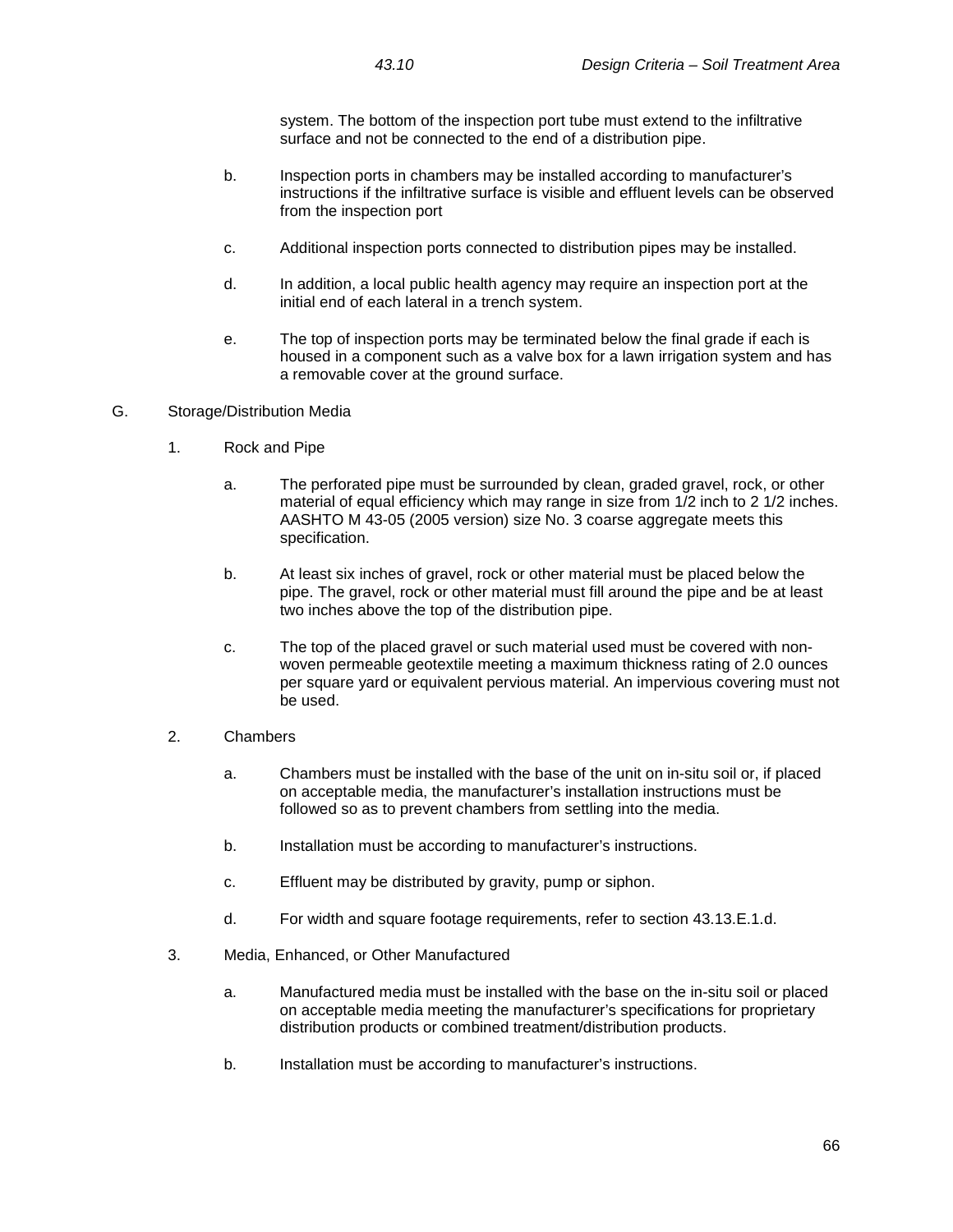system. The bottom of the inspection port tube must extend to the infiltrative surface and not be connected to the end of a distribution pipe.

- b. Inspection ports in chambers may be installed according to manufacturer's instructions if the infiltrative surface is visible and effluent levels can be observed from the inspection port
- c. Additional inspection ports connected to distribution pipes may be installed.
- d. In addition, a local public health agency may require an inspection port at the initial end of each lateral in a trench system.
- e. The top of inspection ports may be terminated below the final grade if each is housed in a component such as a valve box for a lawn irrigation system and has a removable cover at the ground surface.

## G. Storage/Distribution Media

- 1. Rock and Pipe
	- a. The perforated pipe must be surrounded by clean, graded gravel, rock, or other material of equal efficiency which may range in size from 1/2 inch to 2 1/2 inches. AASHTO M 43-05 (2005 version) size No. 3 coarse aggregate meets this specification.
	- b. At least six inches of gravel, rock or other material must be placed below the pipe. The gravel, rock or other material must fill around the pipe and be at least two inches above the top of the distribution pipe.
	- c. The top of the placed gravel or such material used must be covered with nonwoven permeable geotextile meeting a maximum thickness rating of 2.0 ounces per square yard or equivalent pervious material. An impervious covering must not be used.
- 2. Chambers
	- a. Chambers must be installed with the base of the unit on in-situ soil or, if placed on acceptable media, the manufacturer's installation instructions must be followed so as to prevent chambers from settling into the media.
	- b. Installation must be according to manufacturer's instructions.
	- c. Effluent may be distributed by gravity, pump or siphon.
	- d. For width and square footage requirements, refer to section 43.13.E.1.d.
- 3. Media, Enhanced, or Other Manufactured
	- a. Manufactured media must be installed with the base on the in-situ soil or placed on acceptable media meeting the manufacturer's specifications for proprietary distribution products or combined treatment/distribution products.
	- b. Installation must be according to manufacturer's instructions.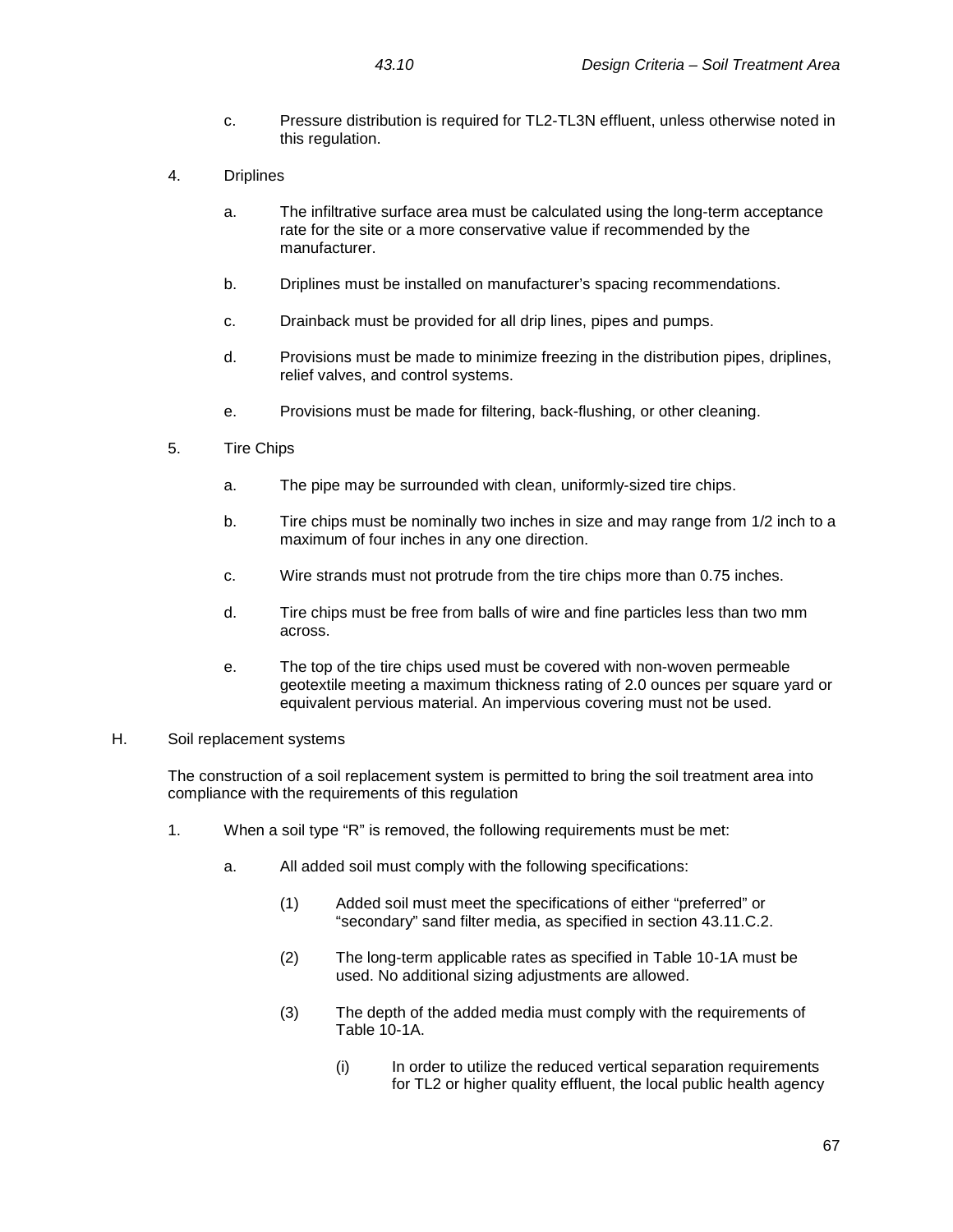- c. Pressure distribution is required for TL2-TL3N effluent, unless otherwise noted in this regulation.
- 4. Driplines
	- a. The infiltrative surface area must be calculated using the long-term acceptance rate for the site or a more conservative value if recommended by the manufacturer.
	- b. Driplines must be installed on manufacturer's spacing recommendations.
	- c. Drainback must be provided for all drip lines, pipes and pumps.
	- d. Provisions must be made to minimize freezing in the distribution pipes, driplines, relief valves, and control systems.
	- e. Provisions must be made for filtering, back-flushing, or other cleaning.
- 5. Tire Chips
	- a. The pipe may be surrounded with clean, uniformly-sized tire chips.
	- b. Tire chips must be nominally two inches in size and may range from 1/2 inch to a maximum of four inches in any one direction.
	- c. Wire strands must not protrude from the tire chips more than 0.75 inches.
	- d. Tire chips must be free from balls of wire and fine particles less than two mm across.
	- e. The top of the tire chips used must be covered with non-woven permeable geotextile meeting a maximum thickness rating of 2.0 ounces per square yard or equivalent pervious material. An impervious covering must not be used.

## H. Soil replacement systems

The construction of a soil replacement system is permitted to bring the soil treatment area into compliance with the requirements of this regulation

- 1. When a soil type "R" is removed, the following requirements must be met:
	- a. All added soil must comply with the following specifications:
		- (1) Added soil must meet the specifications of either "preferred" or "secondary" sand filter media, as specified in section 43.11.C.2.
		- (2) The long-term applicable rates as specified in Table 10-1A must be used. No additional sizing adjustments are allowed.
		- (3) The depth of the added media must comply with the requirements of Table 10-1A.
			- (i) In order to utilize the reduced vertical separation requirements for TL2 or higher quality effluent, the local public health agency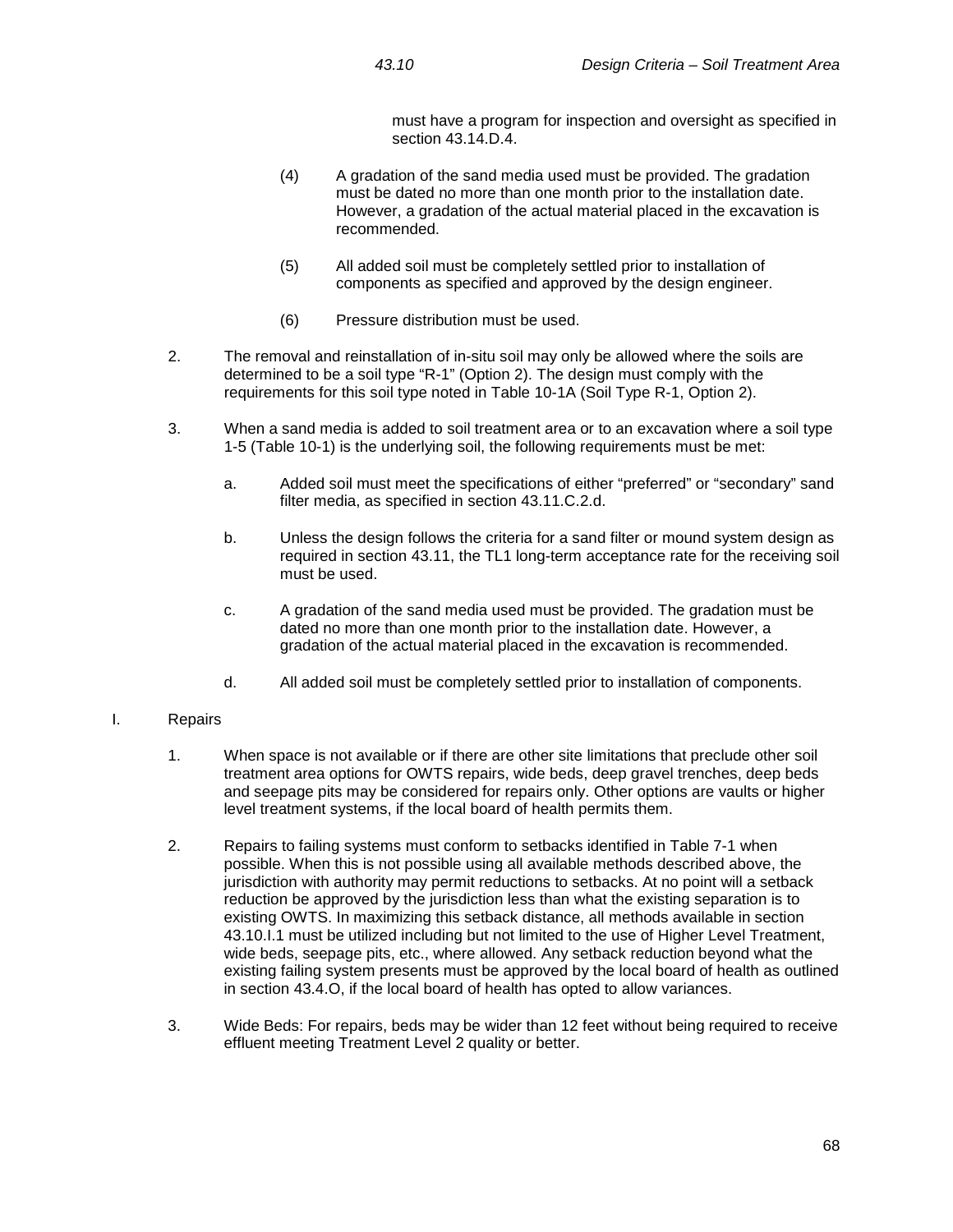must have a program for inspection and oversight as specified in section 43.14.D.4.

- (4) A gradation of the sand media used must be provided. The gradation must be dated no more than one month prior to the installation date. However, a gradation of the actual material placed in the excavation is recommended.
- (5) All added soil must be completely settled prior to installation of components as specified and approved by the design engineer.
- (6) Pressure distribution must be used.
- 2. The removal and reinstallation of in-situ soil may only be allowed where the soils are determined to be a soil type "R-1" (Option 2). The design must comply with the requirements for this soil type noted in Table 10-1A (Soil Type R-1, Option 2).
- 3. When a sand media is added to soil treatment area or to an excavation where a soil type 1-5 (Table 10-1) is the underlying soil, the following requirements must be met:
	- a. Added soil must meet the specifications of either "preferred" or "secondary" sand filter media, as specified in section 43.11.C.2.d.
	- b. Unless the design follows the criteria for a sand filter or mound system design as required in section 43.11, the TL1 long-term acceptance rate for the receiving soil must be used.
	- c. A gradation of the sand media used must be provided. The gradation must be dated no more than one month prior to the installation date. However, a gradation of the actual material placed in the excavation is recommended.
	- d. All added soil must be completely settled prior to installation of components.

## I. Repairs

- 1. When space is not available or if there are other site limitations that preclude other soil treatment area options for OWTS repairs, wide beds, deep gravel trenches, deep beds and seepage pits may be considered for repairs only. Other options are vaults or higher level treatment systems, if the local board of health permits them.
- 2. Repairs to failing systems must conform to setbacks identified in Table 7-1 when possible. When this is not possible using all available methods described above, the jurisdiction with authority may permit reductions to setbacks. At no point will a setback reduction be approved by the jurisdiction less than what the existing separation is to existing OWTS. In maximizing this setback distance, all methods available in section 43.10.I.1 must be utilized including but not limited to the use of Higher Level Treatment, wide beds, seepage pits, etc., where allowed. Any setback reduction beyond what the existing failing system presents must be approved by the local board of health as outlined in section 43.4.O, if the local board of health has opted to allow variances.
- 3. Wide Beds: For repairs, beds may be wider than 12 feet without being required to receive effluent meeting Treatment Level 2 quality or better.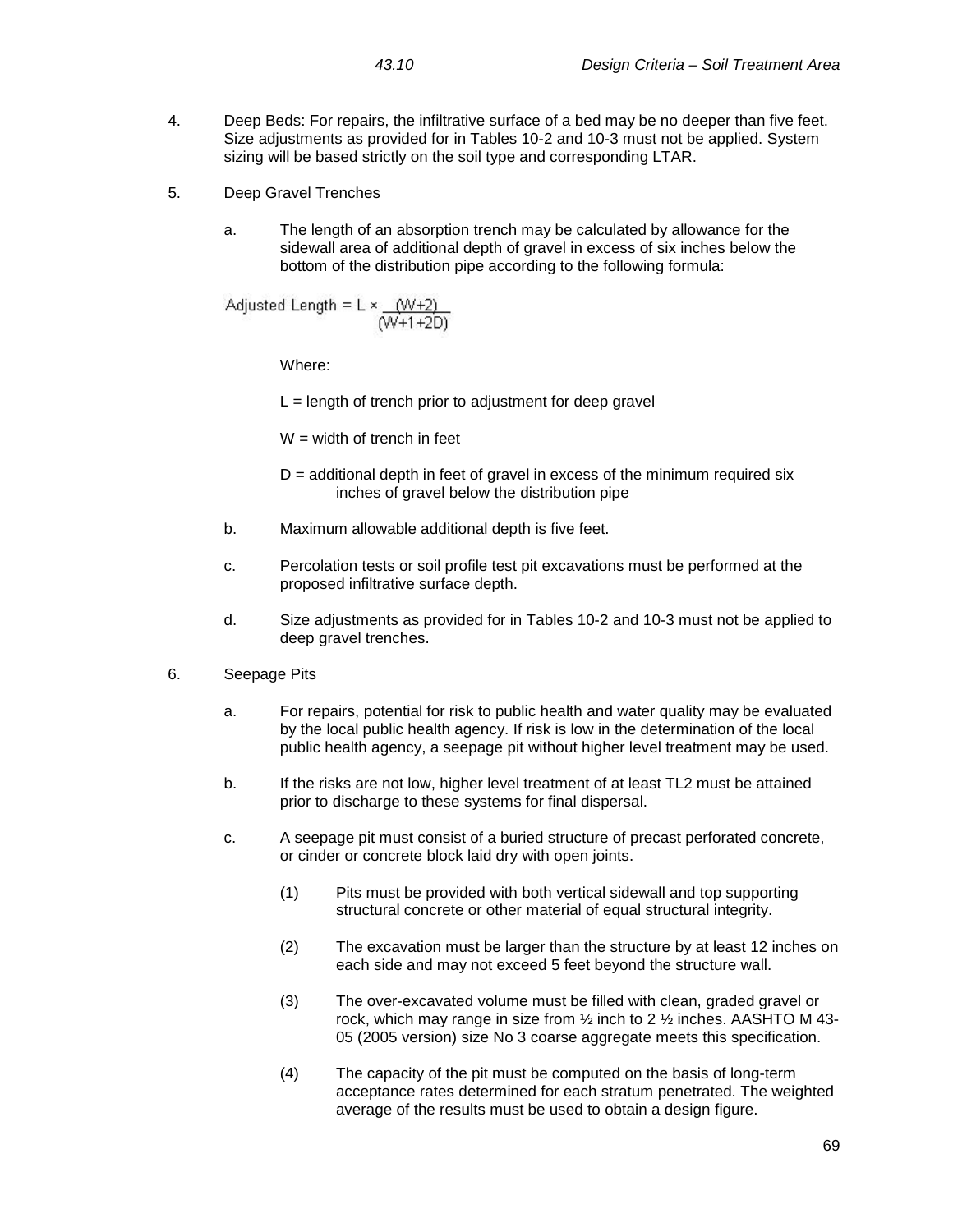- 4. Deep Beds: For repairs, the infiltrative surface of a bed may be no deeper than five feet. Size adjustments as provided for in Tables 10-2 and 10-3 must not be applied. System sizing will be based strictly on the soil type and corresponding LTAR.
- 5. Deep Gravel Trenches
	- a. The length of an absorption trench may be calculated by allowance for the sidewall area of additional depth of gravel in excess of six inches below the bottom of the distribution pipe according to the following formula:

Adjusted Length = 
$$
L \times \frac{(W+2)}{(W+1+2D)}
$$

Where:

 $L =$  length of trench prior to adjustment for deep gravel

 $W =$  width of trench in feet

- $D =$  additional depth in feet of gravel in excess of the minimum required six inches of gravel below the distribution pipe
- b. Maximum allowable additional depth is five feet.
- c. Percolation tests or soil profile test pit excavations must be performed at the proposed infiltrative surface depth.
- d. Size adjustments as provided for in Tables 10-2 and 10-3 must not be applied to deep gravel trenches.
- 6. Seepage Pits
	- a. For repairs, potential for risk to public health and water quality may be evaluated by the local public health agency. If risk is low in the determination of the local public health agency, a seepage pit without higher level treatment may be used.
	- b. If the risks are not low, higher level treatment of at least TL2 must be attained prior to discharge to these systems for final dispersal.
	- c. A seepage pit must consist of a buried structure of precast perforated concrete, or cinder or concrete block laid dry with open joints.
		- (1) Pits must be provided with both vertical sidewall and top supporting structural concrete or other material of equal structural integrity.
		- (2) The excavation must be larger than the structure by at least 12 inches on each side and may not exceed 5 feet beyond the structure wall.
		- (3) The over-excavated volume must be filled with clean, graded gravel or rock, which may range in size from ½ inch to 2 ½ inches. AASHTO M 43- 05 (2005 version) size No 3 coarse aggregate meets this specification.
		- (4) The capacity of the pit must be computed on the basis of long-term acceptance rates determined for each stratum penetrated. The weighted average of the results must be used to obtain a design figure.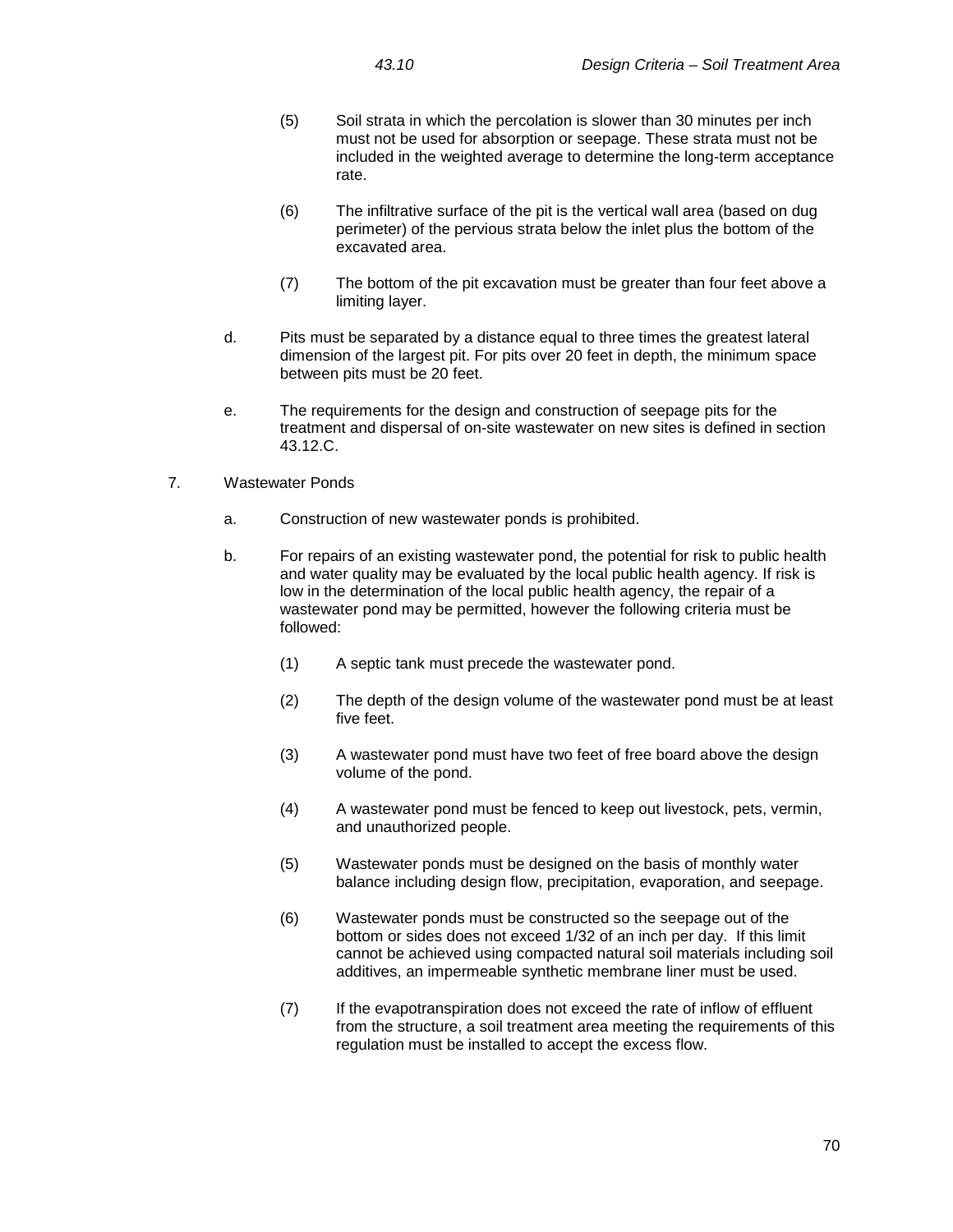- (5) Soil strata in which the percolation is slower than 30 minutes per inch must not be used for absorption or seepage. These strata must not be included in the weighted average to determine the long-term acceptance rate.
- (6) The infiltrative surface of the pit is the vertical wall area (based on dug perimeter) of the pervious strata below the inlet plus the bottom of the excavated area.
- (7) The bottom of the pit excavation must be greater than four feet above a limiting layer.
- d. Pits must be separated by a distance equal to three times the greatest lateral dimension of the largest pit. For pits over 20 feet in depth, the minimum space between pits must be 20 feet.
- e. The requirements for the design and construction of seepage pits for the treatment and dispersal of on-site wastewater on new sites is defined in section 43.12.C.
- 7. Wastewater Ponds
	- a. Construction of new wastewater ponds is prohibited.
	- b. For repairs of an existing wastewater pond, the potential for risk to public health and water quality may be evaluated by the local public health agency. If risk is low in the determination of the local public health agency, the repair of a wastewater pond may be permitted, however the following criteria must be followed:
		- (1) A septic tank must precede the wastewater pond.
		- (2) The depth of the design volume of the wastewater pond must be at least five feet.
		- (3) A wastewater pond must have two feet of free board above the design volume of the pond.
		- (4) A wastewater pond must be fenced to keep out livestock, pets, vermin, and unauthorized people.
		- (5) Wastewater ponds must be designed on the basis of monthly water balance including design flow, precipitation, evaporation, and seepage.
		- (6) Wastewater ponds must be constructed so the seepage out of the bottom or sides does not exceed 1/32 of an inch per day. If this limit cannot be achieved using compacted natural soil materials including soil additives, an impermeable synthetic membrane liner must be used.
		- (7) If the evapotranspiration does not exceed the rate of inflow of effluent from the structure, a soil treatment area meeting the requirements of this regulation must be installed to accept the excess flow.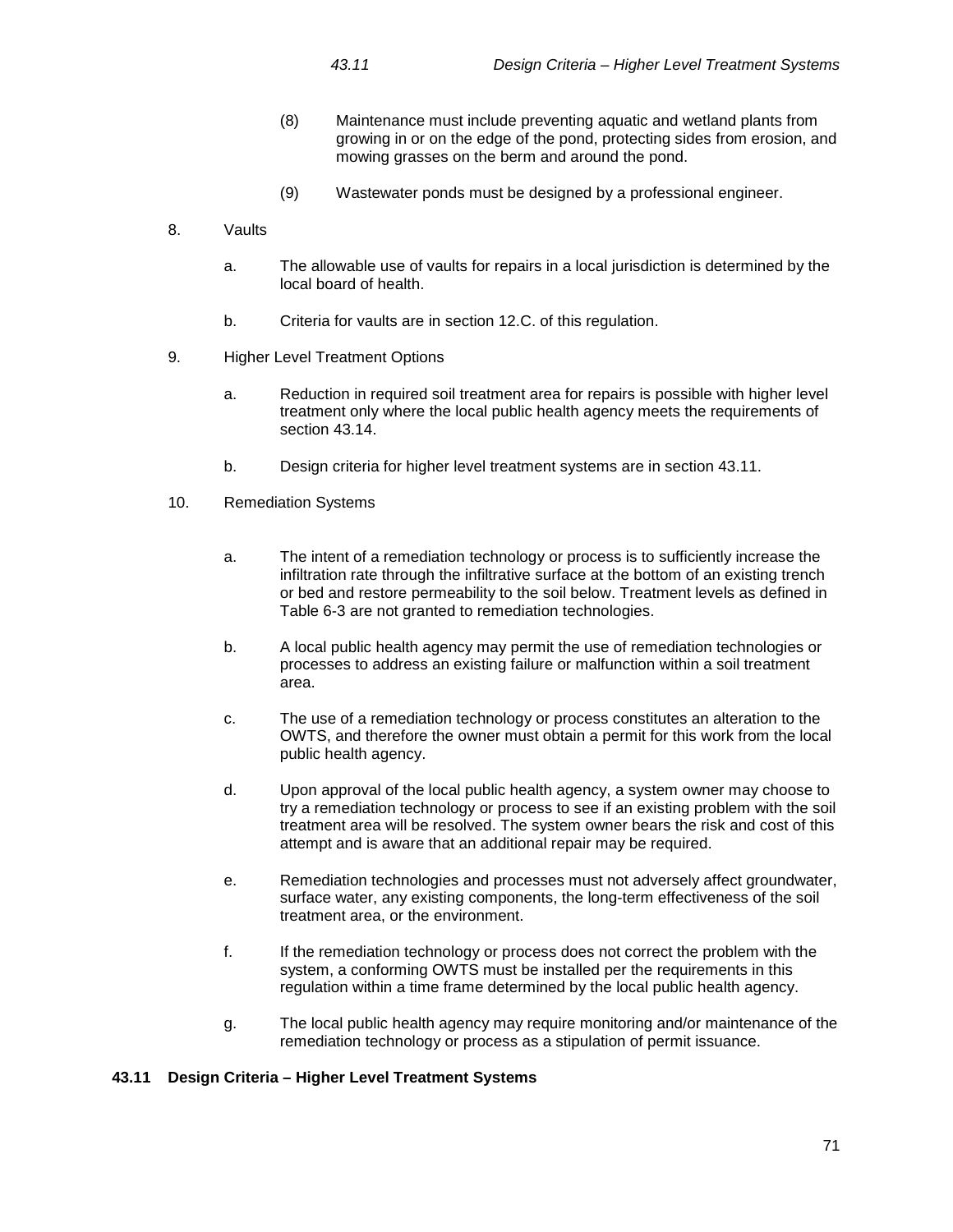- (8) Maintenance must include preventing aquatic and wetland plants from growing in or on the edge of the pond, protecting sides from erosion, and mowing grasses on the berm and around the pond.
- (9) Wastewater ponds must be designed by a professional engineer.
- 8. Vaults
	- a. The allowable use of vaults for repairs in a local jurisdiction is determined by the local board of health.
	- b. Criteria for vaults are in section 12.C. of this regulation.
- 9. Higher Level Treatment Options
	- a. Reduction in required soil treatment area for repairs is possible with higher level treatment only where the local public health agency meets the requirements of section 43.14.
	- b. Design criteria for higher level treatment systems are in section 43.11.
- 10. Remediation Systems
	- a. The intent of a remediation technology or process is to sufficiently increase the infiltration rate through the infiltrative surface at the bottom of an existing trench or bed and restore permeability to the soil below. Treatment levels as defined in Table 6-3 are not granted to remediation technologies.
	- b. A local public health agency may permit the use of remediation technologies or processes to address an existing failure or malfunction within a soil treatment area.
	- c. The use of a remediation technology or process constitutes an alteration to the OWTS, and therefore the owner must obtain a permit for this work from the local public health agency.
	- d. Upon approval of the local public health agency, a system owner may choose to try a remediation technology or process to see if an existing problem with the soil treatment area will be resolved. The system owner bears the risk and cost of this attempt and is aware that an additional repair may be required.
	- e. Remediation technologies and processes must not adversely affect groundwater, surface water, any existing components, the long-term effectiveness of the soil treatment area, or the environment.
	- f. If the remediation technology or process does not correct the problem with the system, a conforming OWTS must be installed per the requirements in this regulation within a time frame determined by the local public health agency.
	- g. The local public health agency may require monitoring and/or maintenance of the remediation technology or process as a stipulation of permit issuance.

#### **43.11 Design Criteria – Higher Level Treatment Systems**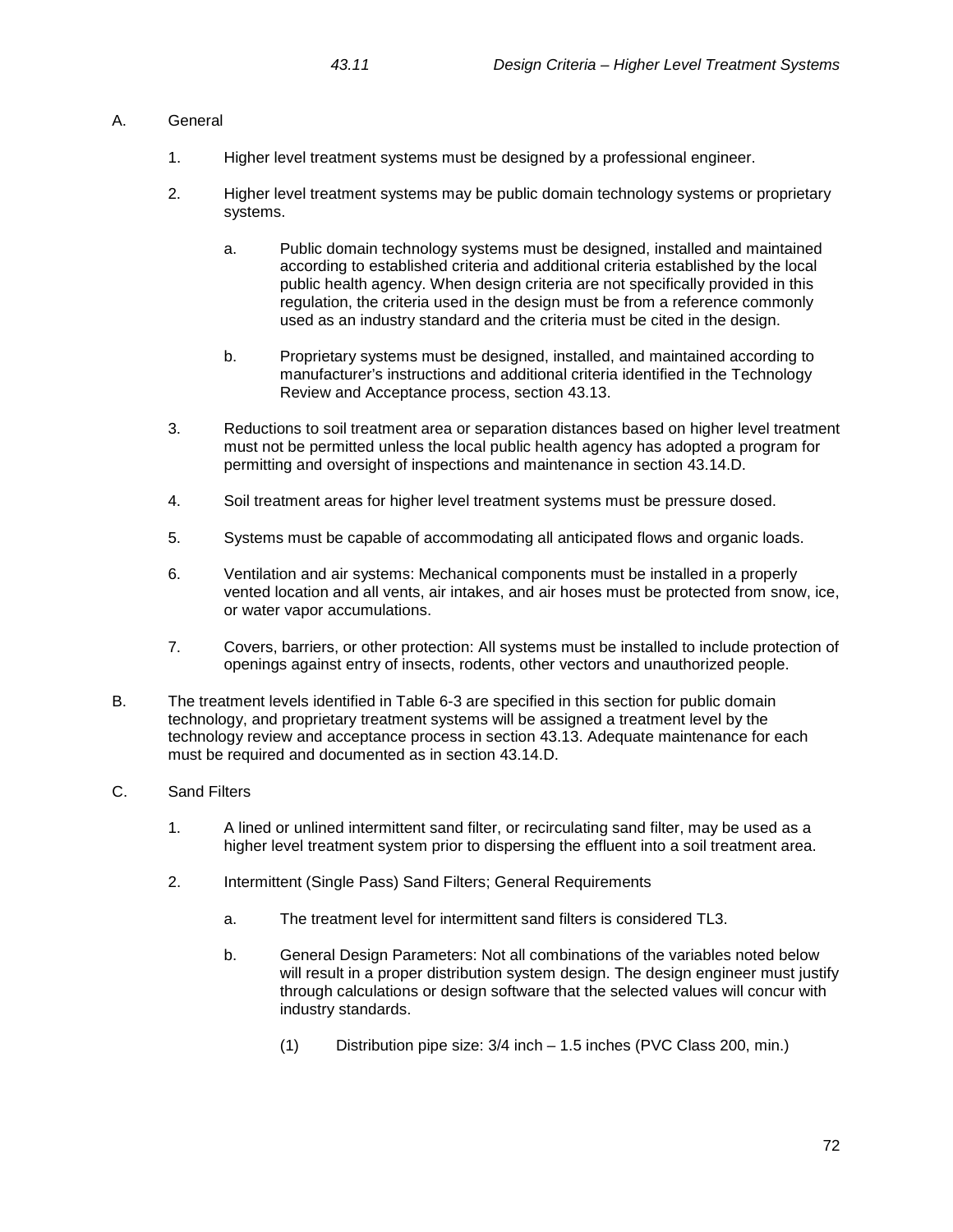# A. General

- 1. Higher level treatment systems must be designed by a professional engineer.
- 2. Higher level treatment systems may be public domain technology systems or proprietary systems.
	- a. Public domain technology systems must be designed, installed and maintained according to established criteria and additional criteria established by the local public health agency. When design criteria are not specifically provided in this regulation, the criteria used in the design must be from a reference commonly used as an industry standard and the criteria must be cited in the design.
	- b. Proprietary systems must be designed, installed, and maintained according to manufacturer's instructions and additional criteria identified in the Technology Review and Acceptance process, section 43.13.
- 3. Reductions to soil treatment area or separation distances based on higher level treatment must not be permitted unless the local public health agency has adopted a program for permitting and oversight of inspections and maintenance in section 43.14.D.
- 4. Soil treatment areas for higher level treatment systems must be pressure dosed.
- 5. Systems must be capable of accommodating all anticipated flows and organic loads.
- 6. Ventilation and air systems: Mechanical components must be installed in a properly vented location and all vents, air intakes, and air hoses must be protected from snow, ice, or water vapor accumulations.
- 7. Covers, barriers, or other protection: All systems must be installed to include protection of openings against entry of insects, rodents, other vectors and unauthorized people.
- B. The treatment levels identified in Table 6-3 are specified in this section for public domain technology, and proprietary treatment systems will be assigned a treatment level by the technology review and acceptance process in section 43.13. Adequate maintenance for each must be required and documented as in section 43.14.D.
- C. Sand Filters
	- 1. A lined or unlined intermittent sand filter, or recirculating sand filter, may be used as a higher level treatment system prior to dispersing the effluent into a soil treatment area.
	- 2. Intermittent (Single Pass) Sand Filters; General Requirements
		- a. The treatment level for intermittent sand filters is considered TL3.
		- b. General Design Parameters: Not all combinations of the variables noted below will result in a proper distribution system design. The design engineer must justify through calculations or design software that the selected values will concur with industry standards.
			- (1) Distribution pipe size: 3/4 inch 1.5 inches (PVC Class 200, min.)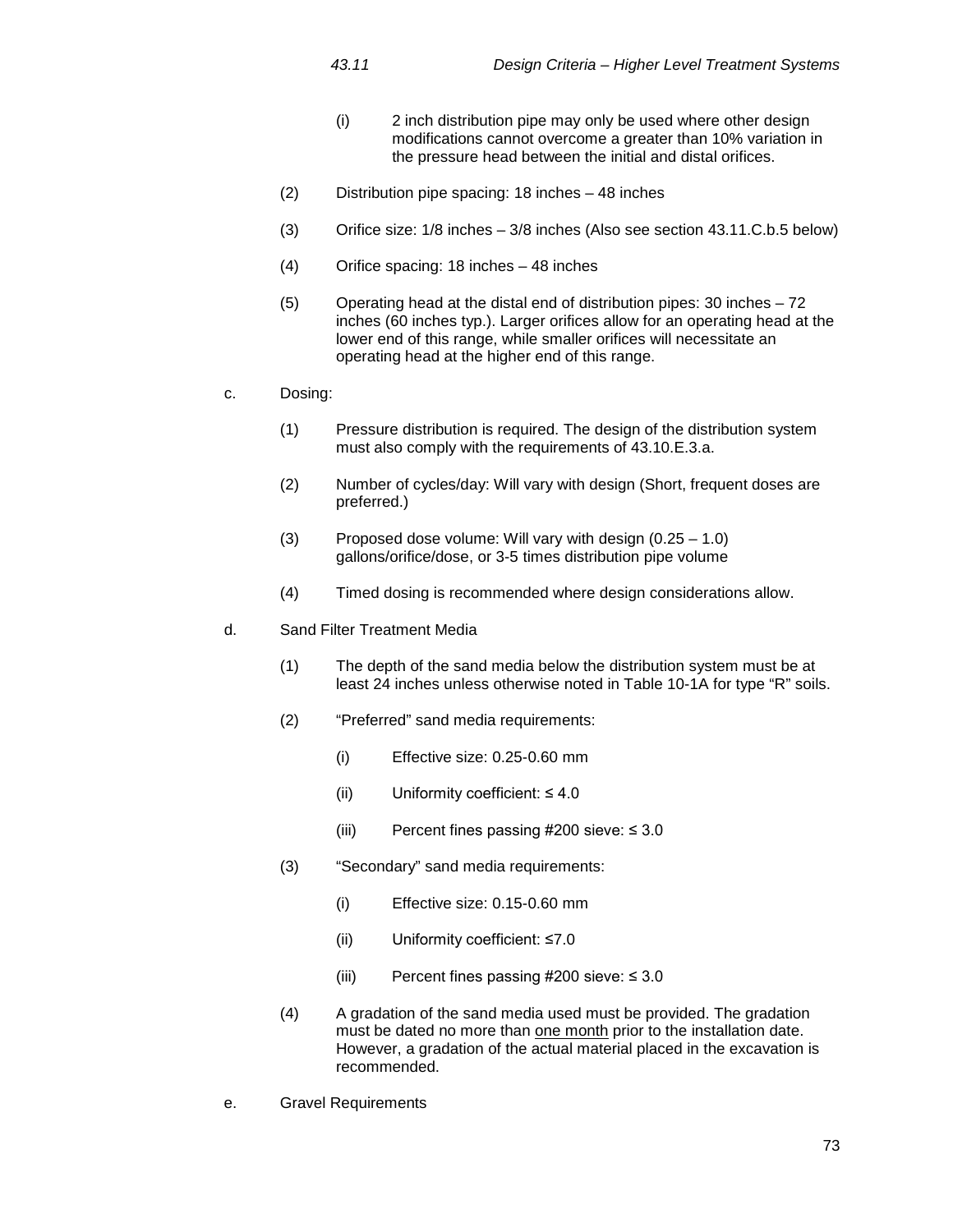- (i) 2 inch distribution pipe may only be used where other design modifications cannot overcome a greater than 10% variation in the pressure head between the initial and distal orifices.
- (2) Distribution pipe spacing: 18 inches 48 inches
- (3) Orifice size: 1/8 inches 3/8 inches (Also see section 43.11.C.b.5 below)
- (4) Orifice spacing: 18 inches 48 inches
- (5) Operating head at the distal end of distribution pipes: 30 inches 72 inches (60 inches typ.). Larger orifices allow for an operating head at the lower end of this range, while smaller orifices will necessitate an operating head at the higher end of this range.
- c. Dosing:
	- (1) Pressure distribution is required. The design of the distribution system must also comply with the requirements of 43.10.E.3.a.
	- (2) Number of cycles/day: Will vary with design (Short, frequent doses are preferred.)
	- (3) Proposed dose volume: Will vary with design (0.25 1.0) gallons/orifice/dose, or 3-5 times distribution pipe volume
	- (4) Timed dosing is recommended where design considerations allow.
- d. Sand Filter Treatment Media
	- (1) The depth of the sand media below the distribution system must be at least 24 inches unless otherwise noted in Table 10-1A for type "R" soils.
	- (2) "Preferred" sand media requirements:
		- (i) Effective size: 0.25-0.60 mm
		- (ii) Uniformity coefficient:  $\leq 4.0$
		- (iii) Percent fines passing  $\#200$  sieve:  $\leq 3.0$
	- (3) "Secondary" sand media requirements:
		- (i) Effective size: 0.15-0.60 mm
		- (ii) Uniformity coefficient: ≤7.0
		- (iii) Percent fines passing #200 sieve:  $\leq 3.0$
	- (4) A gradation of the sand media used must be provided. The gradation must be dated no more than one month prior to the installation date. However, a gradation of the actual material placed in the excavation is recommended.
- e. Gravel Requirements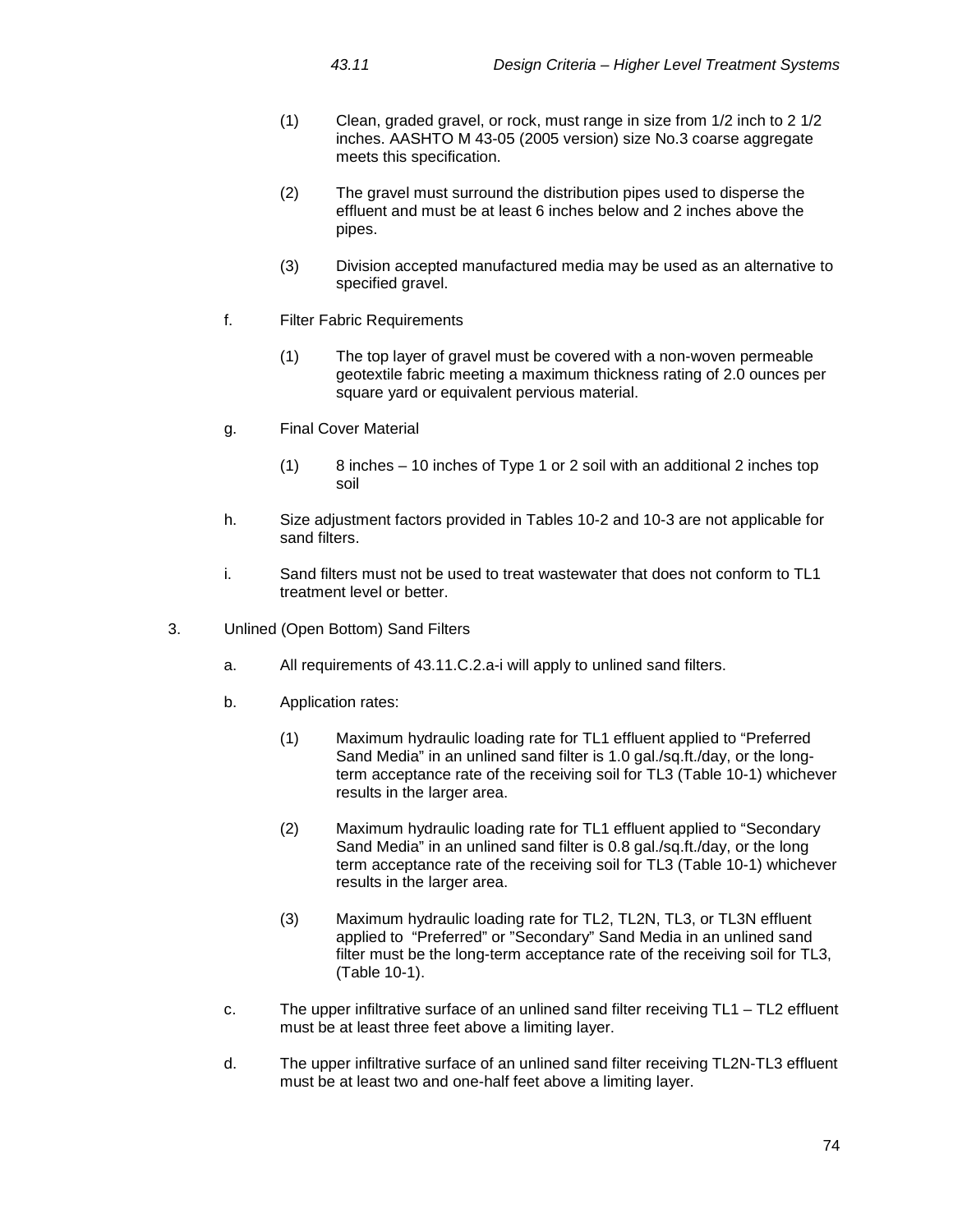- (1) Clean, graded gravel, or rock, must range in size from 1/2 inch to 2 1/2 inches. AASHTO M 43-05 (2005 version) size No.3 coarse aggregate meets this specification.
- (2) The gravel must surround the distribution pipes used to disperse the effluent and must be at least 6 inches below and 2 inches above the pipes.
- (3) Division accepted manufactured media may be used as an alternative to specified gravel.
- f. Filter Fabric Requirements
	- (1) The top layer of gravel must be covered with a non-woven permeable geotextile fabric meeting a maximum thickness rating of 2.0 ounces per square yard or equivalent pervious material.
- g. Final Cover Material
	- (1) 8 inches 10 inches of Type 1 or 2 soil with an additional 2 inches top soil
- h. Size adjustment factors provided in Tables 10-2 and 10-3 are not applicable for sand filters.
- i. Sand filters must not be used to treat wastewater that does not conform to TL1 treatment level or better.
- 3. Unlined (Open Bottom) Sand Filters
	- a. All requirements of 43.11.C.2.a-i will apply to unlined sand filters.
	- b. Application rates:
		- (1) Maximum hydraulic loading rate for TL1 effluent applied to "Preferred Sand Media" in an unlined sand filter is 1.0 gal./sq.ft./day, or the longterm acceptance rate of the receiving soil for TL3 (Table 10-1) whichever results in the larger area.
		- (2) Maximum hydraulic loading rate for TL1 effluent applied to "Secondary Sand Media" in an unlined sand filter is 0.8 gal./sq.ft./day, or the long term acceptance rate of the receiving soil for TL3 (Table 10-1) whichever results in the larger area.
		- (3) Maximum hydraulic loading rate for TL2, TL2N, TL3, or TL3N effluent applied to "Preferred" or "Secondary" Sand Media in an unlined sand filter must be the long-term acceptance rate of the receiving soil for TL3, (Table 10-1).
	- c. The upper infiltrative surface of an unlined sand filter receiving TL1 TL2 effluent must be at least three feet above a limiting layer.
	- d. The upper infiltrative surface of an unlined sand filter receiving TL2N-TL3 effluent must be at least two and one-half feet above a limiting layer.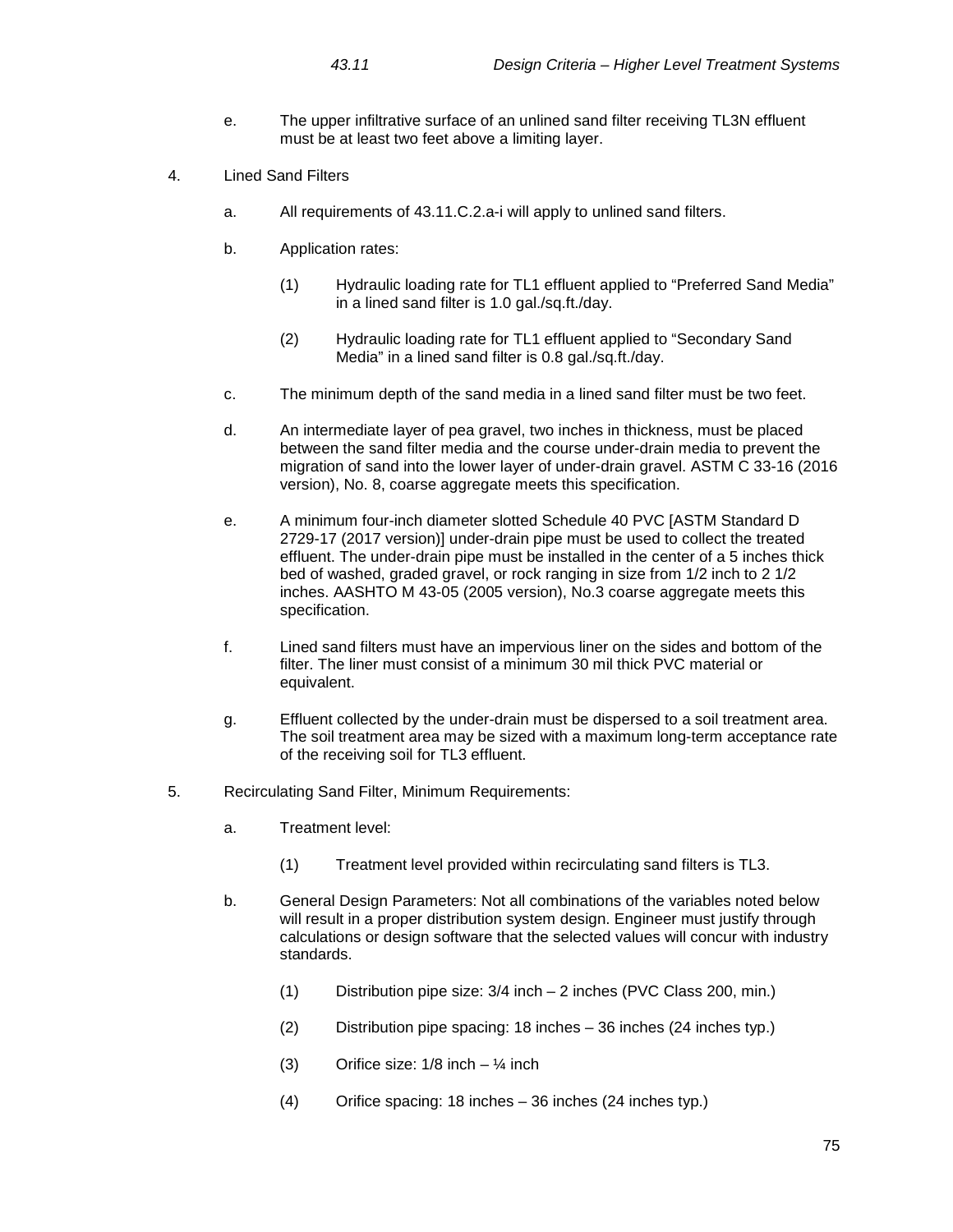- e. The upper infiltrative surface of an unlined sand filter receiving TL3N effluent must be at least two feet above a limiting layer.
- 4. Lined Sand Filters
	- a. All requirements of 43.11.C.2.a-i will apply to unlined sand filters.
	- b. Application rates:
		- (1) Hydraulic loading rate for TL1 effluent applied to "Preferred Sand Media" in a lined sand filter is 1.0 gal./sq.ft./day.
		- (2) Hydraulic loading rate for TL1 effluent applied to "Secondary Sand Media" in a lined sand filter is 0.8 gal./sq.ft./day.
	- c. The minimum depth of the sand media in a lined sand filter must be two feet.
	- d. An intermediate layer of pea gravel, two inches in thickness, must be placed between the sand filter media and the course under-drain media to prevent the migration of sand into the lower layer of under-drain gravel. ASTM C 33-16 (2016 version), No. 8, coarse aggregate meets this specification.
	- e. A minimum four-inch diameter slotted Schedule 40 PVC [ASTM Standard D 2729-17 (2017 version)] under-drain pipe must be used to collect the treated effluent. The under-drain pipe must be installed in the center of a 5 inches thick bed of washed, graded gravel, or rock ranging in size from 1/2 inch to 2 1/2 inches. AASHTO M 43-05 (2005 version), No.3 coarse aggregate meets this specification.
	- f. Lined sand filters must have an impervious liner on the sides and bottom of the filter. The liner must consist of a minimum 30 mil thick PVC material or equivalent.
	- g. Effluent collected by the under-drain must be dispersed to a soil treatment area. The soil treatment area may be sized with a maximum long-term acceptance rate of the receiving soil for TL3 effluent.
- 5. Recirculating Sand Filter, Minimum Requirements:
	- a. Treatment level:
		- (1) Treatment level provided within recirculating sand filters is TL3.
	- b. General Design Parameters: Not all combinations of the variables noted below will result in a proper distribution system design. Engineer must justify through calculations or design software that the selected values will concur with industry standards.
		- (1) Distribution pipe size: 3/4 inch 2 inches (PVC Class 200, min.)
		- (2) Distribution pipe spacing: 18 inches 36 inches (24 inches typ.)
		- (3) Orifice size:  $1/8$  inch  $\frac{1}{4}$  inch
		- (4) Orifice spacing: 18 inches 36 inches (24 inches typ.)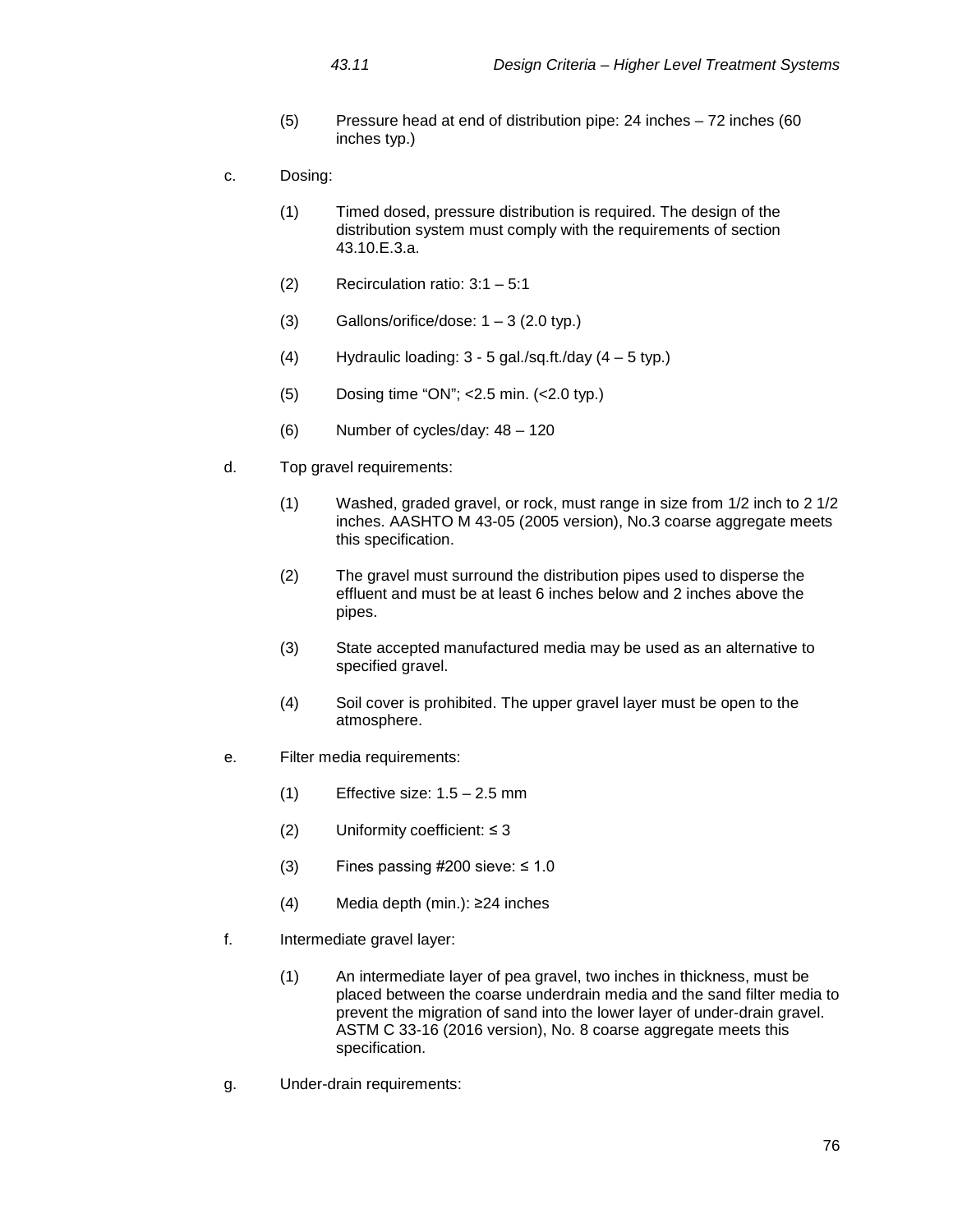- (5) Pressure head at end of distribution pipe: 24 inches 72 inches (60 inches typ.)
- c. Dosing:
	- (1) Timed dosed, pressure distribution is required. The design of the distribution system must comply with the requirements of section 43.10.E.3.a.
	- (2) Recirculation ratio: 3:1 5:1
	- (3) Gallons/orifice/dose:  $1 3$  (2.0 typ.)
	- (4) Hydraulic loading:  $3 5$  gal./sq.ft./day  $(4 5$  typ.)
	- (5) Dosing time "ON"; <2.5 min. (<2.0 typ.)
	- (6) Number of cycles/day: 48 120
- d. Top gravel requirements:
	- (1) Washed, graded gravel, or rock, must range in size from 1/2 inch to 2 1/2 inches. AASHTO M 43-05 (2005 version), No.3 coarse aggregate meets this specification.
	- (2) The gravel must surround the distribution pipes used to disperse the effluent and must be at least 6 inches below and 2 inches above the pipes.
	- (3) State accepted manufactured media may be used as an alternative to specified gravel.
	- (4) Soil cover is prohibited. The upper gravel layer must be open to the atmosphere.
- e. Filter media requirements:
	- $(1)$  Effective size:  $1.5 2.5$  mm
	- (2) Uniformity coefficient: ≤ 3
	- (3) Fines passing  $\#200$  sieve:  $\leq 1.0$
	- (4) Media depth (min.): ≥24 inches
- f. Intermediate gravel layer:
	- (1) An intermediate layer of pea gravel, two inches in thickness, must be placed between the coarse underdrain media and the sand filter media to prevent the migration of sand into the lower layer of under-drain gravel. ASTM C 33-16 (2016 version), No. 8 coarse aggregate meets this specification.
- g. Under-drain requirements: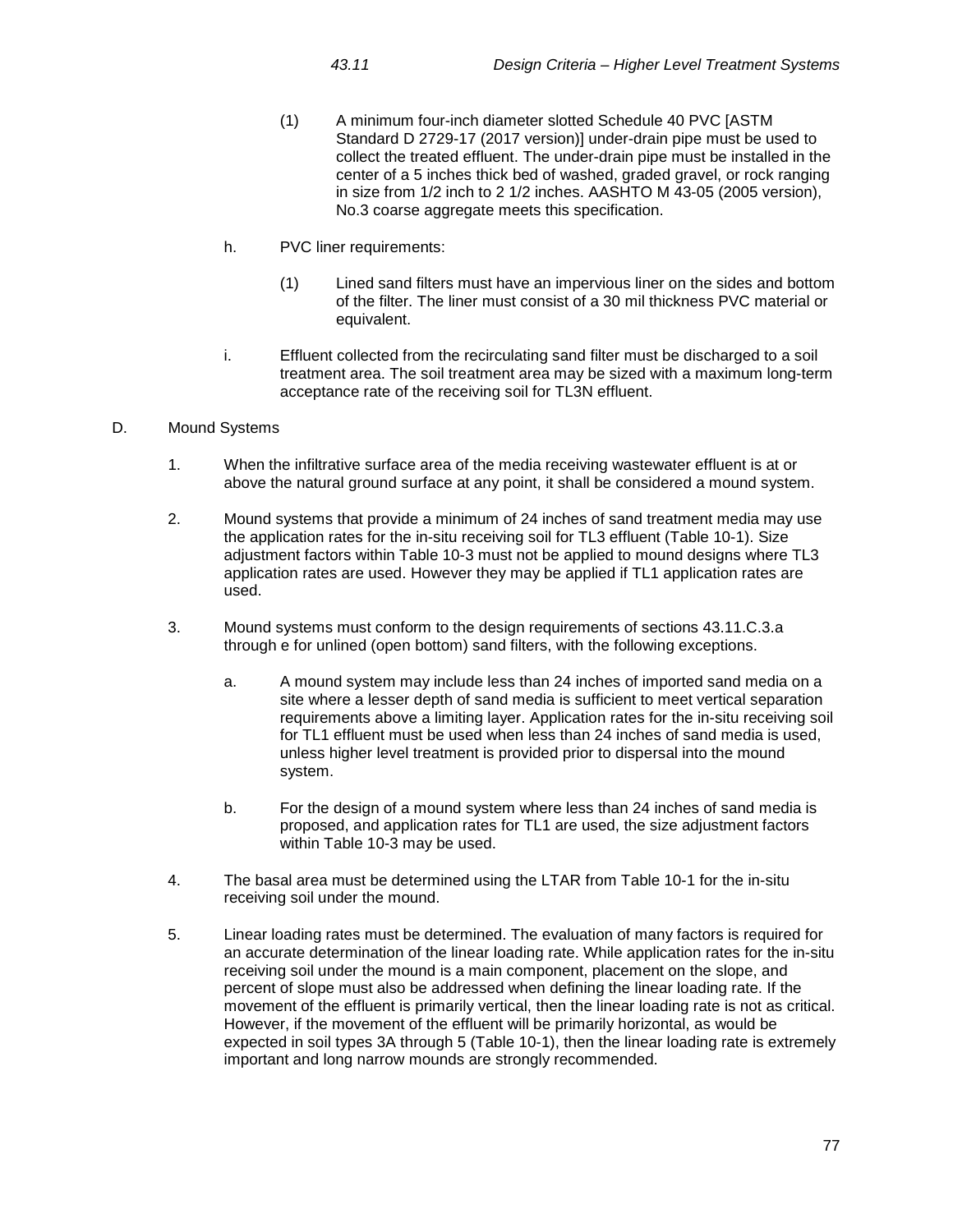- (1) A minimum four-inch diameter slotted Schedule 40 PVC [ASTM Standard D 2729-17 (2017 version)] under-drain pipe must be used to collect the treated effluent. The under-drain pipe must be installed in the center of a 5 inches thick bed of washed, graded gravel, or rock ranging in size from 1/2 inch to 2 1/2 inches. AASHTO M 43-05 (2005 version), No.3 coarse aggregate meets this specification.
- h. PVC liner requirements:
	- (1) Lined sand filters must have an impervious liner on the sides and bottom of the filter. The liner must consist of a 30 mil thickness PVC material or equivalent.
- i. Effluent collected from the recirculating sand filter must be discharged to a soil treatment area. The soil treatment area may be sized with a maximum long-term acceptance rate of the receiving soil for TL3N effluent.

# D. Mound Systems

- 1. When the infiltrative surface area of the media receiving wastewater effluent is at or above the natural ground surface at any point, it shall be considered a mound system.
- 2. Mound systems that provide a minimum of 24 inches of sand treatment media may use the application rates for the in-situ receiving soil for TL3 effluent (Table 10-1). Size adjustment factors within Table 10-3 must not be applied to mound designs where TL3 application rates are used. However they may be applied if TL1 application rates are used.
- 3. Mound systems must conform to the design requirements of sections 43.11.C.3.a through e for unlined (open bottom) sand filters, with the following exceptions.
	- a. A mound system may include less than 24 inches of imported sand media on a site where a lesser depth of sand media is sufficient to meet vertical separation requirements above a limiting layer. Application rates for the in-situ receiving soil for TL1 effluent must be used when less than 24 inches of sand media is used, unless higher level treatment is provided prior to dispersal into the mound system.
	- b. For the design of a mound system where less than 24 inches of sand media is proposed, and application rates for TL1 are used, the size adjustment factors within Table 10-3 may be used.
- 4. The basal area must be determined using the LTAR from Table 10-1 for the in-situ receiving soil under the mound.
- 5. Linear loading rates must be determined. The evaluation of many factors is required for an accurate determination of the linear loading rate. While application rates for the in-situ receiving soil under the mound is a main component, placement on the slope, and percent of slope must also be addressed when defining the linear loading rate. If the movement of the effluent is primarily vertical, then the linear loading rate is not as critical. However, if the movement of the effluent will be primarily horizontal, as would be expected in soil types 3A through 5 (Table 10-1), then the linear loading rate is extremely important and long narrow mounds are strongly recommended.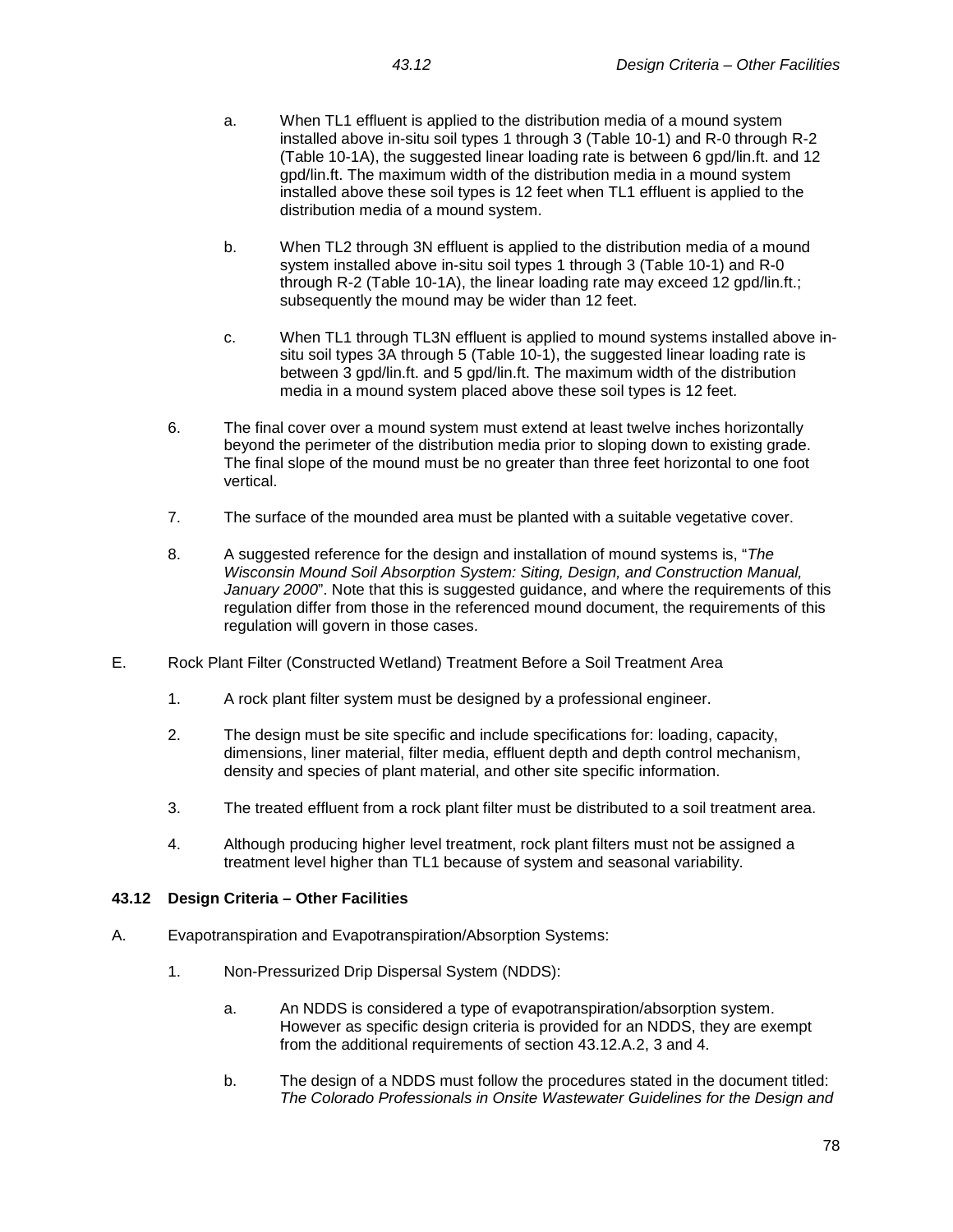- a. When TL1 effluent is applied to the distribution media of a mound system installed above in-situ soil types 1 through 3 (Table 10-1) and R-0 through R-2 (Table 10-1A), the suggested linear loading rate is between 6 gpd/lin.ft. and 12 gpd/lin.ft. The maximum width of the distribution media in a mound system installed above these soil types is 12 feet when TL1 effluent is applied to the distribution media of a mound system.
- b. When TL2 through 3N effluent is applied to the distribution media of a mound system installed above in-situ soil types 1 through 3 (Table 10-1) and R-0 through R-2 (Table 10-1A), the linear loading rate may exceed 12 gpd/lin.ft.; subsequently the mound may be wider than 12 feet.
- c. When TL1 through TL3N effluent is applied to mound systems installed above insitu soil types 3A through 5 (Table 10-1), the suggested linear loading rate is between 3 gpd/lin.ft. and 5 gpd/lin.ft. The maximum width of the distribution media in a mound system placed above these soil types is 12 feet.
- 6. The final cover over a mound system must extend at least twelve inches horizontally beyond the perimeter of the distribution media prior to sloping down to existing grade. The final slope of the mound must be no greater than three feet horizontal to one foot vertical.
- 7. The surface of the mounded area must be planted with a suitable vegetative cover.
- 8. A suggested reference for the design and installation of mound systems is, "*The Wisconsin Mound Soil Absorption System: Siting, Design, and Construction Manual, January 2000*". Note that this is suggested guidance, and where the requirements of this regulation differ from those in the referenced mound document, the requirements of this regulation will govern in those cases.
- E. Rock Plant Filter (Constructed Wetland) Treatment Before a Soil Treatment Area
	- 1. A rock plant filter system must be designed by a professional engineer.
	- 2. The design must be site specific and include specifications for: loading, capacity, dimensions, liner material, filter media, effluent depth and depth control mechanism, density and species of plant material, and other site specific information.
	- 3. The treated effluent from a rock plant filter must be distributed to a soil treatment area.
	- 4. Although producing higher level treatment, rock plant filters must not be assigned a treatment level higher than TL1 because of system and seasonal variability.

# **43.12 Design Criteria – Other Facilities**

- A. Evapotranspiration and Evapotranspiration/Absorption Systems:
	- 1. Non-Pressurized Drip Dispersal System (NDDS):
		- a. An NDDS is considered a type of evapotranspiration/absorption system. However as specific design criteria is provided for an NDDS, they are exempt from the additional requirements of section 43.12.A.2, 3 and 4.
		- b. The design of a NDDS must follow the procedures stated in the document titled: *The Colorado Professionals in Onsite Wastewater Guidelines for the Design and*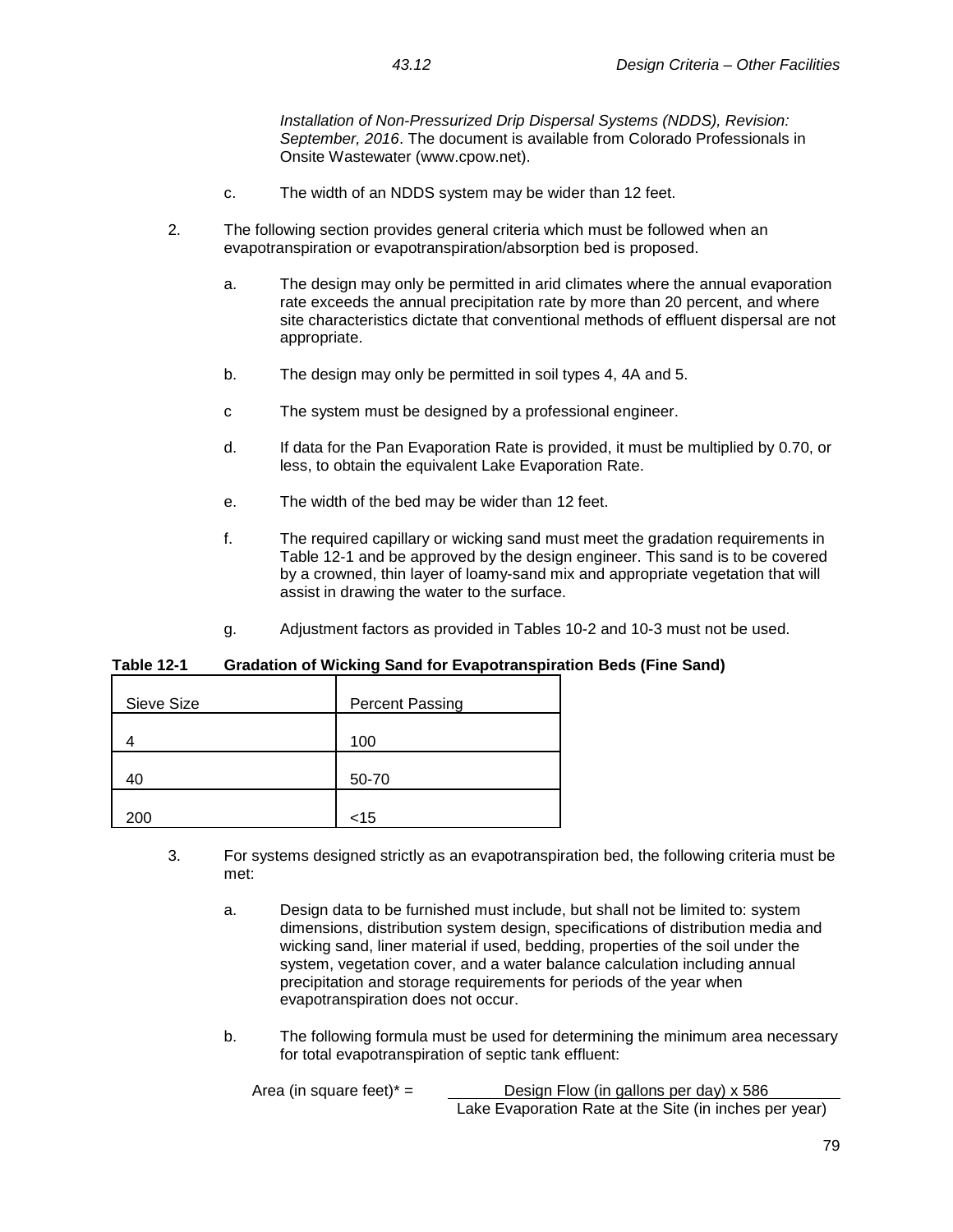*Installation of Non-Pressurized Drip Dispersal Systems (NDDS), Revision: September, 2016*. The document is available from Colorado Professionals in Onsite Wastewater (www.cpow.net).

- c. The width of an NDDS system may be wider than 12 feet.
- 2. The following section provides general criteria which must be followed when an evapotranspiration or evapotranspiration/absorption bed is proposed.
	- a. The design may only be permitted in arid climates where the annual evaporation rate exceeds the annual precipitation rate by more than 20 percent, and where site characteristics dictate that conventional methods of effluent dispersal are not appropriate.
	- b. The design may only be permitted in soil types 4, 4A and 5.
	- c The system must be designed by a professional engineer.
	- d. If data for the Pan Evaporation Rate is provided, it must be multiplied by 0.70, or less, to obtain the equivalent Lake Evaporation Rate.
	- e. The width of the bed may be wider than 12 feet.
	- f. The required capillary or wicking sand must meet the gradation requirements in Table 12-1 and be approved by the design engineer. This sand is to be covered by a crowned, thin layer of loamy-sand mix and appropriate vegetation that will assist in drawing the water to the surface.
	- g. Adjustment factors as provided in Tables 10-2 and 10-3 must not be used.

# **Table 12-1 Gradation of Wicking Sand for Evapotranspiration Beds (Fine Sand)**

| Sieve Size | <b>Percent Passing</b> |
|------------|------------------------|
|            | 100                    |
| 40         | 50-70                  |
| 200        | $<$ 15                 |

- 3. For systems designed strictly as an evapotranspiration bed, the following criteria must be met:
	- a. Design data to be furnished must include, but shall not be limited to: system dimensions, distribution system design, specifications of distribution media and wicking sand, liner material if used, bedding, properties of the soil under the system, vegetation cover, and a water balance calculation including annual precipitation and storage requirements for periods of the year when evapotranspiration does not occur.
	- b. The following formula must be used for determining the minimum area necessary for total evapotranspiration of septic tank effluent:

| Area (in square feet) $* =$ | Design Flow (in gallons per day) x 586                 |  |
|-----------------------------|--------------------------------------------------------|--|
|                             | Lake Evaporation Rate at the Site (in inches per year) |  |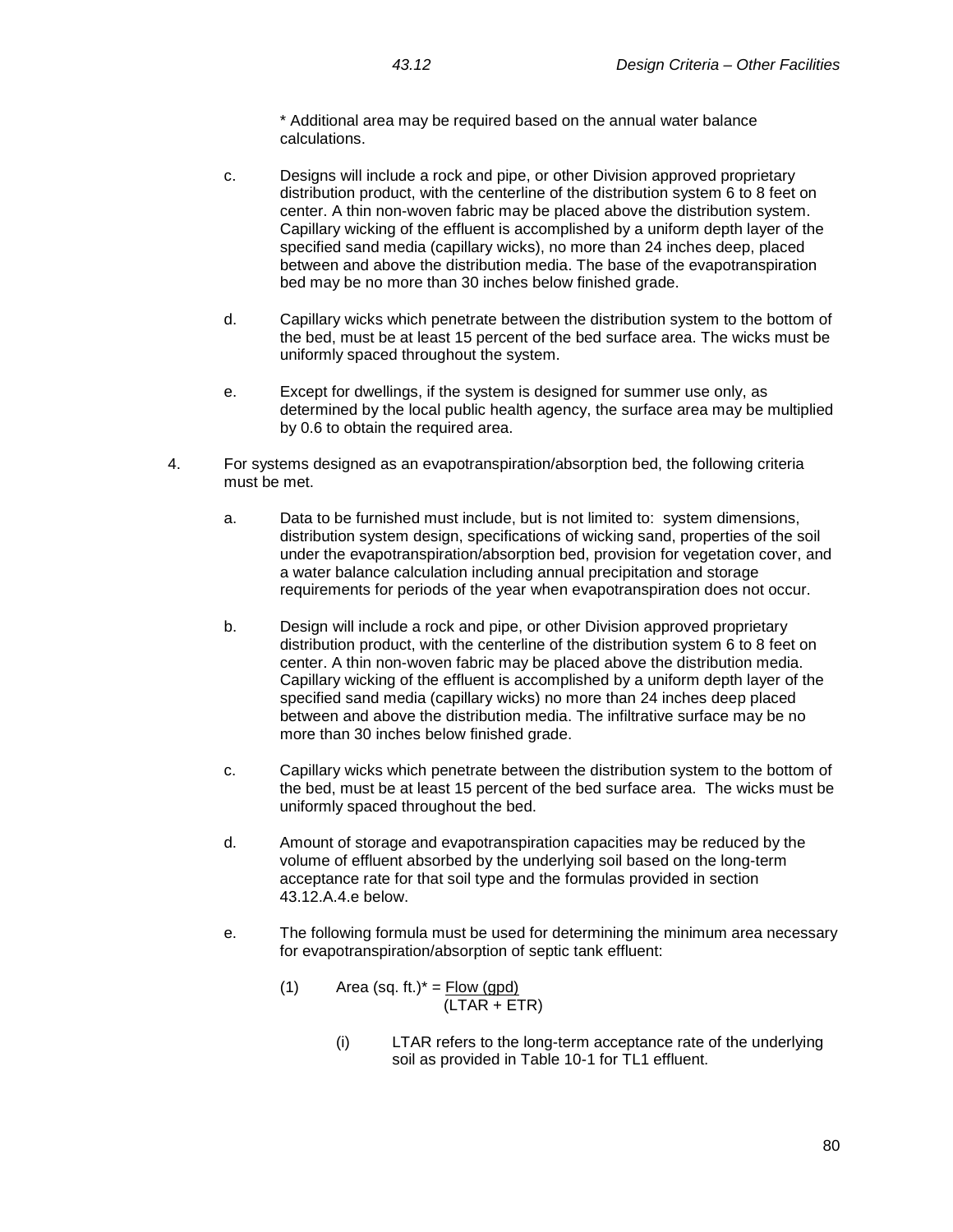\* Additional area may be required based on the annual water balance calculations.

- c. Designs will include a rock and pipe, or other Division approved proprietary distribution product, with the centerline of the distribution system 6 to 8 feet on center. A thin non-woven fabric may be placed above the distribution system. Capillary wicking of the effluent is accomplished by a uniform depth layer of the specified sand media (capillary wicks), no more than 24 inches deep, placed between and above the distribution media. The base of the evapotranspiration bed may be no more than 30 inches below finished grade.
- d. Capillary wicks which penetrate between the distribution system to the bottom of the bed, must be at least 15 percent of the bed surface area. The wicks must be uniformly spaced throughout the system.
- e. Except for dwellings, if the system is designed for summer use only, as determined by the local public health agency, the surface area may be multiplied by 0.6 to obtain the required area.
- 4. For systems designed as an evapotranspiration/absorption bed, the following criteria must be met.
	- a. Data to be furnished must include, but is not limited to: system dimensions, distribution system design, specifications of wicking sand, properties of the soil under the evapotranspiration/absorption bed, provision for vegetation cover, and a water balance calculation including annual precipitation and storage requirements for periods of the year when evapotranspiration does not occur.
	- b. Design will include a rock and pipe, or other Division approved proprietary distribution product, with the centerline of the distribution system 6 to 8 feet on center. A thin non-woven fabric may be placed above the distribution media. Capillary wicking of the effluent is accomplished by a uniform depth layer of the specified sand media (capillary wicks) no more than 24 inches deep placed between and above the distribution media. The infiltrative surface may be no more than 30 inches below finished grade.
	- c. Capillary wicks which penetrate between the distribution system to the bottom of the bed, must be at least 15 percent of the bed surface area. The wicks must be uniformly spaced throughout the bed.
	- d. Amount of storage and evapotranspiration capacities may be reduced by the volume of effluent absorbed by the underlying soil based on the long-term acceptance rate for that soil type and the formulas provided in section 43.12.A.4.e below.
	- e. The following formula must be used for determining the minimum area necessary for evapotranspiration/absorption of septic tank effluent:
		- (1) Area (sq. ft.) $* =$  Flow (gpd) (LTAR + ETR)
			- (i) LTAR refers to the long-term acceptance rate of the underlying soil as provided in Table 10-1 for TL1 effluent.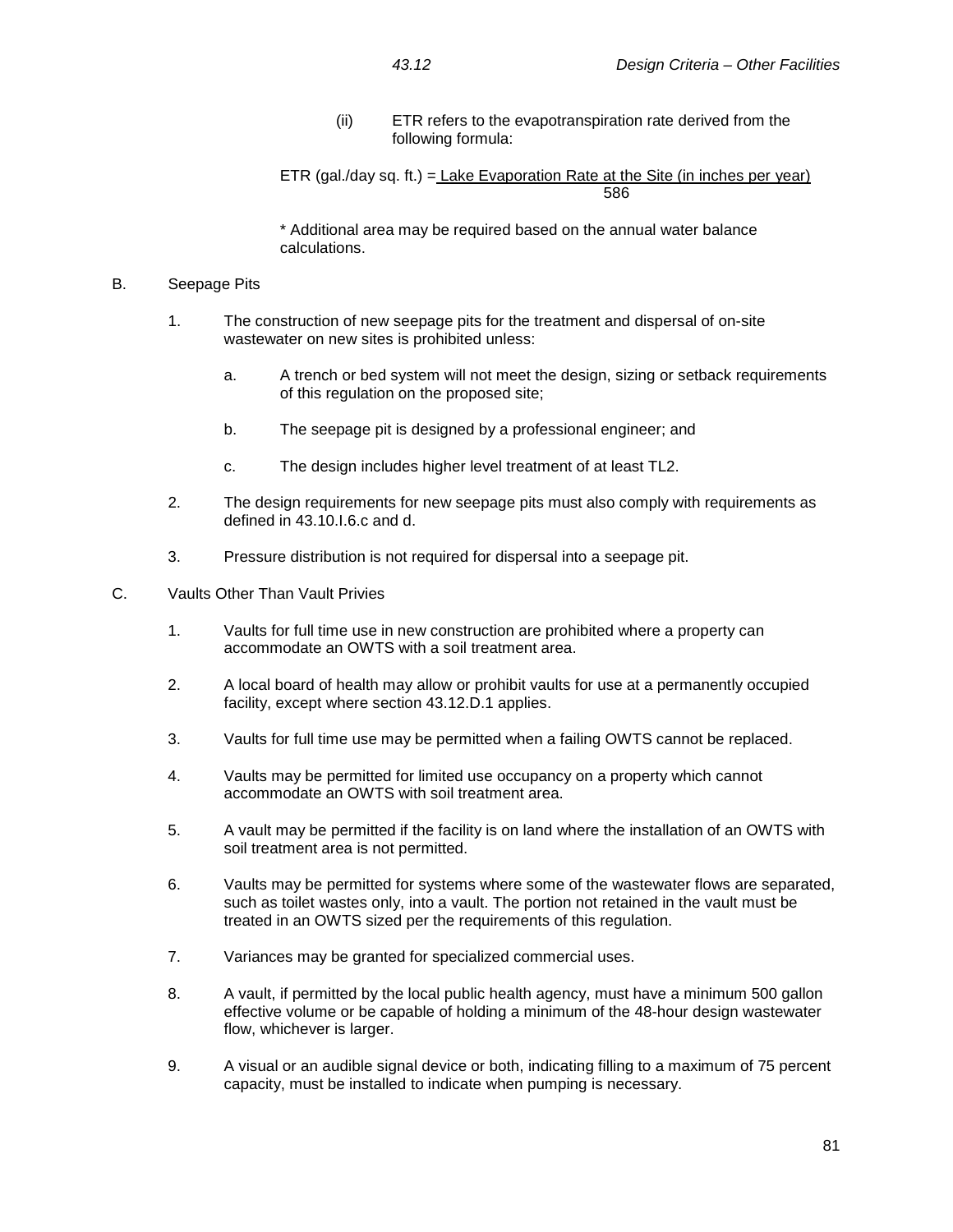(ii) ETR refers to the evapotranspiration rate derived from the following formula:

ETR (gal./day sq. ft.) = Lake Evaporation Rate at the Site (in inches per year) 586

\* Additional area may be required based on the annual water balance calculations.

#### B. Seepage Pits

- 1. The construction of new seepage pits for the treatment and dispersal of on-site wastewater on new sites is prohibited unless:
	- a. A trench or bed system will not meet the design, sizing or setback requirements of this regulation on the proposed site;
	- b. The seepage pit is designed by a professional engineer; and
	- c. The design includes higher level treatment of at least TL2.
- 2. The design requirements for new seepage pits must also comply with requirements as defined in 43.10.I.6.c and d.
- 3. Pressure distribution is not required for dispersal into a seepage pit.
- C. Vaults Other Than Vault Privies
	- 1. Vaults for full time use in new construction are prohibited where a property can accommodate an OWTS with a soil treatment area.
	- 2. A local board of health may allow or prohibit vaults for use at a permanently occupied facility, except where section 43.12.D.1 applies.
	- 3. Vaults for full time use may be permitted when a failing OWTS cannot be replaced.
	- 4. Vaults may be permitted for limited use occupancy on a property which cannot accommodate an OWTS with soil treatment area.
	- 5. A vault may be permitted if the facility is on land where the installation of an OWTS with soil treatment area is not permitted.
	- 6. Vaults may be permitted for systems where some of the wastewater flows are separated, such as toilet wastes only, into a vault. The portion not retained in the vault must be treated in an OWTS sized per the requirements of this regulation.
	- 7. Variances may be granted for specialized commercial uses.
	- 8. A vault, if permitted by the local public health agency, must have a minimum 500 gallon effective volume or be capable of holding a minimum of the 48-hour design wastewater flow, whichever is larger.
	- 9. A visual or an audible signal device or both, indicating filling to a maximum of 75 percent capacity, must be installed to indicate when pumping is necessary.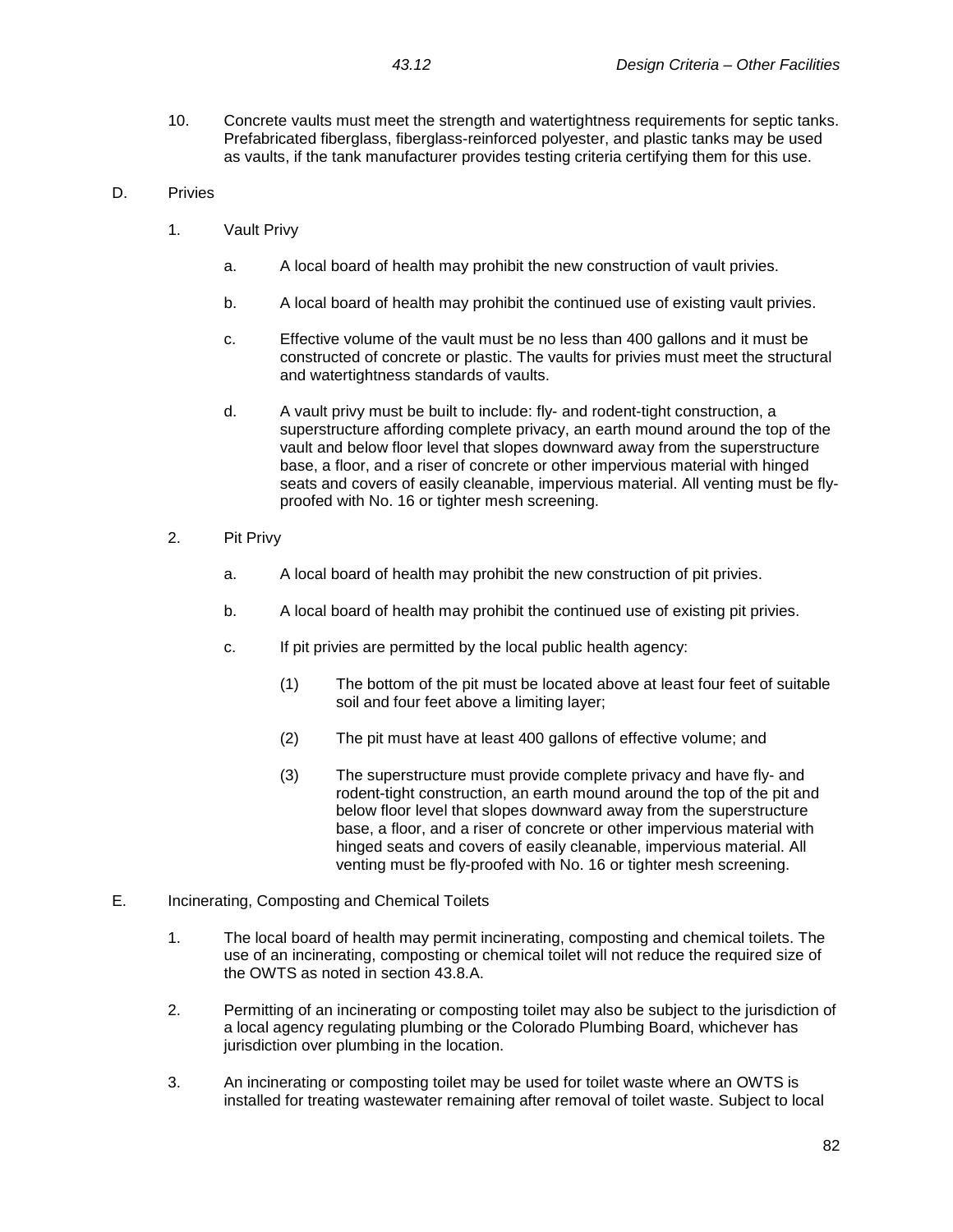10. Concrete vaults must meet the strength and watertightness requirements for septic tanks. Prefabricated fiberglass, fiberglass-reinforced polyester, and plastic tanks may be used as vaults, if the tank manufacturer provides testing criteria certifying them for this use.

# D. Privies

- 1. Vault Privy
	- a. A local board of health may prohibit the new construction of vault privies.
	- b. A local board of health may prohibit the continued use of existing vault privies.
	- c. Effective volume of the vault must be no less than 400 gallons and it must be constructed of concrete or plastic. The vaults for privies must meet the structural and watertightness standards of vaults.
	- d. A vault privy must be built to include: fly- and rodent-tight construction, a superstructure affording complete privacy, an earth mound around the top of the vault and below floor level that slopes downward away from the superstructure base, a floor, and a riser of concrete or other impervious material with hinged seats and covers of easily cleanable, impervious material. All venting must be flyproofed with No. 16 or tighter mesh screening.
- 2. Pit Privy
	- a. A local board of health may prohibit the new construction of pit privies.
	- b. A local board of health may prohibit the continued use of existing pit privies.
	- c. If pit privies are permitted by the local public health agency:
		- (1) The bottom of the pit must be located above at least four feet of suitable soil and four feet above a limiting layer;
		- (2) The pit must have at least 400 gallons of effective volume; and
		- (3) The superstructure must provide complete privacy and have fly- and rodent-tight construction, an earth mound around the top of the pit and below floor level that slopes downward away from the superstructure base, a floor, and a riser of concrete or other impervious material with hinged seats and covers of easily cleanable, impervious material. All venting must be fly-proofed with No. 16 or tighter mesh screening.
- E. Incinerating, Composting and Chemical Toilets
	- 1. The local board of health may permit incinerating, composting and chemical toilets. The use of an incinerating, composting or chemical toilet will not reduce the required size of the OWTS as noted in section 43.8.A.
	- 2. Permitting of an incinerating or composting toilet may also be subject to the jurisdiction of a local agency regulating plumbing or the Colorado Plumbing Board, whichever has jurisdiction over plumbing in the location.
	- 3. An incinerating or composting toilet may be used for toilet waste where an OWTS is installed for treating wastewater remaining after removal of toilet waste. Subject to local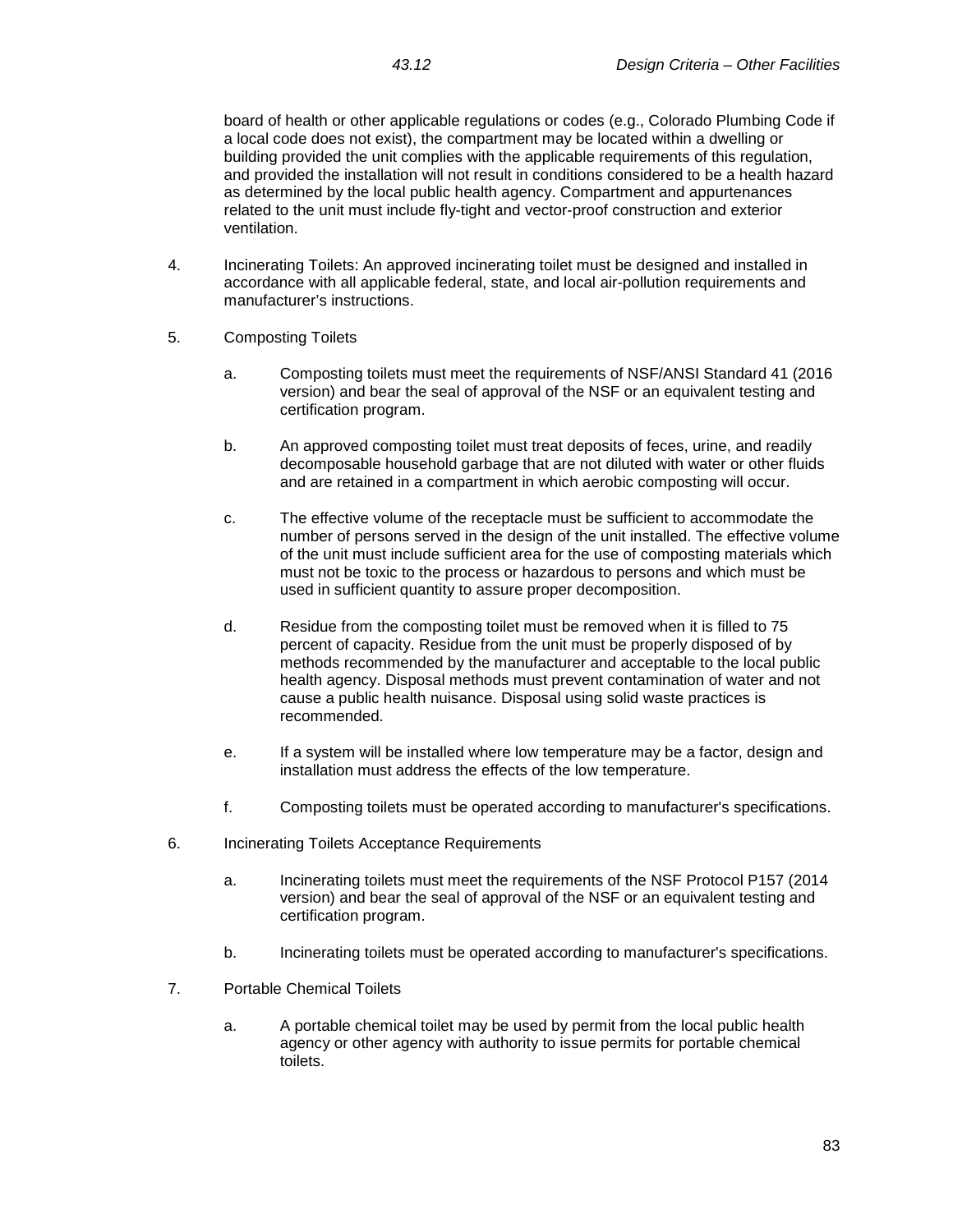board of health or other applicable regulations or codes (e.g., Colorado Plumbing Code if a local code does not exist), the compartment may be located within a dwelling or building provided the unit complies with the applicable requirements of this regulation, and provided the installation will not result in conditions considered to be a health hazard as determined by the local public health agency. Compartment and appurtenances related to the unit must include fly-tight and vector-proof construction and exterior ventilation.

- 4. Incinerating Toilets: An approved incinerating toilet must be designed and installed in accordance with all applicable federal, state, and local air-pollution requirements and manufacturer's instructions.
- 5. Composting Toilets
	- a. Composting toilets must meet the requirements of NSF/ANSI Standard 41 (2016 version) and bear the seal of approval of the NSF or an equivalent testing and certification program.
	- b. An approved composting toilet must treat deposits of feces, urine, and readily decomposable household garbage that are not diluted with water or other fluids and are retained in a compartment in which aerobic composting will occur.
	- c. The effective volume of the receptacle must be sufficient to accommodate the number of persons served in the design of the unit installed. The effective volume of the unit must include sufficient area for the use of composting materials which must not be toxic to the process or hazardous to persons and which must be used in sufficient quantity to assure proper decomposition.
	- d. Residue from the composting toilet must be removed when it is filled to 75 percent of capacity. Residue from the unit must be properly disposed of by methods recommended by the manufacturer and acceptable to the local public health agency. Disposal methods must prevent contamination of water and not cause a public health nuisance. Disposal using solid waste practices is recommended.
	- e. If a system will be installed where low temperature may be a factor, design and installation must address the effects of the low temperature.
	- f. Composting toilets must be operated according to manufacturer's specifications.
- 6. Incinerating Toilets Acceptance Requirements
	- a. Incinerating toilets must meet the requirements of the NSF Protocol P157 (2014 version) and bear the seal of approval of the NSF or an equivalent testing and certification program.
	- b. Incinerating toilets must be operated according to manufacturer's specifications.
- 7. Portable Chemical Toilets
	- a. A portable chemical toilet may be used by permit from the local public health agency or other agency with authority to issue permits for portable chemical toilets.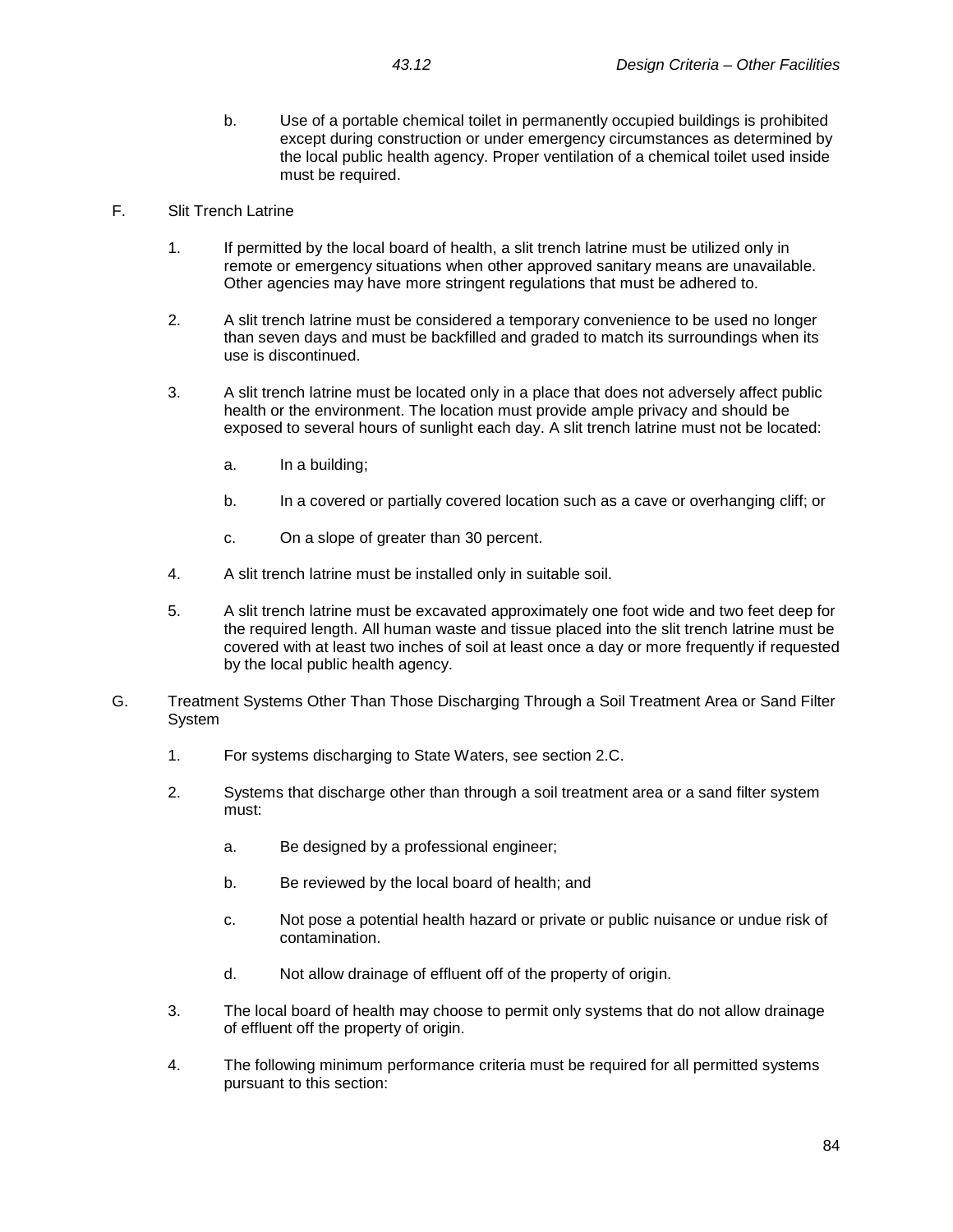- b. Use of a portable chemical toilet in permanently occupied buildings is prohibited except during construction or under emergency circumstances as determined by the local public health agency. Proper ventilation of a chemical toilet used inside must be required.
- F. Slit Trench Latrine
	- 1. If permitted by the local board of health, a slit trench latrine must be utilized only in remote or emergency situations when other approved sanitary means are unavailable. Other agencies may have more stringent regulations that must be adhered to.
	- 2. A slit trench latrine must be considered a temporary convenience to be used no longer than seven days and must be backfilled and graded to match its surroundings when its use is discontinued.
	- 3. A slit trench latrine must be located only in a place that does not adversely affect public health or the environment. The location must provide ample privacy and should be exposed to several hours of sunlight each day. A slit trench latrine must not be located:
		- a. In a building;
		- b. In a covered or partially covered location such as a cave or overhanging cliff; or
		- c. On a slope of greater than 30 percent.
	- 4. A slit trench latrine must be installed only in suitable soil.
	- 5. A slit trench latrine must be excavated approximately one foot wide and two feet deep for the required length. All human waste and tissue placed into the slit trench latrine must be covered with at least two inches of soil at least once a day or more frequently if requested by the local public health agency.
- G. Treatment Systems Other Than Those Discharging Through a Soil Treatment Area or Sand Filter System
	- 1. For systems discharging to State Waters, see section 2.C.
	- 2. Systems that discharge other than through a soil treatment area or a sand filter system must:
		- a. Be designed by a professional engineer;
		- b. Be reviewed by the local board of health; and
		- c. Not pose a potential health hazard or private or public nuisance or undue risk of contamination.
		- d. Not allow drainage of effluent off of the property of origin.
	- 3. The local board of health may choose to permit only systems that do not allow drainage of effluent off the property of origin.
	- 4. The following minimum performance criteria must be required for all permitted systems pursuant to this section: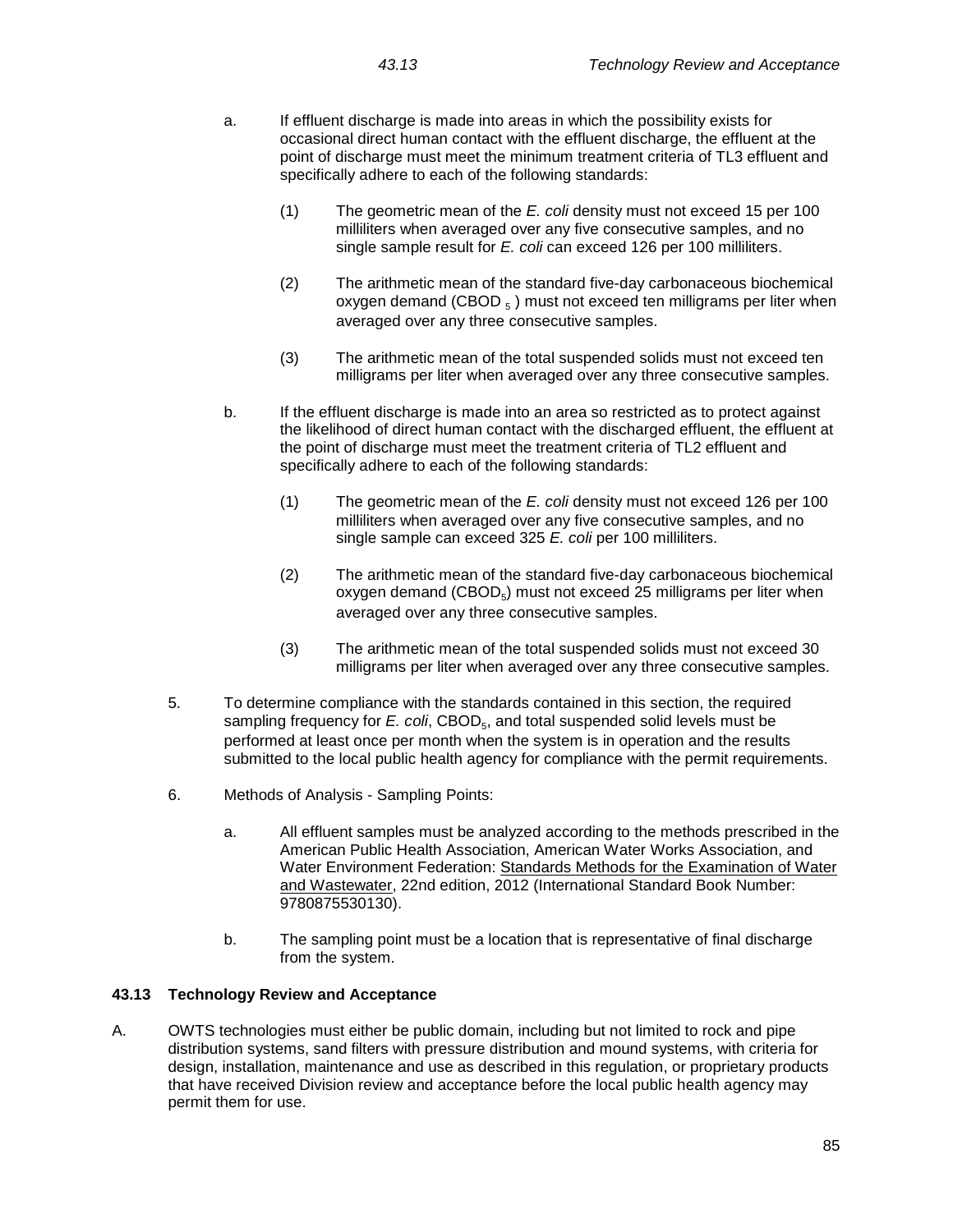- a. If effluent discharge is made into areas in which the possibility exists for occasional direct human contact with the effluent discharge, the effluent at the point of discharge must meet the minimum treatment criteria of TL3 effluent and specifically adhere to each of the following standards:
	- (1) The geometric mean of the *E. coli* density must not exceed 15 per 100 milliliters when averaged over any five consecutive samples, and no single sample result for *E. coli* can exceed 126 per 100 milliliters.
	- (2) The arithmetic mean of the standard five-day carbonaceous biochemical oxygen demand (CBOD  $_5$ ) must not exceed ten milligrams per liter when averaged over any three consecutive samples.
	- (3) The arithmetic mean of the total suspended solids must not exceed ten milligrams per liter when averaged over any three consecutive samples.
- b. If the effluent discharge is made into an area so restricted as to protect against the likelihood of direct human contact with the discharged effluent, the effluent at the point of discharge must meet the treatment criteria of TL2 effluent and specifically adhere to each of the following standards:
	- (1) The geometric mean of the *E. coli* density must not exceed 126 per 100 milliliters when averaged over any five consecutive samples, and no single sample can exceed 325 *E. coli* per 100 milliliters.
	- (2) The arithmetic mean of the standard five-day carbonaceous biochemical oxygen demand  $(CBOD<sub>5</sub>)$  must not exceed 25 milligrams per liter when averaged over any three consecutive samples.
	- (3) The arithmetic mean of the total suspended solids must not exceed 30 milligrams per liter when averaged over any three consecutive samples.
- 5. To determine compliance with the standards contained in this section, the required sampling frequency for *E. coli*, CBOD<sub>5</sub>, and total suspended solid levels must be performed at least once per month when the system is in operation and the results submitted to the local public health agency for compliance with the permit requirements.
- 6. Methods of Analysis Sampling Points:
	- a. All effluent samples must be analyzed according to the methods prescribed in the American Public Health Association, American Water Works Association, and Water Environment Federation: Standards Methods for the Examination of Water and Wastewater, 22nd edition, 2012 (International Standard Book Number: 9780875530130).
	- b. The sampling point must be a location that is representative of final discharge from the system.

# **43.13 Technology Review and Acceptance**

A. OWTS technologies must either be public domain, including but not limited to rock and pipe distribution systems, sand filters with pressure distribution and mound systems, with criteria for design, installation, maintenance and use as described in this regulation, or proprietary products that have received Division review and acceptance before the local public health agency may permit them for use.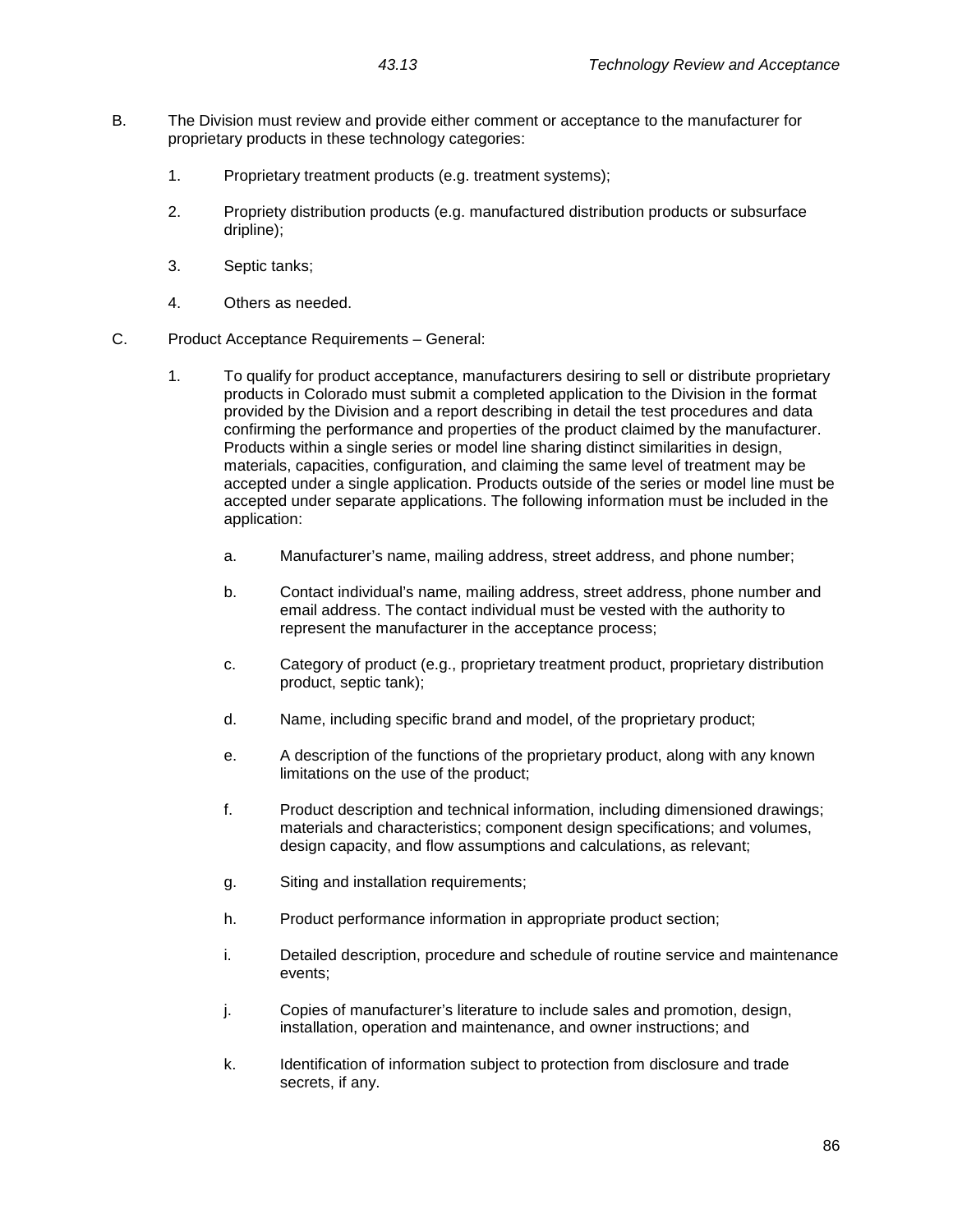- B. The Division must review and provide either comment or acceptance to the manufacturer for proprietary products in these technology categories:
	- 1. Proprietary treatment products (e.g. treatment systems);
	- 2. Propriety distribution products (e.g. manufactured distribution products or subsurface dripline);
	- 3. Septic tanks;
	- 4. Others as needed.
- C. Product Acceptance Requirements General:
	- 1. To qualify for product acceptance, manufacturers desiring to sell or distribute proprietary products in Colorado must submit a completed application to the Division in the format provided by the Division and a report describing in detail the test procedures and data confirming the performance and properties of the product claimed by the manufacturer. Products within a single series or model line sharing distinct similarities in design, materials, capacities, configuration, and claiming the same level of treatment may be accepted under a single application. Products outside of the series or model line must be accepted under separate applications. The following information must be included in the application:
		- a. Manufacturer's name, mailing address, street address, and phone number;
		- b. Contact individual's name, mailing address, street address, phone number and email address. The contact individual must be vested with the authority to represent the manufacturer in the acceptance process;
		- c. Category of product (e.g., proprietary treatment product, proprietary distribution product, septic tank);
		- d. Name, including specific brand and model, of the proprietary product;
		- e. A description of the functions of the proprietary product, along with any known limitations on the use of the product;
		- f. Product description and technical information, including dimensioned drawings; materials and characteristics; component design specifications; and volumes, design capacity, and flow assumptions and calculations, as relevant;
		- g. Siting and installation requirements;
		- h. Product performance information in appropriate product section;
		- i. Detailed description, procedure and schedule of routine service and maintenance events;
		- j. Copies of manufacturer's literature to include sales and promotion, design, installation, operation and maintenance, and owner instructions; and
		- k. Identification of information subject to protection from disclosure and trade secrets, if any.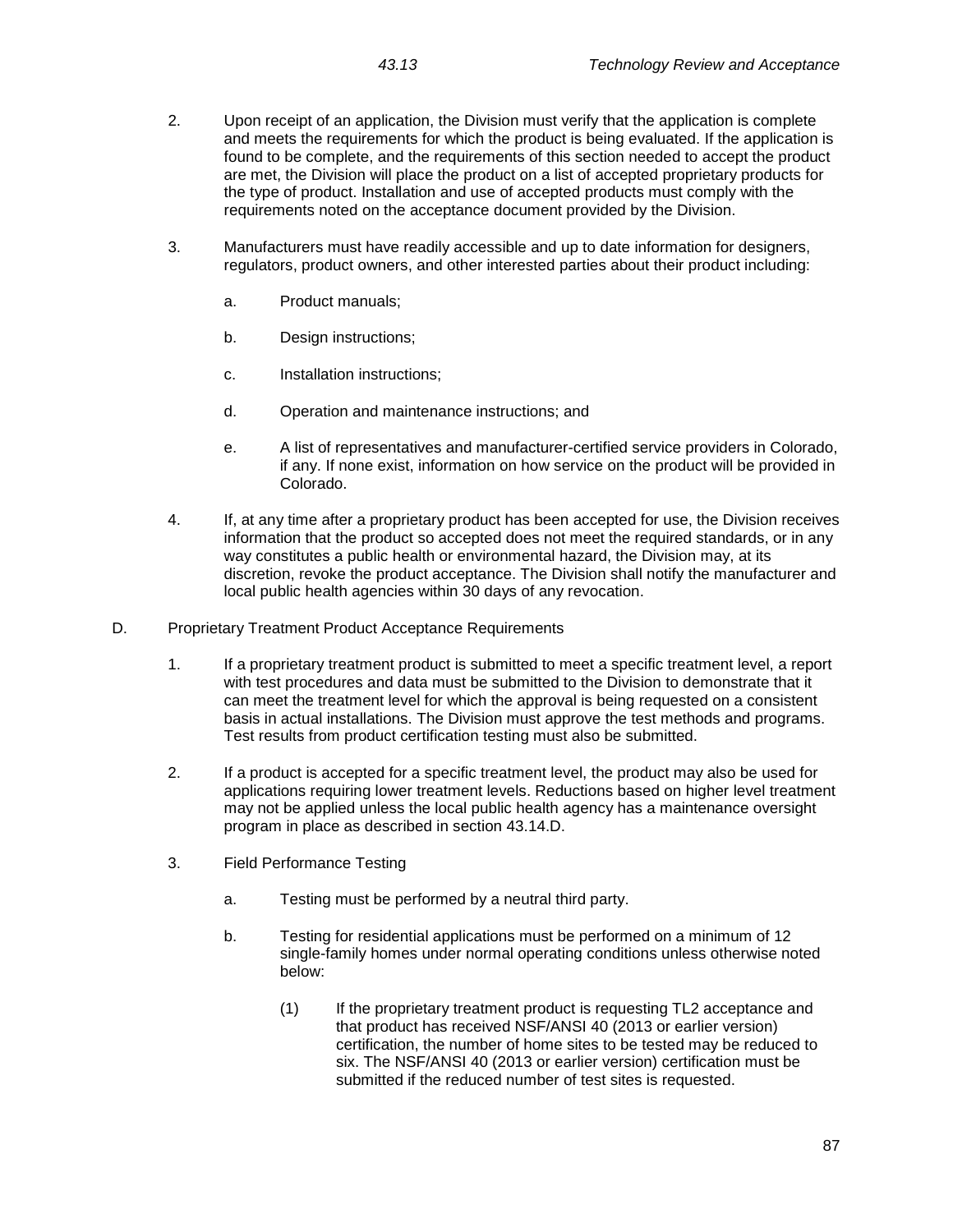- 2. Upon receipt of an application, the Division must verify that the application is complete and meets the requirements for which the product is being evaluated. If the application is found to be complete, and the requirements of this section needed to accept the product are met, the Division will place the product on a list of accepted proprietary products for the type of product. Installation and use of accepted products must comply with the requirements noted on the acceptance document provided by the Division.
- 3. Manufacturers must have readily accessible and up to date information for designers, regulators, product owners, and other interested parties about their product including:
	- a. Product manuals;
	- b. Design instructions;
	- c. Installation instructions;
	- d. Operation and maintenance instructions; and
	- e. A list of representatives and manufacturer-certified service providers in Colorado, if any. If none exist, information on how service on the product will be provided in Colorado.
- 4. If, at any time after a proprietary product has been accepted for use, the Division receives information that the product so accepted does not meet the required standards, or in any way constitutes a public health or environmental hazard, the Division may, at its discretion, revoke the product acceptance. The Division shall notify the manufacturer and local public health agencies within 30 days of any revocation.
- D. Proprietary Treatment Product Acceptance Requirements
	- 1. If a proprietary treatment product is submitted to meet a specific treatment level, a report with test procedures and data must be submitted to the Division to demonstrate that it can meet the treatment level for which the approval is being requested on a consistent basis in actual installations. The Division must approve the test methods and programs. Test results from product certification testing must also be submitted.
	- 2. If a product is accepted for a specific treatment level, the product may also be used for applications requiring lower treatment levels. Reductions based on higher level treatment may not be applied unless the local public health agency has a maintenance oversight program in place as described in section 43.14.D.
	- 3. Field Performance Testing
		- a. Testing must be performed by a neutral third party.
		- b. Testing for residential applications must be performed on a minimum of 12 single-family homes under normal operating conditions unless otherwise noted below:
			- (1) If the proprietary treatment product is requesting TL2 acceptance and that product has received NSF/ANSI 40 (2013 or earlier version) certification, the number of home sites to be tested may be reduced to six. The NSF/ANSI 40 (2013 or earlier version) certification must be submitted if the reduced number of test sites is requested.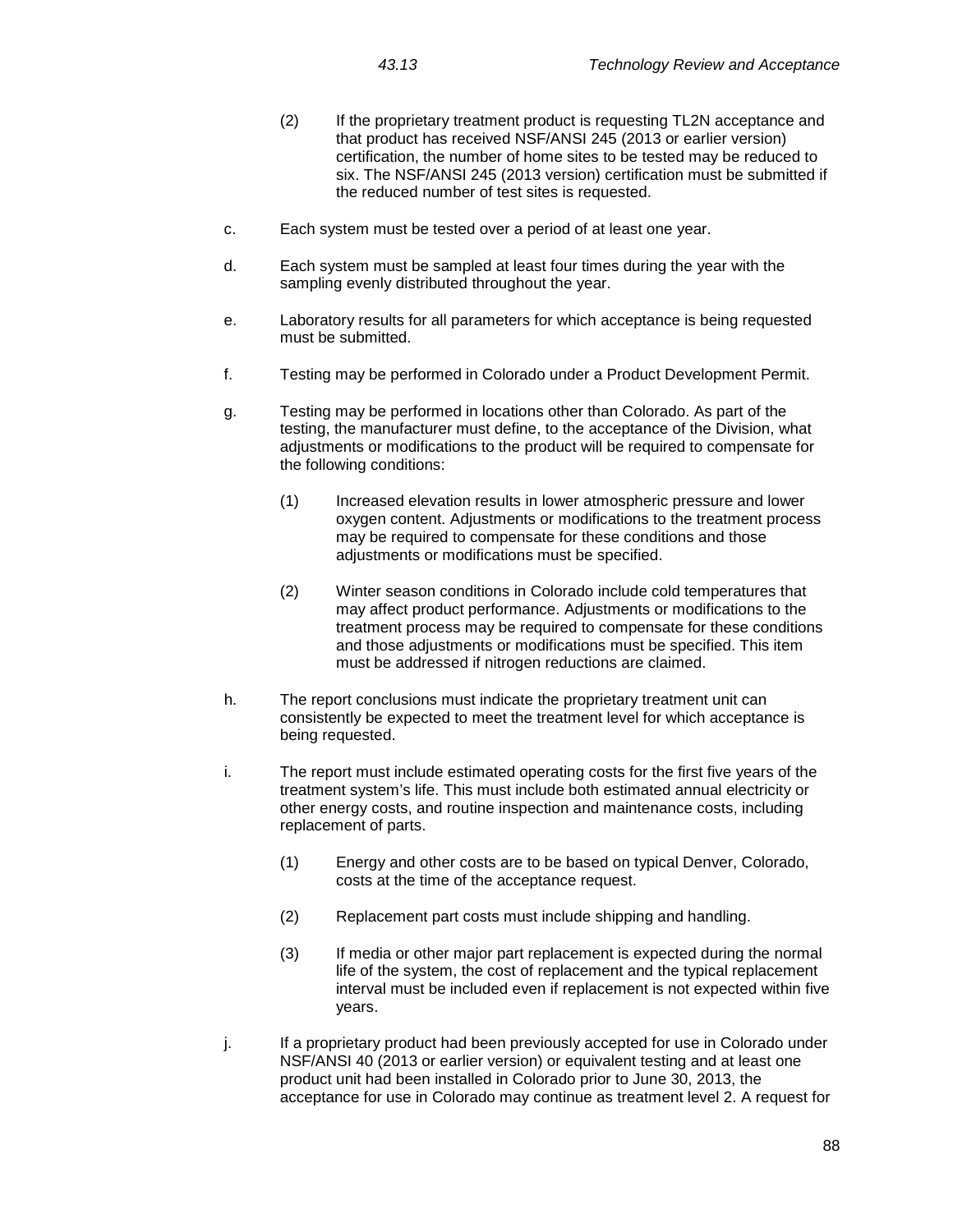- 
- (2) If the proprietary treatment product is requesting TL2N acceptance and that product has received NSF/ANSI 245 (2013 or earlier version) certification, the number of home sites to be tested may be reduced to six. The NSF/ANSI 245 (2013 version) certification must be submitted if the reduced number of test sites is requested.
- c. Each system must be tested over a period of at least one year.
- d. Each system must be sampled at least four times during the year with the sampling evenly distributed throughout the year.
- e. Laboratory results for all parameters for which acceptance is being requested must be submitted.
- f. Testing may be performed in Colorado under a Product Development Permit.
- g. Testing may be performed in locations other than Colorado. As part of the testing, the manufacturer must define, to the acceptance of the Division, what adjustments or modifications to the product will be required to compensate for the following conditions:
	- (1) Increased elevation results in lower atmospheric pressure and lower oxygen content. Adjustments or modifications to the treatment process may be required to compensate for these conditions and those adjustments or modifications must be specified.
	- (2) Winter season conditions in Colorado include cold temperatures that may affect product performance. Adjustments or modifications to the treatment process may be required to compensate for these conditions and those adjustments or modifications must be specified. This item must be addressed if nitrogen reductions are claimed.
- h. The report conclusions must indicate the proprietary treatment unit can consistently be expected to meet the treatment level for which acceptance is being requested.
- i. The report must include estimated operating costs for the first five years of the treatment system's life. This must include both estimated annual electricity or other energy costs, and routine inspection and maintenance costs, including replacement of parts.
	- (1) Energy and other costs are to be based on typical Denver, Colorado, costs at the time of the acceptance request.
	- (2) Replacement part costs must include shipping and handling.
	- (3) If media or other major part replacement is expected during the normal life of the system, the cost of replacement and the typical replacement interval must be included even if replacement is not expected within five years.
- j. If a proprietary product had been previously accepted for use in Colorado under NSF/ANSI 40 (2013 or earlier version) or equivalent testing and at least one product unit had been installed in Colorado prior to June 30, 2013, the acceptance for use in Colorado may continue as treatment level 2. A request for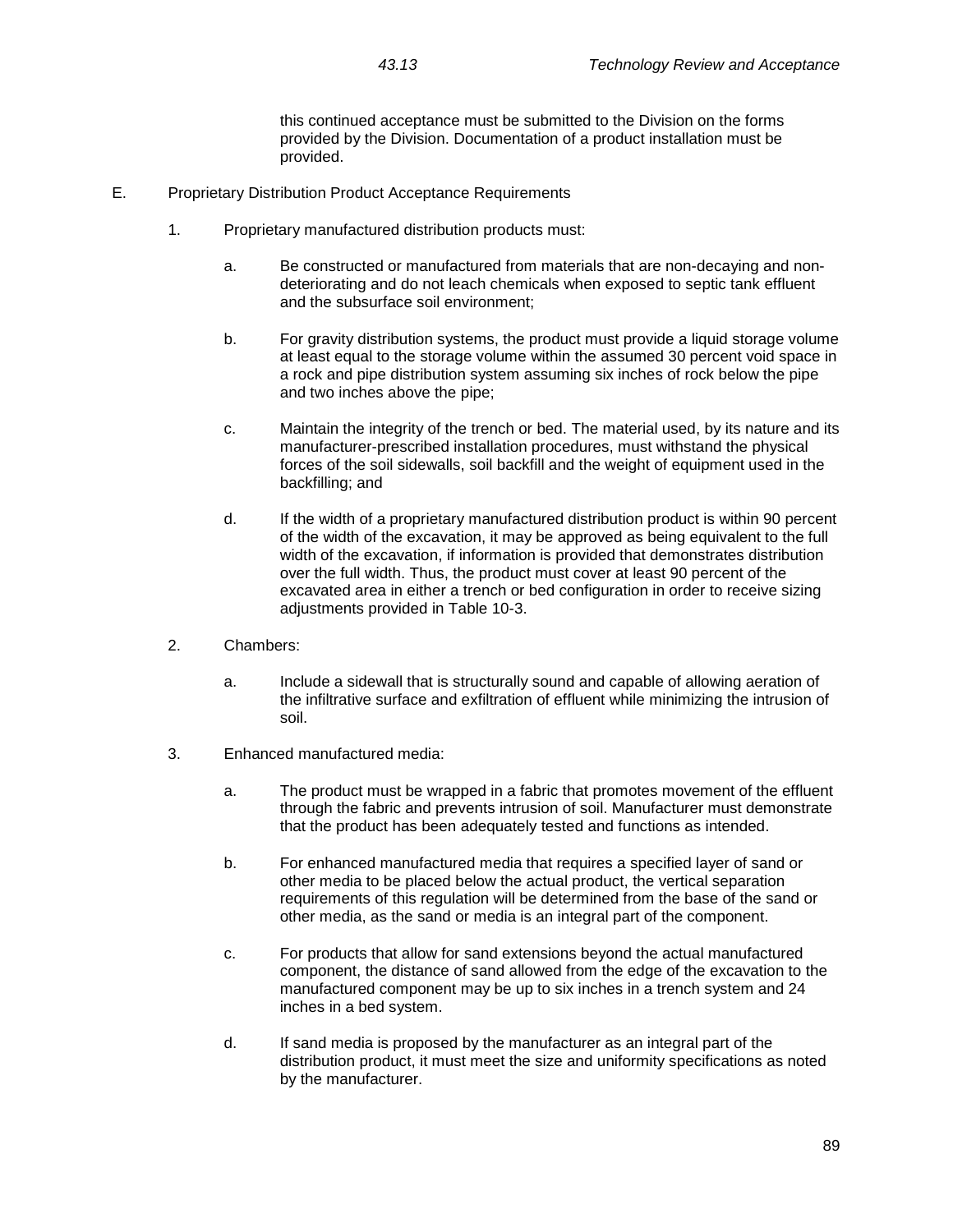this continued acceptance must be submitted to the Division on the forms provided by the Division. Documentation of a product installation must be provided.

- E. Proprietary Distribution Product Acceptance Requirements
	- 1. Proprietary manufactured distribution products must:
		- a. Be constructed or manufactured from materials that are non-decaying and nondeteriorating and do not leach chemicals when exposed to septic tank effluent and the subsurface soil environment;
		- b. For gravity distribution systems, the product must provide a liquid storage volume at least equal to the storage volume within the assumed 30 percent void space in a rock and pipe distribution system assuming six inches of rock below the pipe and two inches above the pipe;
		- c. Maintain the integrity of the trench or bed. The material used, by its nature and its manufacturer-prescribed installation procedures, must withstand the physical forces of the soil sidewalls, soil backfill and the weight of equipment used in the backfilling; and
		- d. If the width of a proprietary manufactured distribution product is within 90 percent of the width of the excavation, it may be approved as being equivalent to the full width of the excavation, if information is provided that demonstrates distribution over the full width. Thus, the product must cover at least 90 percent of the excavated area in either a trench or bed configuration in order to receive sizing adjustments provided in Table 10-3.
	- 2. Chambers:
		- a. Include a sidewall that is structurally sound and capable of allowing aeration of the infiltrative surface and exfiltration of effluent while minimizing the intrusion of soil.
	- 3. Enhanced manufactured media:
		- a. The product must be wrapped in a fabric that promotes movement of the effluent through the fabric and prevents intrusion of soil. Manufacturer must demonstrate that the product has been adequately tested and functions as intended.
		- b. For enhanced manufactured media that requires a specified layer of sand or other media to be placed below the actual product, the vertical separation requirements of this regulation will be determined from the base of the sand or other media, as the sand or media is an integral part of the component.
		- c. For products that allow for sand extensions beyond the actual manufactured component, the distance of sand allowed from the edge of the excavation to the manufactured component may be up to six inches in a trench system and 24 inches in a bed system.
		- d. If sand media is proposed by the manufacturer as an integral part of the distribution product, it must meet the size and uniformity specifications as noted by the manufacturer.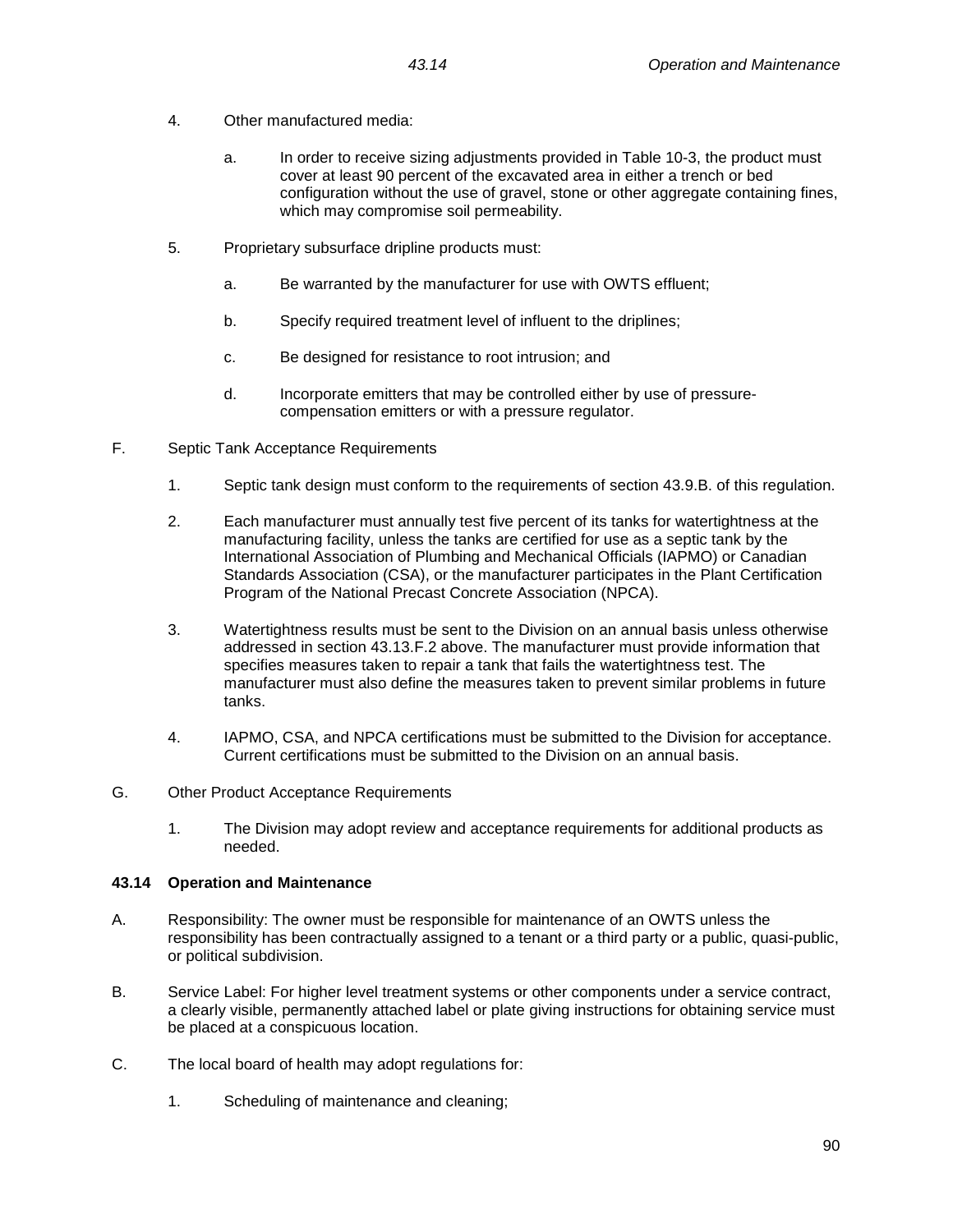- 4. Other manufactured media:
	- a. In order to receive sizing adjustments provided in Table 10-3, the product must cover at least 90 percent of the excavated area in either a trench or bed configuration without the use of gravel, stone or other aggregate containing fines, which may compromise soil permeability.
- 5. Proprietary subsurface dripline products must:
	- a. Be warranted by the manufacturer for use with OWTS effluent;
	- b. Specify required treatment level of influent to the driplines;
	- c. Be designed for resistance to root intrusion; and
	- d. Incorporate emitters that may be controlled either by use of pressurecompensation emitters or with a pressure regulator.
- F. Septic Tank Acceptance Requirements
	- 1. Septic tank design must conform to the requirements of section 43.9.B. of this regulation.
	- 2. Each manufacturer must annually test five percent of its tanks for watertightness at the manufacturing facility, unless the tanks are certified for use as a septic tank by the International Association of Plumbing and Mechanical Officials (IAPMO) or Canadian Standards Association (CSA), or the manufacturer participates in the Plant Certification Program of the National Precast Concrete Association (NPCA).
	- 3. Watertightness results must be sent to the Division on an annual basis unless otherwise addressed in section 43.13.F.2 above. The manufacturer must provide information that specifies measures taken to repair a tank that fails the watertightness test. The manufacturer must also define the measures taken to prevent similar problems in future tanks.
	- 4. IAPMO, CSA, and NPCA certifications must be submitted to the Division for acceptance. Current certifications must be submitted to the Division on an annual basis.
- G. Other Product Acceptance Requirements
	- 1. The Division may adopt review and acceptance requirements for additional products as needed.

# **43.14 Operation and Maintenance**

- A. Responsibility: The owner must be responsible for maintenance of an OWTS unless the responsibility has been contractually assigned to a tenant or a third party or a public, quasi-public, or political subdivision.
- B. Service Label: For higher level treatment systems or other components under a service contract, a clearly visible, permanently attached label or plate giving instructions for obtaining service must be placed at a conspicuous location.
- C. The local board of health may adopt regulations for:
	- 1. Scheduling of maintenance and cleaning;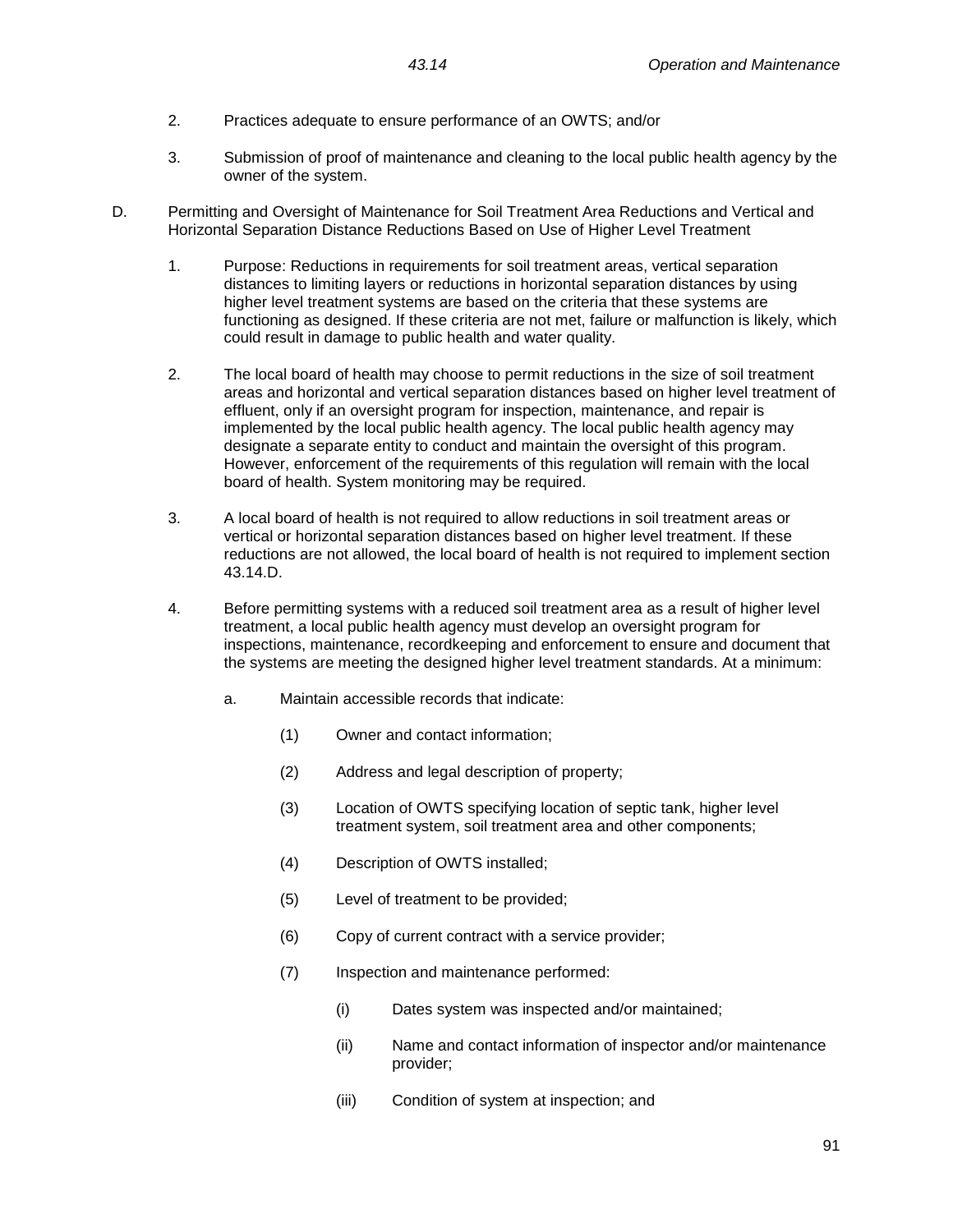- 2. Practices adequate to ensure performance of an OWTS; and/or
- 3. Submission of proof of maintenance and cleaning to the local public health agency by the owner of the system.
- D. Permitting and Oversight of Maintenance for Soil Treatment Area Reductions and Vertical and Horizontal Separation Distance Reductions Based on Use of Higher Level Treatment
	- 1. Purpose: Reductions in requirements for soil treatment areas, vertical separation distances to limiting layers or reductions in horizontal separation distances by using higher level treatment systems are based on the criteria that these systems are functioning as designed. If these criteria are not met, failure or malfunction is likely, which could result in damage to public health and water quality.
	- 2. The local board of health may choose to permit reductions in the size of soil treatment areas and horizontal and vertical separation distances based on higher level treatment of effluent, only if an oversight program for inspection, maintenance, and repair is implemented by the local public health agency. The local public health agency may designate a separate entity to conduct and maintain the oversight of this program. However, enforcement of the requirements of this regulation will remain with the local board of health. System monitoring may be required.
	- 3. A local board of health is not required to allow reductions in soil treatment areas or vertical or horizontal separation distances based on higher level treatment. If these reductions are not allowed, the local board of health is not required to implement section 43.14.D.
	- 4. Before permitting systems with a reduced soil treatment area as a result of higher level treatment, a local public health agency must develop an oversight program for inspections, maintenance, recordkeeping and enforcement to ensure and document that the systems are meeting the designed higher level treatment standards. At a minimum:
		- a. Maintain accessible records that indicate:
			- (1) Owner and contact information;
			- (2) Address and legal description of property;
			- (3) Location of OWTS specifying location of septic tank, higher level treatment system, soil treatment area and other components;
			- (4) Description of OWTS installed;
			- (5) Level of treatment to be provided;
			- (6) Copy of current contract with a service provider;
			- (7) Inspection and maintenance performed:
				- (i) Dates system was inspected and/or maintained;
				- (ii) Name and contact information of inspector and/or maintenance provider;
				- (iii) Condition of system at inspection; and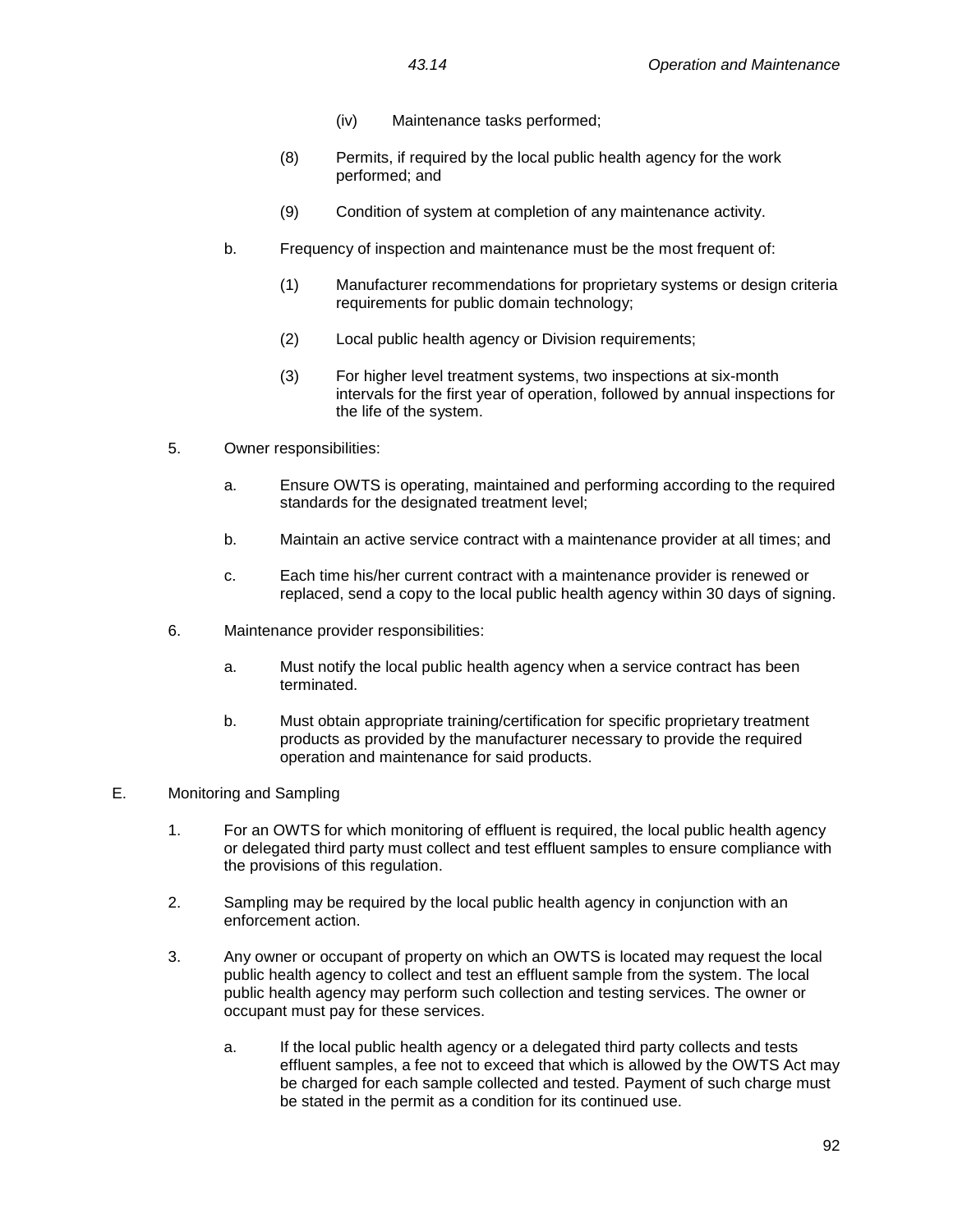- (iv) Maintenance tasks performed;
- (8) Permits, if required by the local public health agency for the work performed; and
- (9) Condition of system at completion of any maintenance activity.
- b. Frequency of inspection and maintenance must be the most frequent of:
	- (1) Manufacturer recommendations for proprietary systems or design criteria requirements for public domain technology;
	- (2) Local public health agency or Division requirements;
	- (3) For higher level treatment systems, two inspections at six-month intervals for the first year of operation, followed by annual inspections for the life of the system.
- 5. Owner responsibilities:
	- a. Ensure OWTS is operating, maintained and performing according to the required standards for the designated treatment level;
	- b. Maintain an active service contract with a maintenance provider at all times; and
	- c. Each time his/her current contract with a maintenance provider is renewed or replaced, send a copy to the local public health agency within 30 days of signing.
- 6. Maintenance provider responsibilities:
	- a. Must notify the local public health agency when a service contract has been terminated.
	- b. Must obtain appropriate training/certification for specific proprietary treatment products as provided by the manufacturer necessary to provide the required operation and maintenance for said products.
- E. Monitoring and Sampling
	- 1. For an OWTS for which monitoring of effluent is required, the local public health agency or delegated third party must collect and test effluent samples to ensure compliance with the provisions of this regulation.
	- 2. Sampling may be required by the local public health agency in conjunction with an enforcement action.
	- 3. Any owner or occupant of property on which an OWTS is located may request the local public health agency to collect and test an effluent sample from the system. The local public health agency may perform such collection and testing services. The owner or occupant must pay for these services.
		- a. If the local public health agency or a delegated third party collects and tests effluent samples, a fee not to exceed that which is allowed by the OWTS Act may be charged for each sample collected and tested. Payment of such charge must be stated in the permit as a condition for its continued use.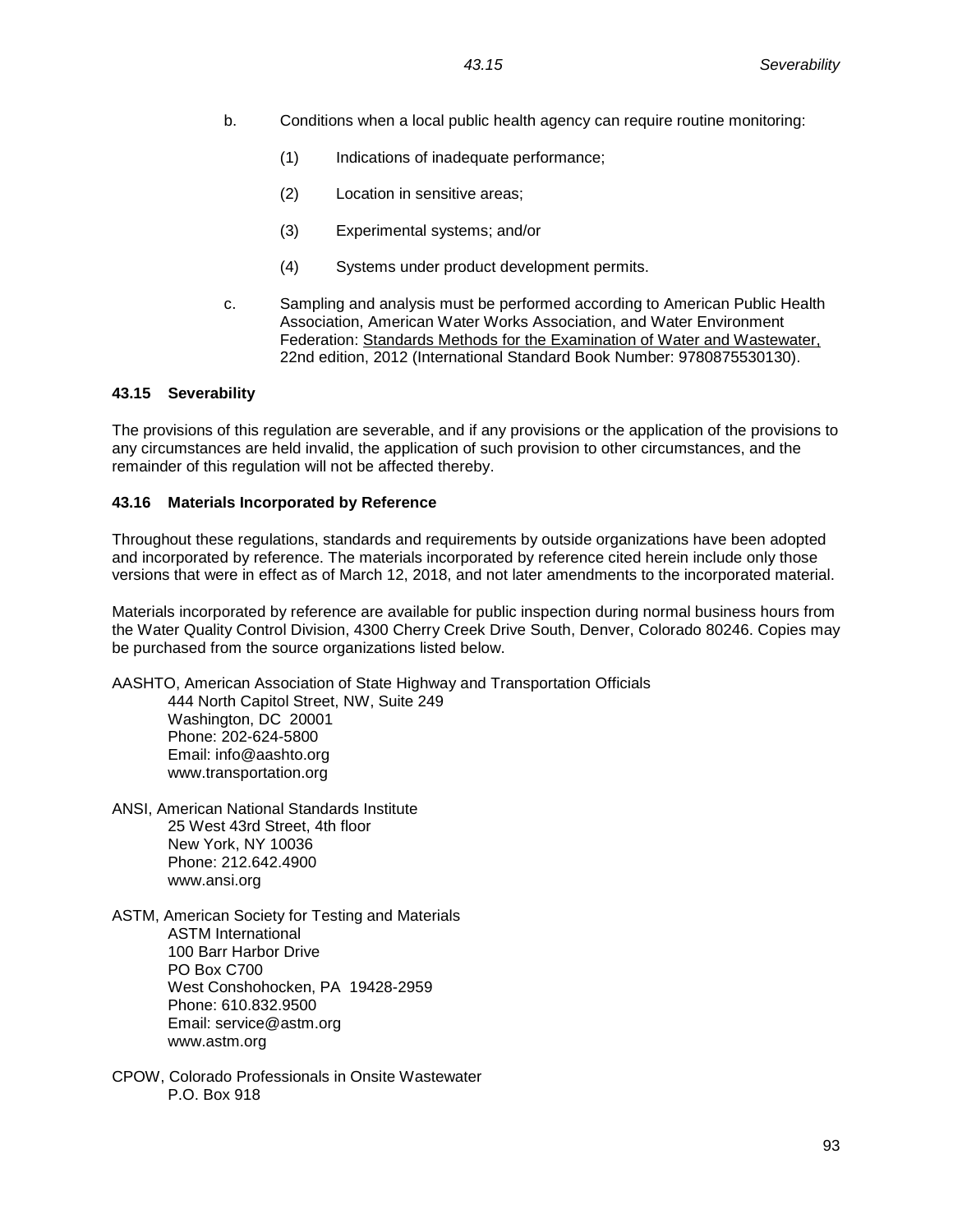- b. Conditions when a local public health agency can require routine monitoring:
	- (1) Indications of inadequate performance;
	- (2) Location in sensitive areas;
	- (3) Experimental systems; and/or
	- (4) Systems under product development permits.
- c. Sampling and analysis must be performed according to American Public Health Association, American Water Works Association, and Water Environment Federation: Standards Methods for the Examination of Water and Wastewater, 22nd edition, 2012 (International Standard Book Number: 9780875530130).

#### **43.15 Severability**

The provisions of this regulation are severable, and if any provisions or the application of the provisions to any circumstances are held invalid, the application of such provision to other circumstances, and the remainder of this regulation will not be affected thereby.

#### **43.16 Materials Incorporated by Reference**

Throughout these regulations, standards and requirements by outside organizations have been adopted and incorporated by reference. The materials incorporated by reference cited herein include only those versions that were in effect as of March 12, 2018, and not later amendments to the incorporated material.

Materials incorporated by reference are available for public inspection during normal business hours from the Water Quality Control Division, 4300 Cherry Creek Drive South, Denver, Colorado 80246. Copies may be purchased from the source organizations listed below.

AASHTO, American Association of State Highway and Transportation Officials 444 North Capitol Street, NW, Suite 249 Washington, DC 20001 Phone: 202-624-5800 Email: info@aashto.org www.transportation.org

- ANSI, American National Standards Institute 25 West 43rd Street, 4th floor New York, NY 10036 Phone: 212.642.4900 www.ansi.org
- ASTM, American Society for Testing and Materials ASTM International 100 Barr Harbor Drive PO Box C700 West Conshohocken, PA 19428-2959 Phone: 610.832.9500 Email: service@astm.org www.astm.org
- CPOW, Colorado Professionals in Onsite Wastewater P.O. Box 918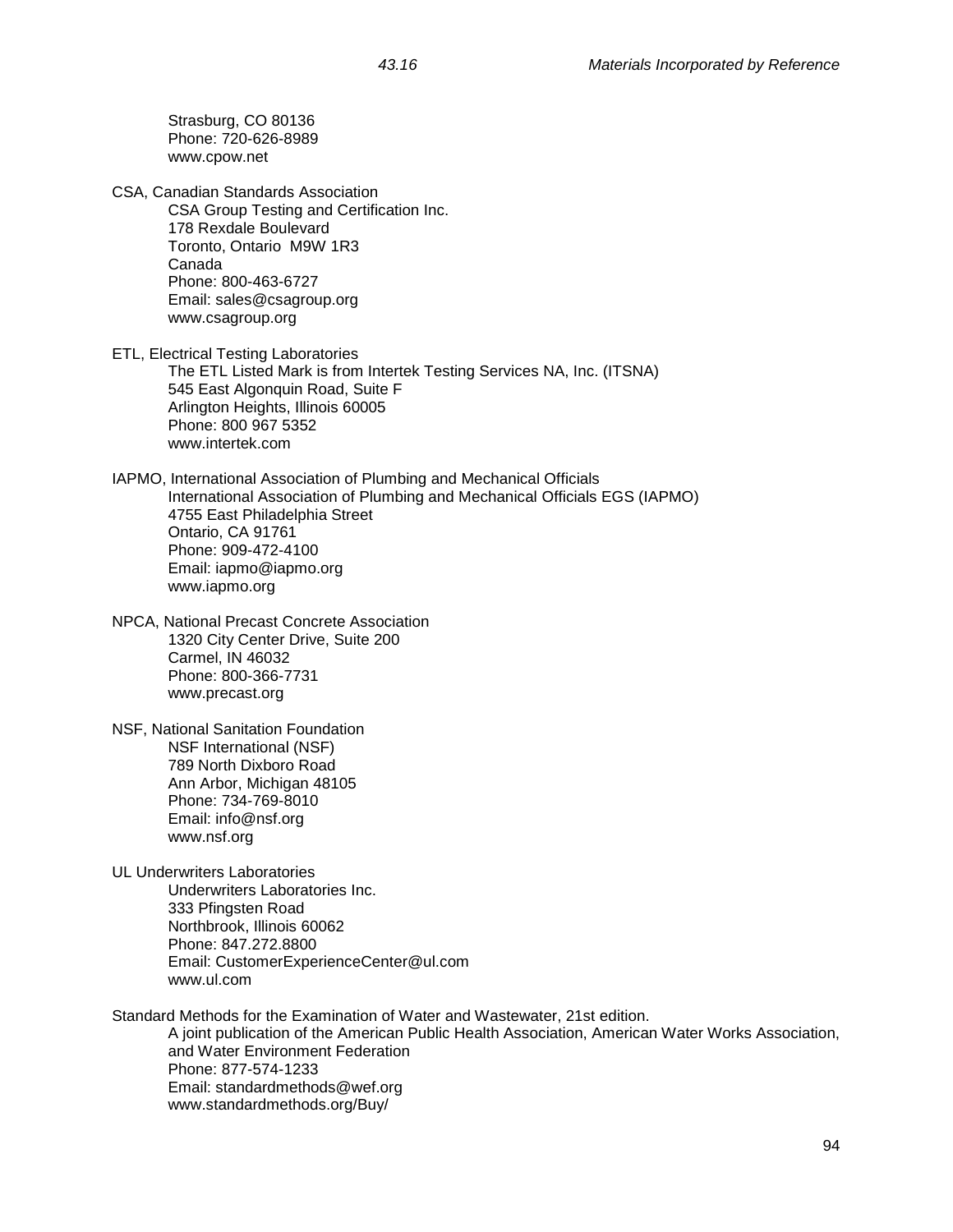Strasburg, CO 80136 Phone: 720-626-8989 www.cpow.net CSA, Canadian Standards Association CSA Group Testing and Certification Inc. 178 Rexdale Boulevard Toronto, Ontario M9W 1R3 Canada Phone: 800-463-6727 Email: sales@csagroup.org www.csagroup.org ETL, Electrical Testing Laboratories The ETL Listed Mark is from Intertek Testing Services NA, Inc. (ITSNA) 545 East Algonquin Road, Suite F Arlington Heights, Illinois 60005 Phone: 800 967 5352 www.intertek.com IAPMO, International Association of Plumbing and Mechanical Officials International Association of Plumbing and Mechanical Officials EGS (IAPMO) 4755 East Philadelphia Street Ontario, CA 91761 Phone: 909-472-4100 Email: iapmo@iapmo.org www.iapmo.org NPCA, National Precast Concrete Association 1320 City Center Drive, Suite 200 Carmel, IN 46032 Phone: 800-366-7731 www.precast.org NSF, National Sanitation Foundation NSF International (NSF) 789 North Dixboro Road Ann Arbor, Michigan 48105 Phone: 734-769-8010 Email: info@nsf.org www.nsf.org UL Underwriters Laboratories Underwriters Laboratories Inc. 333 Pfingsten Road Northbrook, Illinois 60062 Phone: 847.272.8800 Email: CustomerExperienceCenter@ul.com www.ul.com Standard Methods for the Examination of Water and Wastewater, 21st edition. A joint publication of the American Public Health Association, American Water Works Association, and Water Environment Federation Phone: 877-574-1233 Email: standardmethods@wef.org www.standardmethods.org/Buy/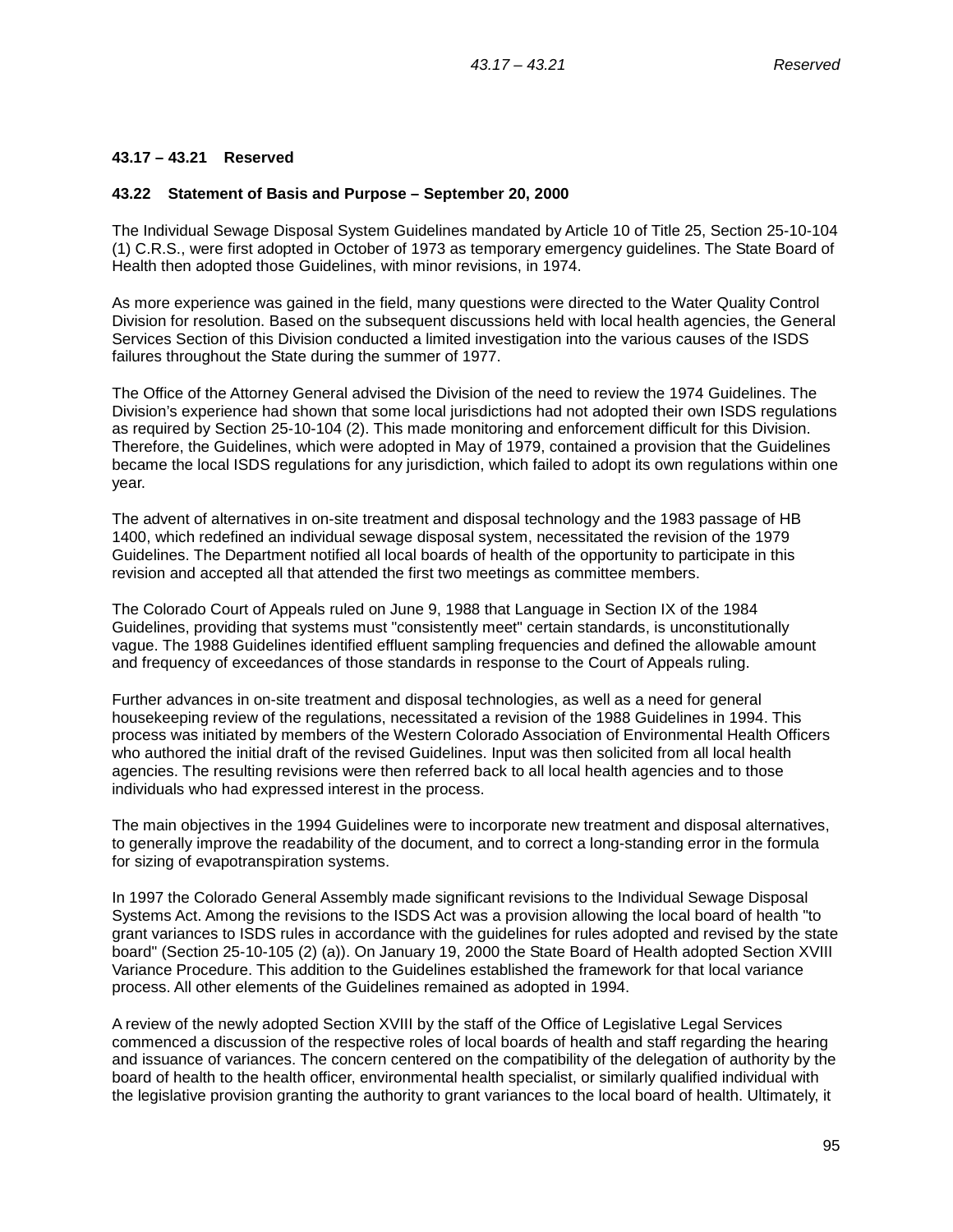# **43.17 – 43.21 Reserved**

#### **43.22 Statement of Basis and Purpose – September 20, 2000**

The Individual Sewage Disposal System Guidelines mandated by Article 10 of Title 25, Section 25-10-104 (1) C.R.S., were first adopted in October of 1973 as temporary emergency guidelines. The State Board of Health then adopted those Guidelines, with minor revisions, in 1974.

As more experience was gained in the field, many questions were directed to the Water Quality Control Division for resolution. Based on the subsequent discussions held with local health agencies, the General Services Section of this Division conducted a limited investigation into the various causes of the ISDS failures throughout the State during the summer of 1977.

The Office of the Attorney General advised the Division of the need to review the 1974 Guidelines. The Division's experience had shown that some local jurisdictions had not adopted their own ISDS regulations as required by Section 25-10-104 (2). This made monitoring and enforcement difficult for this Division. Therefore, the Guidelines, which were adopted in May of 1979, contained a provision that the Guidelines became the local ISDS regulations for any jurisdiction, which failed to adopt its own regulations within one year.

The advent of alternatives in on-site treatment and disposal technology and the 1983 passage of HB 1400, which redefined an individual sewage disposal system, necessitated the revision of the 1979 Guidelines. The Department notified all local boards of health of the opportunity to participate in this revision and accepted all that attended the first two meetings as committee members.

The Colorado Court of Appeals ruled on June 9, 1988 that Language in Section IX of the 1984 Guidelines, providing that systems must "consistently meet" certain standards, is unconstitutionally vague. The 1988 Guidelines identified effluent sampling frequencies and defined the allowable amount and frequency of exceedances of those standards in response to the Court of Appeals ruling.

Further advances in on-site treatment and disposal technologies, as well as a need for general housekeeping review of the regulations, necessitated a revision of the 1988 Guidelines in 1994. This process was initiated by members of the Western Colorado Association of Environmental Health Officers who authored the initial draft of the revised Guidelines. Input was then solicited from all local health agencies. The resulting revisions were then referred back to all local health agencies and to those individuals who had expressed interest in the process.

The main objectives in the 1994 Guidelines were to incorporate new treatment and disposal alternatives, to generally improve the readability of the document, and to correct a long-standing error in the formula for sizing of evapotranspiration systems.

In 1997 the Colorado General Assembly made significant revisions to the Individual Sewage Disposal Systems Act. Among the revisions to the ISDS Act was a provision allowing the local board of health "to grant variances to ISDS rules in accordance with the guidelines for rules adopted and revised by the state board" (Section 25-10-105 (2) (a)). On January 19, 2000 the State Board of Health adopted Section XVIII Variance Procedure. This addition to the Guidelines established the framework for that local variance process. All other elements of the Guidelines remained as adopted in 1994.

A review of the newly adopted Section XVIII by the staff of the Office of Legislative Legal Services commenced a discussion of the respective roles of local boards of health and staff regarding the hearing and issuance of variances. The concern centered on the compatibility of the delegation of authority by the board of health to the health officer, environmental health specialist, or similarly qualified individual with the legislative provision granting the authority to grant variances to the local board of health. Ultimately, it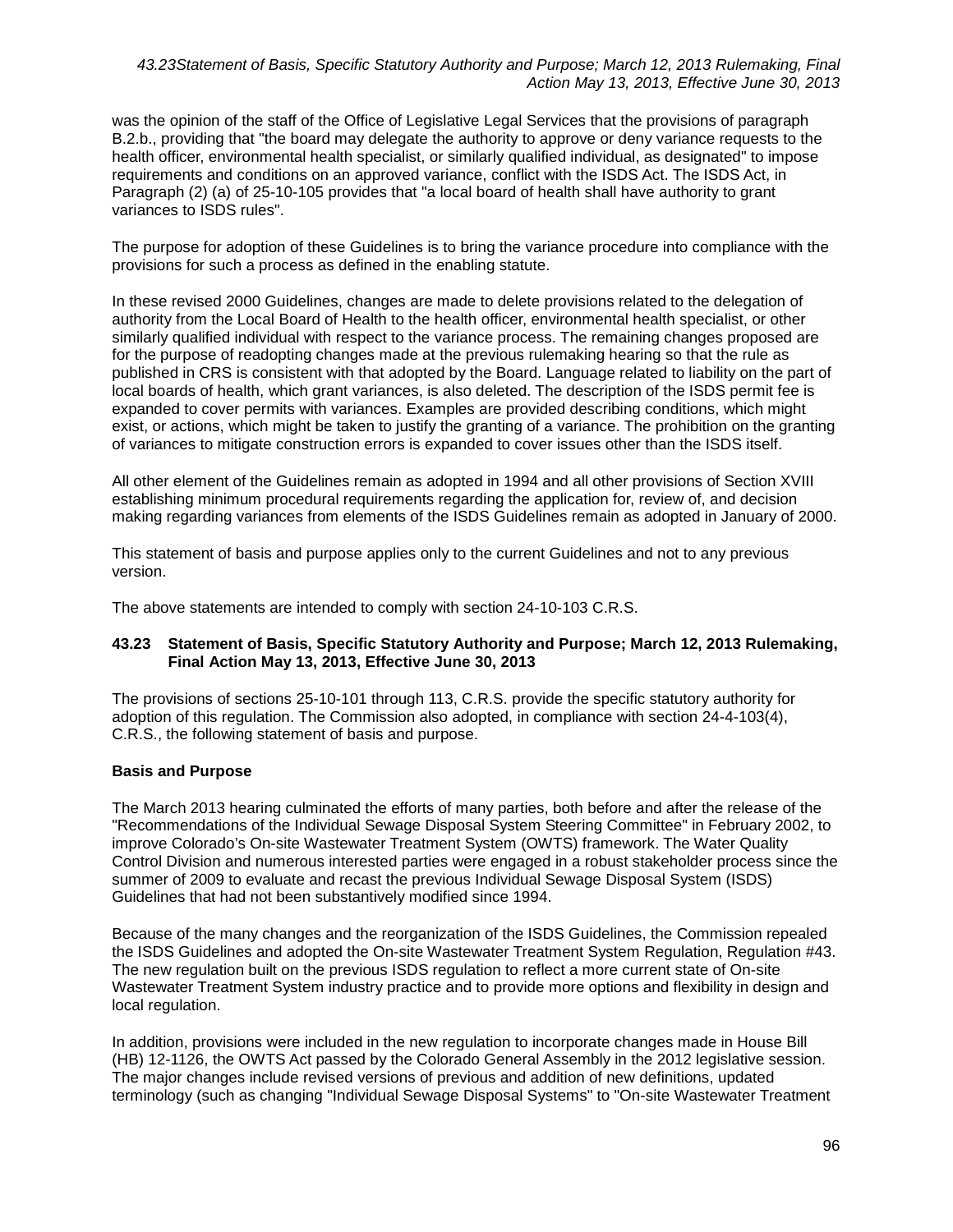was the opinion of the staff of the Office of Legislative Legal Services that the provisions of paragraph B.2.b., providing that "the board may delegate the authority to approve or deny variance requests to the health officer, environmental health specialist, or similarly qualified individual, as designated" to impose requirements and conditions on an approved variance, conflict with the ISDS Act. The ISDS Act, in Paragraph (2) (a) of 25-10-105 provides that "a local board of health shall have authority to grant variances to ISDS rules".

The purpose for adoption of these Guidelines is to bring the variance procedure into compliance with the provisions for such a process as defined in the enabling statute.

In these revised 2000 Guidelines, changes are made to delete provisions related to the delegation of authority from the Local Board of Health to the health officer, environmental health specialist, or other similarly qualified individual with respect to the variance process. The remaining changes proposed are for the purpose of readopting changes made at the previous rulemaking hearing so that the rule as published in CRS is consistent with that adopted by the Board. Language related to liability on the part of local boards of health, which grant variances, is also deleted. The description of the ISDS permit fee is expanded to cover permits with variances. Examples are provided describing conditions, which might exist, or actions, which might be taken to justify the granting of a variance. The prohibition on the granting of variances to mitigate construction errors is expanded to cover issues other than the ISDS itself.

All other element of the Guidelines remain as adopted in 1994 and all other provisions of Section XVIII establishing minimum procedural requirements regarding the application for, review of, and decision making regarding variances from elements of the ISDS Guidelines remain as adopted in January of 2000.

This statement of basis and purpose applies only to the current Guidelines and not to any previous version.

The above statements are intended to comply with section 24-10-103 C.R.S.

### **43.23 Statement of Basis, Specific Statutory Authority and Purpose; March 12, 2013 Rulemaking, Final Action May 13, 2013, Effective June 30, 2013**

The provisions of sections 25-10-101 through 113, C.R.S. provide the specific statutory authority for adoption of this regulation. The Commission also adopted, in compliance with section 24-4-103(4), C.R.S., the following statement of basis and purpose.

### **Basis and Purpose**

The March 2013 hearing culminated the efforts of many parties, both before and after the release of the "Recommendations of the Individual Sewage Disposal System Steering Committee" in February 2002, to improve Colorado's On-site Wastewater Treatment System (OWTS) framework. The Water Quality Control Division and numerous interested parties were engaged in a robust stakeholder process since the summer of 2009 to evaluate and recast the previous Individual Sewage Disposal System (ISDS) Guidelines that had not been substantively modified since 1994.

Because of the many changes and the reorganization of the ISDS Guidelines, the Commission repealed the ISDS Guidelines and adopted the On-site Wastewater Treatment System Regulation, Regulation #43. The new regulation built on the previous ISDS regulation to reflect a more current state of On-site Wastewater Treatment System industry practice and to provide more options and flexibility in design and local regulation.

In addition, provisions were included in the new regulation to incorporate changes made in House Bill (HB) 12-1126, the OWTS Act passed by the Colorado General Assembly in the 2012 legislative session. The major changes include revised versions of previous and addition of new definitions, updated terminology (such as changing "Individual Sewage Disposal Systems" to "On-site Wastewater Treatment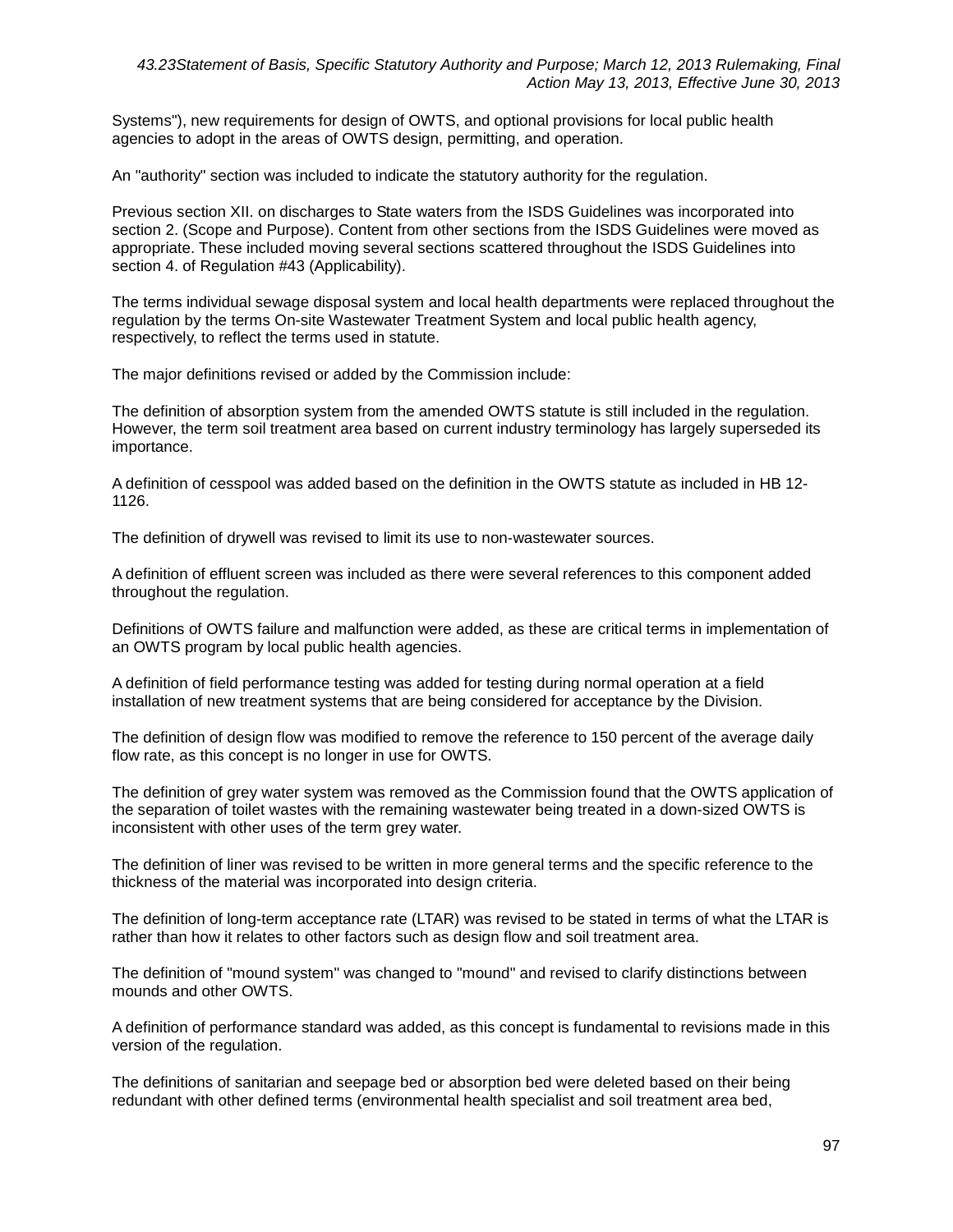Systems"), new requirements for design of OWTS, and optional provisions for local public health agencies to adopt in the areas of OWTS design, permitting, and operation.

An "authority" section was included to indicate the statutory authority for the regulation.

Previous section XII. on discharges to State waters from the ISDS Guidelines was incorporated into section 2. (Scope and Purpose). Content from other sections from the ISDS Guidelines were moved as appropriate. These included moving several sections scattered throughout the ISDS Guidelines into section 4. of Regulation #43 (Applicability).

The terms individual sewage disposal system and local health departments were replaced throughout the regulation by the terms On-site Wastewater Treatment System and local public health agency, respectively, to reflect the terms used in statute.

The major definitions revised or added by the Commission include:

The definition of absorption system from the amended OWTS statute is still included in the regulation. However, the term soil treatment area based on current industry terminology has largely superseded its importance.

A definition of cesspool was added based on the definition in the OWTS statute as included in HB 12- 1126.

The definition of drywell was revised to limit its use to non-wastewater sources.

A definition of effluent screen was included as there were several references to this component added throughout the regulation.

Definitions of OWTS failure and malfunction were added, as these are critical terms in implementation of an OWTS program by local public health agencies.

A definition of field performance testing was added for testing during normal operation at a field installation of new treatment systems that are being considered for acceptance by the Division.

The definition of design flow was modified to remove the reference to 150 percent of the average daily flow rate, as this concept is no longer in use for OWTS.

The definition of grey water system was removed as the Commission found that the OWTS application of the separation of toilet wastes with the remaining wastewater being treated in a down-sized OWTS is inconsistent with other uses of the term grey water.

The definition of liner was revised to be written in more general terms and the specific reference to the thickness of the material was incorporated into design criteria.

The definition of long-term acceptance rate (LTAR) was revised to be stated in terms of what the LTAR is rather than how it relates to other factors such as design flow and soil treatment area.

The definition of "mound system" was changed to "mound" and revised to clarify distinctions between mounds and other OWTS.

A definition of performance standard was added, as this concept is fundamental to revisions made in this version of the regulation.

The definitions of sanitarian and seepage bed or absorption bed were deleted based on their being redundant with other defined terms (environmental health specialist and soil treatment area bed,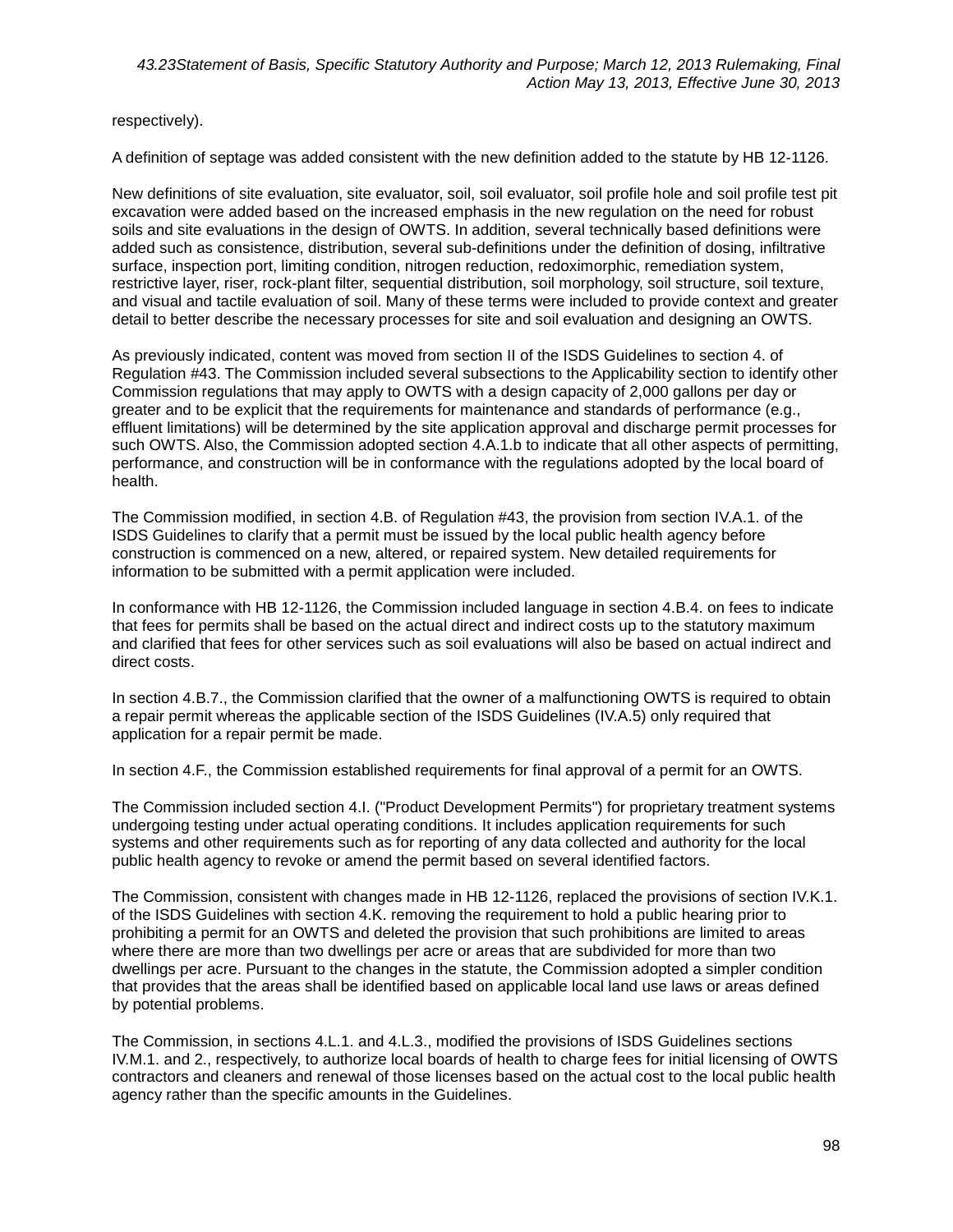respectively).

A definition of septage was added consistent with the new definition added to the statute by HB 12-1126.

New definitions of site evaluation, site evaluator, soil, soil evaluator, soil profile hole and soil profile test pit excavation were added based on the increased emphasis in the new regulation on the need for robust soils and site evaluations in the design of OWTS. In addition, several technically based definitions were added such as consistence, distribution, several sub-definitions under the definition of dosing, infiltrative surface, inspection port, limiting condition, nitrogen reduction, redoximorphic, remediation system, restrictive layer, riser, rock-plant filter, sequential distribution, soil morphology, soil structure, soil texture, and visual and tactile evaluation of soil. Many of these terms were included to provide context and greater detail to better describe the necessary processes for site and soil evaluation and designing an OWTS.

As previously indicated, content was moved from section II of the ISDS Guidelines to section 4. of Regulation #43. The Commission included several subsections to the Applicability section to identify other Commission regulations that may apply to OWTS with a design capacity of 2,000 gallons per day or greater and to be explicit that the requirements for maintenance and standards of performance (e.g., effluent limitations) will be determined by the site application approval and discharge permit processes for such OWTS. Also, the Commission adopted section 4.A.1.b to indicate that all other aspects of permitting, performance, and construction will be in conformance with the regulations adopted by the local board of health.

The Commission modified, in section 4.B. of Regulation #43, the provision from section IV.A.1. of the ISDS Guidelines to clarify that a permit must be issued by the local public health agency before construction is commenced on a new, altered, or repaired system. New detailed requirements for information to be submitted with a permit application were included.

In conformance with HB 12-1126, the Commission included language in section 4.B.4. on fees to indicate that fees for permits shall be based on the actual direct and indirect costs up to the statutory maximum and clarified that fees for other services such as soil evaluations will also be based on actual indirect and direct costs.

In section 4.B.7., the Commission clarified that the owner of a malfunctioning OWTS is required to obtain a repair permit whereas the applicable section of the ISDS Guidelines (IV.A.5) only required that application for a repair permit be made.

In section 4.F., the Commission established requirements for final approval of a permit for an OWTS.

The Commission included section 4.I. ("Product Development Permits") for proprietary treatment systems undergoing testing under actual operating conditions. It includes application requirements for such systems and other requirements such as for reporting of any data collected and authority for the local public health agency to revoke or amend the permit based on several identified factors.

The Commission, consistent with changes made in HB 12-1126, replaced the provisions of section IV.K.1. of the ISDS Guidelines with section 4.K. removing the requirement to hold a public hearing prior to prohibiting a permit for an OWTS and deleted the provision that such prohibitions are limited to areas where there are more than two dwellings per acre or areas that are subdivided for more than two dwellings per acre. Pursuant to the changes in the statute, the Commission adopted a simpler condition that provides that the areas shall be identified based on applicable local land use laws or areas defined by potential problems.

The Commission, in sections 4.L.1. and 4.L.3., modified the provisions of ISDS Guidelines sections IV.M.1. and 2., respectively, to authorize local boards of health to charge fees for initial licensing of OWTS contractors and cleaners and renewal of those licenses based on the actual cost to the local public health agency rather than the specific amounts in the Guidelines.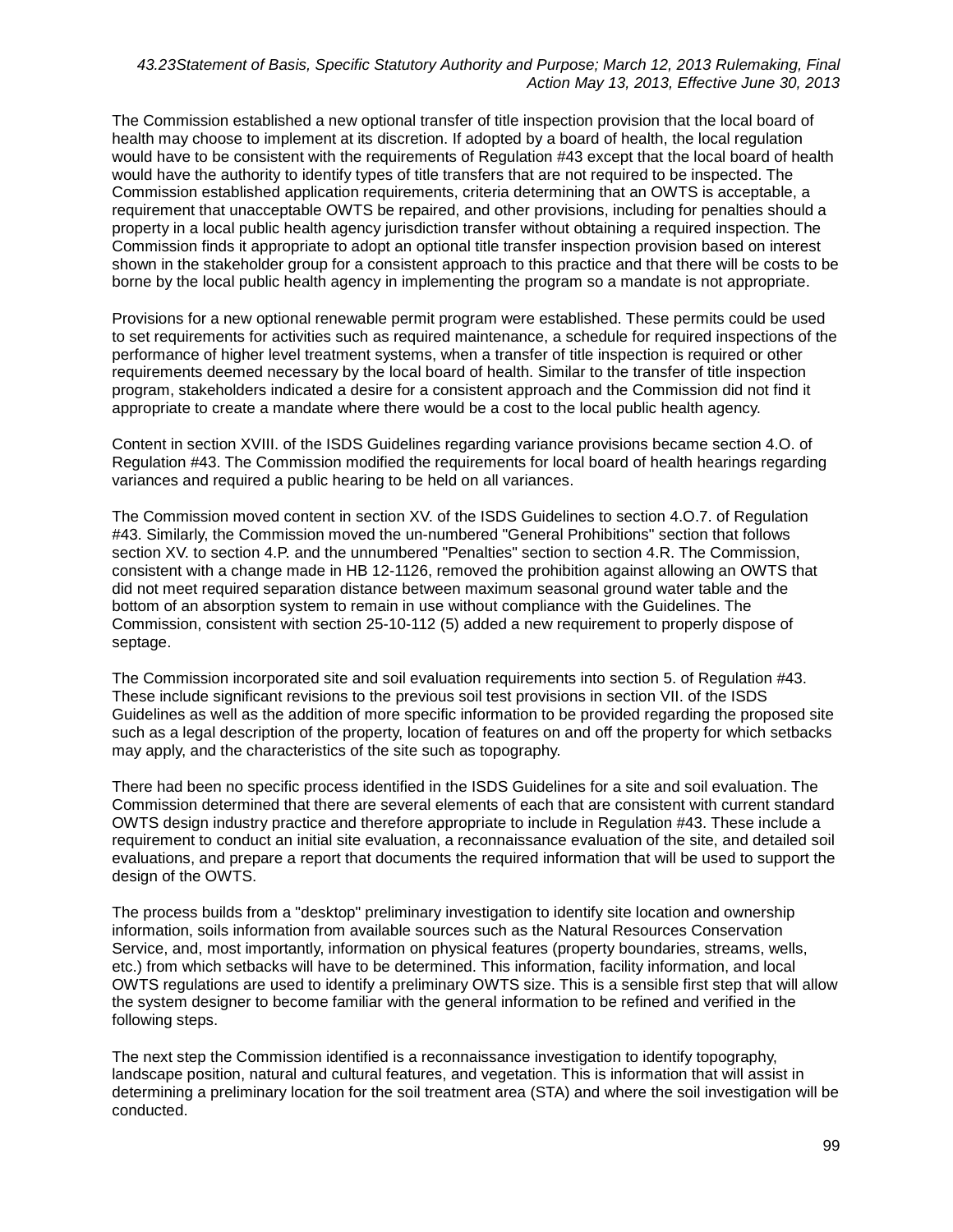The Commission established a new optional transfer of title inspection provision that the local board of health may choose to implement at its discretion. If adopted by a board of health, the local regulation would have to be consistent with the requirements of Requiation #43 except that the local board of health would have the authority to identify types of title transfers that are not required to be inspected. The Commission established application requirements, criteria determining that an OWTS is acceptable, a requirement that unacceptable OWTS be repaired, and other provisions, including for penalties should a property in a local public health agency jurisdiction transfer without obtaining a required inspection. The Commission finds it appropriate to adopt an optional title transfer inspection provision based on interest shown in the stakeholder group for a consistent approach to this practice and that there will be costs to be borne by the local public health agency in implementing the program so a mandate is not appropriate.

Provisions for a new optional renewable permit program were established. These permits could be used to set requirements for activities such as required maintenance, a schedule for required inspections of the performance of higher level treatment systems, when a transfer of title inspection is required or other requirements deemed necessary by the local board of health. Similar to the transfer of title inspection program, stakeholders indicated a desire for a consistent approach and the Commission did not find it appropriate to create a mandate where there would be a cost to the local public health agency.

Content in section XVIII. of the ISDS Guidelines regarding variance provisions became section 4.O. of Regulation #43. The Commission modified the requirements for local board of health hearings regarding variances and required a public hearing to be held on all variances.

The Commission moved content in section XV. of the ISDS Guidelines to section 4.O.7. of Regulation #43. Similarly, the Commission moved the un-numbered "General Prohibitions" section that follows section XV. to section 4.P. and the unnumbered "Penalties" section to section 4.R. The Commission, consistent with a change made in HB 12-1126, removed the prohibition against allowing an OWTS that did not meet required separation distance between maximum seasonal ground water table and the bottom of an absorption system to remain in use without compliance with the Guidelines. The Commission, consistent with section 25-10-112 (5) added a new requirement to properly dispose of septage.

The Commission incorporated site and soil evaluation requirements into section 5. of Regulation #43. These include significant revisions to the previous soil test provisions in section VII. of the ISDS Guidelines as well as the addition of more specific information to be provided regarding the proposed site such as a legal description of the property, location of features on and off the property for which setbacks may apply, and the characteristics of the site such as topography.

There had been no specific process identified in the ISDS Guidelines for a site and soil evaluation. The Commission determined that there are several elements of each that are consistent with current standard OWTS design industry practice and therefore appropriate to include in Regulation #43. These include a requirement to conduct an initial site evaluation, a reconnaissance evaluation of the site, and detailed soil evaluations, and prepare a report that documents the required information that will be used to support the design of the OWTS.

The process builds from a "desktop" preliminary investigation to identify site location and ownership information, soils information from available sources such as the Natural Resources Conservation Service, and, most importantly, information on physical features (property boundaries, streams, wells, etc.) from which setbacks will have to be determined. This information, facility information, and local OWTS regulations are used to identify a preliminary OWTS size. This is a sensible first step that will allow the system designer to become familiar with the general information to be refined and verified in the following steps.

The next step the Commission identified is a reconnaissance investigation to identify topography, landscape position, natural and cultural features, and vegetation. This is information that will assist in determining a preliminary location for the soil treatment area (STA) and where the soil investigation will be conducted.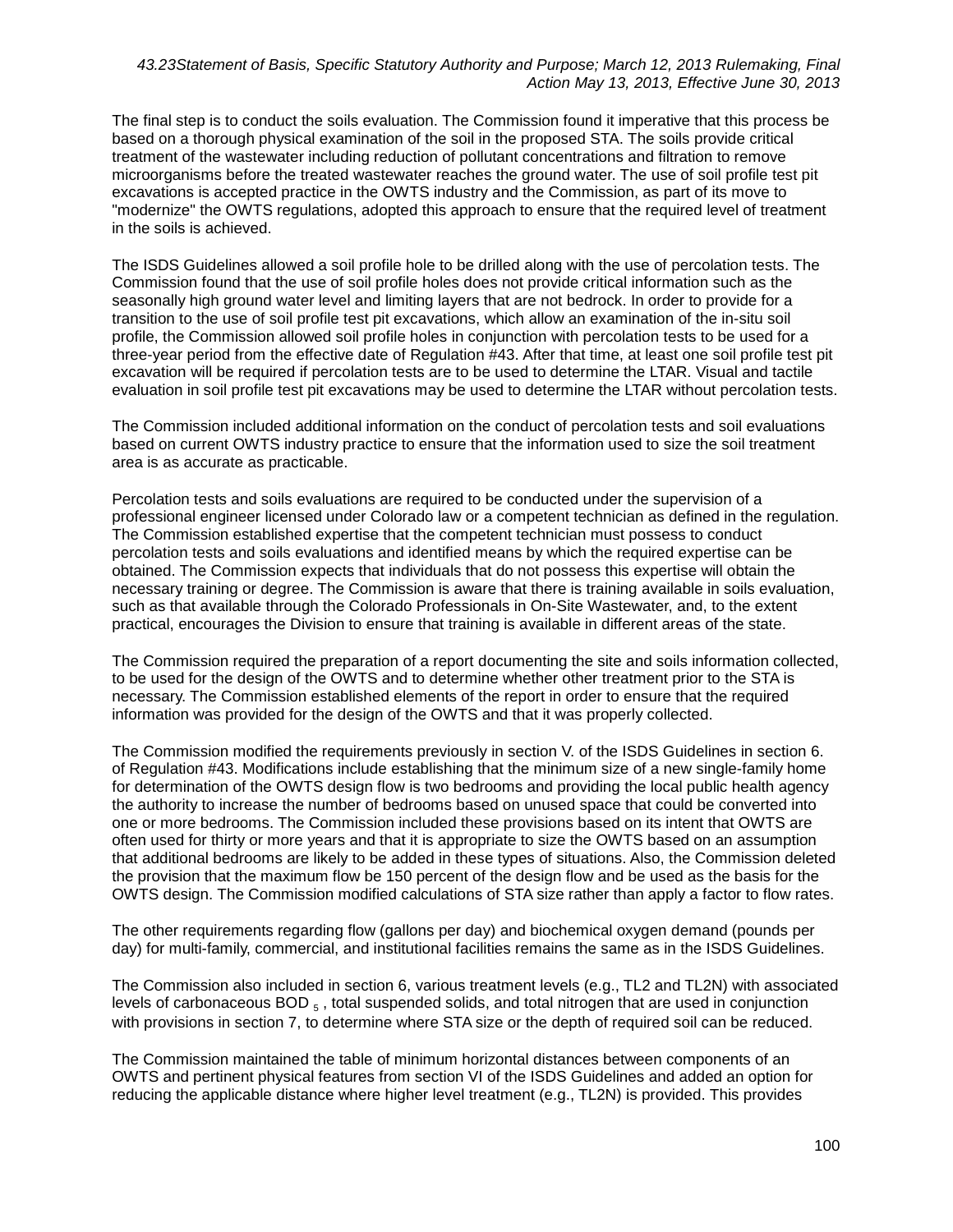The final step is to conduct the soils evaluation. The Commission found it imperative that this process be based on a thorough physical examination of the soil in the proposed STA. The soils provide critical treatment of the wastewater including reduction of pollutant concentrations and filtration to remove microorganisms before the treated wastewater reaches the ground water. The use of soil profile test pit excavations is accepted practice in the OWTS industry and the Commission, as part of its move to "modernize" the OWTS regulations, adopted this approach to ensure that the required level of treatment in the soils is achieved.

The ISDS Guidelines allowed a soil profile hole to be drilled along with the use of percolation tests. The Commission found that the use of soil profile holes does not provide critical information such as the seasonally high ground water level and limiting layers that are not bedrock. In order to provide for a transition to the use of soil profile test pit excavations, which allow an examination of the in-situ soil profile, the Commission allowed soil profile holes in conjunction with percolation tests to be used for a three-year period from the effective date of Regulation #43. After that time, at least one soil profile test pit excavation will be required if percolation tests are to be used to determine the LTAR. Visual and tactile evaluation in soil profile test pit excavations may be used to determine the LTAR without percolation tests.

The Commission included additional information on the conduct of percolation tests and soil evaluations based on current OWTS industry practice to ensure that the information used to size the soil treatment area is as accurate as practicable.

Percolation tests and soils evaluations are required to be conducted under the supervision of a professional engineer licensed under Colorado law or a competent technician as defined in the regulation. The Commission established expertise that the competent technician must possess to conduct percolation tests and soils evaluations and identified means by which the required expertise can be obtained. The Commission expects that individuals that do not possess this expertise will obtain the necessary training or degree. The Commission is aware that there is training available in soils evaluation, such as that available through the Colorado Professionals in On-Site Wastewater, and, to the extent practical, encourages the Division to ensure that training is available in different areas of the state.

The Commission required the preparation of a report documenting the site and soils information collected, to be used for the design of the OWTS and to determine whether other treatment prior to the STA is necessary. The Commission established elements of the report in order to ensure that the required information was provided for the design of the OWTS and that it was properly collected.

The Commission modified the requirements previously in section V. of the ISDS Guidelines in section 6. of Regulation #43. Modifications include establishing that the minimum size of a new single-family home for determination of the OWTS design flow is two bedrooms and providing the local public health agency the authority to increase the number of bedrooms based on unused space that could be converted into one or more bedrooms. The Commission included these provisions based on its intent that OWTS are often used for thirty or more years and that it is appropriate to size the OWTS based on an assumption that additional bedrooms are likely to be added in these types of situations. Also, the Commission deleted the provision that the maximum flow be 150 percent of the design flow and be used as the basis for the OWTS design. The Commission modified calculations of STA size rather than apply a factor to flow rates.

The other requirements regarding flow (gallons per day) and biochemical oxygen demand (pounds per day) for multi-family, commercial, and institutional facilities remains the same as in the ISDS Guidelines.

The Commission also included in section 6, various treatment levels (e.g., TL2 and TL2N) with associated levels of carbonaceous  $BOD_{5}$ , total suspended solids, and total nitrogen that are used in conjunction with provisions in section 7, to determine where STA size or the depth of required soil can be reduced.

The Commission maintained the table of minimum horizontal distances between components of an OWTS and pertinent physical features from section VI of the ISDS Guidelines and added an option for reducing the applicable distance where higher level treatment (e.g., TL2N) is provided. This provides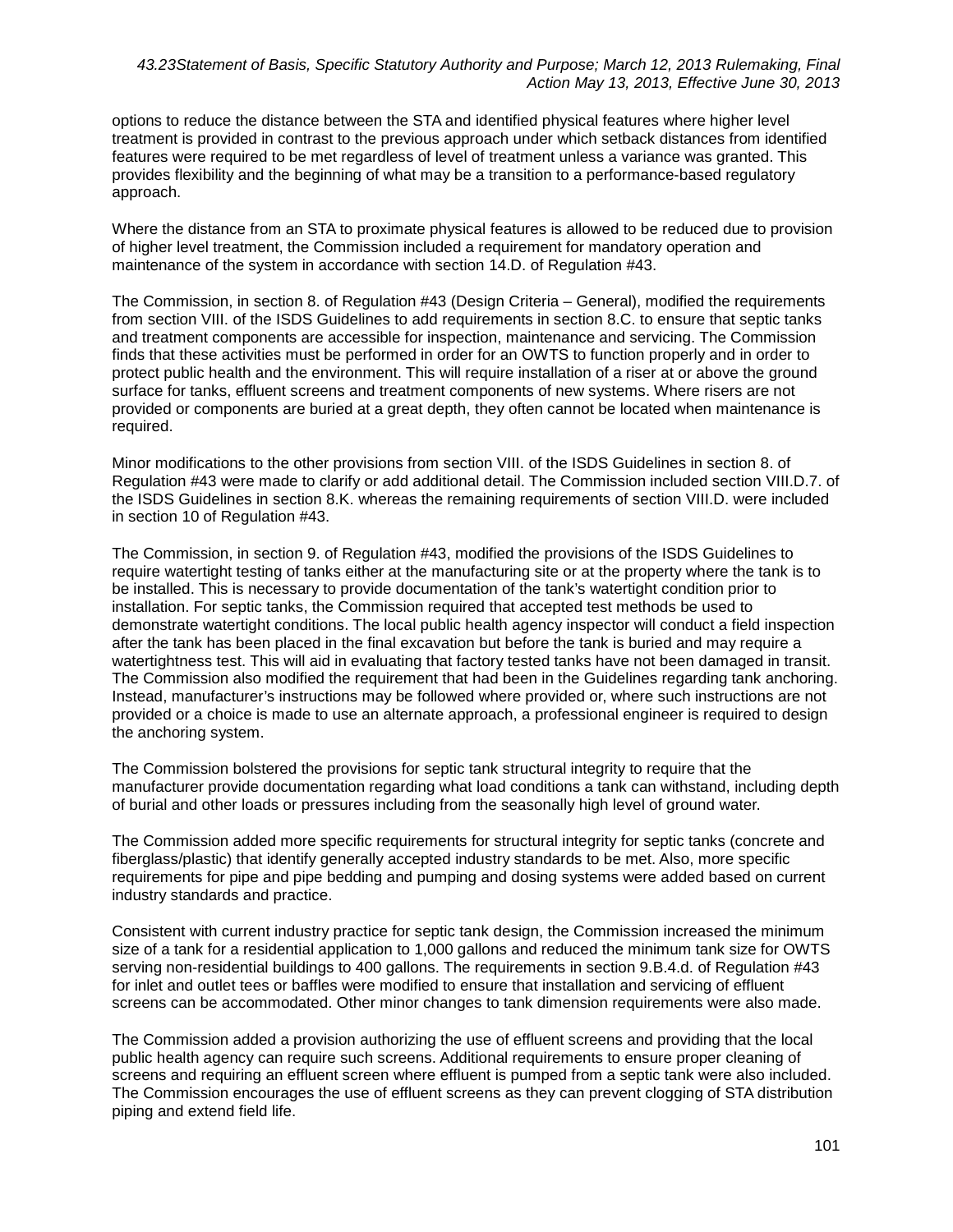options to reduce the distance between the STA and identified physical features where higher level treatment is provided in contrast to the previous approach under which setback distances from identified features were required to be met regardless of level of treatment unless a variance was granted. This provides flexibility and the beginning of what may be a transition to a performance-based regulatory approach.

Where the distance from an STA to proximate physical features is allowed to be reduced due to provision of higher level treatment, the Commission included a requirement for mandatory operation and maintenance of the system in accordance with section 14.D. of Regulation #43.

The Commission, in section 8. of Regulation #43 (Design Criteria – General), modified the requirements from section VIII. of the ISDS Guidelines to add requirements in section 8.C. to ensure that septic tanks and treatment components are accessible for inspection, maintenance and servicing. The Commission finds that these activities must be performed in order for an OWTS to function properly and in order to protect public health and the environment. This will require installation of a riser at or above the ground surface for tanks, effluent screens and treatment components of new systems. Where risers are not provided or components are buried at a great depth, they often cannot be located when maintenance is required.

Minor modifications to the other provisions from section VIII. of the ISDS Guidelines in section 8. of Regulation #43 were made to clarify or add additional detail. The Commission included section VIII.D.7. of the ISDS Guidelines in section 8.K. whereas the remaining requirements of section VIII.D. were included in section 10 of Regulation #43.

The Commission, in section 9. of Regulation #43, modified the provisions of the ISDS Guidelines to require watertight testing of tanks either at the manufacturing site or at the property where the tank is to be installed. This is necessary to provide documentation of the tank's watertight condition prior to installation. For septic tanks, the Commission required that accepted test methods be used to demonstrate watertight conditions. The local public health agency inspector will conduct a field inspection after the tank has been placed in the final excavation but before the tank is buried and may require a watertightness test. This will aid in evaluating that factory tested tanks have not been damaged in transit. The Commission also modified the requirement that had been in the Guidelines regarding tank anchoring. Instead, manufacturer's instructions may be followed where provided or, where such instructions are not provided or a choice is made to use an alternate approach, a professional engineer is required to design the anchoring system.

The Commission bolstered the provisions for septic tank structural integrity to require that the manufacturer provide documentation regarding what load conditions a tank can withstand, including depth of burial and other loads or pressures including from the seasonally high level of ground water.

The Commission added more specific requirements for structural integrity for septic tanks (concrete and fiberglass/plastic) that identify generally accepted industry standards to be met. Also, more specific requirements for pipe and pipe bedding and pumping and dosing systems were added based on current industry standards and practice.

Consistent with current industry practice for septic tank design, the Commission increased the minimum size of a tank for a residential application to 1,000 gallons and reduced the minimum tank size for OWTS serving non-residential buildings to 400 gallons. The requirements in section 9.B.4.d. of Regulation #43 for inlet and outlet tees or baffles were modified to ensure that installation and servicing of effluent screens can be accommodated. Other minor changes to tank dimension requirements were also made.

The Commission added a provision authorizing the use of effluent screens and providing that the local public health agency can require such screens. Additional requirements to ensure proper cleaning of screens and requiring an effluent screen where effluent is pumped from a septic tank were also included. The Commission encourages the use of effluent screens as they can prevent clogging of STA distribution piping and extend field life.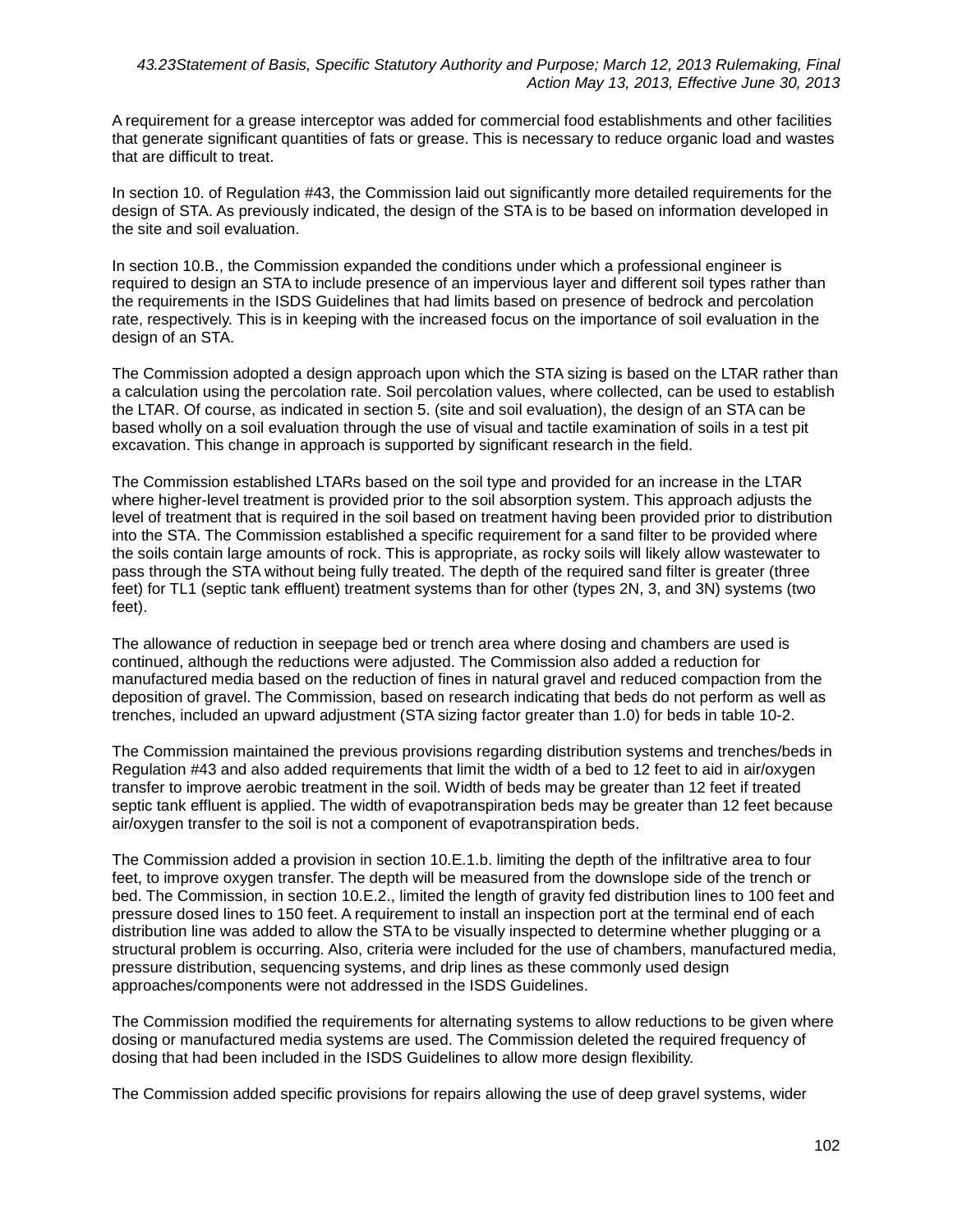A requirement for a grease interceptor was added for commercial food establishments and other facilities that generate significant quantities of fats or grease. This is necessary to reduce organic load and wastes that are difficult to treat.

In section 10. of Regulation #43, the Commission laid out significantly more detailed requirements for the design of STA. As previously indicated, the design of the STA is to be based on information developed in the site and soil evaluation.

In section 10.B., the Commission expanded the conditions under which a professional engineer is required to design an STA to include presence of an impervious layer and different soil types rather than the requirements in the ISDS Guidelines that had limits based on presence of bedrock and percolation rate, respectively. This is in keeping with the increased focus on the importance of soil evaluation in the design of an STA.

The Commission adopted a design approach upon which the STA sizing is based on the LTAR rather than a calculation using the percolation rate. Soil percolation values, where collected, can be used to establish the LTAR. Of course, as indicated in section 5. (site and soil evaluation), the design of an STA can be based wholly on a soil evaluation through the use of visual and tactile examination of soils in a test pit excavation. This change in approach is supported by significant research in the field.

The Commission established LTARs based on the soil type and provided for an increase in the LTAR where higher-level treatment is provided prior to the soil absorption system. This approach adjusts the level of treatment that is required in the soil based on treatment having been provided prior to distribution into the STA. The Commission established a specific requirement for a sand filter to be provided where the soils contain large amounts of rock. This is appropriate, as rocky soils will likely allow wastewater to pass through the STA without being fully treated. The depth of the required sand filter is greater (three feet) for TL1 (septic tank effluent) treatment systems than for other (types 2N, 3, and 3N) systems (two feet).

The allowance of reduction in seepage bed or trench area where dosing and chambers are used is continued, although the reductions were adjusted. The Commission also added a reduction for manufactured media based on the reduction of fines in natural gravel and reduced compaction from the deposition of gravel. The Commission, based on research indicating that beds do not perform as well as trenches, included an upward adjustment (STA sizing factor greater than 1.0) for beds in table 10-2.

The Commission maintained the previous provisions regarding distribution systems and trenches/beds in Regulation #43 and also added requirements that limit the width of a bed to 12 feet to aid in air/oxygen transfer to improve aerobic treatment in the soil. Width of beds may be greater than 12 feet if treated septic tank effluent is applied. The width of evapotranspiration beds may be greater than 12 feet because air/oxygen transfer to the soil is not a component of evapotranspiration beds.

The Commission added a provision in section 10.E.1.b. limiting the depth of the infiltrative area to four feet, to improve oxygen transfer. The depth will be measured from the downslope side of the trench or bed. The Commission, in section 10.E.2., limited the length of gravity fed distribution lines to 100 feet and pressure dosed lines to 150 feet. A requirement to install an inspection port at the terminal end of each distribution line was added to allow the STA to be visually inspected to determine whether plugging or a structural problem is occurring. Also, criteria were included for the use of chambers, manufactured media, pressure distribution, sequencing systems, and drip lines as these commonly used design approaches/components were not addressed in the ISDS Guidelines.

The Commission modified the requirements for alternating systems to allow reductions to be given where dosing or manufactured media systems are used. The Commission deleted the required frequency of dosing that had been included in the ISDS Guidelines to allow more design flexibility.

The Commission added specific provisions for repairs allowing the use of deep gravel systems, wider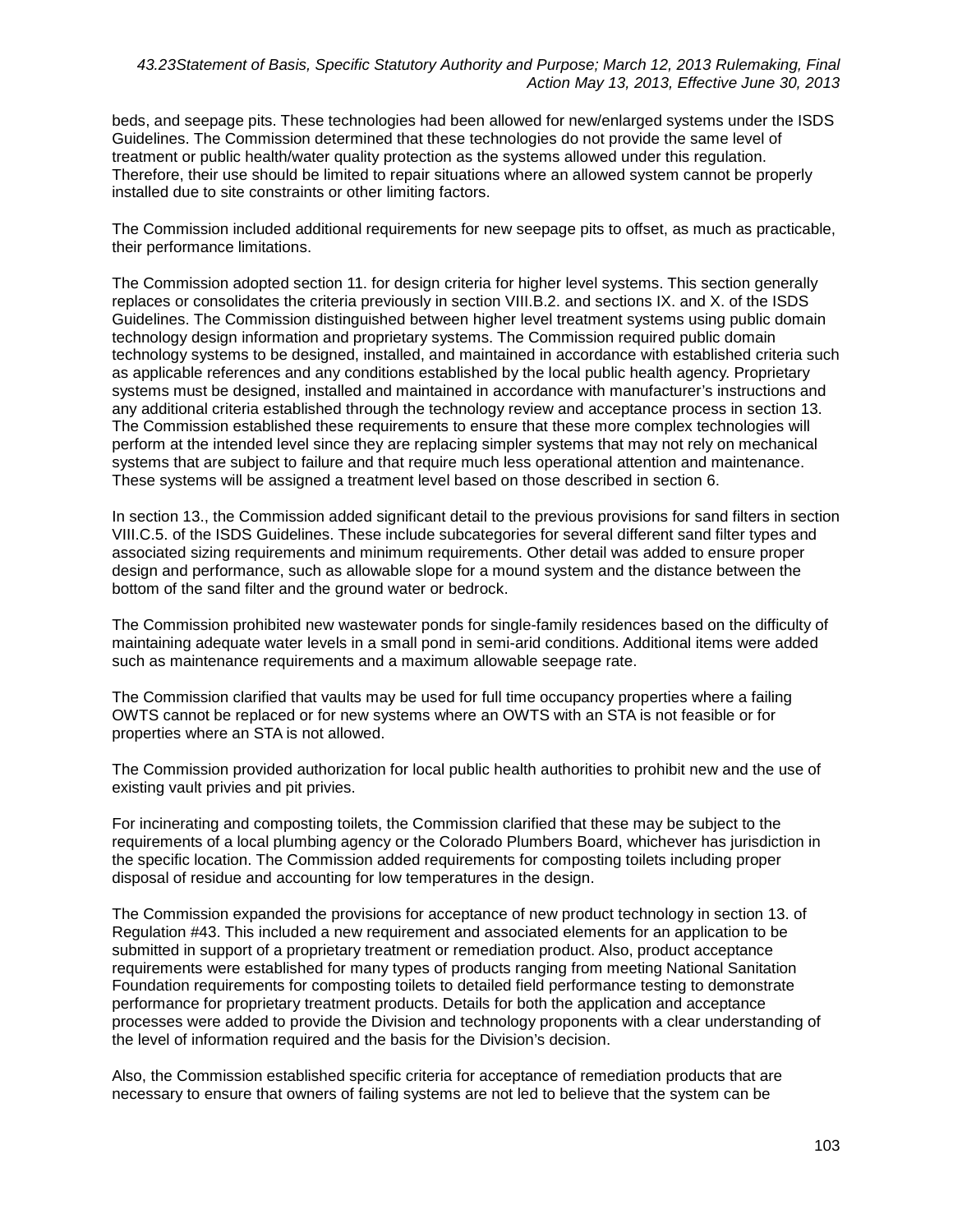beds, and seepage pits. These technologies had been allowed for new/enlarged systems under the ISDS Guidelines. The Commission determined that these technologies do not provide the same level of treatment or public health/water quality protection as the systems allowed under this regulation. Therefore, their use should be limited to repair situations where an allowed system cannot be properly installed due to site constraints or other limiting factors.

The Commission included additional requirements for new seepage pits to offset, as much as practicable, their performance limitations.

The Commission adopted section 11. for design criteria for higher level systems. This section generally replaces or consolidates the criteria previously in section VIII.B.2. and sections IX. and X. of the ISDS Guidelines. The Commission distinguished between higher level treatment systems using public domain technology design information and proprietary systems. The Commission required public domain technology systems to be designed, installed, and maintained in accordance with established criteria such as applicable references and any conditions established by the local public health agency. Proprietary systems must be designed, installed and maintained in accordance with manufacturer's instructions and any additional criteria established through the technology review and acceptance process in section 13. The Commission established these requirements to ensure that these more complex technologies will perform at the intended level since they are replacing simpler systems that may not rely on mechanical systems that are subject to failure and that require much less operational attention and maintenance. These systems will be assigned a treatment level based on those described in section 6.

In section 13., the Commission added significant detail to the previous provisions for sand filters in section VIII.C.5. of the ISDS Guidelines. These include subcategories for several different sand filter types and associated sizing requirements and minimum requirements. Other detail was added to ensure proper design and performance, such as allowable slope for a mound system and the distance between the bottom of the sand filter and the ground water or bedrock.

The Commission prohibited new wastewater ponds for single-family residences based on the difficulty of maintaining adequate water levels in a small pond in semi-arid conditions. Additional items were added such as maintenance requirements and a maximum allowable seepage rate.

The Commission clarified that vaults may be used for full time occupancy properties where a failing OWTS cannot be replaced or for new systems where an OWTS with an STA is not feasible or for properties where an STA is not allowed.

The Commission provided authorization for local public health authorities to prohibit new and the use of existing vault privies and pit privies.

For incinerating and composting toilets, the Commission clarified that these may be subject to the requirements of a local plumbing agency or the Colorado Plumbers Board, whichever has jurisdiction in the specific location. The Commission added requirements for composting toilets including proper disposal of residue and accounting for low temperatures in the design.

The Commission expanded the provisions for acceptance of new product technology in section 13. of Regulation #43. This included a new requirement and associated elements for an application to be submitted in support of a proprietary treatment or remediation product. Also, product acceptance requirements were established for many types of products ranging from meeting National Sanitation Foundation requirements for composting toilets to detailed field performance testing to demonstrate performance for proprietary treatment products. Details for both the application and acceptance processes were added to provide the Division and technology proponents with a clear understanding of the level of information required and the basis for the Division's decision.

Also, the Commission established specific criteria for acceptance of remediation products that are necessary to ensure that owners of failing systems are not led to believe that the system can be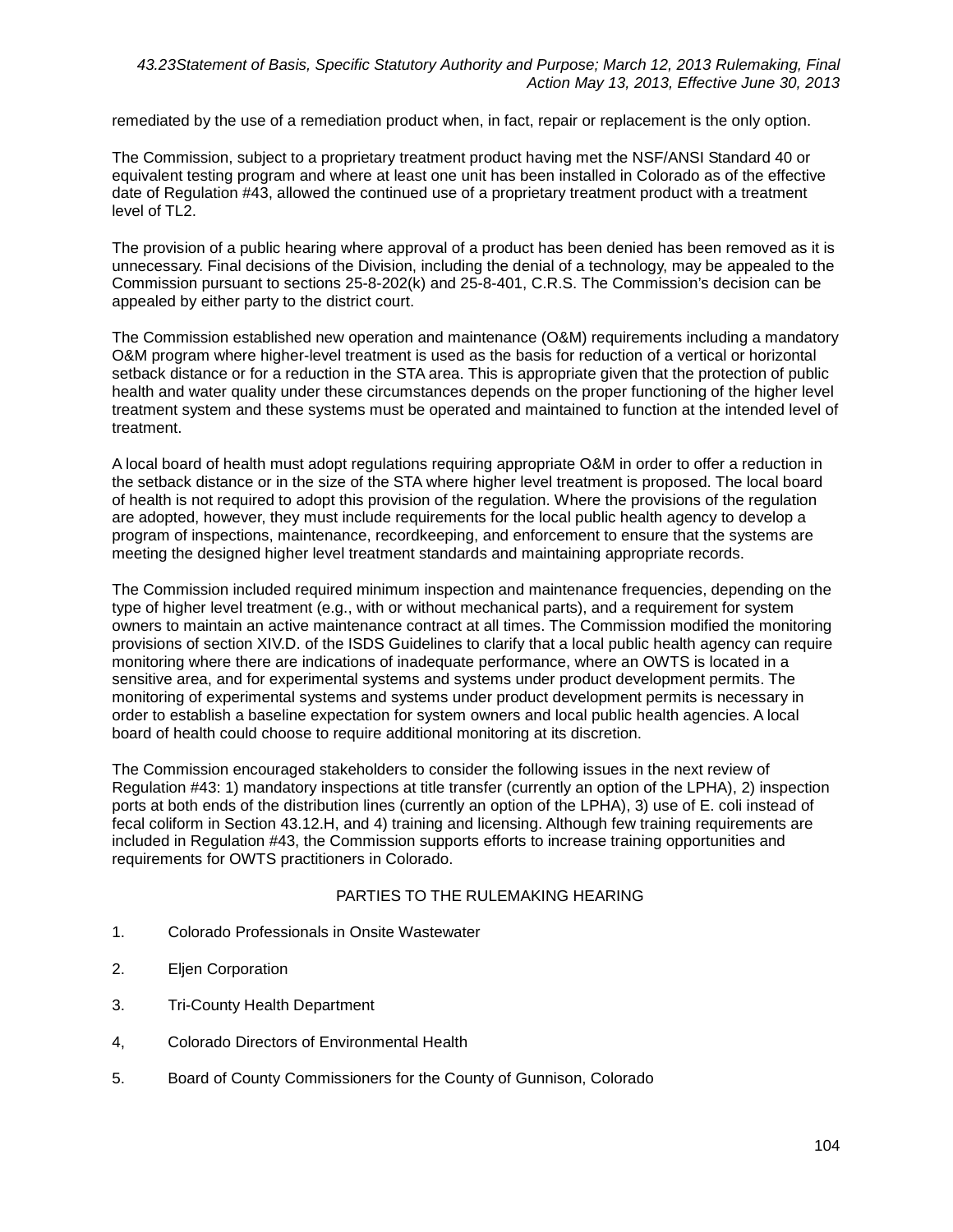remediated by the use of a remediation product when, in fact, repair or replacement is the only option.

The Commission, subject to a proprietary treatment product having met the NSF/ANSI Standard 40 or equivalent testing program and where at least one unit has been installed in Colorado as of the effective date of Regulation #43, allowed the continued use of a proprietary treatment product with a treatment level of TL2.

The provision of a public hearing where approval of a product has been denied has been removed as it is unnecessary. Final decisions of the Division, including the denial of a technology, may be appealed to the Commission pursuant to sections 25-8-202(k) and 25-8-401, C.R.S. The Commission's decision can be appealed by either party to the district court.

The Commission established new operation and maintenance (O&M) requirements including a mandatory O&M program where higher-level treatment is used as the basis for reduction of a vertical or horizontal setback distance or for a reduction in the STA area. This is appropriate given that the protection of public health and water quality under these circumstances depends on the proper functioning of the higher level treatment system and these systems must be operated and maintained to function at the intended level of treatment.

A local board of health must adopt regulations requiring appropriate O&M in order to offer a reduction in the setback distance or in the size of the STA where higher level treatment is proposed. The local board of health is not required to adopt this provision of the regulation. Where the provisions of the regulation are adopted, however, they must include requirements for the local public health agency to develop a program of inspections, maintenance, recordkeeping, and enforcement to ensure that the systems are meeting the designed higher level treatment standards and maintaining appropriate records.

The Commission included required minimum inspection and maintenance frequencies, depending on the type of higher level treatment (e.g., with or without mechanical parts), and a requirement for system owners to maintain an active maintenance contract at all times. The Commission modified the monitoring provisions of section XIV.D. of the ISDS Guidelines to clarify that a local public health agency can require monitoring where there are indications of inadequate performance, where an OWTS is located in a sensitive area, and for experimental systems and systems under product development permits. The monitoring of experimental systems and systems under product development permits is necessary in order to establish a baseline expectation for system owners and local public health agencies. A local board of health could choose to require additional monitoring at its discretion.

The Commission encouraged stakeholders to consider the following issues in the next review of Regulation #43: 1) mandatory inspections at title transfer (currently an option of the LPHA), 2) inspection ports at both ends of the distribution lines (currently an option of the LPHA), 3) use of E. coli instead of fecal coliform in Section 43.12.H, and 4) training and licensing. Although few training requirements are included in Regulation #43, the Commission supports efforts to increase training opportunities and requirements for OWTS practitioners in Colorado.

### PARTIES TO THE RULEMAKING HEARING

- 1. Colorado Professionals in Onsite Wastewater
- 2. Eljen Corporation
- 3. Tri-County Health Department
- 4, Colorado Directors of Environmental Health
- 5. Board of County Commissioners for the County of Gunnison, Colorado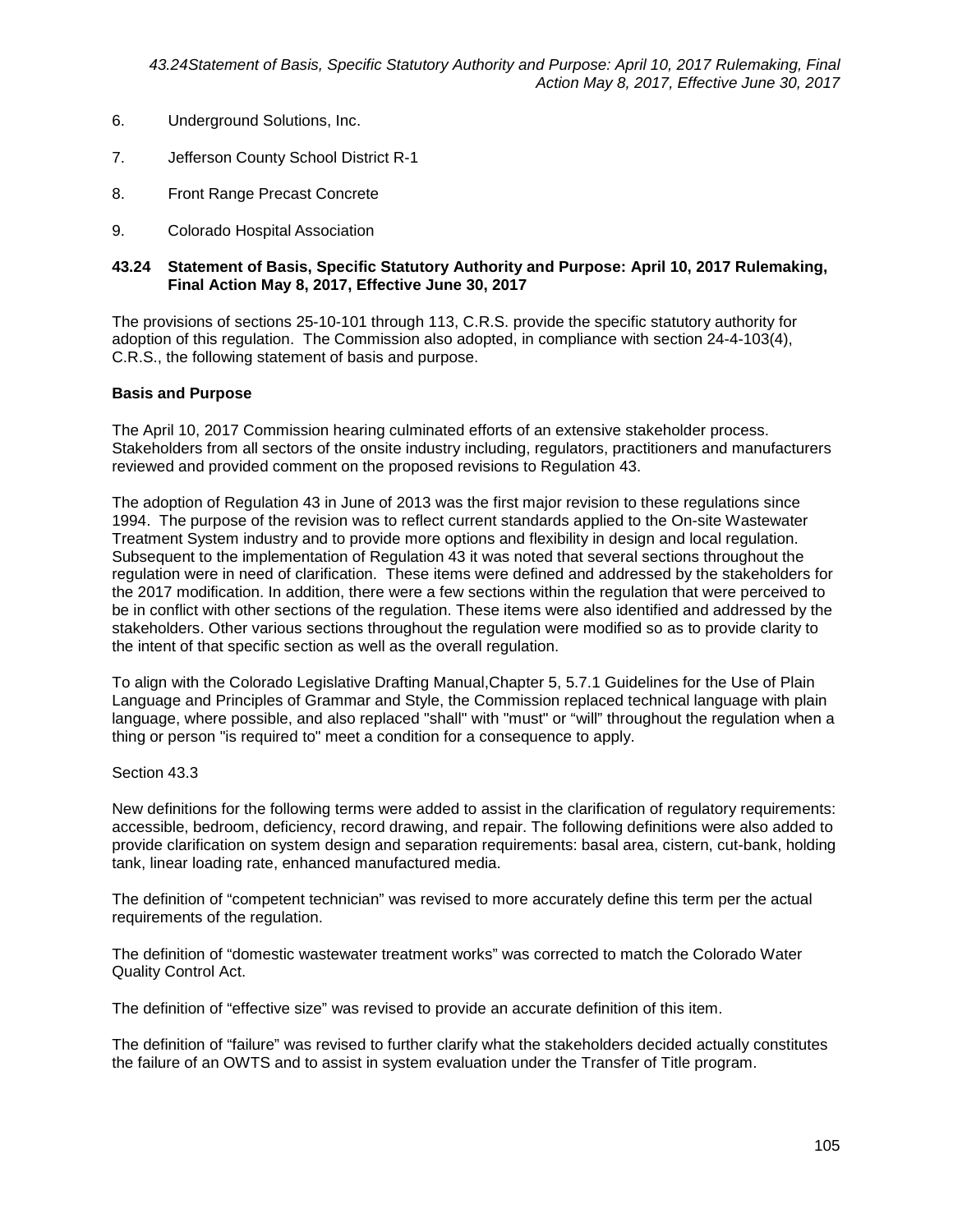- 6. Underground Solutions, Inc.
- 7. Jefferson County School District R-1
- 8. Front Range Precast Concrete
- 9. Colorado Hospital Association

The provisions of sections 25-10-101 through 113, C.R.S. provide the specific statutory authority for adoption of this regulation. The Commission also adopted, in compliance with section 24-4-103(4), C.R.S., the following statement of basis and purpose.

### **Basis and Purpose**

The April 10, 2017 Commission hearing culminated efforts of an extensive stakeholder process. Stakeholders from all sectors of the onsite industry including, regulators, practitioners and manufacturers reviewed and provided comment on the proposed revisions to Regulation 43.

The adoption of Regulation 43 in June of 2013 was the first major revision to these regulations since 1994. The purpose of the revision was to reflect current standards applied to the On-site Wastewater Treatment System industry and to provide more options and flexibility in design and local regulation. Subsequent to the implementation of Regulation 43 it was noted that several sections throughout the regulation were in need of clarification. These items were defined and addressed by the stakeholders for the 2017 modification. In addition, there were a few sections within the regulation that were perceived to be in conflict with other sections of the regulation. These items were also identified and addressed by the stakeholders. Other various sections throughout the regulation were modified so as to provide clarity to the intent of that specific section as well as the overall regulation.

To align with the Colorado Legislative Drafting Manual,Chapter 5, 5.7.1 Guidelines for the Use of Plain Language and Principles of Grammar and Style, the Commission replaced technical language with plain language, where possible, and also replaced "shall" with "must" or "will" throughout the regulation when a thing or person "is required to" meet a condition for a consequence to apply.

### Section 43.3

New definitions for the following terms were added to assist in the clarification of regulatory requirements: accessible, bedroom, deficiency, record drawing, and repair. The following definitions were also added to provide clarification on system design and separation requirements: basal area, cistern, cut-bank, holding tank, linear loading rate, enhanced manufactured media.

The definition of "competent technician" was revised to more accurately define this term per the actual requirements of the regulation.

The definition of "domestic wastewater treatment works" was corrected to match the Colorado Water Quality Control Act.

The definition of "effective size" was revised to provide an accurate definition of this item.

The definition of "failure" was revised to further clarify what the stakeholders decided actually constitutes the failure of an OWTS and to assist in system evaluation under the Transfer of Title program.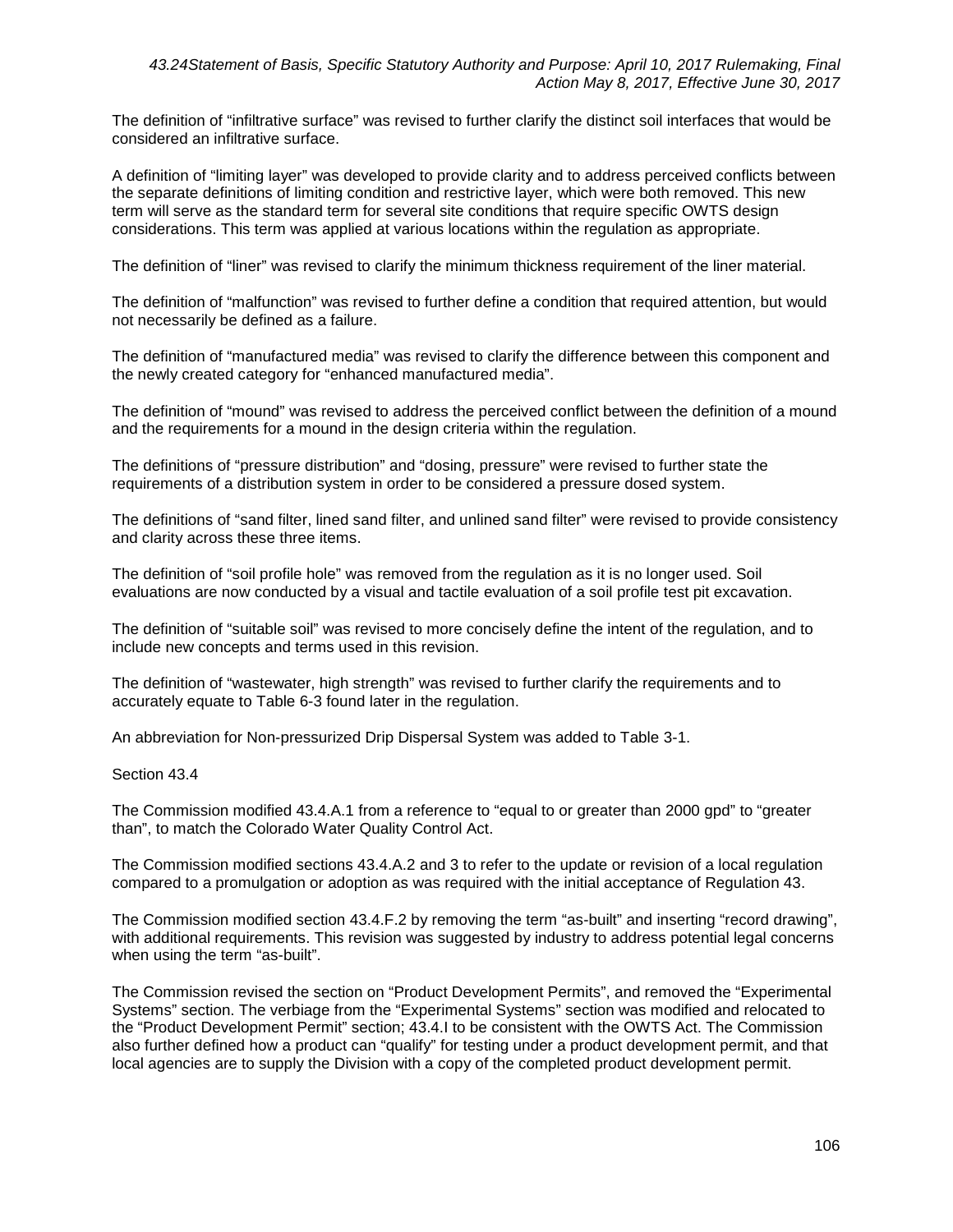The definition of "infiltrative surface" was revised to further clarify the distinct soil interfaces that would be considered an infiltrative surface.

A definition of "limiting layer" was developed to provide clarity and to address perceived conflicts between the separate definitions of limiting condition and restrictive layer, which were both removed. This new term will serve as the standard term for several site conditions that require specific OWTS design considerations. This term was applied at various locations within the regulation as appropriate.

The definition of "liner" was revised to clarify the minimum thickness requirement of the liner material.

The definition of "malfunction" was revised to further define a condition that required attention, but would not necessarily be defined as a failure.

The definition of "manufactured media" was revised to clarify the difference between this component and the newly created category for "enhanced manufactured media".

The definition of "mound" was revised to address the perceived conflict between the definition of a mound and the requirements for a mound in the design criteria within the regulation.

The definitions of "pressure distribution" and "dosing, pressure" were revised to further state the requirements of a distribution system in order to be considered a pressure dosed system.

The definitions of "sand filter, lined sand filter, and unlined sand filter" were revised to provide consistency and clarity across these three items.

The definition of "soil profile hole" was removed from the regulation as it is no longer used. Soil evaluations are now conducted by a visual and tactile evaluation of a soil profile test pit excavation.

The definition of "suitable soil" was revised to more concisely define the intent of the regulation, and to include new concepts and terms used in this revision.

The definition of "wastewater, high strength" was revised to further clarify the requirements and to accurately equate to Table 6-3 found later in the regulation.

An abbreviation for Non-pressurized Drip Dispersal System was added to Table 3-1.

Section 43.4

The Commission modified 43.4.A.1 from a reference to "equal to or greater than 2000 gpd" to "greater than", to match the Colorado Water Quality Control Act.

The Commission modified sections 43.4.A.2 and 3 to refer to the update or revision of a local regulation compared to a promulgation or adoption as was required with the initial acceptance of Regulation 43.

The Commission modified section 43.4.F.2 by removing the term "as-built" and inserting "record drawing", with additional requirements. This revision was suggested by industry to address potential legal concerns when using the term "as-built".

The Commission revised the section on "Product Development Permits", and removed the "Experimental Systems" section. The verbiage from the "Experimental Systems" section was modified and relocated to the "Product Development Permit" section; 43.4.I to be consistent with the OWTS Act. The Commission also further defined how a product can "qualify" for testing under a product development permit, and that local agencies are to supply the Division with a copy of the completed product development permit.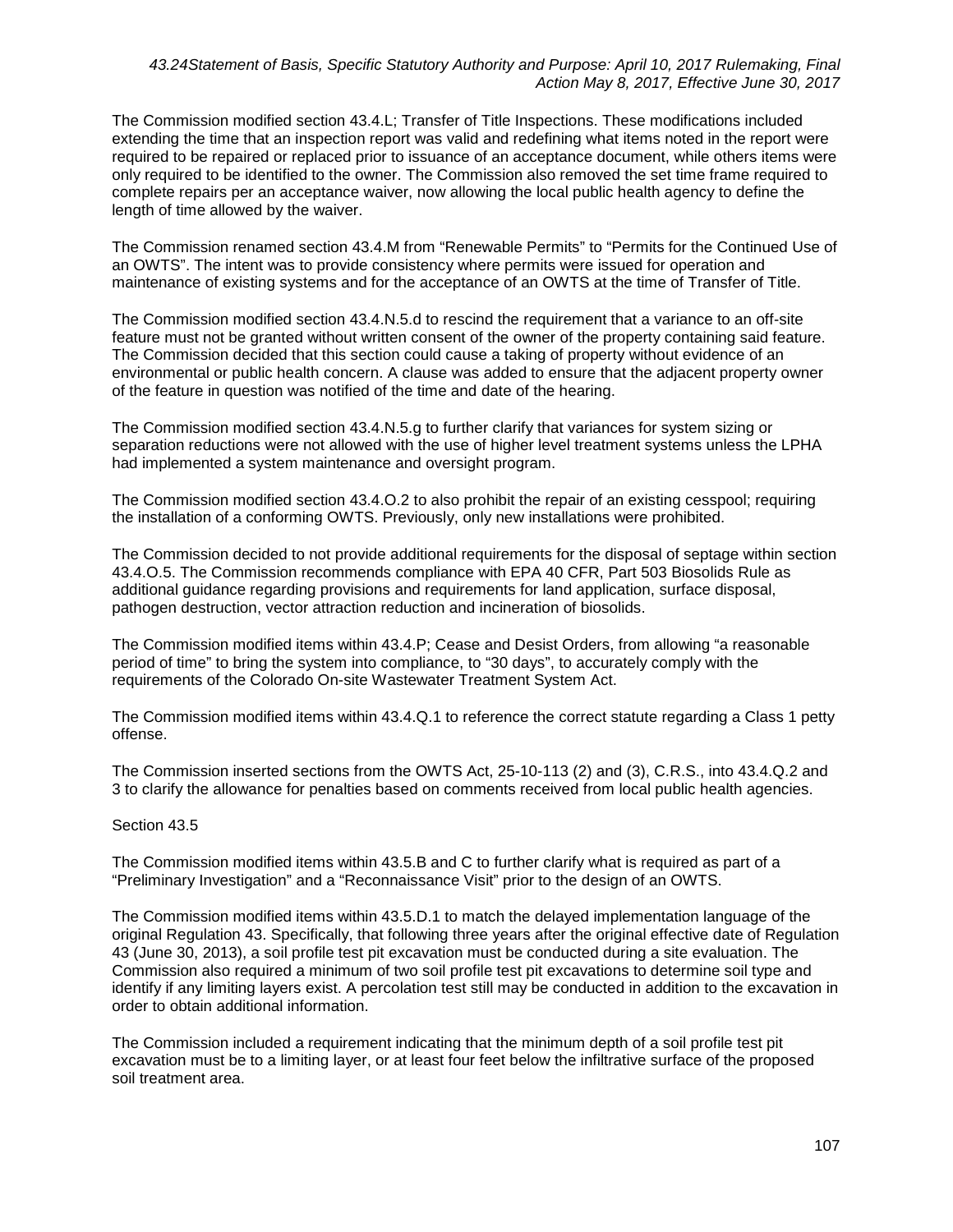The Commission modified section 43.4.L; Transfer of Title Inspections. These modifications included extending the time that an inspection report was valid and redefining what items noted in the report were required to be repaired or replaced prior to issuance of an acceptance document, while others items were only required to be identified to the owner. The Commission also removed the set time frame required to complete repairs per an acceptance waiver, now allowing the local public health agency to define the length of time allowed by the waiver.

The Commission renamed section 43.4.M from "Renewable Permits" to "Permits for the Continued Use of an OWTS". The intent was to provide consistency where permits were issued for operation and maintenance of existing systems and for the acceptance of an OWTS at the time of Transfer of Title.

The Commission modified section 43.4.N.5.d to rescind the requirement that a variance to an off-site feature must not be granted without written consent of the owner of the property containing said feature. The Commission decided that this section could cause a taking of property without evidence of an environmental or public health concern. A clause was added to ensure that the adjacent property owner of the feature in question was notified of the time and date of the hearing.

The Commission modified section 43.4.N.5.g to further clarify that variances for system sizing or separation reductions were not allowed with the use of higher level treatment systems unless the LPHA had implemented a system maintenance and oversight program.

The Commission modified section 43.4.O.2 to also prohibit the repair of an existing cesspool; requiring the installation of a conforming OWTS. Previously, only new installations were prohibited.

The Commission decided to not provide additional requirements for the disposal of septage within section 43.4.O.5. The Commission recommends compliance with EPA 40 CFR, Part 503 Biosolids Rule as additional guidance regarding provisions and requirements for land application, surface disposal, pathogen destruction, vector attraction reduction and incineration of biosolids.

The Commission modified items within 43.4.P; Cease and Desist Orders, from allowing "a reasonable period of time" to bring the system into compliance, to "30 days", to accurately comply with the requirements of the Colorado On-site Wastewater Treatment System Act.

The Commission modified items within 43.4.Q.1 to reference the correct statute regarding a Class 1 petty offense.

The Commission inserted sections from the OWTS Act, 25-10-113 (2) and (3), C.R.S., into 43.4.Q.2 and 3 to clarify the allowance for penalties based on comments received from local public health agencies.

## Section 43.5

The Commission modified items within 43.5.B and C to further clarify what is required as part of a "Preliminary Investigation" and a "Reconnaissance Visit" prior to the design of an OWTS.

The Commission modified items within 43.5.D.1 to match the delayed implementation language of the original Regulation 43. Specifically, that following three years after the original effective date of Regulation 43 (June 30, 2013), a soil profile test pit excavation must be conducted during a site evaluation. The Commission also required a minimum of two soil profile test pit excavations to determine soil type and identify if any limiting layers exist. A percolation test still may be conducted in addition to the excavation in order to obtain additional information.

The Commission included a requirement indicating that the minimum depth of a soil profile test pit excavation must be to a limiting layer, or at least four feet below the infiltrative surface of the proposed soil treatment area.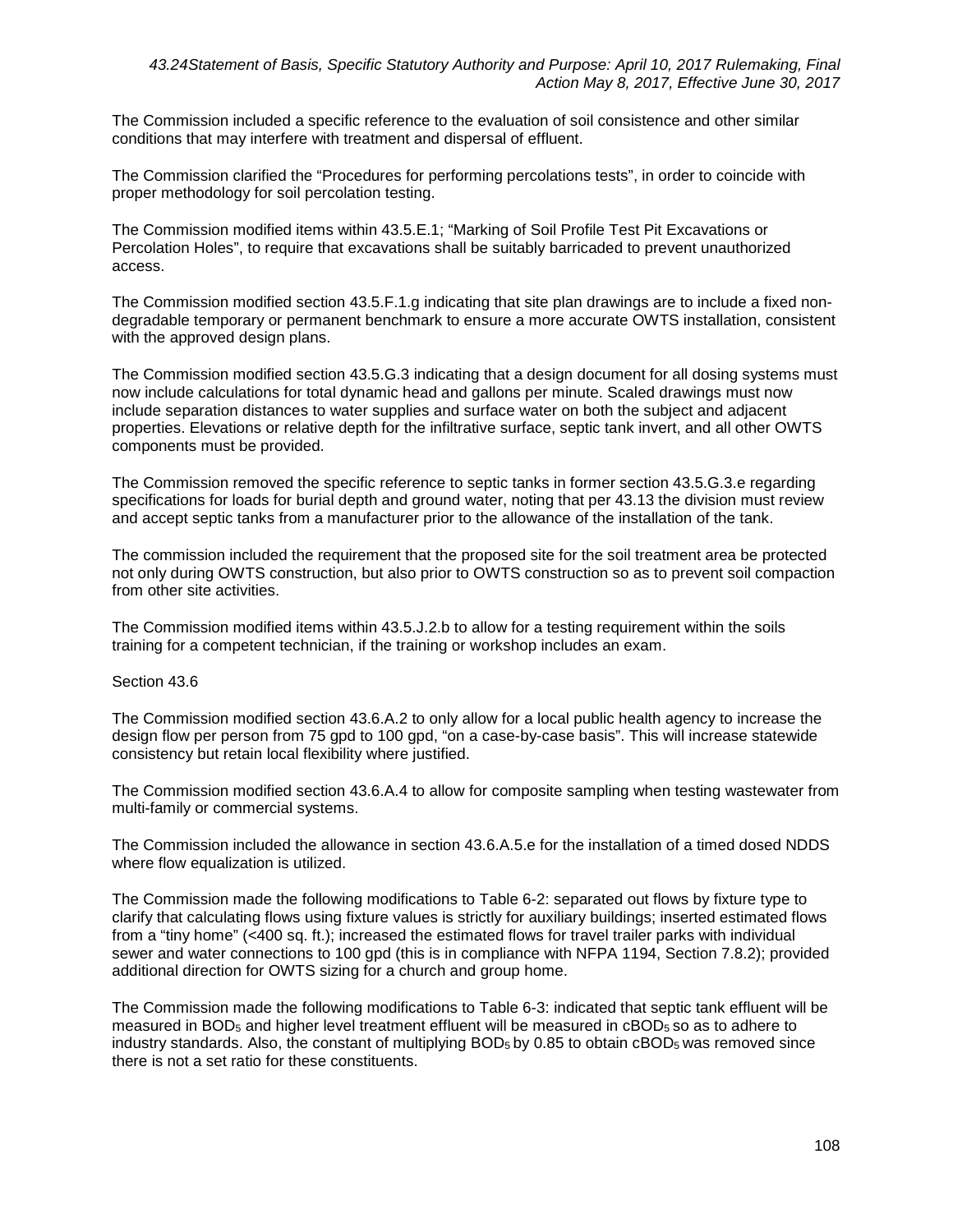The Commission included a specific reference to the evaluation of soil consistence and other similar conditions that may interfere with treatment and dispersal of effluent.

The Commission clarified the "Procedures for performing percolations tests", in order to coincide with proper methodology for soil percolation testing.

The Commission modified items within 43.5.E.1; "Marking of Soil Profile Test Pit Excavations or Percolation Holes", to require that excavations shall be suitably barricaded to prevent unauthorized access.

The Commission modified section 43.5.F.1.g indicating that site plan drawings are to include a fixed nondegradable temporary or permanent benchmark to ensure a more accurate OWTS installation, consistent with the approved design plans.

The Commission modified section 43.5.G.3 indicating that a design document for all dosing systems must now include calculations for total dynamic head and gallons per minute. Scaled drawings must now include separation distances to water supplies and surface water on both the subject and adjacent properties. Elevations or relative depth for the infiltrative surface, septic tank invert, and all other OWTS components must be provided.

The Commission removed the specific reference to septic tanks in former section 43.5.G.3.e regarding specifications for loads for burial depth and ground water, noting that per 43.13 the division must review and accept septic tanks from a manufacturer prior to the allowance of the installation of the tank.

The commission included the requirement that the proposed site for the soil treatment area be protected not only during OWTS construction, but also prior to OWTS construction so as to prevent soil compaction from other site activities.

The Commission modified items within 43.5.J.2.b to allow for a testing requirement within the soils training for a competent technician, if the training or workshop includes an exam.

## Section 43.6

The Commission modified section 43.6.A.2 to only allow for a local public health agency to increase the design flow per person from 75 gpd to 100 gpd, "on a case-by-case basis". This will increase statewide consistency but retain local flexibility where justified.

The Commission modified section 43.6.A.4 to allow for composite sampling when testing wastewater from multi-family or commercial systems.

The Commission included the allowance in section 43.6.A.5.e for the installation of a timed dosed NDDS where flow equalization is utilized.

The Commission made the following modifications to Table 6-2: separated out flows by fixture type to clarify that calculating flows using fixture values is strictly for auxiliary buildings; inserted estimated flows from a "tiny home" (<400 sq. ft.); increased the estimated flows for travel trailer parks with individual sewer and water connections to 100 gpd (this is in compliance with NFPA 1194, Section 7.8.2); provided additional direction for OWTS sizing for a church and group home.

The Commission made the following modifications to Table 6-3: indicated that septic tank effluent will be measured in BOD<sub>5</sub> and higher level treatment effluent will be measured in cBOD<sub>5</sub> so as to adhere to industry standards. Also, the constant of multiplying  $BOD<sub>5</sub>$  by 0.85 to obtain cBOD<sub>5</sub> was removed since there is not a set ratio for these constituents.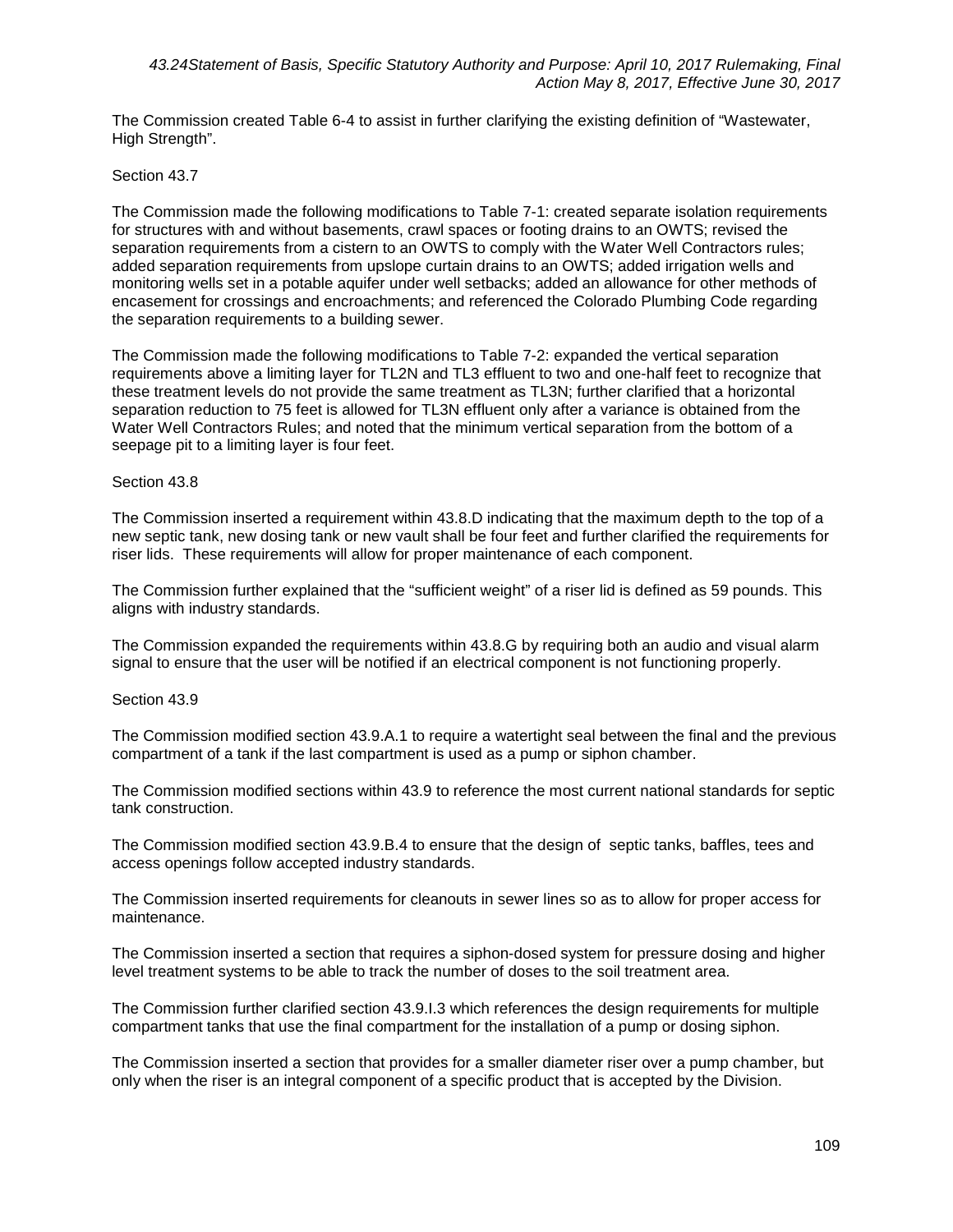The Commission created Table 6-4 to assist in further clarifying the existing definition of "Wastewater, High Strength".

## Section 43.7

The Commission made the following modifications to Table 7-1: created separate isolation requirements for structures with and without basements, crawl spaces or footing drains to an OWTS; revised the separation requirements from a cistern to an OWTS to comply with the Water Well Contractors rules; added separation requirements from upslope curtain drains to an OWTS; added irrigation wells and monitoring wells set in a potable aquifer under well setbacks; added an allowance for other methods of encasement for crossings and encroachments; and referenced the Colorado Plumbing Code regarding the separation requirements to a building sewer.

The Commission made the following modifications to Table 7-2: expanded the vertical separation requirements above a limiting layer for TL2N and TL3 effluent to two and one-half feet to recognize that these treatment levels do not provide the same treatment as TL3N; further clarified that a horizontal separation reduction to 75 feet is allowed for TL3N effluent only after a variance is obtained from the Water Well Contractors Rules; and noted that the minimum vertical separation from the bottom of a seepage pit to a limiting layer is four feet.

## Section 43.8

The Commission inserted a requirement within 43.8.D indicating that the maximum depth to the top of a new septic tank, new dosing tank or new vault shall be four feet and further clarified the requirements for riser lids. These requirements will allow for proper maintenance of each component.

The Commission further explained that the "sufficient weight" of a riser lid is defined as 59 pounds. This aligns with industry standards.

The Commission expanded the requirements within 43.8.G by requiring both an audio and visual alarm signal to ensure that the user will be notified if an electrical component is not functioning properly.

## Section 43.9

The Commission modified section 43.9.A.1 to require a watertight seal between the final and the previous compartment of a tank if the last compartment is used as a pump or siphon chamber.

The Commission modified sections within 43.9 to reference the most current national standards for septic tank construction.

The Commission modified section 43.9.B.4 to ensure that the design of septic tanks, baffles, tees and access openings follow accepted industry standards.

The Commission inserted requirements for cleanouts in sewer lines so as to allow for proper access for maintenance.

The Commission inserted a section that requires a siphon-dosed system for pressure dosing and higher level treatment systems to be able to track the number of doses to the soil treatment area.

The Commission further clarified section 43.9.I.3 which references the design requirements for multiple compartment tanks that use the final compartment for the installation of a pump or dosing siphon.

The Commission inserted a section that provides for a smaller diameter riser over a pump chamber, but only when the riser is an integral component of a specific product that is accepted by the Division.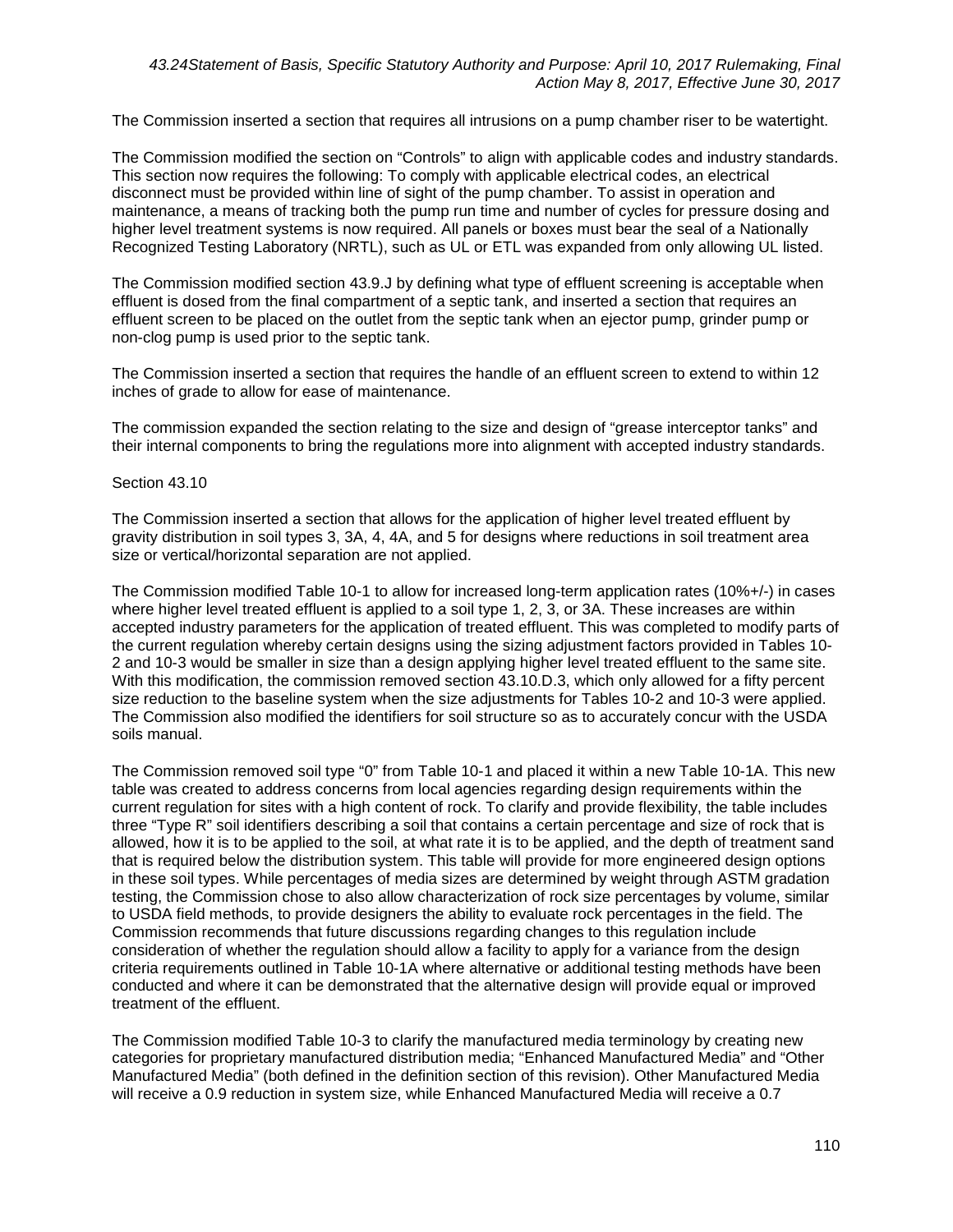The Commission inserted a section that requires all intrusions on a pump chamber riser to be watertight.

The Commission modified the section on "Controls" to align with applicable codes and industry standards. This section now requires the following: To comply with applicable electrical codes, an electrical disconnect must be provided within line of sight of the pump chamber. To assist in operation and maintenance, a means of tracking both the pump run time and number of cycles for pressure dosing and higher level treatment systems is now required. All panels or boxes must bear the seal of a Nationally Recognized Testing Laboratory (NRTL), such as UL or ETL was expanded from only allowing UL listed.

The Commission modified section 43.9.J by defining what type of effluent screening is acceptable when effluent is dosed from the final compartment of a septic tank, and inserted a section that requires an effluent screen to be placed on the outlet from the septic tank when an ejector pump, grinder pump or non-clog pump is used prior to the septic tank.

The Commission inserted a section that requires the handle of an effluent screen to extend to within 12 inches of grade to allow for ease of maintenance.

The commission expanded the section relating to the size and design of "grease interceptor tanks" and their internal components to bring the regulations more into alignment with accepted industry standards.

## Section 43.10

The Commission inserted a section that allows for the application of higher level treated effluent by gravity distribution in soil types 3, 3A, 4, 4A, and 5 for designs where reductions in soil treatment area size or vertical/horizontal separation are not applied.

The Commission modified Table 10-1 to allow for increased long-term application rates (10%+/-) in cases where higher level treated effluent is applied to a soil type 1, 2, 3, or 3A. These increases are within accepted industry parameters for the application of treated effluent. This was completed to modify parts of the current regulation whereby certain designs using the sizing adjustment factors provided in Tables 10- 2 and 10-3 would be smaller in size than a design applying higher level treated effluent to the same site. With this modification, the commission removed section 43.10.D.3, which only allowed for a fifty percent size reduction to the baseline system when the size adjustments for Tables 10-2 and 10-3 were applied. The Commission also modified the identifiers for soil structure so as to accurately concur with the USDA soils manual.

The Commission removed soil type "0" from Table 10-1 and placed it within a new Table 10-1A. This new table was created to address concerns from local agencies regarding design requirements within the current regulation for sites with a high content of rock. To clarify and provide flexibility, the table includes three "Type R" soil identifiers describing a soil that contains a certain percentage and size of rock that is allowed, how it is to be applied to the soil, at what rate it is to be applied, and the depth of treatment sand that is required below the distribution system. This table will provide for more engineered design options in these soil types. While percentages of media sizes are determined by weight through ASTM gradation testing, the Commission chose to also allow characterization of rock size percentages by volume, similar to USDA field methods, to provide designers the ability to evaluate rock percentages in the field. The Commission recommends that future discussions regarding changes to this regulation include consideration of whether the regulation should allow a facility to apply for a variance from the design criteria requirements outlined in Table 10-1A where alternative or additional testing methods have been conducted and where it can be demonstrated that the alternative design will provide equal or improved treatment of the effluent.

The Commission modified Table 10-3 to clarify the manufactured media terminology by creating new categories for proprietary manufactured distribution media; "Enhanced Manufactured Media" and "Other Manufactured Media" (both defined in the definition section of this revision). Other Manufactured Media will receive a 0.9 reduction in system size, while Enhanced Manufactured Media will receive a 0.7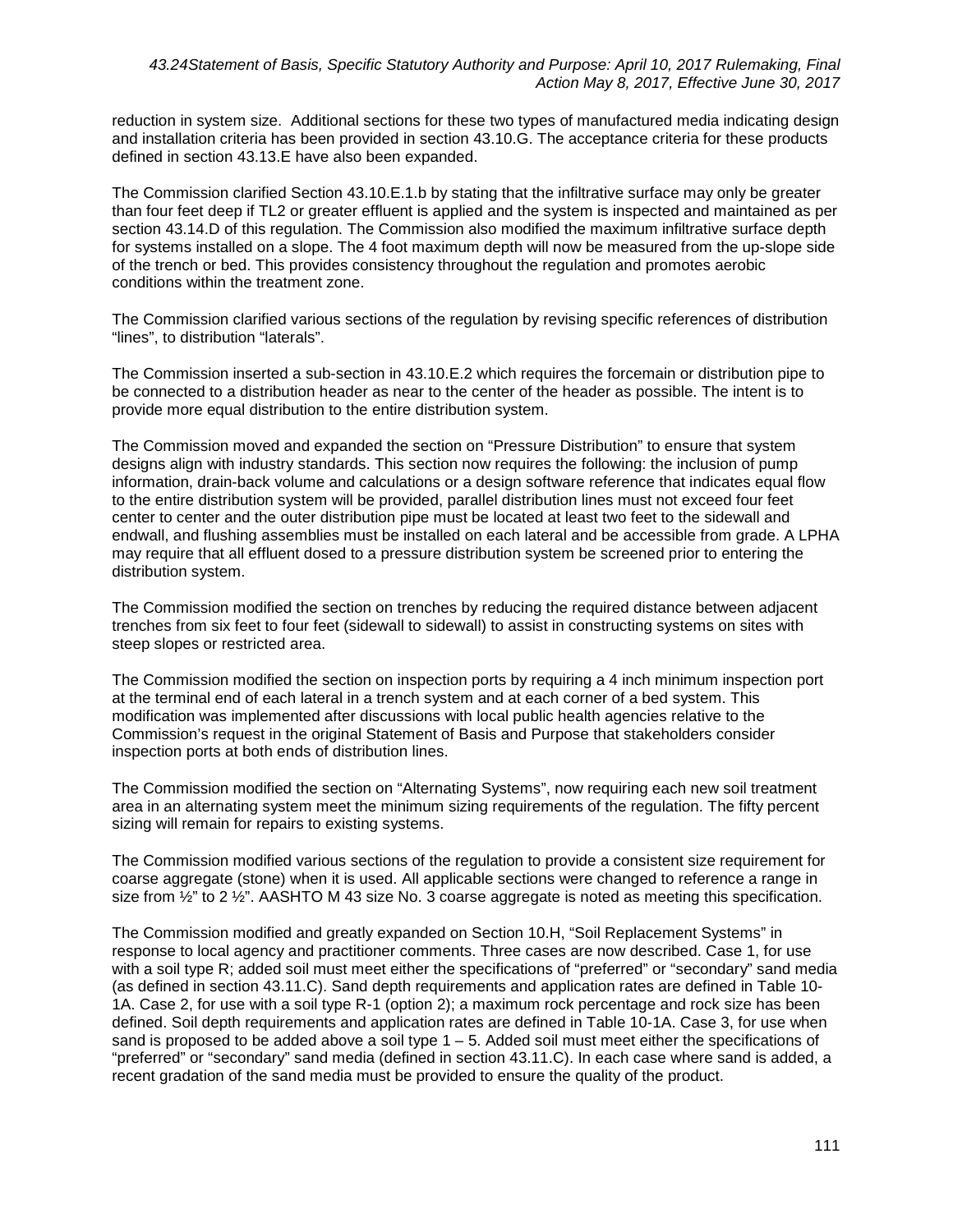reduction in system size. Additional sections for these two types of manufactured media indicating design and installation criteria has been provided in section 43.10.G. The acceptance criteria for these products defined in section 43.13.E have also been expanded.

The Commission clarified Section 43.10.E.1.b by stating that the infiltrative surface may only be greater than four feet deep if TL2 or greater effluent is applied and the system is inspected and maintained as per section 43.14.D of this regulation. The Commission also modified the maximum infiltrative surface depth for systems installed on a slope. The 4 foot maximum depth will now be measured from the up-slope side of the trench or bed. This provides consistency throughout the regulation and promotes aerobic conditions within the treatment zone.

The Commission clarified various sections of the regulation by revising specific references of distribution "lines", to distribution "laterals".

The Commission inserted a sub-section in 43.10.E.2 which requires the forcemain or distribution pipe to be connected to a distribution header as near to the center of the header as possible. The intent is to provide more equal distribution to the entire distribution system.

The Commission moved and expanded the section on "Pressure Distribution" to ensure that system designs align with industry standards. This section now requires the following: the inclusion of pump information, drain-back volume and calculations or a design software reference that indicates equal flow to the entire distribution system will be provided, parallel distribution lines must not exceed four feet center to center and the outer distribution pipe must be located at least two feet to the sidewall and endwall, and flushing assemblies must be installed on each lateral and be accessible from grade. A LPHA may require that all effluent dosed to a pressure distribution system be screened prior to entering the distribution system.

The Commission modified the section on trenches by reducing the required distance between adjacent trenches from six feet to four feet (sidewall to sidewall) to assist in constructing systems on sites with steep slopes or restricted area.

The Commission modified the section on inspection ports by requiring a 4 inch minimum inspection port at the terminal end of each lateral in a trench system and at each corner of a bed system. This modification was implemented after discussions with local public health agencies relative to the Commission's request in the original Statement of Basis and Purpose that stakeholders consider inspection ports at both ends of distribution lines.

The Commission modified the section on "Alternating Systems", now requiring each new soil treatment area in an alternating system meet the minimum sizing requirements of the regulation. The fifty percent sizing will remain for repairs to existing systems.

The Commission modified various sections of the regulation to provide a consistent size requirement for coarse aggregate (stone) when it is used. All applicable sections were changed to reference a range in size from  $\frac{1}{2}$ " to 2  $\frac{1}{2}$ ". AASHTO M 43 size No. 3 coarse aggregate is noted as meeting this specification.

The Commission modified and greatly expanded on Section 10.H, "Soil Replacement Systems" in response to local agency and practitioner comments. Three cases are now described. Case 1, for use with a soil type R; added soil must meet either the specifications of "preferred" or "secondary" sand media (as defined in section 43.11.C). Sand depth requirements and application rates are defined in Table 10- 1A. Case 2, for use with a soil type R-1 (option 2); a maximum rock percentage and rock size has been defined. Soil depth requirements and application rates are defined in Table 10-1A. Case 3, for use when sand is proposed to be added above a soil type  $1 - 5$ . Added soil must meet either the specifications of "preferred" or "secondary" sand media (defined in section 43.11.C). In each case where sand is added, a recent gradation of the sand media must be provided to ensure the quality of the product.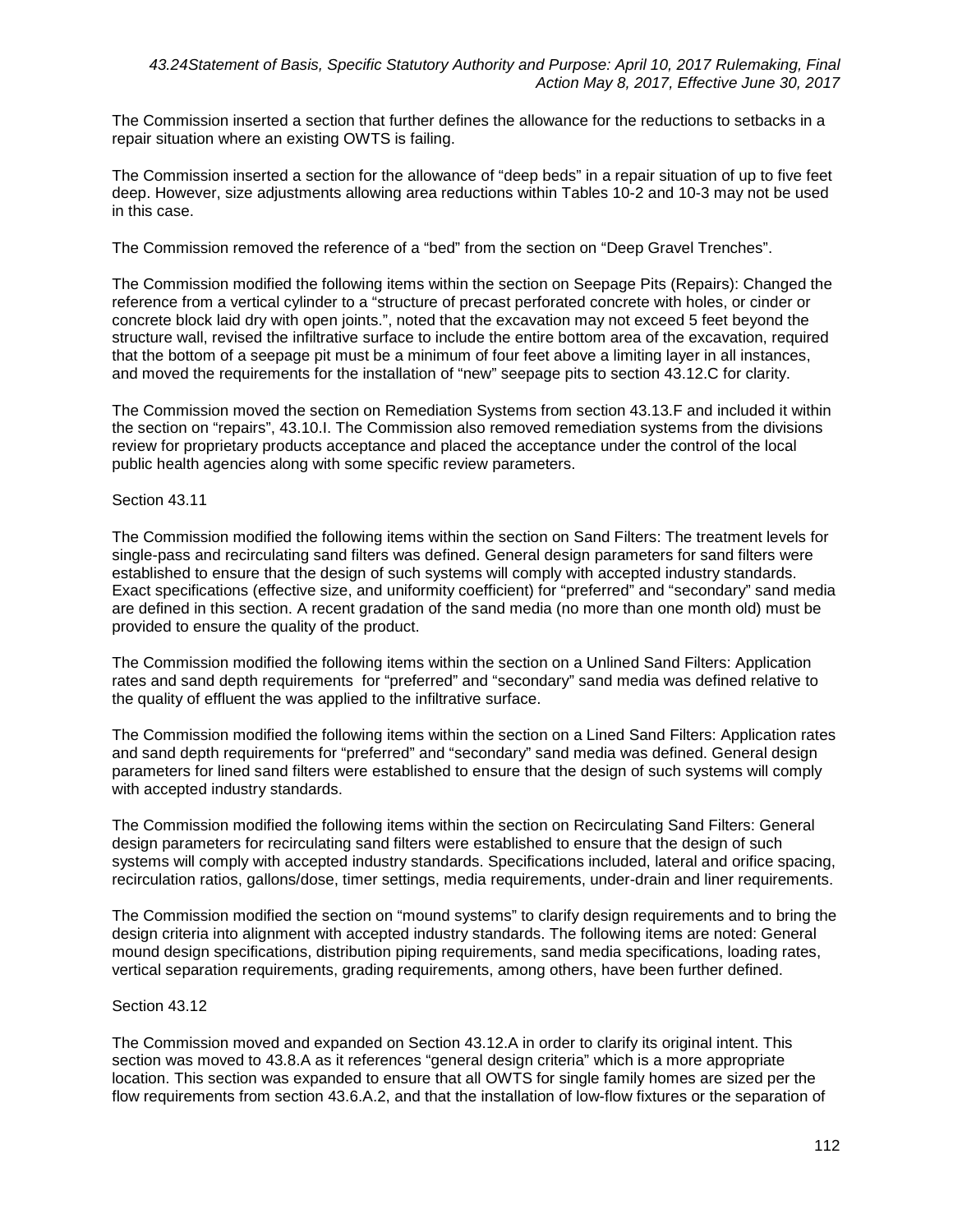The Commission inserted a section that further defines the allowance for the reductions to setbacks in a repair situation where an existing OWTS is failing.

The Commission inserted a section for the allowance of "deep beds" in a repair situation of up to five feet deep. However, size adjustments allowing area reductions within Tables 10-2 and 10-3 may not be used in this case.

The Commission removed the reference of a "bed" from the section on "Deep Gravel Trenches".

The Commission modified the following items within the section on Seepage Pits (Repairs): Changed the reference from a vertical cylinder to a "structure of precast perforated concrete with holes, or cinder or concrete block laid dry with open joints.", noted that the excavation may not exceed 5 feet beyond the structure wall, revised the infiltrative surface to include the entire bottom area of the excavation, required that the bottom of a seepage pit must be a minimum of four feet above a limiting layer in all instances, and moved the requirements for the installation of "new" seepage pits to section 43.12.C for clarity.

The Commission moved the section on Remediation Systems from section 43.13.F and included it within the section on "repairs", 43.10.I. The Commission also removed remediation systems from the divisions review for proprietary products acceptance and placed the acceptance under the control of the local public health agencies along with some specific review parameters.

## Section 43.11

The Commission modified the following items within the section on Sand Filters: The treatment levels for single-pass and recirculating sand filters was defined. General design parameters for sand filters were established to ensure that the design of such systems will comply with accepted industry standards. Exact specifications (effective size, and uniformity coefficient) for "preferred" and "secondary" sand media are defined in this section. A recent gradation of the sand media (no more than one month old) must be provided to ensure the quality of the product.

The Commission modified the following items within the section on a Unlined Sand Filters: Application rates and sand depth requirements for "preferred" and "secondary" sand media was defined relative to the quality of effluent the was applied to the infiltrative surface.

The Commission modified the following items within the section on a Lined Sand Filters: Application rates and sand depth requirements for "preferred" and "secondary" sand media was defined. General design parameters for lined sand filters were established to ensure that the design of such systems will comply with accepted industry standards.

The Commission modified the following items within the section on Recirculating Sand Filters: General design parameters for recirculating sand filters were established to ensure that the design of such systems will comply with accepted industry standards. Specifications included, lateral and orifice spacing, recirculation ratios, gallons/dose, timer settings, media requirements, under-drain and liner requirements.

The Commission modified the section on "mound systems" to clarify design requirements and to bring the design criteria into alignment with accepted industry standards. The following items are noted: General mound design specifications, distribution piping requirements, sand media specifications, loading rates, vertical separation requirements, grading requirements, among others, have been further defined.

## Section 43.12

The Commission moved and expanded on Section 43.12.A in order to clarify its original intent. This section was moved to 43.8.A as it references "general design criteria" which is a more appropriate location. This section was expanded to ensure that all OWTS for single family homes are sized per the flow requirements from section 43.6.A.2, and that the installation of low-flow fixtures or the separation of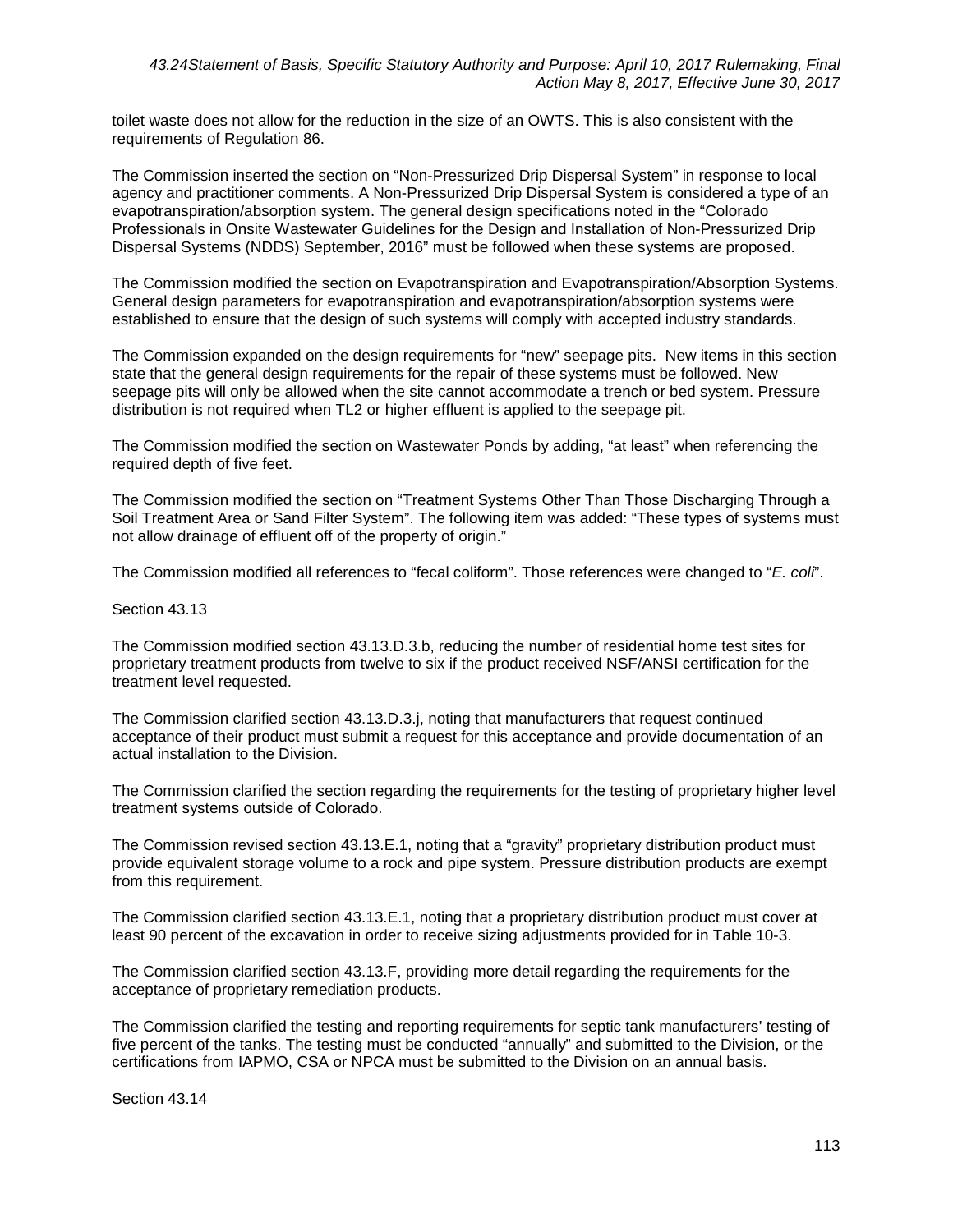toilet waste does not allow for the reduction in the size of an OWTS. This is also consistent with the requirements of Regulation 86.

The Commission inserted the section on "Non-Pressurized Drip Dispersal System" in response to local agency and practitioner comments. A Non-Pressurized Drip Dispersal System is considered a type of an evapotranspiration/absorption system. The general design specifications noted in the "Colorado Professionals in Onsite Wastewater Guidelines for the Design and Installation of Non-Pressurized Drip Dispersal Systems (NDDS) September, 2016" must be followed when these systems are proposed.

The Commission modified the section on Evapotranspiration and Evapotranspiration/Absorption Systems. General design parameters for evapotranspiration and evapotranspiration/absorption systems were established to ensure that the design of such systems will comply with accepted industry standards.

The Commission expanded on the design requirements for "new" seepage pits. New items in this section state that the general design requirements for the repair of these systems must be followed. New seepage pits will only be allowed when the site cannot accommodate a trench or bed system. Pressure distribution is not required when TL2 or higher effluent is applied to the seepage pit.

The Commission modified the section on Wastewater Ponds by adding, "at least" when referencing the required depth of five feet.

The Commission modified the section on "Treatment Systems Other Than Those Discharging Through a Soil Treatment Area or Sand Filter System". The following item was added: "These types of systems must not allow drainage of effluent off of the property of origin."

The Commission modified all references to "fecal coliform". Those references were changed to "*E. coli*".

#### Section 43.13

The Commission modified section 43.13.D.3.b, reducing the number of residential home test sites for proprietary treatment products from twelve to six if the product received NSF/ANSI certification for the treatment level requested.

The Commission clarified section 43.13.D.3.j, noting that manufacturers that request continued acceptance of their product must submit a request for this acceptance and provide documentation of an actual installation to the Division.

The Commission clarified the section regarding the requirements for the testing of proprietary higher level treatment systems outside of Colorado.

The Commission revised section 43.13.E.1, noting that a "gravity" proprietary distribution product must provide equivalent storage volume to a rock and pipe system. Pressure distribution products are exempt from this requirement.

The Commission clarified section 43.13.E.1, noting that a proprietary distribution product must cover at least 90 percent of the excavation in order to receive sizing adjustments provided for in Table 10-3.

The Commission clarified section 43.13.F, providing more detail regarding the requirements for the acceptance of proprietary remediation products.

The Commission clarified the testing and reporting requirements for septic tank manufacturers' testing of five percent of the tanks. The testing must be conducted "annually" and submitted to the Division, or the certifications from IAPMO, CSA or NPCA must be submitted to the Division on an annual basis.

Section 43.14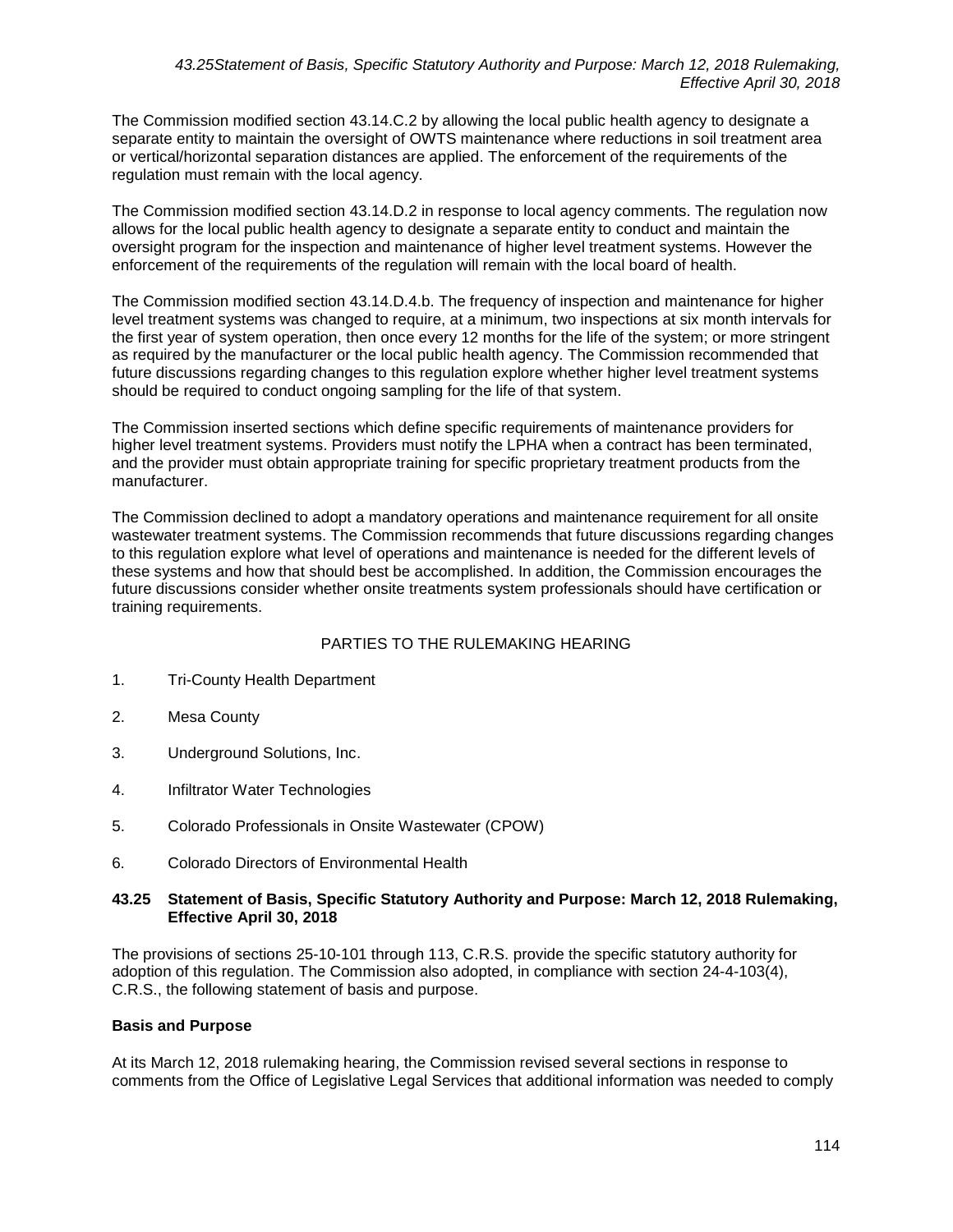The Commission modified section 43.14.C.2 by allowing the local public health agency to designate a separate entity to maintain the oversight of OWTS maintenance where reductions in soil treatment area or vertical/horizontal separation distances are applied. The enforcement of the requirements of the regulation must remain with the local agency.

The Commission modified section 43.14.D.2 in response to local agency comments. The regulation now allows for the local public health agency to designate a separate entity to conduct and maintain the oversight program for the inspection and maintenance of higher level treatment systems. However the enforcement of the requirements of the regulation will remain with the local board of health.

The Commission modified section 43.14.D.4.b. The frequency of inspection and maintenance for higher level treatment systems was changed to require, at a minimum, two inspections at six month intervals for the first year of system operation, then once every 12 months for the life of the system; or more stringent as required by the manufacturer or the local public health agency. The Commission recommended that future discussions regarding changes to this regulation explore whether higher level treatment systems should be required to conduct ongoing sampling for the life of that system.

The Commission inserted sections which define specific requirements of maintenance providers for higher level treatment systems. Providers must notify the LPHA when a contract has been terminated, and the provider must obtain appropriate training for specific proprietary treatment products from the manufacturer.

The Commission declined to adopt a mandatory operations and maintenance requirement for all onsite wastewater treatment systems. The Commission recommends that future discussions regarding changes to this regulation explore what level of operations and maintenance is needed for the different levels of these systems and how that should best be accomplished. In addition, the Commission encourages the future discussions consider whether onsite treatments system professionals should have certification or training requirements.

# PARTIES TO THE RULEMAKING HEARING

- 1. Tri-County Health Department
- 2. Mesa County
- 3. Underground Solutions, Inc.
- 4. Infiltrator Water Technologies
- 5. Colorado Professionals in Onsite Wastewater (CPOW)
- 6. Colorado Directors of Environmental Health

## **43.25 Statement of Basis, Specific Statutory Authority and Purpose: March 12, 2018 Rulemaking, Effective April 30, 2018**

The provisions of sections 25-10-101 through 113, C.R.S. provide the specific statutory authority for adoption of this regulation. The Commission also adopted, in compliance with section 24-4-103(4), C.R.S., the following statement of basis and purpose.

## **Basis and Purpose**

At its March 12, 2018 rulemaking hearing, the Commission revised several sections in response to comments from the Office of Legislative Legal Services that additional information was needed to comply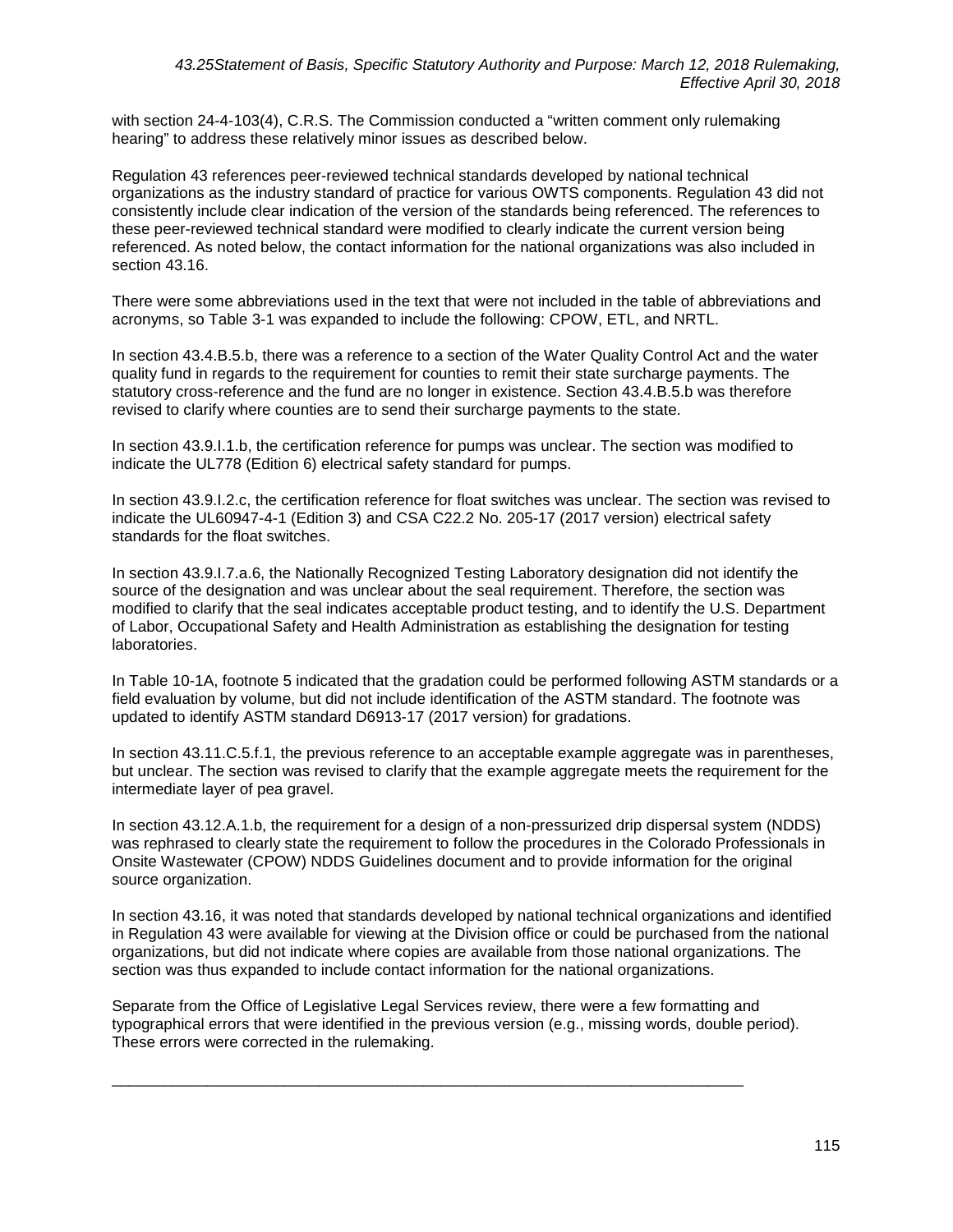with section 24-4-103(4), C.R.S. The Commission conducted a "written comment only rulemaking hearing" to address these relatively minor issues as described below.

Regulation 43 references peer-reviewed technical standards developed by national technical organizations as the industry standard of practice for various OWTS components. Regulation 43 did not consistently include clear indication of the version of the standards being referenced. The references to these peer-reviewed technical standard were modified to clearly indicate the current version being referenced. As noted below, the contact information for the national organizations was also included in section 43.16.

There were some abbreviations used in the text that were not included in the table of abbreviations and acronyms, so Table 3-1 was expanded to include the following: CPOW, ETL, and NRTL.

In section 43.4.B.5.b, there was a reference to a section of the Water Quality Control Act and the water quality fund in regards to the requirement for counties to remit their state surcharge payments. The statutory cross-reference and the fund are no longer in existence. Section 43.4.B.5.b was therefore revised to clarify where counties are to send their surcharge payments to the state.

In section 43.9.I.1.b, the certification reference for pumps was unclear. The section was modified to indicate the UL778 (Edition 6) electrical safety standard for pumps.

In section 43.9.I.2.c, the certification reference for float switches was unclear. The section was revised to indicate the UL60947-4-1 (Edition 3) and CSA C22.2 No. 205-17 (2017 version) electrical safety standards for the float switches.

In section 43.9.I.7.a.6, the Nationally Recognized Testing Laboratory designation did not identify the source of the designation and was unclear about the seal requirement. Therefore, the section was modified to clarify that the seal indicates acceptable product testing, and to identify the U.S. Department of Labor, Occupational Safety and Health Administration as establishing the designation for testing laboratories.

In Table 10-1A, footnote 5 indicated that the gradation could be performed following ASTM standards or a field evaluation by volume, but did not include identification of the ASTM standard. The footnote was updated to identify ASTM standard D6913-17 (2017 version) for gradations.

In section 43.11.C.5.f.1, the previous reference to an acceptable example aggregate was in parentheses, but unclear. The section was revised to clarify that the example aggregate meets the requirement for the intermediate layer of pea gravel.

In section 43.12.A.1.b, the requirement for a design of a non-pressurized drip dispersal system (NDDS) was rephrased to clearly state the requirement to follow the procedures in the Colorado Professionals in Onsite Wastewater (CPOW) NDDS Guidelines document and to provide information for the original source organization.

In section 43.16, it was noted that standards developed by national technical organizations and identified in Regulation 43 were available for viewing at the Division office or could be purchased from the national organizations, but did not indicate where copies are available from those national organizations. The section was thus expanded to include contact information for the national organizations.

Separate from the Office of Legislative Legal Services review, there were a few formatting and typographical errors that were identified in the previous version (e.g., missing words, double period). These errors were corrected in the rulemaking.

\_\_\_\_\_\_\_\_\_\_\_\_\_\_\_\_\_\_\_\_\_\_\_\_\_\_\_\_\_\_\_\_\_\_\_\_\_\_\_\_\_\_\_\_\_\_\_\_\_\_\_\_\_\_\_\_\_\_\_\_\_\_\_\_\_\_\_\_\_\_\_\_\_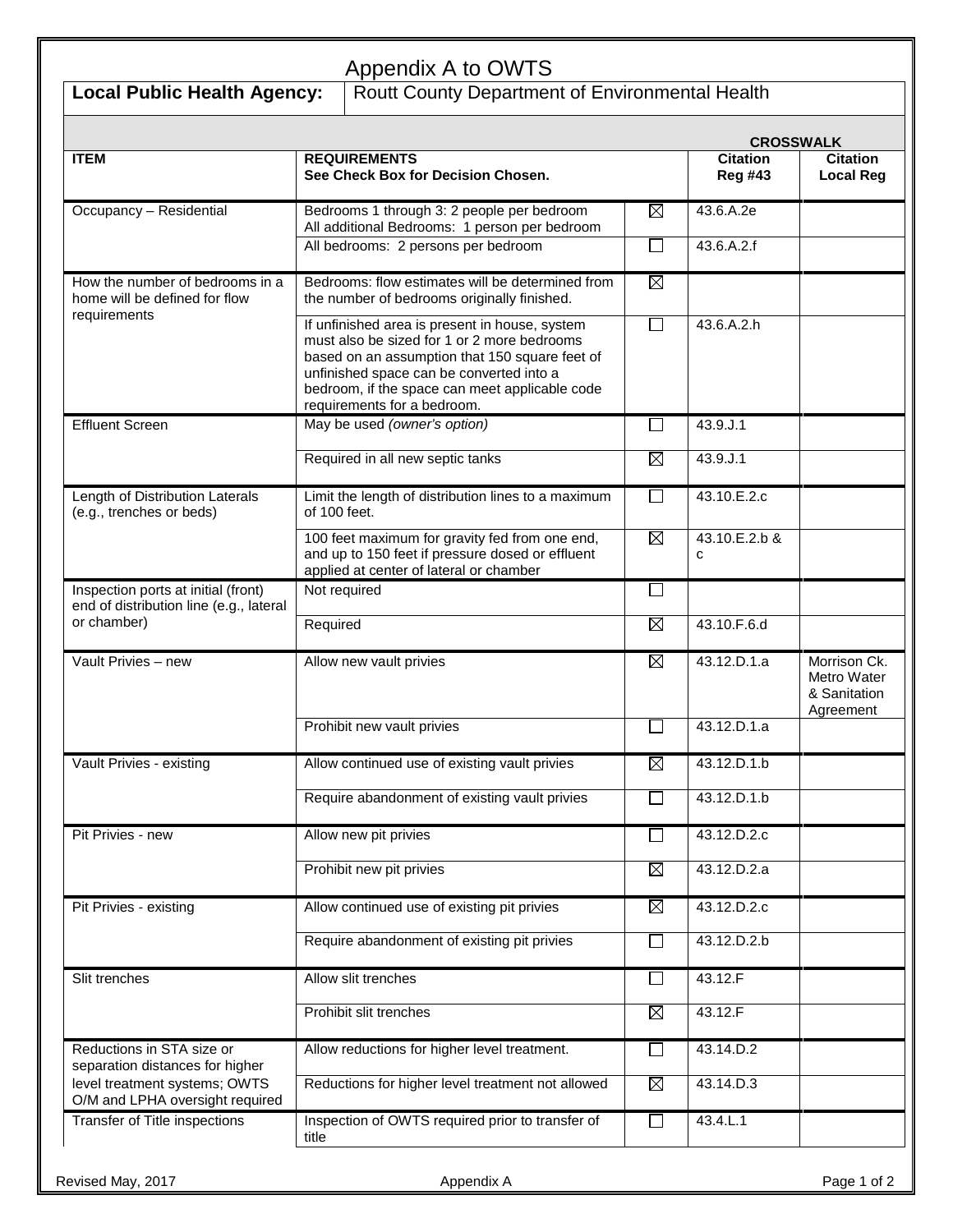| <b>Local Public Health Agency:</b>                                             | Appendix A to OWTS<br>Routt County Department of Environmental Health                                                                                                                                                                                                        |                |                                   |                                                          |  |  |
|--------------------------------------------------------------------------------|------------------------------------------------------------------------------------------------------------------------------------------------------------------------------------------------------------------------------------------------------------------------------|----------------|-----------------------------------|----------------------------------------------------------|--|--|
|                                                                                |                                                                                                                                                                                                                                                                              |                |                                   |                                                          |  |  |
|                                                                                | <b>CROSSWALK</b>                                                                                                                                                                                                                                                             |                |                                   |                                                          |  |  |
| <b>ITEM</b>                                                                    | <b>REQUIREMENTS</b><br>See Check Box for Decision Chosen.                                                                                                                                                                                                                    |                | <b>Citation</b><br><b>Reg #43</b> | <b>Citation</b><br><b>Local Reg</b>                      |  |  |
| Occupancy - Residential                                                        | Bedrooms 1 through 3: 2 people per bedroom                                                                                                                                                                                                                                   | ⊠              | 43.6.A.2e                         |                                                          |  |  |
|                                                                                | All additional Bedrooms: 1 person per bedroom<br>All bedrooms: 2 persons per bedroom                                                                                                                                                                                         | $\Box$         | 43.6.A.2.f                        |                                                          |  |  |
| How the number of bedrooms in a<br>home will be defined for flow               | Bedrooms: flow estimates will be determined from<br>the number of bedrooms originally finished.                                                                                                                                                                              | $\boxtimes$    |                                   |                                                          |  |  |
| requirements                                                                   | If unfinished area is present in house, system<br>must also be sized for 1 or 2 more bedrooms<br>based on an assumption that 150 square feet of<br>unfinished space can be converted into a<br>bedroom, if the space can meet applicable code<br>requirements for a bedroom. | $\Box$         | 43.6.A.2.h                        |                                                          |  |  |
| <b>Effluent Screen</b>                                                         | May be used (owner's option)                                                                                                                                                                                                                                                 | $\sim$         | 43.9.J.1                          |                                                          |  |  |
|                                                                                | Required in all new septic tanks                                                                                                                                                                                                                                             | $\boxtimes$    | 43.9.J.1                          |                                                          |  |  |
| Length of Distribution Laterals<br>(e.g., trenches or beds)                    | Limit the length of distribution lines to a maximum<br>of 100 feet.                                                                                                                                                                                                          |                | 43.10.E.2.c                       |                                                          |  |  |
|                                                                                | 100 feet maximum for gravity fed from one end,<br>and up to 150 feet if pressure dosed or effluent<br>applied at center of lateral or chamber                                                                                                                                | ⊠              | 43.10.E.2.b &<br>c                |                                                          |  |  |
| Inspection ports at initial (front)<br>end of distribution line (e.g., lateral | Not required                                                                                                                                                                                                                                                                 |                |                                   |                                                          |  |  |
| or chamber)                                                                    | Required                                                                                                                                                                                                                                                                     | ⊠              | 43.10.F.6.d                       |                                                          |  |  |
| Vault Privies - new                                                            | Allow new vault privies                                                                                                                                                                                                                                                      | ⊠              | 43.12.D.1.a                       | Morrison Ck.<br>Metro Water<br>& Sanitation<br>Agreement |  |  |
|                                                                                | Prohibit new vault privies                                                                                                                                                                                                                                                   | $\Box$         | 43.12.D.1.a                       |                                                          |  |  |
| Vault Privies - existing                                                       | Allow continued use of existing vault privies                                                                                                                                                                                                                                | ⊠              | 43.12.D.1.b                       |                                                          |  |  |
|                                                                                | Require abandonment of existing vault privies                                                                                                                                                                                                                                | $\Box$         | 43.12.D.1.b                       |                                                          |  |  |
| Pit Privies - new                                                              | Allow new pit privies                                                                                                                                                                                                                                                        | $\Box$         | 43.12.D.2.c                       |                                                          |  |  |
|                                                                                | Prohibit new pit privies                                                                                                                                                                                                                                                     | ⊠              | 43.12.D.2.a                       |                                                          |  |  |
| Pit Privies - existing                                                         | Allow continued use of existing pit privies                                                                                                                                                                                                                                  | $\boxtimes$    | 43.12.D.2.c                       |                                                          |  |  |
|                                                                                | Require abandonment of existing pit privies                                                                                                                                                                                                                                  | $\Box$         | 43.12.D.2.b                       |                                                          |  |  |
| Slit trenches                                                                  | Allow slit trenches                                                                                                                                                                                                                                                          | $\Box$         | 43.12.F                           |                                                          |  |  |
|                                                                                | Prohibit slit trenches                                                                                                                                                                                                                                                       | ⊠              | 43.12.F                           |                                                          |  |  |
| Reductions in STA size or<br>separation distances for higher                   | Allow reductions for higher level treatment.                                                                                                                                                                                                                                 | $\sim$         | 43.14.D.2                         |                                                          |  |  |
| level treatment systems; OWTS<br>O/M and LPHA oversight required               | Reductions for higher level treatment not allowed                                                                                                                                                                                                                            | ⊠              | 43.14.D.3                         |                                                          |  |  |
| Transfer of Title inspections                                                  | Inspection of OWTS required prior to transfer of<br>title                                                                                                                                                                                                                    | $\blacksquare$ | 43.4.L.1                          |                                                          |  |  |